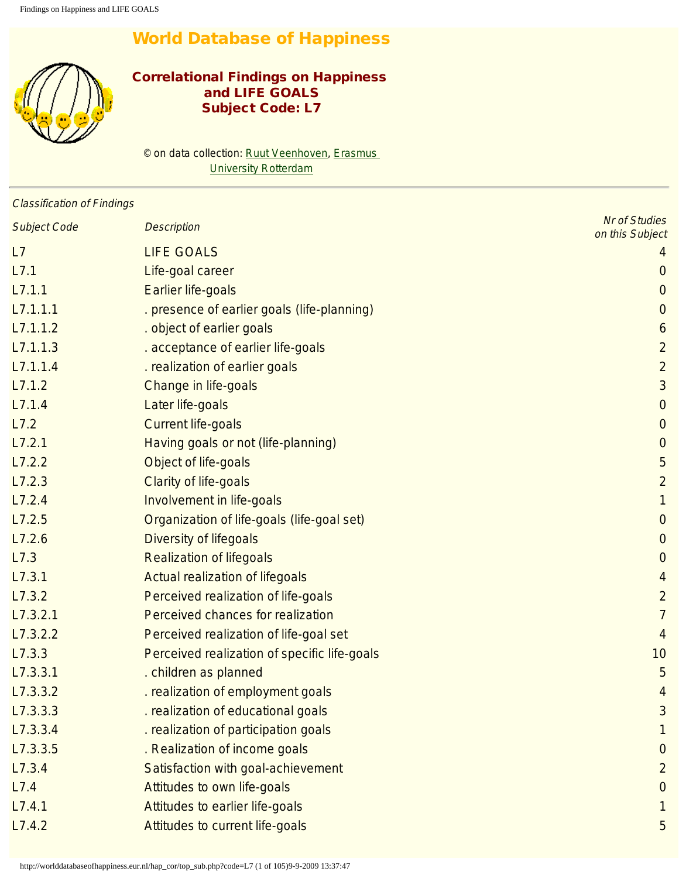# World Database of Happiness

<span id="page-0-0"></span>

## Correlational Findings on Happiness and LIFE GOALS Subject Code: L7

© on data collection: [Ruut Veenhoven,](http://www.eur.nl/fsw/research/veenhoven) [Erasmus](http://www.eur.nl/) **[University Rotterdam](http://www.eur.nl/)** 

| <b>Classification of Findings</b> |                                              |                                         |
|-----------------------------------|----------------------------------------------|-----------------------------------------|
| <b>Subject Code</b>               | <b>Description</b>                           | <b>Nr of Studies</b><br>on this Subject |
| L7                                | <b>LIFE GOALS</b>                            |                                         |
| L7.1                              | Life-goal career                             | $\overline{0}$                          |
| L7.1.1                            | <b>Earlier life-goals</b>                    | $\overline{0}$                          |
| L7.1.1.1                          | . presence of earlier goals (life-planning)  | $\overline{0}$                          |
| L7.1.1.2                          | . object of earlier goals                    | 6                                       |
| L7.1.1.3                          | . acceptance of earlier life-goals           | $\overline{2}$                          |
| L7.1.1.4                          | . realization of earlier goals               | $\overline{2}$                          |
| L7.1.2                            | Change in life-goals                         | 3                                       |
| L7.1.4                            | Later life-goals                             | $\overline{0}$                          |
| L7.2                              | <b>Current life-goals</b>                    | $\overline{0}$                          |
| L7.2.1                            | Having goals or not (life-planning)          | $\mathbf{0}$                            |
| L7.2.2                            | Object of life-goals                         | 5                                       |
| L7.2.3                            | <b>Clarity of life-goals</b>                 | $\overline{2}$                          |
| L7.2.4                            | Involvement in life-goals                    | $\mathbf{1}$                            |
| L7.2.5                            | Organization of life-goals (life-goal set)   | $\mathbf{0}$                            |
| L7.2.6                            | <b>Diversity of lifegoals</b>                | $\mathbf{0}$                            |
| L7.3                              | <b>Realization of lifegoals</b>              | $\overline{0}$                          |
| L7.3.1                            | <b>Actual realization of lifegoals</b>       | 4                                       |
| L7.3.2                            | Perceived realization of life-goals          | $\overline{2}$                          |
| L7.3.2.1                          | Perceived chances for realization            | $\overline{7}$                          |
| L7.3.2.2                          | Perceived realization of life-goal set       | $\overline{4}$                          |
| L7.3.3                            | Perceived realization of specific life-goals | 10                                      |
| L7.3.3.1                          | . children as planned                        | 5                                       |
| L7.3.3.2                          | . realization of employment goals            | 4                                       |
| L7.3.3.3                          | . realization of educational goals           | 3                                       |
| L7.3.3.4                          | . realization of participation goals         |                                         |
| L7.3.3.5                          | . Realization of income goals                | 0                                       |
| L7.3.4                            | Satisfaction with goal-achievement           | $\overline{2}$                          |
| L7.4                              | Attitudes to own life-goals                  | 0                                       |
| L7.4.1                            | Attitudes to earlier life-goals              | 1                                       |
| L7.4.2                            | Attitudes to current life-goals              | 5                                       |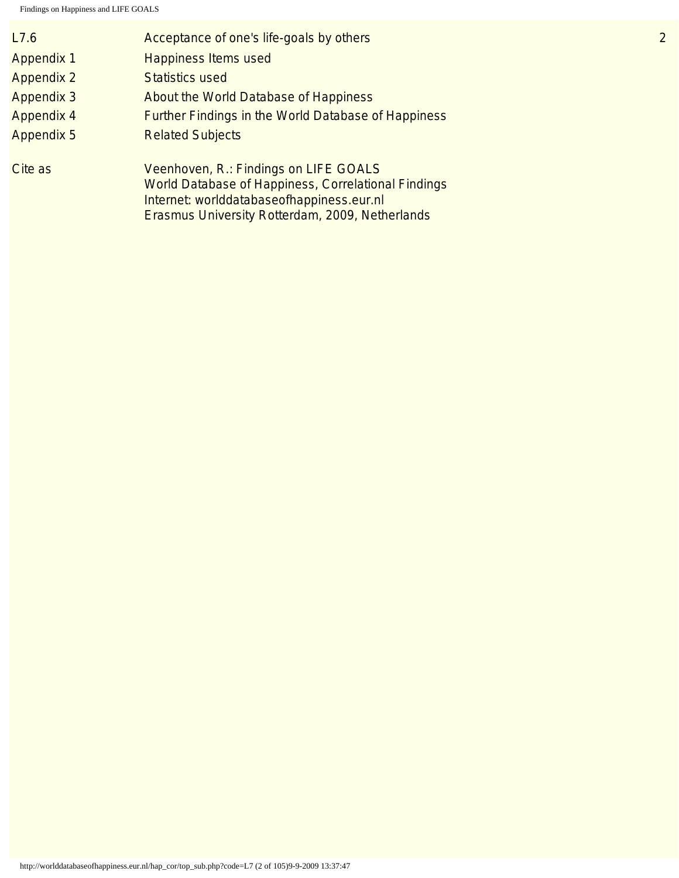| L7.6              | Acceptance of one's life-goals by others                                                                                                                                                            | $\overline{2}$ |
|-------------------|-----------------------------------------------------------------------------------------------------------------------------------------------------------------------------------------------------|----------------|
| <b>Appendix 1</b> | <b>Happiness Items used</b>                                                                                                                                                                         |                |
| <b>Appendix 2</b> | <b>Statistics used</b>                                                                                                                                                                              |                |
| <b>Appendix 3</b> | About the World Database of Happiness                                                                                                                                                               |                |
| <b>Appendix 4</b> | <b>Further Findings in the World Database of Happiness</b>                                                                                                                                          |                |
| <b>Appendix 5</b> | <b>Related Subjects</b>                                                                                                                                                                             |                |
| Cite as           | Veenhoven, R.: Findings on LIFE GOALS<br><b>World Database of Happiness, Correlational Findings</b><br>Internet: worlddatabaseofhappiness.eur.nl<br>Erasmus University Rotterdam, 2009, Netherlands |                |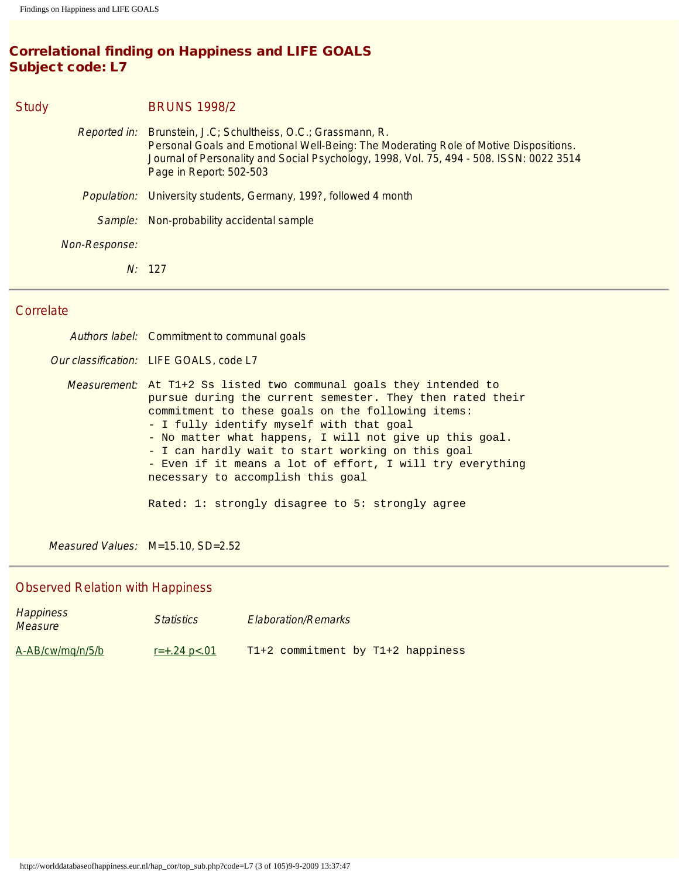## Correlational finding on Happiness and LIFE GOALS Subject code: L7

| <b>Study</b>  | <b>BRUNS 1998/2</b>                                                                                                                                                                                                                                                         |
|---------------|-----------------------------------------------------------------------------------------------------------------------------------------------------------------------------------------------------------------------------------------------------------------------------|
|               | Reported in: Brunstein, J.C; Schultheiss, O.C.; Grassmann, R.<br>Personal Goals and Emotional Well-Being: The Moderating Role of Motive Dispositions.<br>Journal of Personality and Social Psychology, 1998, Vol. 75, 494 - 508. ISSN: 0022 3514<br>Page in Report: 502-503 |
| Population:   | University students, Germany, 199?, followed 4 month                                                                                                                                                                                                                        |
| Sample:       | Non-probability accidental sample                                                                                                                                                                                                                                           |
| Non-Response: |                                                                                                                                                                                                                                                                             |
|               | N: 127                                                                                                                                                                                                                                                                      |
| Corrolato     |                                                                                                                                                                                                                                                                             |

#### Correlate

Happiness

Authors label: Commitment to communal goals

Our classification: LIFE GOALS, code L7

Measurement: At T1+2 Ss listed two communal goals they intended to pursue during the current semester. They then rated their commitment to these goals on the following items: - I fully identify myself with that goal - No matter what happens, I will not give up this goal. - I can hardly wait to start working on this goal - Even if it means a lot of effort, I will try everything necessary to accomplish this goal Rated: 1: strongly disagree to 5: strongly agree

Measured Values: M=15.10, SD=2.52

#### Observed Relation with Happiness

| <b>Happliless</b><br><b>Measure</b> | <b>Statistics</b>    | <b>Elaboration/Remarks</b>        |
|-------------------------------------|----------------------|-----------------------------------|
| A-AB/cw/mg/n/5/b                    | $r = +.24$ p $< .01$ | T1+2 commitment by T1+2 happiness |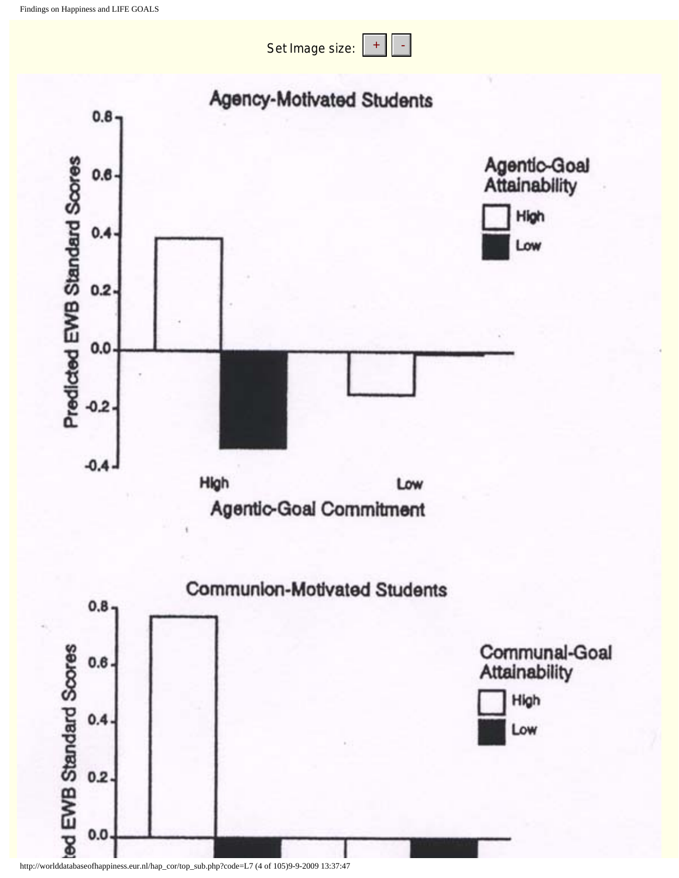Set Image size:

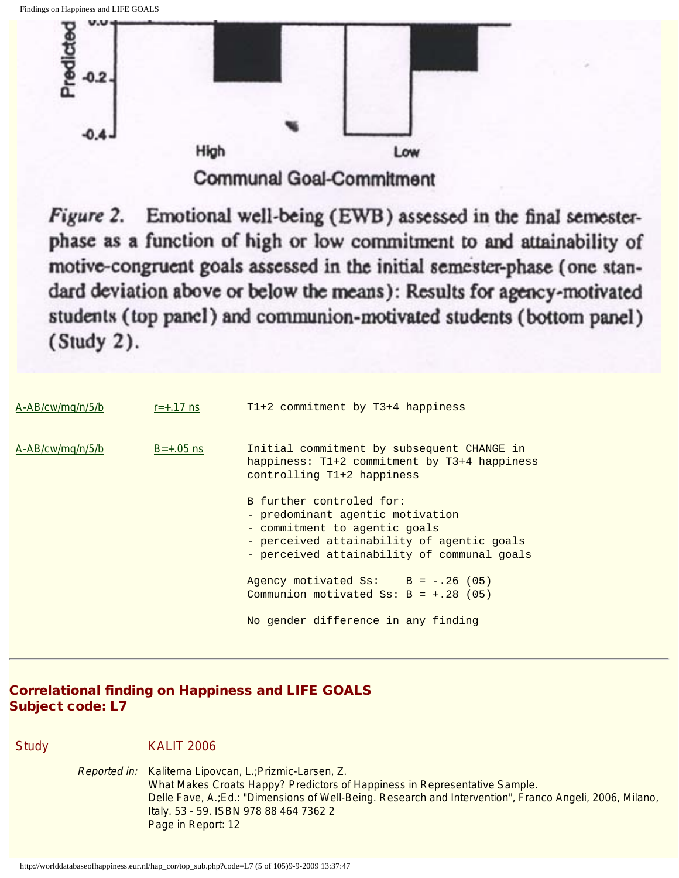

Emotional well-being (EWB) assessed in the final semester-Figure 2. phase as a function of high or low commitment to and attainability of motive-congruent goals assessed in the initial semester-phase (one standard deviation above or below the means): Results for agency-motivated students (top panel) and communion-motivated students (bottom panel) (Study 2).

| A-AB/cw/mg/n/5/b | $r = +0.17$ ns | $T1+2$ commitment by $T3+4$ happiness                                                                                                                                                      |
|------------------|----------------|--------------------------------------------------------------------------------------------------------------------------------------------------------------------------------------------|
| A-AB/cw/mq/n/5/b | $B=+.05$ ns    | Initial commitment by subsequent CHANGE in<br>happiness: $T1+2$ commitment by $T3+4$ happiness<br>controlling T1+2 happiness                                                               |
|                  |                | B further controled for:<br>- predominant agentic motivation<br>- commitment to agentic goals<br>- perceived attainability of agentic goals<br>- perceived attainability of communal goals |
|                  |                | Agency motivated Ss: $B = -.26$ (05)<br>Communion motivated Ss: $B = +0.28$ (05)                                                                                                           |
|                  |                | No gender difference in any finding                                                                                                                                                        |

Correlational finding on Happiness and LIFE GOALS Subject code: L7

Study **KALIT 2006** 

Reported in: Kaliterna Lipovcan, L.;Prizmic-Larsen, Z. What Makes Croats Happy? Predictors of Happiness in Representative Sample. Delle Fave, A.;Ed.: "Dimensions of Well-Being. Research and Intervention", Franco Angeli, 2006, Milano, Italy. 53 - 59. ISBN 978 88 464 7362 2 Page in Report: 12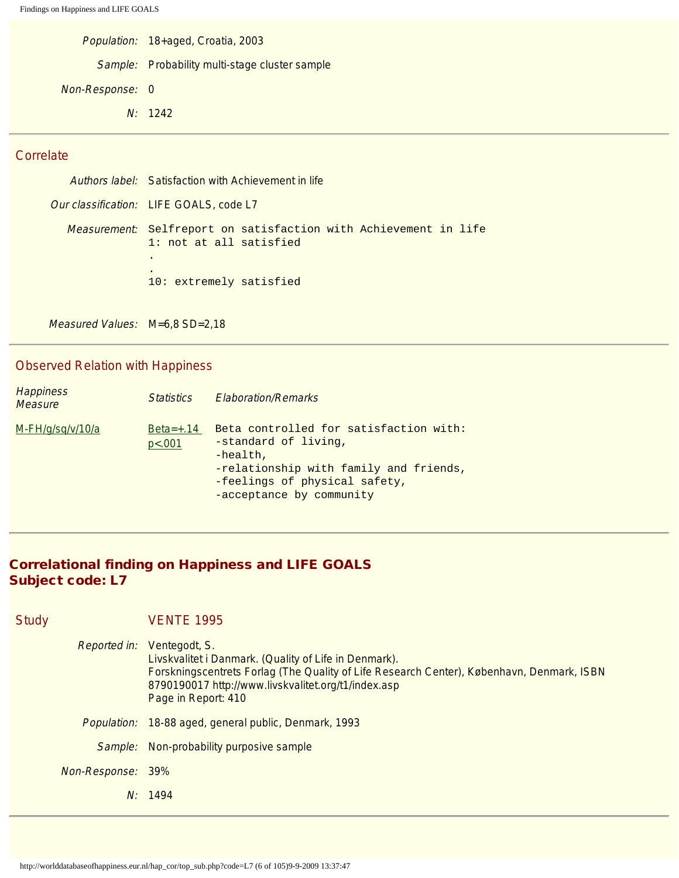|                 | Population: 18+aged, Croatia, 2003             |
|-----------------|------------------------------------------------|
|                 | Sample: Probability multi-stage cluster sample |
| Non-Response: 0 |                                                |
|                 | N: 1242                                        |
|                 |                                                |

Authors label: Satisfaction with Achievement in life Our classification: LIFE GOALS, code L7 Measurement: Selfreport on satisfaction with Achievement in life 1: not at all satisfied . . 10: extremely satisfied

Measured Values: M=6,8 SD=2,18

## Observed Relation with Happiness

| <b>Happiness</b><br><b>Measure</b> | <i>Statistics</i>     | <b>Elaboration/Remarks</b>                                                                                                                                                          |
|------------------------------------|-----------------------|-------------------------------------------------------------------------------------------------------------------------------------------------------------------------------------|
| M-FH/g/sq/v/10/a                   | $Beta=+.14$<br>p<.001 | Beta controlled for satisfaction with:<br>-standard of living,<br>$-health,$<br>-relationship with family and friends,<br>-feelings of physical safety,<br>-acceptance by community |

## Correlational finding on Happiness and LIFE GOALS Subject code: L7

| <b>Study</b> |                    | <b>VENTE 1995</b>                                                                                                                                                                                                                                 |
|--------------|--------------------|---------------------------------------------------------------------------------------------------------------------------------------------------------------------------------------------------------------------------------------------------|
|              | Reported in:       | Ventegodt, S.<br>Livskvalitet i Danmark. (Quality of Life in Denmark).<br>Forskningscentrets Forlag (The Quality of Life Research Center), København, Denmark, ISBN<br>8790190017 http://www.livskvalitet.org/t1/index.asp<br>Page in Report: 410 |
|              | <i>Population:</i> | 18-88 aged, general public, Denmark, 1993                                                                                                                                                                                                         |
|              | Sample:            | Non-probability purposive sample                                                                                                                                                                                                                  |
|              | Non-Response: 39%  |                                                                                                                                                                                                                                                   |
|              | N:                 | 1494                                                                                                                                                                                                                                              |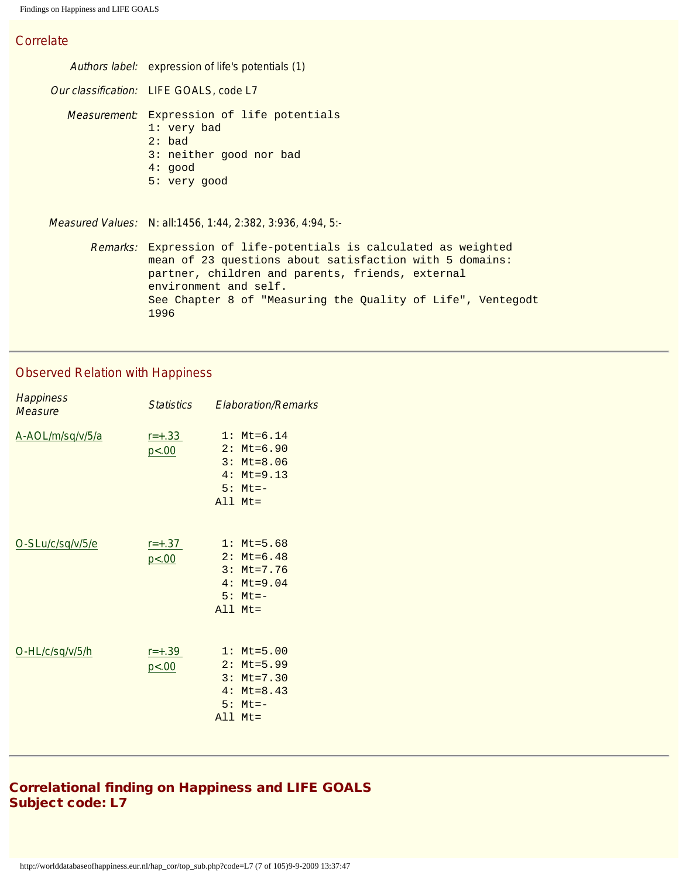Authors label: expression of life's potentials (1) Our classification: LIFE GOALS, code L7 Measurement: Expression of life potentials 1: very bad 2: bad 3: neither good nor bad 4: good 5: very good Measured Values: N: all:1456, 1:44, 2:382, 3:936, 4:94, 5:- Remarks: Expression of life-potentials is calculated as weighted mean of 23 questions about satisfaction with 5 domains: partner, children and parents, friends, external environment and self. See Chapter 8 of "Measuring the Quality of Life", Ventegodt 1996

#### Observed Relation with Happiness

| <b>Happiness</b><br>Measure | <i>Statistics</i>      | <b>Elaboration/Remarks</b>                                                                           |
|-----------------------------|------------------------|------------------------------------------------------------------------------------------------------|
| A-AOL/m/sq/v/5/a            | $r = +0.33$<br>p < .00 | $1: Mt=6.14$<br>$2: Mt=6.90$<br>$3: Mt = 8.06$<br>$4: Mt=9.13$<br>$5: Mt = -$<br>$All$ $Mt =$        |
| O-SLu/c/sq/v/5/e            | $r = +0.37$<br>p<.00   | $1: \text{Mt} = 5.68$<br>$2: Mt=6.48$<br>$3: Mt=7.76$<br>$4: Mt=9.04$<br>$5: Mt = -$<br>$All$ $Mt =$ |
| O-HL/c/sq/v/5/h             | $r = +.39$<br>p < .00  | $1: \mathsf{Mt} = 5.00$<br>$2: Mt=5.99$<br>$3: Mt=7.30$<br>$4: Mt=8.43$<br>$5: Mt = -$<br>All Mt=    |

## Correlational finding on Happiness and LIFE GOALS Subject code: L7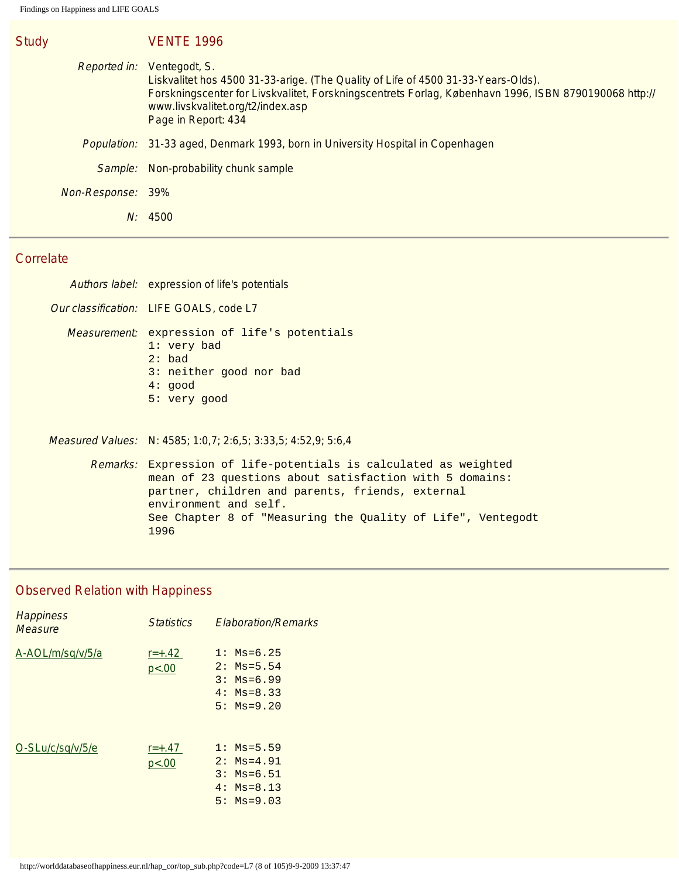| <b>Study</b>      |              | <b>VENTE 1996</b>                                                                                                                                                                                                                                                       |
|-------------------|--------------|-------------------------------------------------------------------------------------------------------------------------------------------------------------------------------------------------------------------------------------------------------------------------|
|                   | Reported in: | Ventegodt, S.<br>Liskvalitet hos 4500 31-33-arige. (The Quality of Life of 4500 31-33-Years-Olds).<br>Forskningscenter for Livskvalitet, Forskningscentrets Forlag, København 1996, ISBN 8790190068 http://<br>www.livskvalitet.org/t2/index.asp<br>Page in Report: 434 |
|                   | Population:  | 31-33 aged, Denmark 1993, born in University Hospital in Copenhagen                                                                                                                                                                                                     |
|                   | Sample:      | Non-probability chunk sample                                                                                                                                                                                                                                            |
| Non-Response: 39% |              |                                                                                                                                                                                                                                                                         |
|                   | $N$ :        | 4500                                                                                                                                                                                                                                                                    |

## **Correlate**

| Authors label: expression of life's potentials                                                                                                                                                                                                                                  |
|---------------------------------------------------------------------------------------------------------------------------------------------------------------------------------------------------------------------------------------------------------------------------------|
| Our classification: LIFE GOALS, code L7                                                                                                                                                                                                                                         |
| <i>Measurement</i> : expression of life's potentials<br>1: very bad<br>$2:$ bad<br>3: neither good nor bad<br>4: good<br>5: very good                                                                                                                                           |
| Measured Values: N: 4585; 1:0,7; 2:6,5; 3:33,5; 4:52,9; 5:6,4                                                                                                                                                                                                                   |
| Remarks: Expression of life-potentials is calculated as weighted<br>mean of 23 questions about satisfaction with 5 domains:<br>partner, children and parents, friends, external<br>environment and self.<br>See Chapter 8 of "Measuring the Quality of Life", Ventegodt<br>1996 |

# Observed Relation with Happiness

| <b>Happiness</b><br>Measure | <b>Statistics</b>   | <b>Flaboration/Remarks</b>                                                     |
|-----------------------------|---------------------|--------------------------------------------------------------------------------|
| A-AOL/m/sq/v/5/a            | $r = +.42$<br>p<.00 | $1:$ Ms=6.25<br>$2:$ Ms=5.54<br>$3:$ Ms=6.99<br>$4: Ms = 8.33$<br>$5:$ Ms=9.20 |
| O-SLu/c/sq/v/5/e            | $r = +.47$<br>p<.00 | $1:$ Ms=5.59<br>$2:$ Ms=4.91<br>$3:$ Ms=6.51<br>$4:$ Ms=8.13<br>$5:$ Ms=9.03   |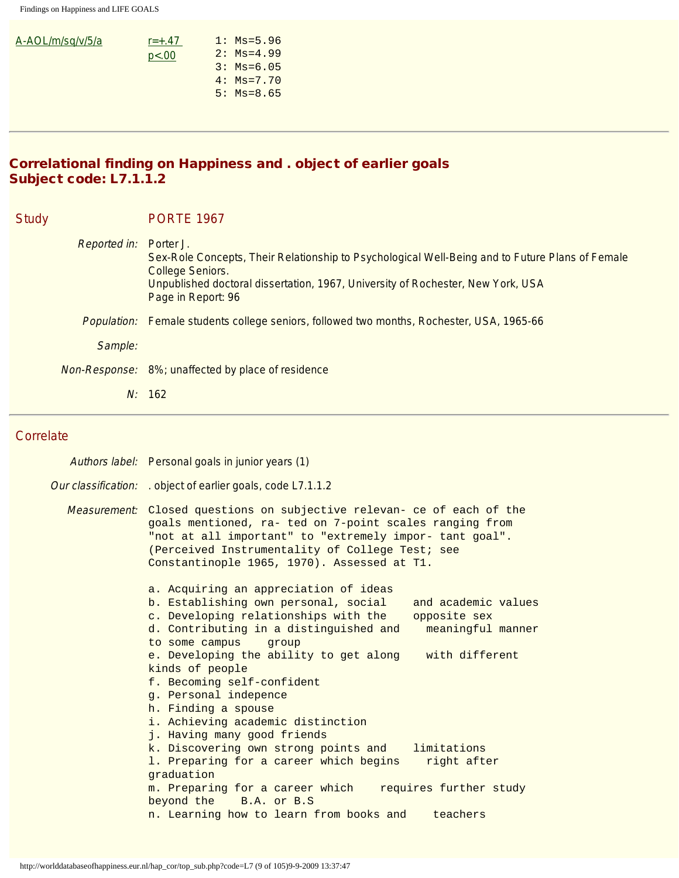| A-AOL/m/sq/v/5/a | $r = +.47$ | $1:$ Ms=5.96 |
|------------------|------------|--------------|
|                  | p<.00      | $2:$ Ms=4.99 |
|                  |            | $3:$ Ms=6.05 |
|                  |            | $4:$ Ms=7.70 |
|                  |            | $5:$ Ms=8.65 |
|                  |            |              |

## Correlational finding on Happiness and . object of earlier goals Subject code: L7.1.1.2

| <b>Study</b> |                        | <b>PORTE 1967</b>                                                                                                                                                                                                            |
|--------------|------------------------|------------------------------------------------------------------------------------------------------------------------------------------------------------------------------------------------------------------------------|
|              | Reported in: Porter J. | Sex-Role Concepts, Their Relationship to Psychological Well-Being and to Future Plans of Female<br>College Seniors.<br>Unpublished doctoral dissertation, 1967, University of Rochester, New York, USA<br>Page in Report: 96 |
|              |                        | Population: Female students college seniors, followed two months, Rochester, USA, 1965-66                                                                                                                                    |
|              | Sample:                |                                                                                                                                                                                                                              |
|              |                        | Non-Response: 8%; unaffected by place of residence                                                                                                                                                                           |
|              |                        | N: 162                                                                                                                                                                                                                       |

## **Correlate**

| Authors label: Personal goals in junior years (1)                                                                                                                                                                                                                                                                                                                                                                                                                                                                                                                                                                                                                                                                                                             |
|---------------------------------------------------------------------------------------------------------------------------------------------------------------------------------------------------------------------------------------------------------------------------------------------------------------------------------------------------------------------------------------------------------------------------------------------------------------------------------------------------------------------------------------------------------------------------------------------------------------------------------------------------------------------------------------------------------------------------------------------------------------|
| Our classification: . object of earlier goals, code L7.1.1.2                                                                                                                                                                                                                                                                                                                                                                                                                                                                                                                                                                                                                                                                                                  |
| Measurement: Closed questions on subjective relevan- ce of each of the<br>goals mentioned, ra- ted on 7-point scales ranging from<br>"not at all important" to "extremely impor- tant goal".<br>(Perceived Instrumentality of College Test; see<br>Constantinople 1965, 1970). Assessed at T1.                                                                                                                                                                                                                                                                                                                                                                                                                                                                |
| a. Acquiring an appreciation of ideas<br>b. Establishing own personal, social<br>and academic values<br>c. Developing relationships with the<br>opposite sex<br>d. Contributing in a distinguished and<br>meaningful manner<br>to some campus<br>qroup<br>e. Developing the ability to get along with different<br>kinds of people<br>f. Becoming self-confident<br>g. Personal indepence<br>h. Finding a spouse<br>i. Achieving academic distinction<br>j. Having many good friends<br>k. Discovering own strong points and<br>limitations<br>1. Preparing for a career which begins<br>right after<br>graduation<br>requires further study<br>m. Preparing for a career which<br>beyond the B.A. or B.S<br>n. Learning how to learn from books and teachers |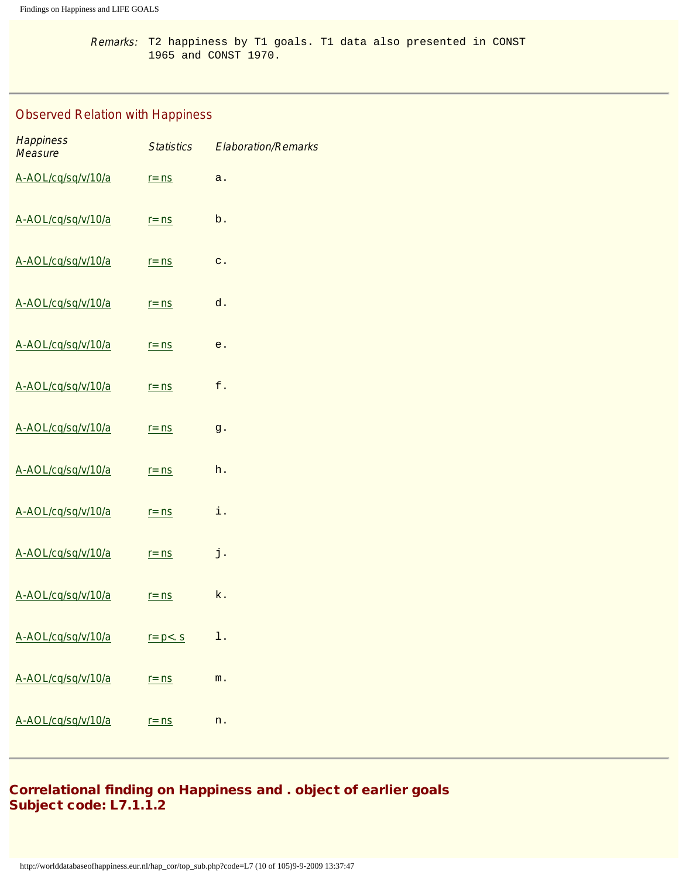Remarks: T2 happiness by T1 goals. T1 data also presented in CONST 1965 and CONST 1970.

## Observed Relation with Happiness

| <b>Happiness</b><br><b>Measure</b> | <b>Statistics</b> | <b>Elaboration/Remarks</b> |
|------------------------------------|-------------------|----------------------------|
| A-AOL/cq/sq/v/10/a                 | $r = ns$          | a.                         |
| A-AOL/cq/sq/v/10/a                 | $r = ns$          | b.                         |
| A-AOL/cq/sq/v/10/a                 | $r = ns$          | $\mathtt{C}$ .             |
| A-AOL/cq/sq/v/10/a                 | $r = ns$          | d.                         |
| A-AOL/cq/sq/v/10/a                 | $r = ns$          | е.                         |
| A-AOL/cq/sq/v/10/a                 | $r = ns$          | f.                         |
| A-AOL/cq/sq/v/10/a                 | $r = ns$          | g.                         |
| A-AOL/cq/sq/v/10/a                 | $r = ns$          | h.                         |
| A-AOL/cq/sq/v/10/a                 | $r = ns$          | i.                         |
| A-AOL/cq/sq/v/10/a                 | $r = ns$          | j.                         |
| A-AOL/cq/sq/v/10/a                 | $r = ns$          | k.                         |
| A-AOL/cq/sq/v/10/a                 | $r = p < .$ S     | l.                         |
| A-AOL/cq/sq/v/10/a                 | $r = ns$          | m.                         |
| A-AOL/cq/sq/v/10/a                 | $r = ns$          | n.                         |

## Correlational finding on Happiness and . object of earlier goals Subject code: L7.1.1.2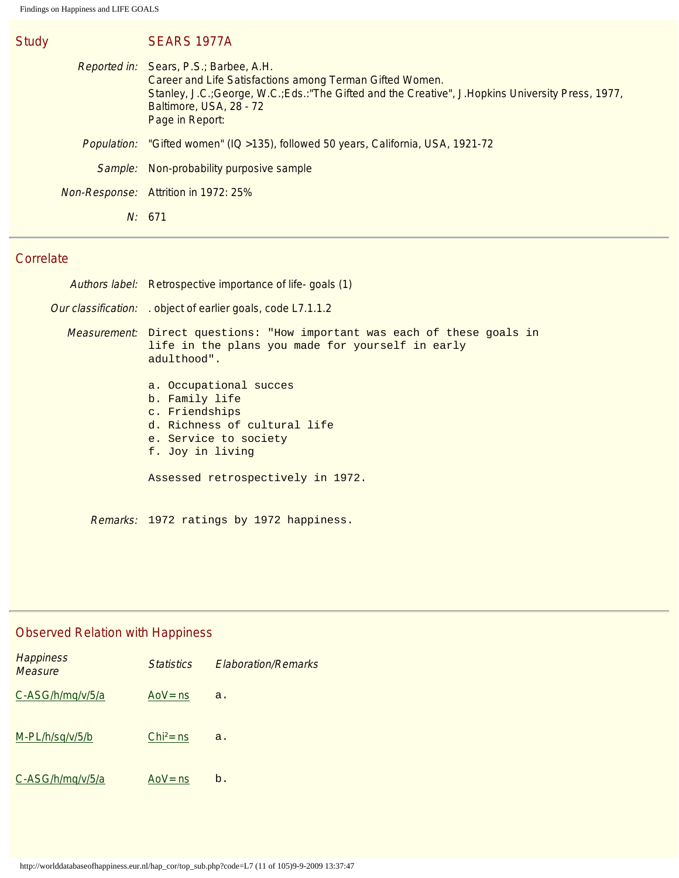| SEARS 1977A                                                                                                                                                                                                                                                    |
|----------------------------------------------------------------------------------------------------------------------------------------------------------------------------------------------------------------------------------------------------------------|
| <i>Reported in:</i> Sears, P.S.; Barbee, A.H.<br>Career and Life Satisfactions among Terman Gifted Women.<br>Stanley, J.C.; George, W.C.; Eds.: "The Gifted and the Creative", J.Hopkins University Press, 1977,<br>Baltimore, USA, 28 - 72<br>Page in Report: |
| <i>Population:</i> "Gifted women" (IQ > 135), followed 50 years, California, USA, 1921-72                                                                                                                                                                      |
| Sample: Non-probability purposive sample                                                                                                                                                                                                                       |
| Non-Response: Attrition in 1972: 25%                                                                                                                                                                                                                           |
| N: 671                                                                                                                                                                                                                                                         |

Study

| Authors label: Retrospective importance of life-goals (1)                                                                                   |
|---------------------------------------------------------------------------------------------------------------------------------------------|
| <i>Our classification:</i> . object of earlier goals, code L7.1.1.2                                                                         |
| Measurement: Direct questions: "How important was each of these goals in<br>life in the plans you made for yourself in early<br>adulthood". |
| a. Occupational succes<br>b. Family life<br>c. Friendships<br>d. Richness of cultural life<br>e. Service to society<br>f. Joy in living     |
| Assessed retrospectively in 1972.                                                                                                           |

## Observed Relation with Happiness

| <b>Happiness</b><br>Measure | <b>Statistics</b> | <b>Flaboration/Remarks</b> |
|-----------------------------|-------------------|----------------------------|
| C-ASG/h/mq/v/5/a            | AoV= $ns$         | a.                         |
| M-PL/h/sq/v/5/b             | $Chi^2$ = ns      | a.                         |
| C-ASG/h/mg/v/5/a            | AoV = $ns$        | b.                         |

Remarks: 1972 ratings by 1972 happiness.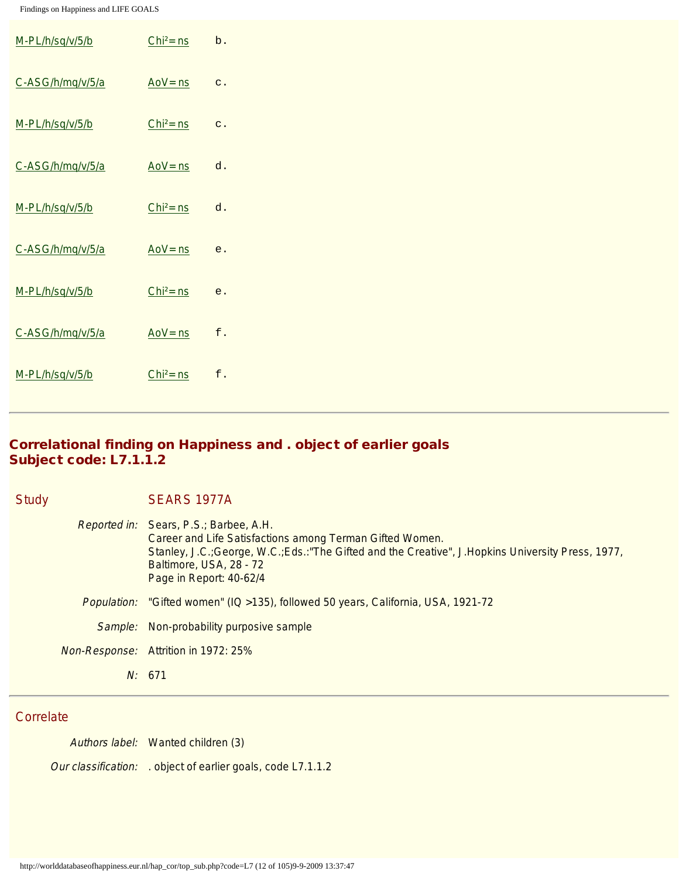| M-PL/h/sq/v/5/b  | $Chi2 = ns$ | b.             |
|------------------|-------------|----------------|
| C-ASG/h/mq/v/5/a | $Aov = ns$  | $\mathtt{c}$ . |
| M-PL/h/sq/v/5/b  | $Chi2 = ns$ | $\mathtt{c}$ . |
| C-ASG/h/mq/v/5/a | $Aov = ns$  | d.             |
| M-PL/h/sq/v/5/b  | $Chi2 = ns$ | ${\tt d}$ .    |
| C-ASG/h/mq/v/5/a | $Aov = ns$  | $\mathsf{e}$ . |
| M-PL/h/sq/v/5/b  | $Chi2 = ns$ | e.             |
| C-ASG/h/mq/v/5/a | $Aov = ns$  | $\mathsf{f}$ . |
| M-PL/h/sq/v/5/b  | $Chi2 = ns$ | $\mathbf f$ .  |

## Correlational finding on Happiness and . object of earlier goals Subject code: L7.1.1.2

| <b>Study</b> | SEARS 1977A                                                                                                                                                                                                                                                            |
|--------------|------------------------------------------------------------------------------------------------------------------------------------------------------------------------------------------------------------------------------------------------------------------------|
|              | <i>Reported in:</i> Sears, P.S.; Barbee, A.H.<br>Career and Life Satisfactions among Terman Gifted Women.<br>Stanley, J.C.; George, W.C.; Eds.: "The Gifted and the Creative", J.Hopkins University Press, 1977,<br>Baltimore, USA, 28 - 72<br>Page in Report: 40-62/4 |
| Population:  | "Gifted women" (IQ > 135), followed 50 years, California, USA, 1921-72                                                                                                                                                                                                 |
| Sample:      | Non-probability purposive sample                                                                                                                                                                                                                                       |
|              | <i>Non-Response:</i> Attrition in 1972: 25%                                                                                                                                                                                                                            |
|              | N: 671                                                                                                                                                                                                                                                                 |

#### **Correlate**

Authors label: Wanted children (3) Our classification: . object of earlier goals, code L7.1.1.2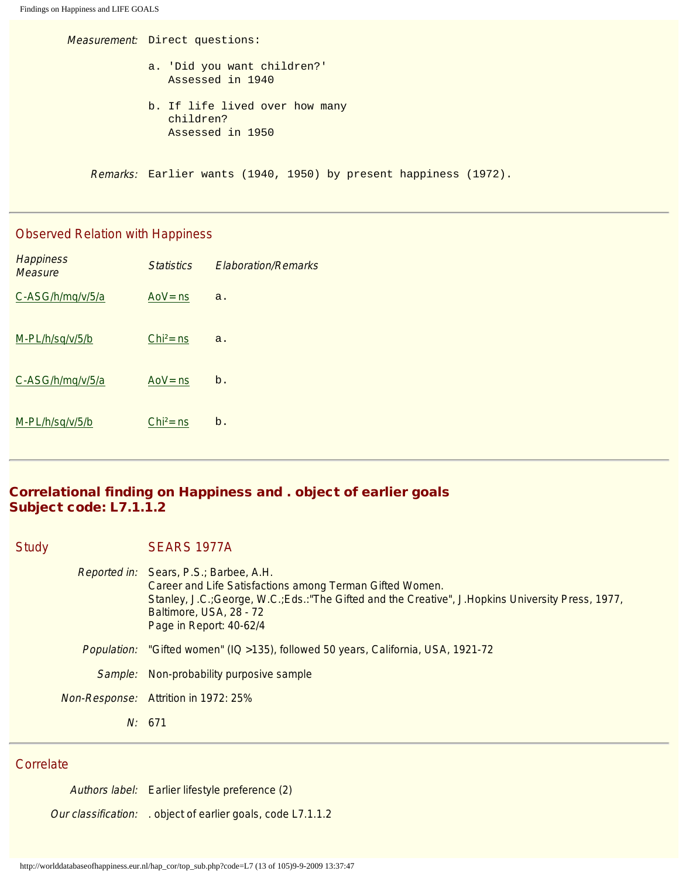```
Findings on Happiness and LIFE GOALS
```
Measurement: Direct questions: a. 'Did you want children?' Assessed in 1940

> b. If life lived over how many children? Assessed in 1950

Remarks: Earlier wants (1940, 1950) by present happiness (1972).

#### Observed Relation with Happiness

| <b>Happiness</b><br><b>Measure</b> | <b>Statistics</b> | <b>Elaboration/Remarks</b> |
|------------------------------------|-------------------|----------------------------|
| C-ASG/h/mq/v/5/a                   | Ao $V =$ ns       | a.                         |
| M-PL/h/sq/v/5/b                    | $Chi2 = ns$       | a.                         |
| C-ASG/h/mq/v/5/a                   | $Aov = ns$        | b.                         |
| M-PL/h/sq/v/5/b                    | $Chi2 = ns$       | b.                         |

## Correlational finding on Happiness and . object of earlier goals Subject code: L7.1.1.2

Study SEARS 1977A

| Reported in: Sears, P.S.; Barbee, A.H.<br>Career and Life Satisfactions among Terman Gifted Women.<br>Stanley, J.C.; George, W.C.; Eds.: "The Gifted and the Creative", J.Hopkins University Press, 1977,<br>Baltimore, USA, 28 - 72<br>Page in Report: 40-62/4 |
|-----------------------------------------------------------------------------------------------------------------------------------------------------------------------------------------------------------------------------------------------------------------|
| Population: "Gifted women" (IQ >135), followed 50 years, California, USA, 1921-72                                                                                                                                                                               |
| Sample: Non-probability purposive sample                                                                                                                                                                                                                        |
| Non-Response: Attrition in 1972: 25%                                                                                                                                                                                                                            |
| N: 671                                                                                                                                                                                                                                                          |
|                                                                                                                                                                                                                                                                 |

#### **Correlate**

Authors label: Earlier lifestyle preference (2) Our classification: . object of earlier goals, code L7.1.1.2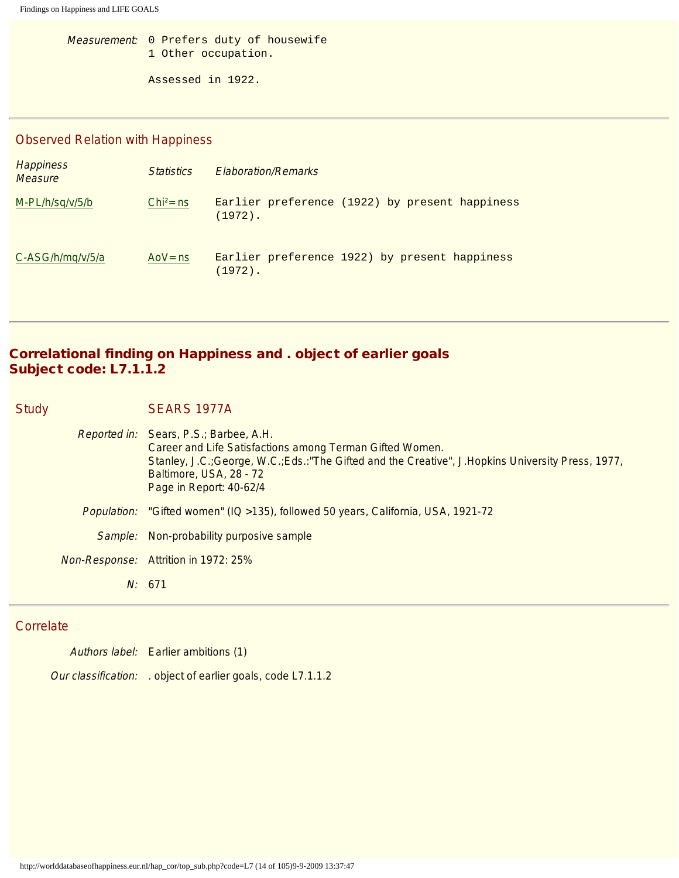Measurement: 0 Prefers duty of housewife 1 Other occupation.

Assessed in 1922.

#### Observed Relation with Happiness

| <b>Happiness</b><br><b>Measure</b> | <b>Statistics</b> | <b>Elaboration/Remarks</b>                                   |
|------------------------------------|-------------------|--------------------------------------------------------------|
| $M-PL/h\frac{sq}{v/5/h}$           | $Chi^2 = ns$      | Earlier preference (1922) by present happiness<br>$(1972)$ . |
| C-ASG/h/mg/v/5/a                   | AoV= $ns$         | Earlier preference 1922) by present happiness<br>$(1972)$ .  |

## Correlational finding on Happiness and . object of earlier goals Subject code: L7.1.1.2

Study SEARS 1977A

Reported in: Sears, P.S.; Barbee, A.H. Career and Life Satisfactions among Terman Gifted Women. Stanley, J.C.;George, W.C.;Eds.:"The Gifted and the Creative", J.Hopkins University Press, 1977, Baltimore, USA, 28 - 72 Page in Report: 40-62/4 Population: "Gifted women" (IQ >135), followed 50 years, California, USA, 1921-72 Sample: Non-probability purposive sample Non-Response: Attrition in 1972: 25% N: 671

#### **Correlate**

Authors label: Earlier ambitions (1) Our classification: . object of earlier goals, code L7.1.1.2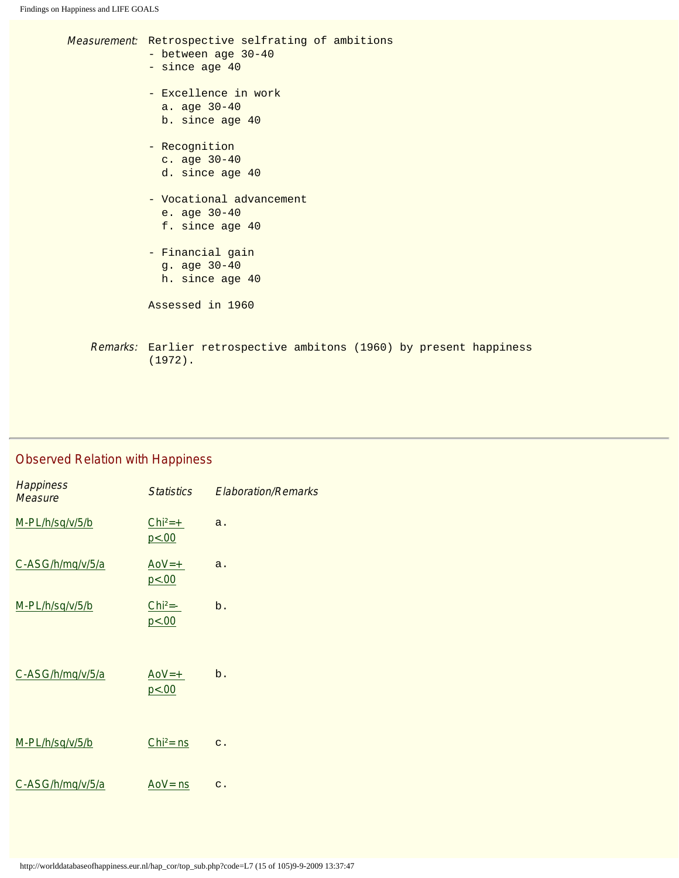| Measurement: Retrospective selfrating of ambitions<br>- between age 30-40<br>- since age 40<br>- Excellence in work<br>a. age $30-40$<br>b. since age 40<br>- Recognition<br>c. age 30-40<br>d. since age 40<br>- Vocational advancement<br>e. age $30-40$<br>f. since age 40<br>- Financial gain<br>g. age 30-40<br>h. since age 40<br>Assessed in 1960 |
|----------------------------------------------------------------------------------------------------------------------------------------------------------------------------------------------------------------------------------------------------------------------------------------------------------------------------------------------------------|
| Remarks: Earlier retrospective ambitons (1960) by present happiness<br>$(1972)$ .                                                                                                                                                                                                                                                                        |
|                                                                                                                                                                                                                                                                                                                                                          |

# Observed Relation with Happiness

| <b>Happiness</b><br><b>Measure</b> | <b>Statistics</b>   | <b>Elaboration/Remarks</b> |
|------------------------------------|---------------------|----------------------------|
| M-PL/h/sq/v/5/b                    | $Chi2=+$<br>p < .00 | a.                         |
| C-ASG/h/mq/v/5/a                   | $A_0V=+$<br>p < .00 | a.                         |
| M-PL/h/sq/v/5/b                    | $Chi2=-$<br>p < .00 | b.                         |
| C-ASG/h/mq/v/5/a                   | $A_0V=+$<br>p < .00 | b.                         |
| M-PL/h/sq/v/5/b                    | $Chi2 = ns$         | $\mathbf{C}$ .             |
| C-ASG/h/mq/v/5/a                   | $Aov = ns$          | $\mathbf{C}$ .             |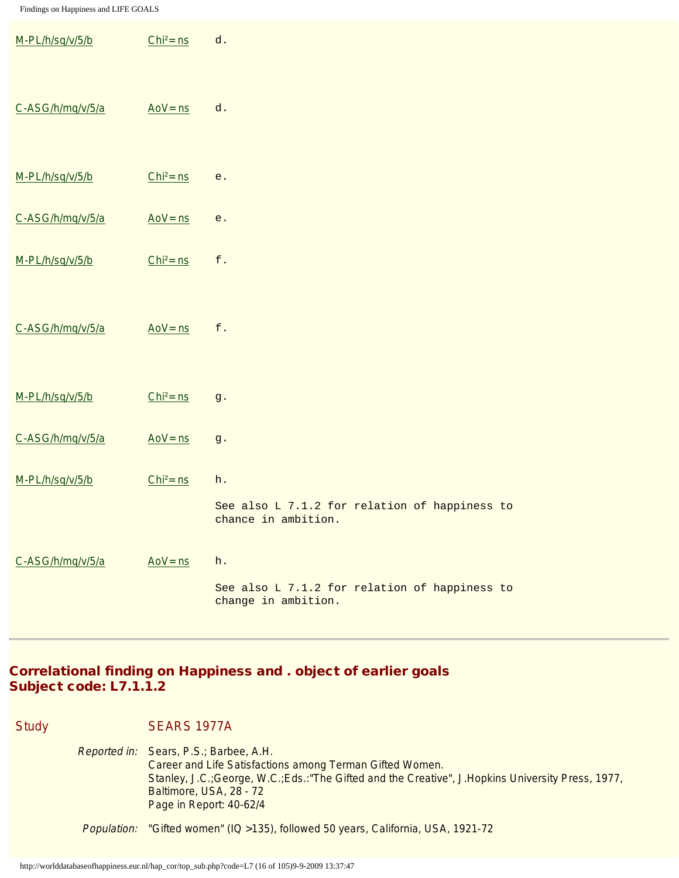| M-PL/h/sq/v/5/b  | $Chi2 = ns$ | ${\tt d}$ .                                                                |
|------------------|-------------|----------------------------------------------------------------------------|
| C-ASG/h/mq/v/5/a | $Aov = ns$  | d.                                                                         |
| M-PL/h/sq/v/5/b  | $Chi2 = ns$ | $\mathsf{e}$ .                                                             |
| C-ASG/h/mq/v/5/a | $Aov = ns$  | $\mathsf{e}$ .                                                             |
| M-PL/h/sq/v/5/b  | $Chi2 = ns$ | $\mathbf f$ .                                                              |
| C-ASG/h/mq/v/5/a | $Aov = ns$  | $\mathbf f$ .                                                              |
| M-PL/h/sq/v/5/b  | $Chi2 = ns$ | $g$ .                                                                      |
| C-ASG/h/mq/v/5/a | $Aov = ns$  | $\,g$ .                                                                    |
| M-PL/h/sq/v/5/b  | $Chi2 = ns$ | h.<br>See also L 7.1.2 for relation of happiness to<br>chance in ambition. |
| C-ASG/h/mq/v/5/a | $Aov = ns$  | h.<br>See also L 7.1.2 for relation of happiness to<br>change in ambition. |

## Correlational finding on Happiness and . object of earlier goals Subject code: L7.1.1.2

Study SEARS 1977A

Reported in: Sears, P.S.; Barbee, A.H. Career and Life Satisfactions among Terman Gifted Women. Stanley, J.C.;George, W.C.;Eds.:"The Gifted and the Creative", J.Hopkins University Press, 1977, Baltimore, USA, 28 - 72 Page in Report: 40-62/4

Population: "Gifted women" (IQ >135), followed 50 years, California, USA, 1921-72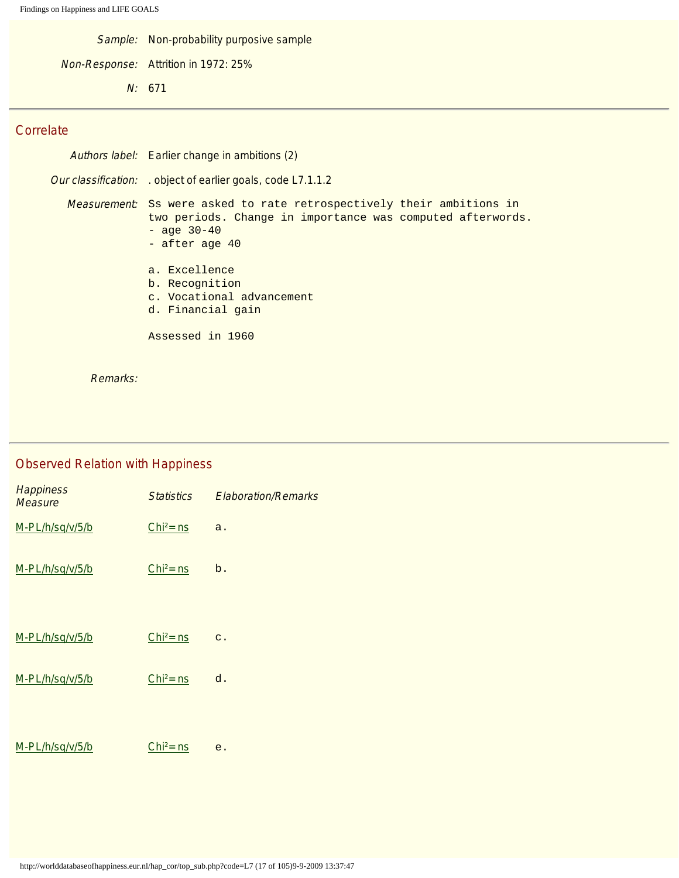Sample: Non-probability purposive sample

Non-Response: Attrition in 1972: 25%

N: 671

#### **Correlate**

| Authors label: Earlier change in ambitions (2)                                                                                                                                  |
|---------------------------------------------------------------------------------------------------------------------------------------------------------------------------------|
| <i>Our classification:</i> . object of earlier goals, code L7.1.1.2                                                                                                             |
| <i>Measurement:</i> Ss were asked to rate retrospectively their ambitions in<br>two periods. Change in importance was computed afterwords.<br>$-$ age $30-40$<br>- after age 40 |
| a. Excellence<br>b. Recognition<br>c. Vocational advancement<br>d. Financial gain                                                                                               |
| Assessed in 1960                                                                                                                                                                |

Remarks:

# Observed Relation with Happiness **Happiness Happiness**<br>Measure **Statistics** Elaboration/Remarks  $M-PL/h/sq/v/5/b$  Chi<sup>2</sup>= ns a.  $M-PL/h/sq/v/5/b$  Chi<sup>2</sup>= ns b.  $M-PL/h/sq/v/5/b$  Chi<sup>2</sup>= ns c.  $M-PL/h/sq/v/5/b$  Chi<sup>2</sup>= ns d.  $M-PL/h/sq/v/5/b$  Chi<sup>2</sup>= ns e.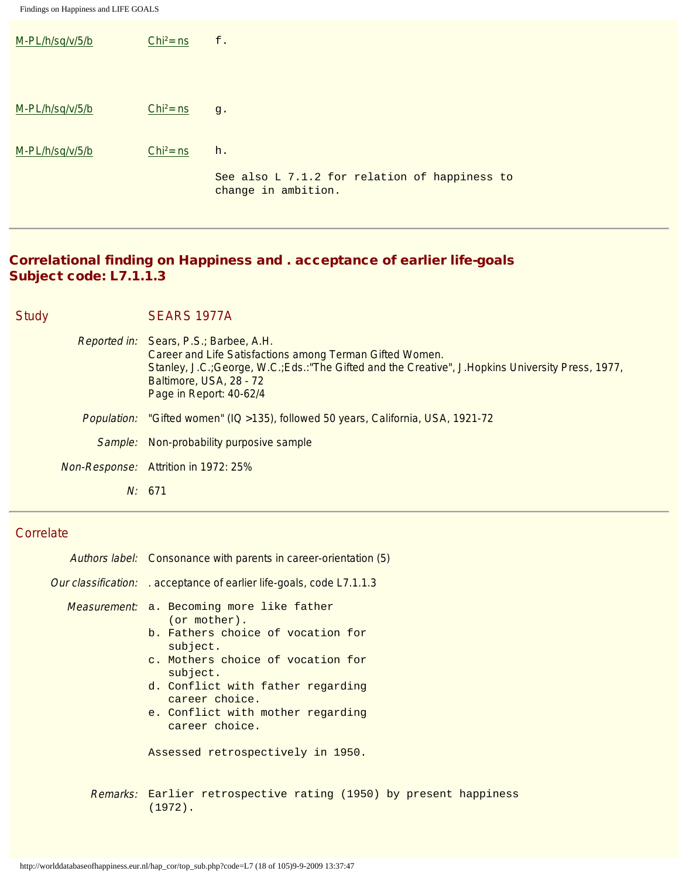| M-PL/h/sq/v/5/b | $Chi^2 = ns$ | $\mathsf{f}$ .                                                       |
|-----------------|--------------|----------------------------------------------------------------------|
|                 |              |                                                                      |
| M-PL/h/sq/v/5/b | $Chi^2 = ns$ | g.                                                                   |
| M-PL/h/sq/v/5/b | $Chi^2 = ns$ | h.                                                                   |
|                 |              | See also L 7.1.2 for relation of happiness to<br>change in ambition. |

## Correlational finding on Happiness and . acceptance of earlier life-goals Subject code: L7.1.1.3

| <b>Study</b> | SEARS 1977A                                                                                                                                                                                                                                                     |
|--------------|-----------------------------------------------------------------------------------------------------------------------------------------------------------------------------------------------------------------------------------------------------------------|
|              | Reported in: Sears, P.S.; Barbee, A.H.<br>Career and Life Satisfactions among Terman Gifted Women.<br>Stanley, J.C.; George, W.C.; Eds.: "The Gifted and the Creative", J.Hopkins University Press, 1977,<br>Baltimore, USA, 28 - 72<br>Page in Report: 40-62/4 |
|              | <i>Population:</i> "Gifted women" (IQ > 135), followed 50 years, California, USA, 1921-72                                                                                                                                                                       |
|              | Sample: Non-probability purposive sample                                                                                                                                                                                                                        |
|              | <b>Non-Response:</b> Attrition in 1972: 25%                                                                                                                                                                                                                     |
|              | N: 671                                                                                                                                                                                                                                                          |

## **Correlate**

| Authors label: Consonance with parents in career-orientation (5)                                                                                                                                                                                                                                                              |
|-------------------------------------------------------------------------------------------------------------------------------------------------------------------------------------------------------------------------------------------------------------------------------------------------------------------------------|
| <i>Our classification:</i> . acceptance of earlier life-goals, code L7.1.1.3                                                                                                                                                                                                                                                  |
| <i>Measurement</i> : a. Becoming more like father<br>$($ or mother $)$ .<br>b. Fathers choice of vocation for<br>subject.<br>c. Mothers choice of vocation for<br>subject.<br>d. Conflict with father regarding<br>career choice.<br>e. Conflict with mother regarding<br>career choice.<br>Assessed retrospectively in 1950. |
| <i>Remarks:</i> Earlier retrospective rating (1950) by present happiness<br>(1972).                                                                                                                                                                                                                                           |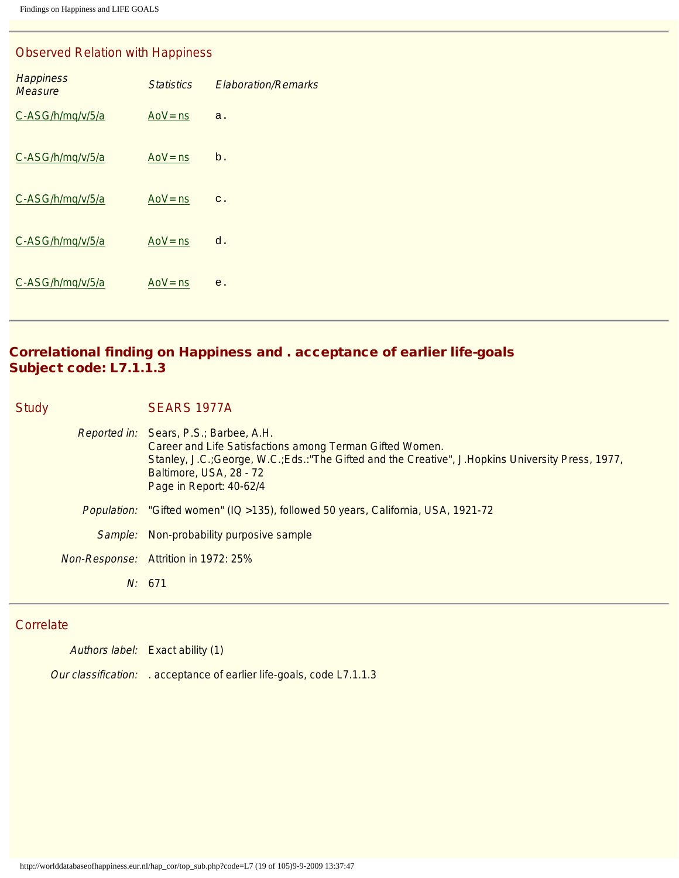#### Observed Relation with Happiness

| <b>Happiness</b><br><b>Measure</b> | <b>Statistics</b> | <b>Elaboration/Remarks</b> |
|------------------------------------|-------------------|----------------------------|
| C-ASG/h/mq/v/5/a                   | Ao $V = ns$       | a.                         |
| C-ASG/h/mq/v/5/a                   | Ao $V = ns$       | b.                         |
| C-ASG/h/mq/v/5/a                   | Ao $V =$ ns       | $C$ .                      |
| C-ASG/h/mq/v/5/a                   | Ao $V =$ ns       | d.                         |
| C-ASG/h/mq/v/5/a                   | Ao $V =$ ns       | e.                         |

## Correlational finding on Happiness and . acceptance of earlier life-goals Subject code: L7.1.1.3

Study SEARS 1977A

Reported in: Sears, P.S.; Barbee, A.H. Career and Life Satisfactions among Terman Gifted Women. Stanley, J.C.;George, W.C.;Eds.:"The Gifted and the Creative", J.Hopkins University Press, 1977, Baltimore, USA, 28 - 72 Page in Report: 40-62/4 Population: "Gifted women" (IQ >135), followed 50 years, California, USA, 1921-72 Sample: Non-probability purposive sample Non-Response: Attrition in 1972: 25% N: 671

#### **Correlate**

Authors label: Exact ability (1) Our classification: . acceptance of earlier life-goals, code L7.1.1.3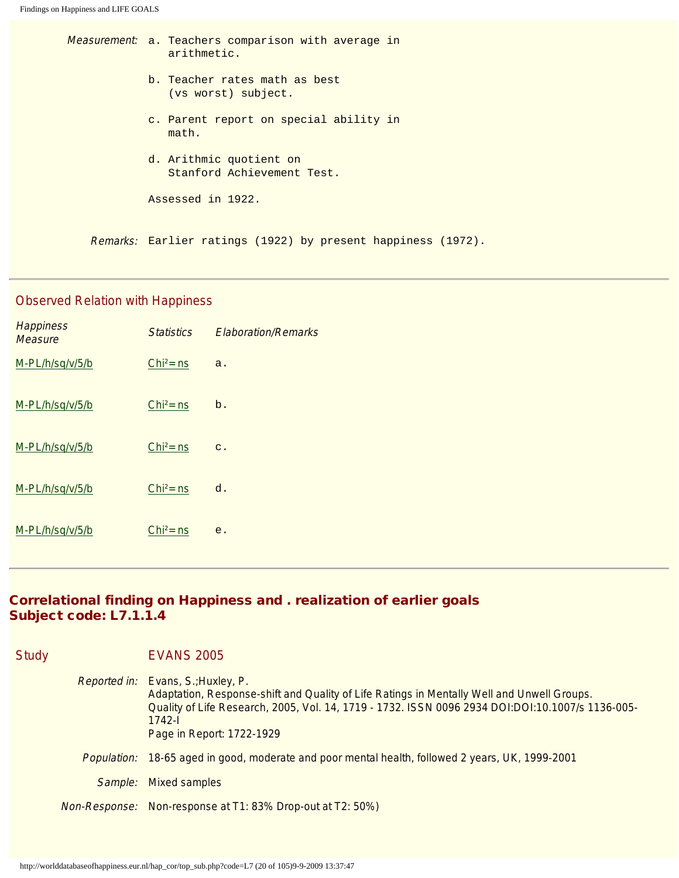Measurement: a. Teachers comparison with average in arithmetic. b. Teacher rates math as best (vs worst) subject. c. Parent report on special ability in math. d. Arithmic quotient on Stanford Achievement Test. Assessed in 1922.

Remarks: Earlier ratings (1922) by present happiness (1972).

## Observed Relation with Happiness

| <b>Happiness</b><br><b>Measure</b> | <b>Statistics</b> | <b>Elaboration/Remarks</b> |
|------------------------------------|-------------------|----------------------------|
| M-PL/h/sq/v/5/b                    | $Chi2 = ns$       | a.                         |
| M-PL/h/sq/v/5/b                    | $Chi2 = ns$       | $b$ .                      |
| M-PL/h/sq/v/5/b                    | $Chi2 = ns$       | $\mathbf{C}$ .             |
| M-PL/h/sq/v/5/b                    | $Chi2 = ns$       | d.                         |
| M-PL/h/sq/v/5/b                    | $Chi2 = ns$       | e.                         |

## Correlational finding on Happiness and . realization of earlier goals Subject code: L7.1.1.4

| <b>Study</b> |                    | <b>EVANS 2005</b>                                                                                                                                                                                                                                                             |
|--------------|--------------------|-------------------------------------------------------------------------------------------------------------------------------------------------------------------------------------------------------------------------------------------------------------------------------|
|              |                    | Reported in: Evans, S.; Huxley, P.<br>Adaptation, Response-shift and Quality of Life Ratings in Mentally Well and Unwell Groups.<br>Quality of Life Research, 2005, Vol. 14, 1719 - 1732. ISSN 0096 2934 DOI:DOI:10.1007/s 1136-005-<br>$1742 -$<br>Page in Report: 1722-1929 |
|              | <i>Population:</i> | 18-65 aged in good, moderate and poor mental health, followed 2 years, UK, 1999-2001                                                                                                                                                                                          |
|              | Sample:            | <b>Mixed samples</b>                                                                                                                                                                                                                                                          |
|              |                    | <i>Non-Response:</i> Non-response at T1: 83% Drop-out at T2: 50%)                                                                                                                                                                                                             |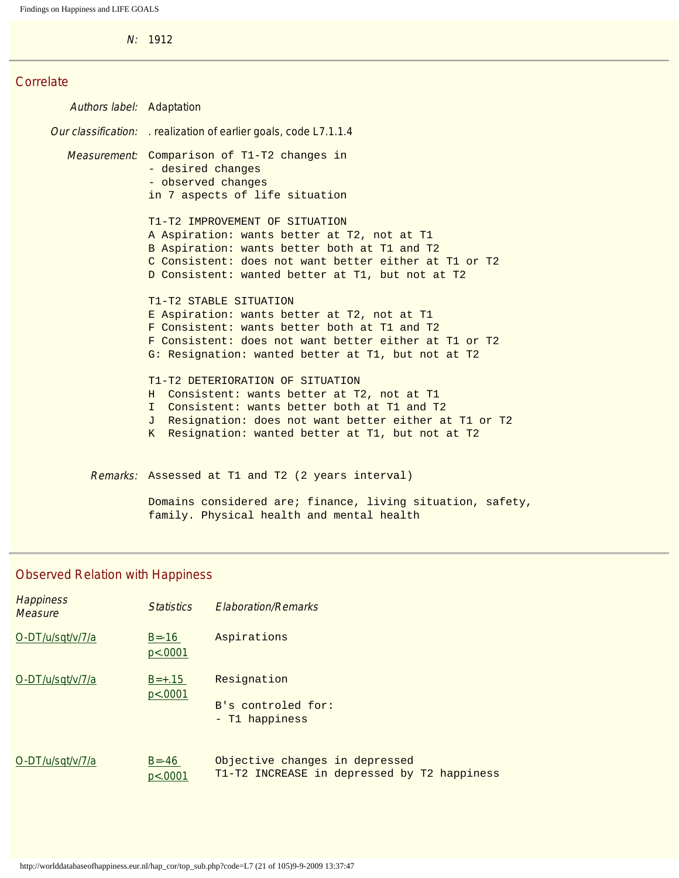N: 1912

#### **Correlate**

Authors label: Adaptation Our classification: . realization of earlier goals, code L7.1.1.4 Measurement: Comparison of T1-T2 changes in - desired changes - observed changes in 7 aspects of life situation T1-T2 IMPROVEMENT OF SITUATION A Aspiration: wants better at T2, not at T1 B Aspiration: wants better both at T1 and T2 C Consistent: does not want better either at T1 or T2 D Consistent: wanted better at T1, but not at T2 T1-T2 STABLE SITUATION E Aspiration: wants better at T2, not at T1 F Consistent: wants better both at T1 and T2 F Consistent: does not want better either at T1 or T2 G: Resignation: wanted better at T1, but not at T2 T1-T2 DETERIORATION OF SITUATION H Consistent: wants better at T2, not at T1 I Consistent: wants better both at T1 and T2 J Resignation: does not want better either at T1 or T2 K Resignation: wanted better at T1, but not at T2 Remarks: Assessed at T1 and T2 (2 years interval)

> Domains considered are; finance, living situation, safety, family. Physical health and mental health

#### Observed Relation with Happiness

| <b>Happiness</b><br><b>Measure</b> | <b>Statistics</b>    | <b>Flaboration/Remarks</b>                                                    |
|------------------------------------|----------------------|-------------------------------------------------------------------------------|
| O-DT/u/sqt/v/7/a                   | $B = -16$<br>p<.0001 | Aspirations                                                                   |
| O-DT/u/sqt/v/7/a                   | $B=+.15$<br>p<.0001  | Resignation<br>B's controled for:<br>- T1 happiness                           |
| O-DT/u/sqt/v/7/a                   | $B = -46$<br>p<.0001 | Objective changes in depressed<br>T1-T2 INCREASE in depressed by T2 happiness |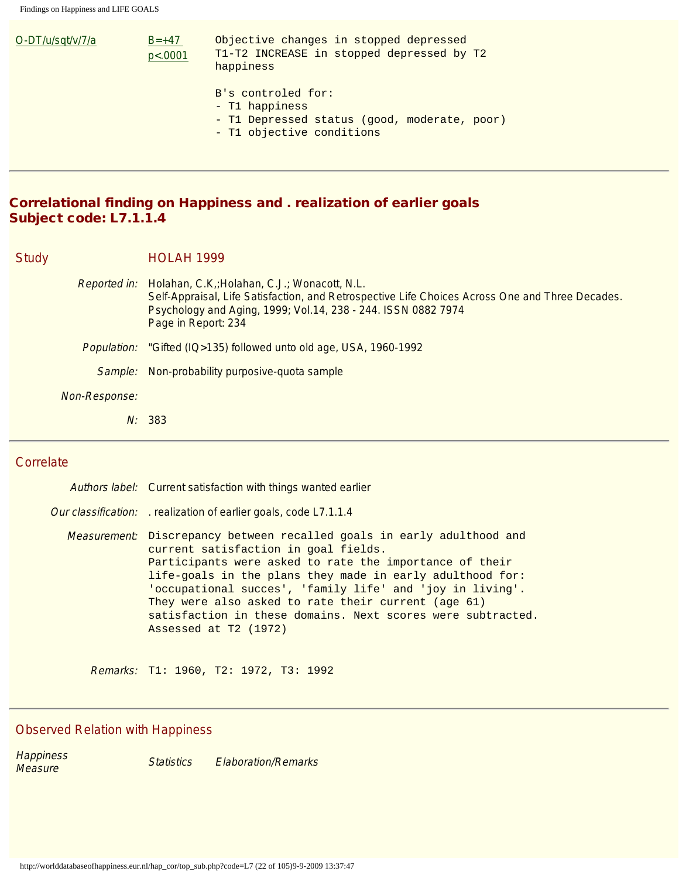| O-DT/u/sqt/v/7/a | $B=+47$<br>p<0.0001 | Objective changes in stopped depressed<br>T1-T2 INCREASE in stopped depressed by T2<br>happiness                  |
|------------------|---------------------|-------------------------------------------------------------------------------------------------------------------|
|                  |                     | B's controled for:<br>- T1 happiness<br>- T1 Depressed status (good, moderate, poor)<br>- T1 objective conditions |

## Correlational finding on Happiness and . realization of earlier goals Subject code: L7.1.1.4

Study **HOLAH 1999** 

Reported in: Holahan, C.K,;Holahan, C.J.; Wonacott, N.L. Self-Appraisal, Life Satisfaction, and Retrospective Life Choices Across One and Three Decades. Psychology and Aging, 1999; Vol.14, 238 - 244. ISSN 0882 7974 Page in Report: 234 Population: "Gifted (IQ>135) followed unto old age, USA, 1960-1992 Sample: Non-probability purposive-quota sample Non-Response: N: 383

#### **Correlate**

| Authors label: Current satisfaction with things wanted earlier                                                                                                                                                                                                                                                                                                                                                                                             |  |  |
|------------------------------------------------------------------------------------------------------------------------------------------------------------------------------------------------------------------------------------------------------------------------------------------------------------------------------------------------------------------------------------------------------------------------------------------------------------|--|--|
| Our classification: realization of earlier goals, code L7.1.1.4                                                                                                                                                                                                                                                                                                                                                                                            |  |  |
| <i>Measurement</i> : Discrepancy between recalled goals in early adulthood and<br>current satisfaction in goal fields.<br>Participants were asked to rate the importance of their<br>life-goals in the plans they made in early adulthood for:<br>'occupational succes', 'family life' and 'joy in living'.<br>They were also asked to rate their current (age 61)<br>satisfaction in these domains. Next scores were subtracted.<br>Assessed at T2 (1972) |  |  |

Remarks: T1: 1960, T2: 1972, T3: 1992

#### Observed Relation with Happiness

Happiness<br>Measure Statistics Elaboration/Remarks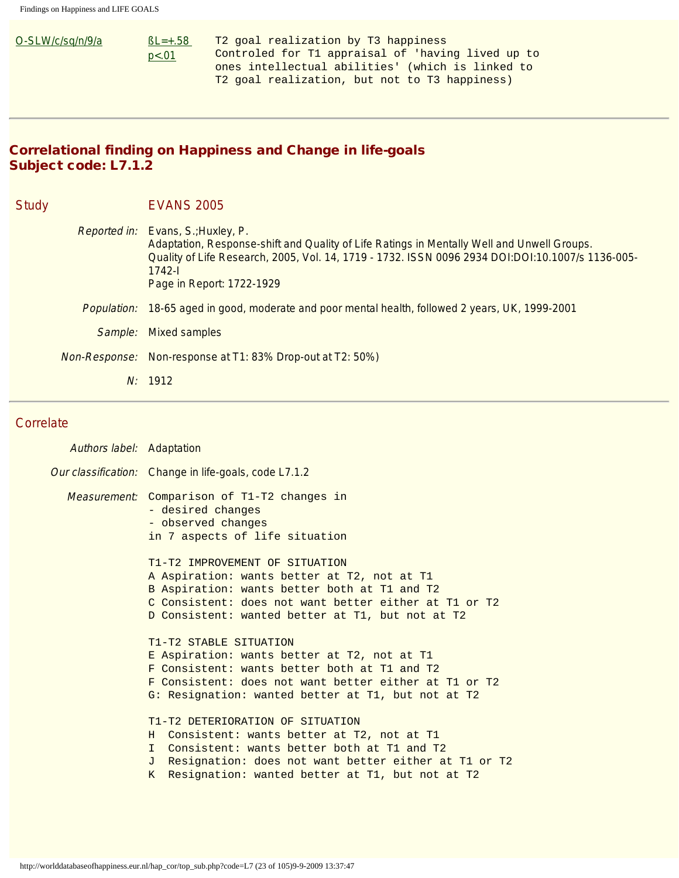| O-SLW/c/sq/n/9/a | $BL = +.58$                                      | T2 goal realization by T3 happiness               |
|------------------|--------------------------------------------------|---------------------------------------------------|
|                  | p<.01                                            | Controled for T1 appraisal of 'having lived up to |
|                  | ones intellectual abilities' (which is linked to |                                                   |
|                  |                                                  | T2 goal realization, but not to T3 happiness)     |

## Correlational finding on Happiness and Change in life-goals Subject code: L7.1.2

| <b>Study</b> |                      | <b>EVANS 2005</b>                                                                                                                                                                                                                                                                    |
|--------------|----------------------|--------------------------------------------------------------------------------------------------------------------------------------------------------------------------------------------------------------------------------------------------------------------------------------|
|              |                      | <i>Reported in:</i> Evans, S.; Huxley, P.<br>Adaptation, Response-shift and Quality of Life Ratings in Mentally Well and Unwell Groups.<br>Quality of Life Research, 2005, Vol. 14, 1719 - 1732. ISSN 0096 2934 DOI:DOI:10.1007/s 1136-005-<br>$1742 -$<br>Page in Report: 1722-1929 |
|              | <i>Population:</i>   | 18-65 aged in good, moderate and poor mental health, followed 2 years, UK, 1999-2001                                                                                                                                                                                                 |
|              | Sample:              | <b>Mixed samples</b>                                                                                                                                                                                                                                                                 |
|              | <i>Non-Response:</i> | Non-response at T1: 83% Drop-out at T2: 50%)                                                                                                                                                                                                                                         |
|              |                      | N: 1912                                                                                                                                                                                                                                                                              |

#### **Correlate**

| <b>Authors label:</b> Adaptation |                                                                                                                                                                                                                                                           |  |
|----------------------------------|-----------------------------------------------------------------------------------------------------------------------------------------------------------------------------------------------------------------------------------------------------------|--|
|                                  | Our classification: Change in life-goals, code L7.1.2                                                                                                                                                                                                     |  |
|                                  | Measurement: Comparison of T1-T2 changes in<br>- desired changes<br>- observed changes<br>in 7 aspects of life situation<br>T1-T2 IMPROVEMENT OF SITUATION<br>A Aspiration: wants better at T2, not at T1<br>B Aspiration: wants better both at T1 and T2 |  |
|                                  | C Consistent: does not want better either at T1 or T2<br>D Consistent: wanted better at T1, but not at T2                                                                                                                                                 |  |
|                                  | T1-T2 STABLE SITUATION<br>E Aspiration: wants better at T2, not at T1<br>F Consistent: wants better both at T1 and T2<br>F Consistent: does not want better either at T1 or T2<br>G: Resignation: wanted better at T1, but not at T2                      |  |
|                                  | T1-T2 DETERIORATION OF SITUATION<br>Consistent: wants better at T2, not at T1<br>H<br>I Consistent: wants better both at T1 and T2<br>J Resignation: does not want better either at T1 or T2<br>K Resignation: wanted better at T1, but not at T2         |  |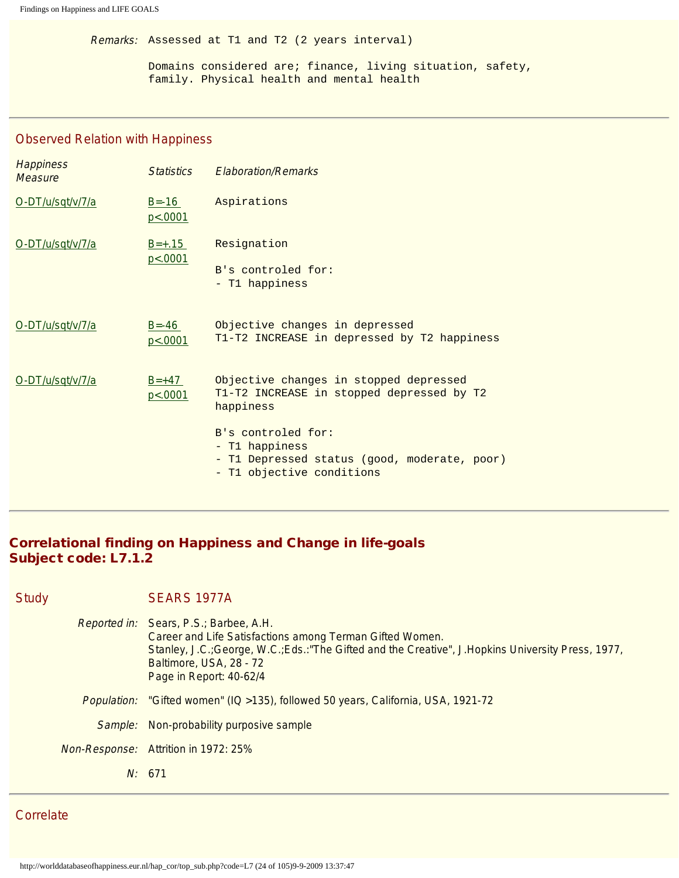Remarks: Assessed at T1 and T2 (2 years interval)

Domains considered are; finance, living situation, safety, family. Physical health and mental health

#### Observed Relation with Happiness

| <b>Happiness</b><br><b>Measure</b> | <b>Statistics</b>      | <b>Elaboration/Remarks</b>                                                                                        |
|------------------------------------|------------------------|-------------------------------------------------------------------------------------------------------------------|
| O-DT/u/sqt/v/7/a                   | $B = -16$<br>p<.0001   | Aspirations                                                                                                       |
| O-DT/u/sqt/v/7/a                   | $B=+.15$<br>p < .0001  | Resignation<br>B's controled for:<br>- T1 happiness                                                               |
| O-DT/u/sqt/v/7/a                   | $B = -46$<br>p < .0001 | Objective changes in depressed<br>T1-T2 INCREASE in depressed by T2 happiness                                     |
| O-DT/u/sqt/v/7/a                   | $B = +47$<br>p<0.0001  | Objective changes in stopped depressed<br>T1-T2 INCREASE in stopped depressed by T2<br>happiness                  |
|                                    |                        | B's controled for:<br>- T1 happiness<br>- T1 Depressed status (good, moderate, poor)<br>- T1 objective conditions |

## Correlational finding on Happiness and Change in life-goals Subject code: L7.1.2

| Study | SEARS 1977A                    |  |  |
|-------|--------------------------------|--|--|
|       | Reported in: Sears, P.S.; Barb |  |  |

| Reported in: Sears, P.S.; Barbee, A.H.<br>Career and Life Satisfactions among Terman Gifted Women.<br>Stanley, J.C.; George, W.C.; Eds.: "The Gifted and the Creative", J.Hopkins University Press, 1977,<br>Baltimore, USA, 28 - 72<br>Page in Report: 40-62/4 |
|-----------------------------------------------------------------------------------------------------------------------------------------------------------------------------------------------------------------------------------------------------------------|
| Population: "Gifted women" (IQ >135), followed 50 years, California, USA, 1921-72                                                                                                                                                                               |
| Sample: Non-probability purposive sample                                                                                                                                                                                                                        |
| Non-Response: Attrition in 1972: 25%                                                                                                                                                                                                                            |
| N: 671                                                                                                                                                                                                                                                          |

**Correlate**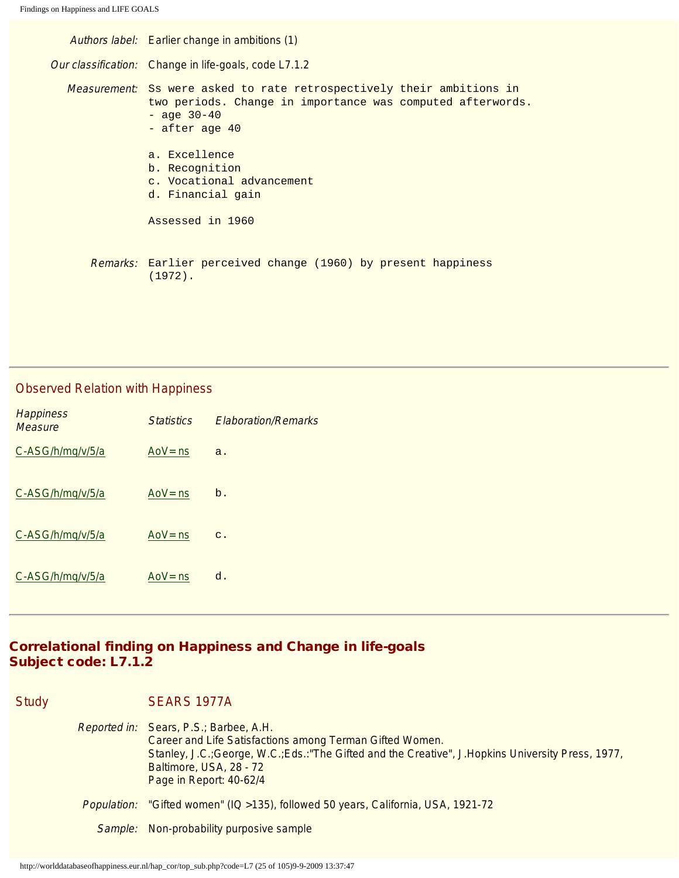Authors label: Earlier change in ambitions (1) Our classification: Change in life-goals, code L7.1.2 Measurement: Ss were asked to rate retrospectively their ambitions in two periods. Change in importance was computed afterwords.  $-$  age  $30-40$ - after age 40 a. Excellence b. Recognition c. Vocational advancement d. Financial gain Assessed in 1960 Remarks: Earlier perceived change (1960) by present happiness (1972).

#### Observed Relation with Happiness

| <b>Happiness</b><br>Measure | <b>Statistics</b> | <b>Flaboration/Remarks</b> |
|-----------------------------|-------------------|----------------------------|
| C-ASG/h/mq/v/5/a            | AoV= $ns$         | a.                         |
| C-ASG/h/mq/v/5/a            | AoV= $ns$         | $b$ .                      |
| C-ASG/h/mq/v/5/a            | AoV $=$ ns        | $\mathbf{C}$ .             |
| C-ASG/h/mq/v/5/a            | $Aov = ns$        | d.                         |

## Correlational finding on Happiness and Change in life-goals Subject code: L7.1.2

Study SEARS 1977A Reported in: Sears, P.S.; Barbee, A.H. Career and Life Satisfactions among Terman Gifted Women. Stanley, J.C.;George, W.C.;Eds.:"The Gifted and the Creative", J.Hopkins University Press, 1977, Baltimore, USA, 28 - 72 Page in Report: 40-62/4 Population: "Gifted women" (IQ >135), followed 50 years, California, USA, 1921-72 Sample: Non-probability purposive sample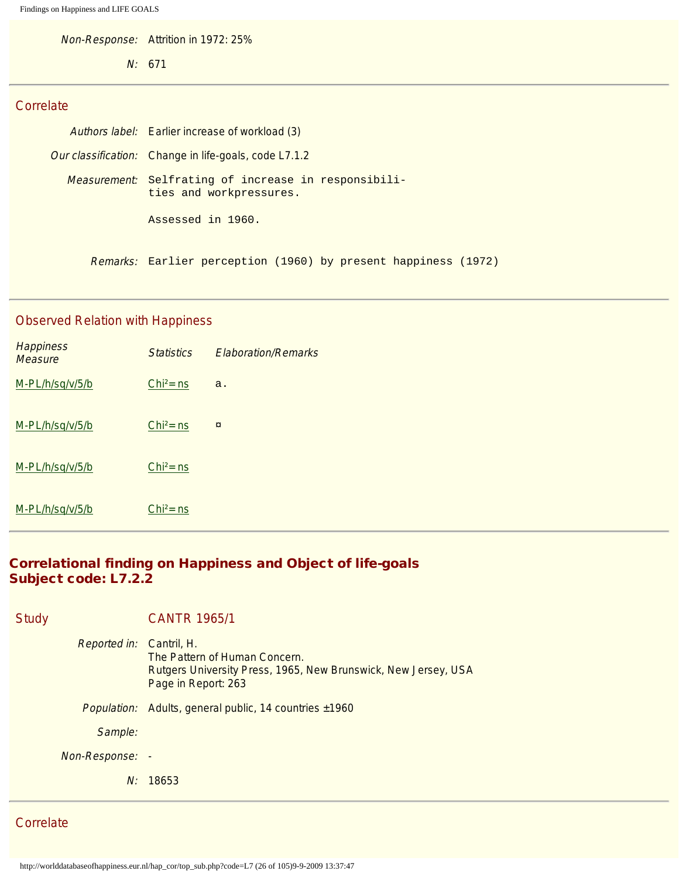Non-Response: Attrition in 1972: 25%

N: 671

### **Correlate**

| Authors label: Earlier increase of workload (3)                                         |  |  |  |  |
|-----------------------------------------------------------------------------------------|--|--|--|--|
| <i>Our classification:</i> Change in life-goals, code L7.1.2                            |  |  |  |  |
| <i>Measurement</i> : Selfrating of increase in responsibili-<br>ties and workpressures. |  |  |  |  |
| Assessed in 1960.                                                                       |  |  |  |  |
| <i>Remarks:</i> Earlier perception (1960) by present happiness (1972)                   |  |  |  |  |

## Observed Relation with Happiness

| <b>Happiness</b><br><b>Measure</b> | <b>Statistics</b> | <b>Elaboration/Remarks</b> |
|------------------------------------|-------------------|----------------------------|
| M-PL/h/sq/v/5/b                    | $Chi^2 = ns$      | a.                         |
| M-PL/h/sq/v/5/b                    | $Chi2 = ns$       | $\alpha$                   |
| M-PL/h/sq/v/5/b                    | $Chi2 = ns$       |                            |
| M-PL/h/sq/v/5/b                    | $Chi2 = ns$       |                            |

## Correlational finding on Happiness and Object of life-goals Subject code: L7.2.2

| <b>CANTR 1965/1</b>                                                                                                                                       |
|-----------------------------------------------------------------------------------------------------------------------------------------------------------|
| <i>Reported in:</i> Cantril, H.<br>The Pattern of Human Concern.<br>Rutgers University Press, 1965, New Brunswick, New Jersey, USA<br>Page in Report: 263 |
| Population: Adults, general public, 14 countries ±1960                                                                                                    |
|                                                                                                                                                           |
| Non-Response: -                                                                                                                                           |
| N: 18653                                                                                                                                                  |
|                                                                                                                                                           |

**Correlate**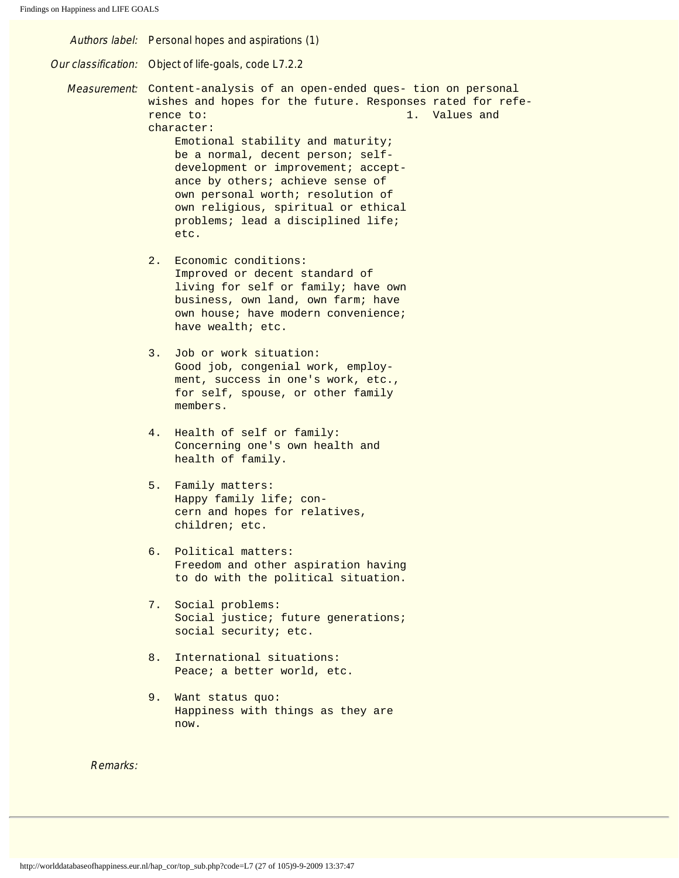Authors label: Personal hopes and aspirations (1) Our classification: Object of life-goals, code L7.2.2 Measurement: Content-analysis of an open-ended ques- tion on personal wishes and hopes for the future. Responses rated for reference to: 1. Values and character: Emotional stability and maturity; be a normal, decent person; self development or improvement; acceptance by others; achieve sense of own personal worth; resolution of own religious, spiritual or ethical problems; lead a disciplined life; etc. 2. Economic conditions: Improved or decent standard of living for self or family; have own business, own land, own farm; have own house; have modern convenience; have wealth; etc. 3. Job or work situation: Good job, congenial work, employ ment, success in one's work, etc., for self, spouse, or other family members. 4. Health of self or family: Concerning one's own health and health of family. 5. Family matters: Happy family life; con cern and hopes for relatives, children; etc. 6. Political matters: Freedom and other aspiration having to do with the political situation. 7. Social problems: Social justice; future generations; social security; etc. 8. International situations: Peace; a better world, etc. 9. Want status quo: Happiness with things as they are now. Remarks: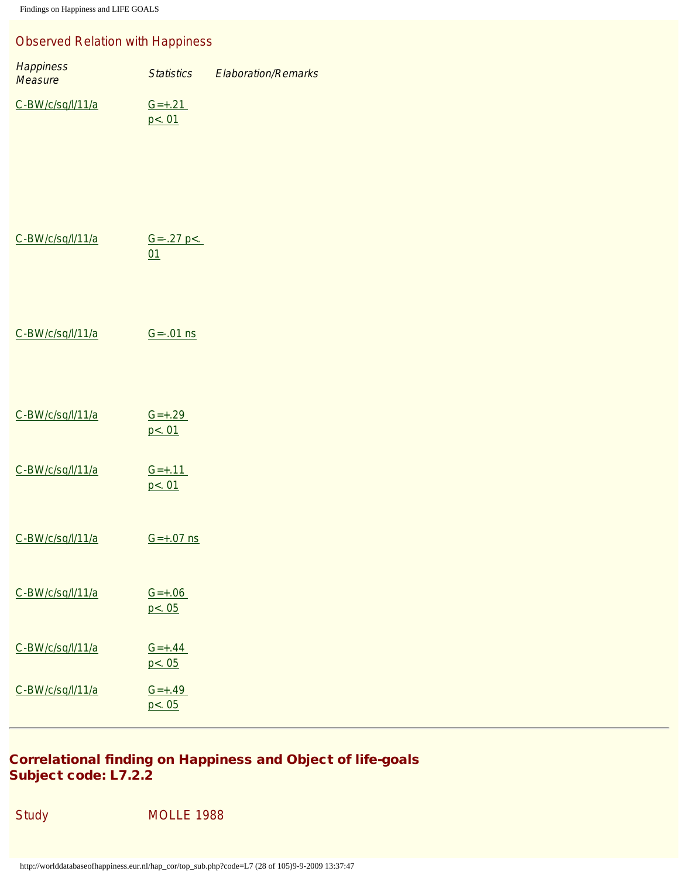## Observed Relation with Happiness

| <b>Happiness</b><br>Measure | <b>Statistics</b>             | <b>Elaboration/Remarks</b> |
|-----------------------------|-------------------------------|----------------------------|
| C-BW/c/sq/l/11/a            | $G=+.21$<br>p <sub>0</sub> 01 |                            |
| C-BW/c/sq/l/11/a            | $G=-.27 p<.$<br>01            |                            |
| C-BW/c/sq/l/11/a            | $G = -01$ ns                  |                            |
| C-BW/c/sq/l/11/a            | $G=+.29$<br>p <. 01           |                            |
| C-BW/c/sq/l/11/a            | $G=+.11$<br>p <. 01           |                            |
| C-BW/c/sq/l/11/a            | $G=+.07$ ns                   |                            |
| C-BW/c/sq/l/11/a            | $G=+.06$<br>p<.05             |                            |
| C-BW/c/sq/l/11/a            | $G=+.44$<br>p<.05             |                            |
| C-BW/c/sq/l/11/a            | $G=+.49$<br>p <sub>0</sub> 05 |                            |

## Correlational finding on Happiness and Object of life-goals Subject code: L7.2.2

**MOLLE 1988**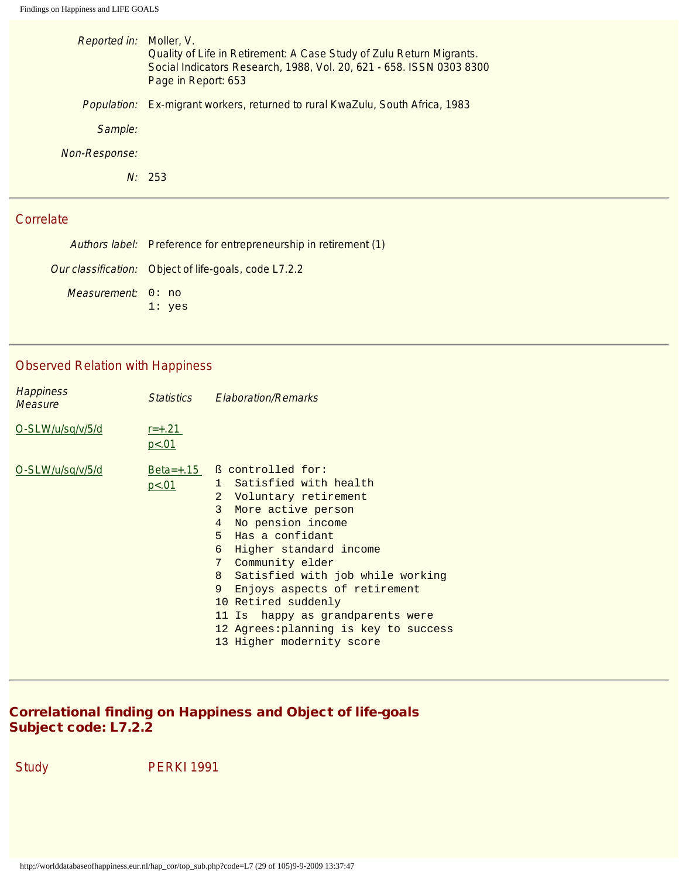| Reported in: Moller, V. | Quality of Life in Retirement: A Case Study of Zulu Return Migrants.<br>Social Indicators Research, 1988, Vol. 20, 621 - 658. ISSN 0303 8300<br>Page in Report: 653 |
|-------------------------|---------------------------------------------------------------------------------------------------------------------------------------------------------------------|
|                         | Population: Ex-migrant workers, returned to rural KwaZulu, South Africa, 1983                                                                                       |
| Sample:                 |                                                                                                                                                                     |
| <i>Non-Response:</i>    |                                                                                                                                                                     |
|                         | N: 253                                                                                                                                                              |
|                         |                                                                                                                                                                     |

Authors label: Preference for entrepreneurship in retirement (1) Our classification: Object of life-goals, code L7.2.2 Measurement: 0: no 1: yes

## Observed Relation with Happiness

| <b>Happiness</b><br><b>Measure</b> | <b>Statistics</b>   | <b>Elaboration/Remarks</b>                                                                                                                                                                                                                                                                                                                                                                                                                                                   |
|------------------------------------|---------------------|------------------------------------------------------------------------------------------------------------------------------------------------------------------------------------------------------------------------------------------------------------------------------------------------------------------------------------------------------------------------------------------------------------------------------------------------------------------------------|
| O-SLW/u/sq/v/5/d                   | $r = +.21$<br>p<.01 |                                                                                                                                                                                                                                                                                                                                                                                                                                                                              |
| O-SLW/u/sq/v/5/d                   | p<.01               | $Beta=+.15$ $\&$ controlled for:<br>1 Satisfied with health<br>$\overline{2}$<br>Voluntary retirement<br>3<br>More active person<br>No pension income<br>$\overline{4}$<br>$5 -$<br>Has a confidant<br>6<br>Higher standard income<br>7<br>Community elder<br>8<br>Satisfied with job while working<br>9<br>Enjoys aspects of retirement<br>10 Retired suddenly<br>happy as grandparents were<br>11 Is<br>12 Agrees: planning is key to success<br>13 Higher modernity score |

## Correlational finding on Happiness and Object of life-goals Subject code: L7.2.2

Study PERKI 1991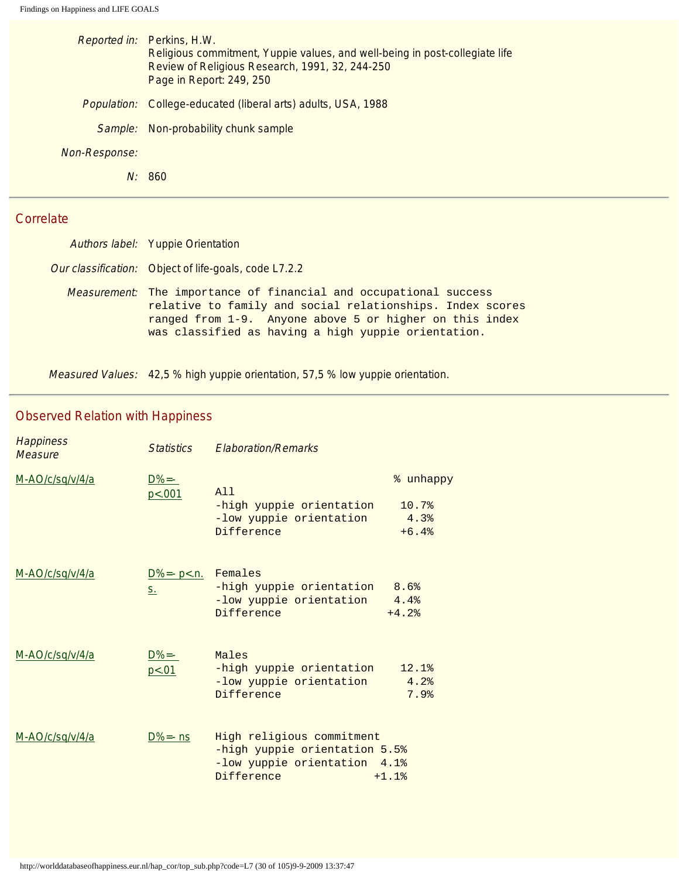|               | Reported in: Perkins, H.W.<br>Religious commitment, Yuppie values, and well-being in post-collegiate life<br>Review of Religious Research, 1991, 32, 244-250<br>Page in Report: 249, 250 |
|---------------|------------------------------------------------------------------------------------------------------------------------------------------------------------------------------------------|
|               | Population: College-educated (liberal arts) adults, USA, 1988                                                                                                                            |
|               | Sample: Non-probability chunk sample                                                                                                                                                     |
| Non-Response: |                                                                                                                                                                                          |
|               | 860                                                                                                                                                                                      |

| Authors label: Yuppie Orientation                                                                                                                                                                                                                       |
|---------------------------------------------------------------------------------------------------------------------------------------------------------------------------------------------------------------------------------------------------------|
| Our classification: Object of life-goals, code L7.2.2                                                                                                                                                                                                   |
| <i>Measurement:</i> The importance of financial and occupational success<br>relative to family and social relationships. Index scores<br>ranged from 1-9. Anyone above 5 or higher on this index<br>was classified as having a high yuppie orientation. |

Measured Values: 42,5 % high yuppie orientation, 57,5 % low yuppie orientation.

## Observed Relation with Happiness

| <b>Happiness</b><br>Measure | <b>Statistics</b>                  | <b>Elaboration/Remarks</b>                                                                               |                                       |
|-----------------------------|------------------------------------|----------------------------------------------------------------------------------------------------------|---------------------------------------|
| M-AO/c/sq/v/4/a             | $D%=-$<br>p < .001                 | A11<br>-high yuppie orientation<br>-low yuppie orientation<br>Difference                                 | % unhappy<br>10.7%<br>4.3%<br>$+6.4%$ |
| M-AO/c/sq/v/4/a             | $D\% = -p < n$ .<br>S <sub>1</sub> | Females<br>-high yuppie orientation 8.6%<br>-low yuppie orientation<br>Difference                        | 4.4%<br>$+4.2%$                       |
| M-AO/c/sq/v/4/a             | $D%=-$<br>p < 01                   | Males<br>-high yuppie orientation<br>-low yuppie orientation<br>Difference                               | 12.1%<br>4.2%<br>7.9%                 |
| M-AO/c/sq/v/4/a             | $D%=-$ ns                          | High religious commitment<br>-high yuppie orientation 5.5%<br>-low yuppie orientation 4.1%<br>Difference | $+1.1%$                               |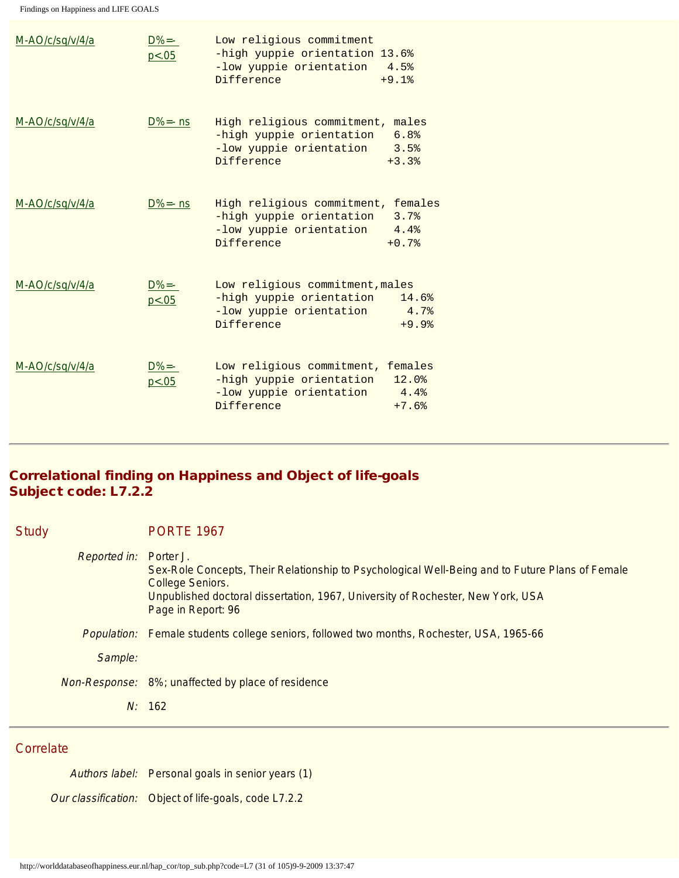| M-AO/c/sq/v/4/a | $D%=-$<br>p < .05   | Low religious commitment<br>-high yuppie orientation 13.6%<br>-low yuppie orientation<br>Difference  | 4.5%<br>$+9.1%$                     |
|-----------------|---------------------|------------------------------------------------------------------------------------------------------|-------------------------------------|
| M-AO/c/sq/v/4/a | $D%=-$ ns           | High religious commitment,<br>-high yuppie orientation<br>-low yuppie orientation<br>Difference      | males<br>6.8%<br>3.5%<br>$+3.3%$    |
| M-AO/c/sq/v/4/a | $D%=-$ ns           | High religious commitment,<br>-high yuppie orientation<br>-low yuppie orientation<br>Difference      | females<br>3.7%<br>4.4%<br>$+0.7%$  |
| M-AO/c/sq/v/4/a | $D\%$ =-<br>p < .05 | Low religious commitment, males<br>-high yuppie orientation<br>-low yuppie orientation<br>Difference | 14.6%<br>4.7%<br>$+9.9%$            |
| M-AO/c/sq/v/4/a | $D%=-$<br>p < .05   | Low religious commitment,<br>-high yuppie orientation<br>-low yuppie orientation<br>Difference       | females<br>12.0%<br>4.4%<br>$+7.6%$ |

## Correlational finding on Happiness and Object of life-goals Subject code: L7.2.2

| <b>Study</b>        | <b>PORTE 1967</b>                                                                                                                                                                                                                                |
|---------------------|--------------------------------------------------------------------------------------------------------------------------------------------------------------------------------------------------------------------------------------------------|
| <b>Reported in:</b> | Porter J.<br>Sex-Role Concepts, Their Relationship to Psychological Well-Being and to Future Plans of Female<br><b>College Seniors.</b><br>Unpublished doctoral dissertation, 1967, University of Rochester, New York, USA<br>Page in Report: 96 |
|                     | Population: Female students college seniors, followed two months, Rochester, USA, 1965-66                                                                                                                                                        |
| Sample:             |                                                                                                                                                                                                                                                  |
|                     | Non-Response: 8%; unaffected by place of residence                                                                                                                                                                                               |
|                     | N: 162                                                                                                                                                                                                                                           |

## **Correlate**

Authors label: Personal goals in senior years (1) Our classification: Object of life-goals, code L7.2.2

http://worlddatabaseofhappiness.eur.nl/hap\_cor/top\_sub.php?code=L7 (31 of 105)9-9-2009 13:37:47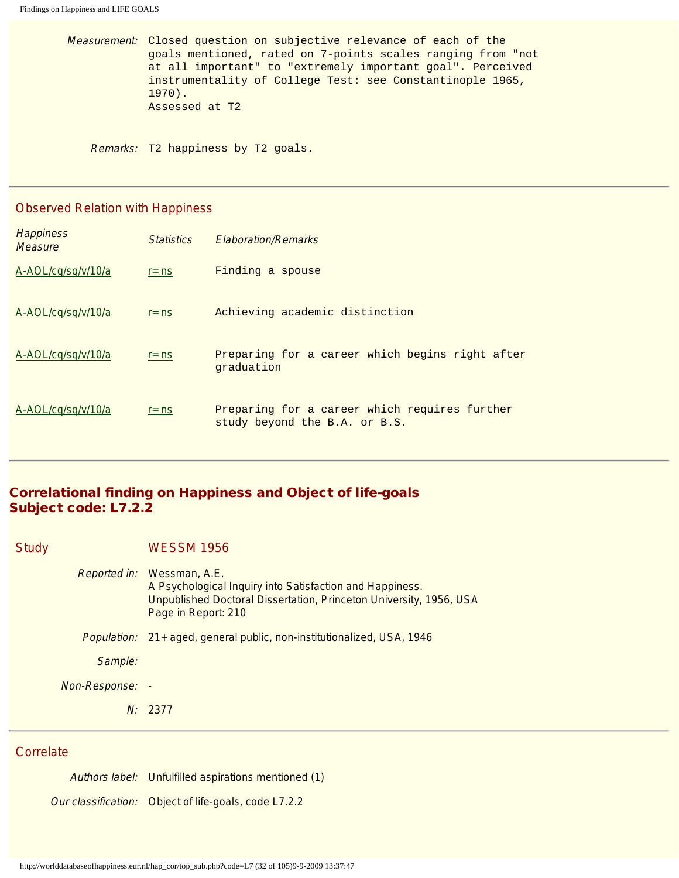Measurement: Closed question on subjective relevance of each of the goals mentioned, rated on 7-points scales ranging from "not at all important" to "extremely important goal". Perceived instrumentality of College Test: see Constantinople 1965, 1970). Assessed at T2

Remarks: T2 happiness by T2 goals.

#### Observed Relation with Happiness

| <b>Happiness</b><br>Measure | <i><u>Statistics</u></i> | <b>Elaboration/Remarks</b>                                                     |
|-----------------------------|--------------------------|--------------------------------------------------------------------------------|
| A-AOL/cq/sq/v/10/a          | $r = ns$                 | Finding a spouse                                                               |
| A-AOL/cq/sq/v/10/a          | $r = ns$                 | Achieving academic distinction                                                 |
| A-AOL/cq/sq/v/10/a          | $r = ns$                 | Preparing for a career which begins right after<br>graduation                  |
| A-AOL/cq/sq/v/10/a          | $r = ns$                 | Preparing for a career which requires further<br>study beyond the B.A. or B.S. |

#### Correlational finding on Happiness and Object of life-goals Subject code: L7.2.2

Study WESSM 1956 Reported in: Wessman, A.E. A Psychological Inquiry into Satisfaction and Happiness. Unpublished Doctoral Dissertation, Princeton University, 1956, USA Page in Report: 210 Population: 21+ aged, general public, non-institutionalized, USA, 1946 Sample: Non-Response: - N: 2377

## **Correlate**

Authors label: Unfulfilled aspirations mentioned (1) Our classification: Object of life-goals, code L7.2.2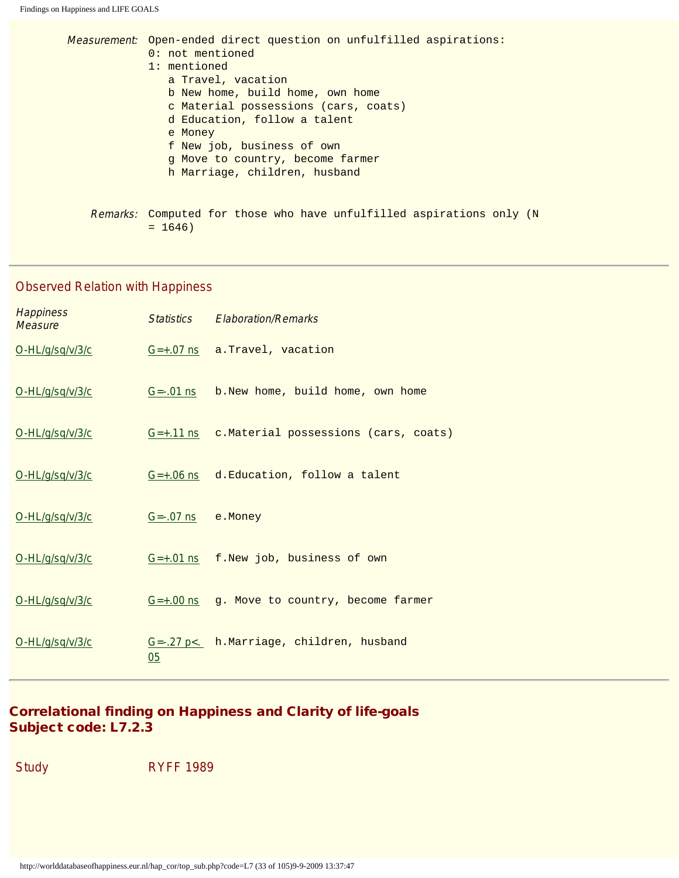| Measurement: Open-ended direct question on unfulfilled aspirations:<br>0: not mentioned<br>1: mentioned<br>a Travel, vacation<br>b New home, build home, own home<br>c Material possessions (cars, coats)<br>d Education, follow a talent<br>e Money<br>f New job, business of own<br>q Move to country, become farmer<br>h Marriage, children, husband |
|---------------------------------------------------------------------------------------------------------------------------------------------------------------------------------------------------------------------------------------------------------------------------------------------------------------------------------------------------------|
| <i>Remarks:</i> Computed for those who have unfulfilled aspirations only (N<br>$= 1646$                                                                                                                                                                                                                                                                 |

Observed Relation with Happiness

| <b>Happiness</b><br>Measure |              | Statistics Flaboration/Remarks                 |
|-----------------------------|--------------|------------------------------------------------|
| O-HL/g/sq/v/3/c             |              | $G=+.07$ ns $a. Travel, vacation$              |
| O-HL/g/sq/v/3/c             |              | G=-.01 ns b. New home, build home, own home    |
| O-HL/g/sq/v/3/c             |              | G=+.11 ns c.Material possessions (cars, coats) |
| O-HL/g/sq/v/3/c             |              | $G=+.06$ ns $d.Education, follow a talent$     |
| O-HL/g/sq/v/3/c             | $G = -07$ ns | e.Money                                        |
| O-HL/g/sq/v/3/c             |              | $G=+.01$ ns $f.$ New job, business of own      |
| O-HL/g/sq/v/3/c             |              | G=+.00 ns g. Move to country, become farmer    |
| O-HL/g/sq/v/3/c             | 05           | G=-.27 p<. h.Marriage, children, husband       |

## Correlational finding on Happiness and Clarity of life-goals Subject code: L7.2.3

Study RYFF 1989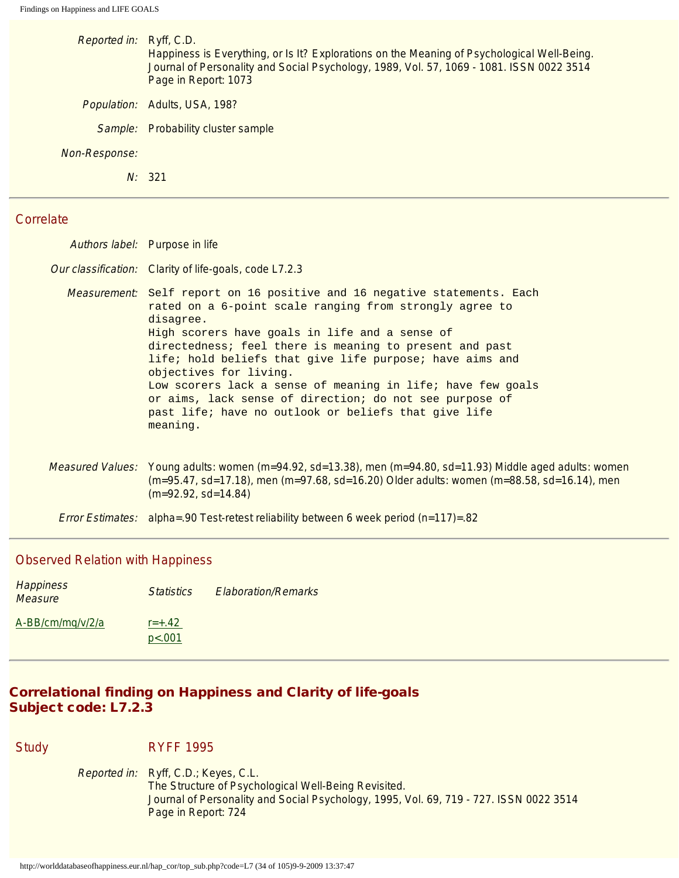| Reported in: Ryff, C.D. | Happiness is Everything, or Is It? Explorations on the Meaning of Psychological Well-Being.<br>Journal of Personality and Social Psychology, 1989, Vol. 57, 1069 - 1081. ISSN 0022 3514<br>Page in Report: 1073 |
|-------------------------|-----------------------------------------------------------------------------------------------------------------------------------------------------------------------------------------------------------------|
|                         | <i>Population:</i> Adults, USA, 198?                                                                                                                                                                            |
| Sample:                 | <b>Probability cluster sample</b>                                                                                                                                                                               |
| Non-Response:           |                                                                                                                                                                                                                 |
|                         | N: 321                                                                                                                                                                                                          |
|                         |                                                                                                                                                                                                                 |

| Authors label: Purpose in life                                                                                                                                                                                                                                                                                                                                                                                                                                                                                                                           |
|----------------------------------------------------------------------------------------------------------------------------------------------------------------------------------------------------------------------------------------------------------------------------------------------------------------------------------------------------------------------------------------------------------------------------------------------------------------------------------------------------------------------------------------------------------|
| Our classification: Clarity of life-goals, code L7.2.3                                                                                                                                                                                                                                                                                                                                                                                                                                                                                                   |
| <i>Measurement:</i> Self report on 16 positive and 16 negative statements. Each<br>rated on a 6-point scale ranging from strongly agree to<br>disagree.<br>High scorers have goals in life and a sense of<br>directedness; feel there is meaning to present and past<br>life; hold beliefs that give life purpose; have aims and<br>objectives for living.<br>Low scorers lack a sense of meaning in life; have few goals<br>or aims, lack sense of direction; do not see purpose of<br>past life; have no outlook or beliefs that give life<br>meaning. |
| Measured Values: Young adults: women (m=94.92, sd=13.38), men (m=94.80, sd=11.93) Middle aged adults: women<br>$(m=95.47, sd=17.18)$ , men $(m=97.68, sd=16.20)$ Older adults: women $(m=88.58, sd=16.14)$ , men<br>$(m=92.92, sd=14.84)$                                                                                                                                                                                                                                                                                                                |
| <i>Error Estimates:</i> alpha=.90 Test-retest reliability between 6 week period $(n=117)$ =.82                                                                                                                                                                                                                                                                                                                                                                                                                                                           |

#### Observed Relation with Happiness

| <b>Happiness</b><br>Measure | <b>Statistics</b>    | <b>Elaboration/Remarks</b> |
|-----------------------------|----------------------|----------------------------|
| A-BB/cm/mg/v/2/a            | $r = +.42$<br>p<.001 |                            |

## Correlational finding on Happiness and Clarity of life-goals Subject code: L7.2.3

**RYFF 1995** 

Reported in: Ryff, C.D.; Keyes, C.L. The Structure of Psychological Well-Being Revisited. Journal of Personality and Social Psychology, 1995, Vol. 69, 719 - 727. ISSN 0022 3514 Page in Report: 724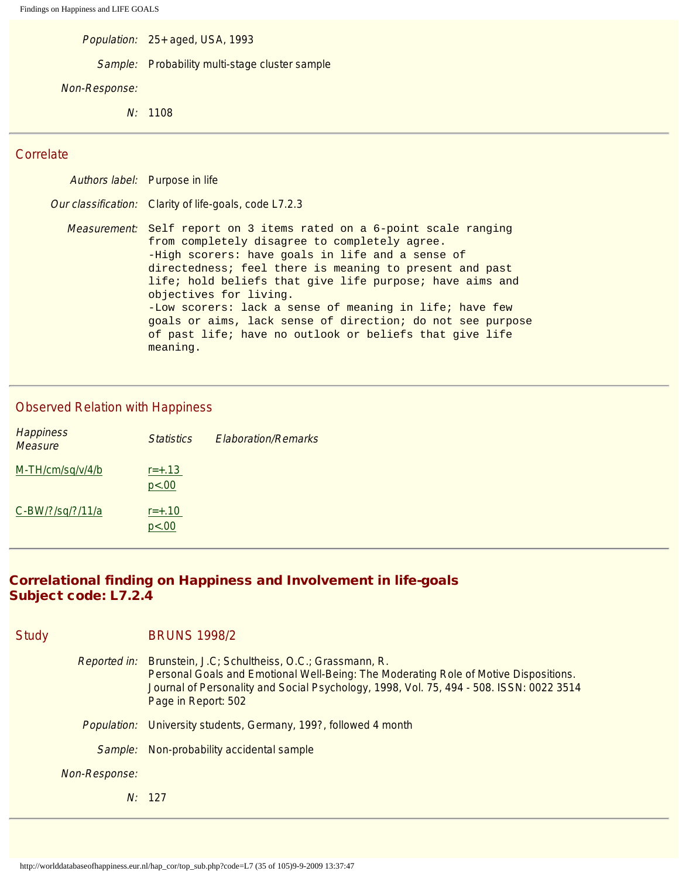Population: 25+ aged, USA, 1993

Sample: Probability multi-stage cluster sample

#### Non-Response:

N: 1108

#### **Correlate**

Authors label: Purpose in life Our classification: Clarity of life-goals, code L7.2.3 Measurement: Self report on 3 items rated on a 6-point scale ranging from completely disagree to completely agree. -High scorers: have goals in life and a sense of directedness; feel there is meaning to present and past life; hold beliefs that give life purpose; have aims and objectives for living. -Low scorers: lack a sense of meaning in life; have few goals or aims, lack sense of direction; do not see purpose of past life; have no outlook or beliefs that give life meaning.

#### Observed Relation with Happiness

| <b>Happiness</b><br><b>Measure</b> | <b>Statistics</b>   | <b>Elaboration/Remarks</b> |
|------------------------------------|---------------------|----------------------------|
| M-TH/cm/sq/v/4/b                   | $r = +.13$<br>p<.00 |                            |
| C-BW/?/sq/?/11/a                   | $r = +.10$<br>p<.00 |                            |

## Correlational finding on Happiness and Involvement in life-goals Subject code: L7.2.4

| <b>Study</b>        |         | <b>BRUNS 1998/2</b>                                                                                                                                                                                                                                        |
|---------------------|---------|------------------------------------------------------------------------------------------------------------------------------------------------------------------------------------------------------------------------------------------------------------|
| <b>Reported in:</b> |         | Brunstein, J.C; Schultheiss, O.C.; Grassmann, R.<br>Personal Goals and Emotional Well-Being: The Moderating Role of Motive Dispositions.<br>Journal of Personality and Social Psychology, 1998, Vol. 75, 494 - 508. ISSN: 0022 3514<br>Page in Report: 502 |
|                     |         | <i>Population:</i> University students, Germany, 199?, followed 4 month                                                                                                                                                                                    |
|                     | Sample: | Non-probability accidental sample                                                                                                                                                                                                                          |
| Non-Response:       |         |                                                                                                                                                                                                                                                            |
|                     |         | N: 127                                                                                                                                                                                                                                                     |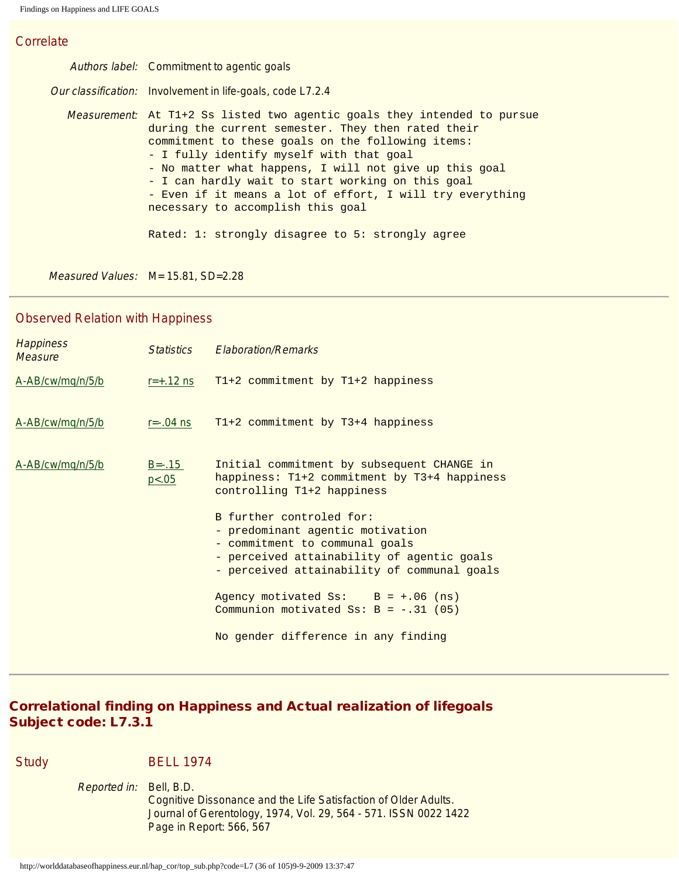Authors label: Commitment to agentic goals Our classification: Involvement in life-goals, code L7.2.4 Measurement: At T1+2 Ss listed two agentic goals they intended to pursue during the current semester. They then rated their commitment to these goals on the following items: - I fully identify myself with that goal - No matter what happens, I will not give up this goal - I can hardly wait to start working on this goal - Even if it means a lot of effort, I will try everything necessary to accomplish this goal Rated: 1: strongly disagree to 5: strongly agree

Measured Values: M= 15.81, SD=2.28

#### Observed Relation with Happiness

| <b>Happiness</b><br>Measure | <i>Statistics</i>      | <b>Elaboration/Remarks</b>                                                                                                                                                                  |
|-----------------------------|------------------------|---------------------------------------------------------------------------------------------------------------------------------------------------------------------------------------------|
| A-AB/cw/mg/n/5/b            | $r = +.12$ ns          | $T1+2$ commitment by $T1+2$ happiness                                                                                                                                                       |
| A-AB/cw/mq/n/5/b            | $r=-.04$ ns            | T1+2 commitment by T3+4 happiness                                                                                                                                                           |
| A-AB/cw/mg/n/5/b            | $B = -0.15$<br>p < .05 | Initial commitment by subsequent CHANGE in<br>happiness: T1+2 commitment by T3+4 happiness<br>controlling T1+2 happiness                                                                    |
|                             |                        | B further controled for:<br>- predominant agentic motivation<br>- commitment to communal goals<br>- perceived attainability of agentic goals<br>- perceived attainability of communal goals |
|                             |                        | Agency motivated $S_s$ : $B = +.06$ (ns)<br>Communion motivated Ss: $B = -.31$ (05)                                                                                                         |
|                             |                        | No gender difference in any finding                                                                                                                                                         |

## Correlational finding on Happiness and Actual realization of lifegoals Subject code: L7.3.1

Study BELL 1974

Reported in: Bell, B.D. Cognitive Dissonance and the Life Satisfaction of Older Adults. Journal of Gerentology, 1974, Vol. 29, 564 - 571. ISSN 0022 1422 Page in Report: 566, 567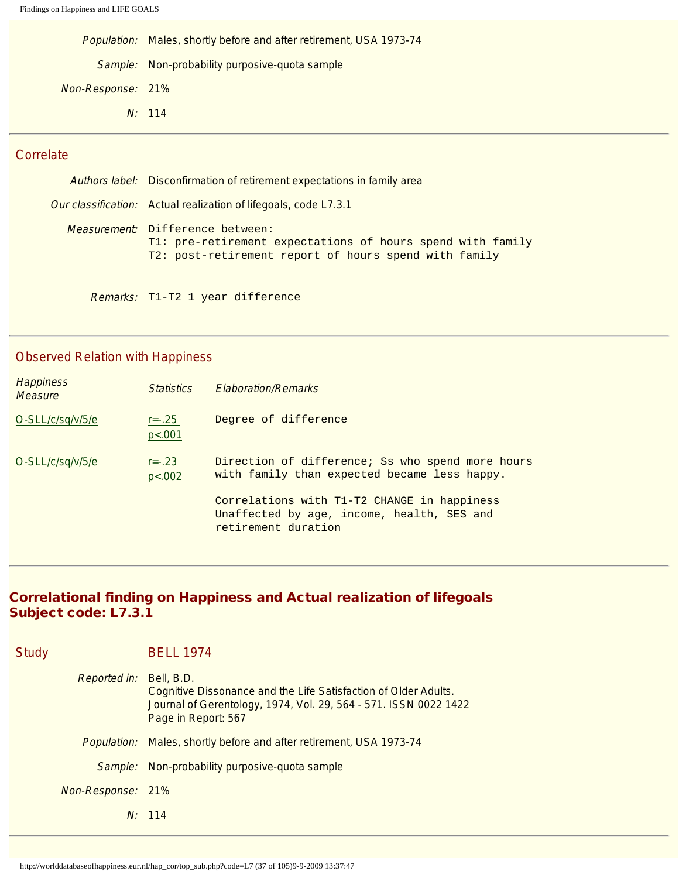Population: Males, shortly before and after retirement, USA 1973-74 Sample: Non-probability purposive-quota sample Non-Response: 21% N: 114

## **Correlate**

Authors label: Disconfirmation of retirement expectations in family area Our classification: Actual realization of lifegoals, code L7.3.1 Measurement: Difference between: T1: pre-retirement expectations of hours spend with family T2: post-retirement report of hours spend with family

Remarks: T1-T2 1 year difference

#### Observed Relation with Happiness

| <b>Happiness</b><br><b>Measure</b> | <i>Statistics</i>      | <b>Elaboration/Remarks</b>                                                                                       |
|------------------------------------|------------------------|------------------------------------------------------------------------------------------------------------------|
| O-SLL/c/sq/v/5/e                   | $r = -.25$<br>p < .001 | Degree of difference                                                                                             |
| O-SLL/c/sq/v/5/e                   | $r = -23$<br>p < .002  | Direction of difference; Ss who spend more hours<br>with family than expected became less happy.                 |
|                                    |                        | Correlations with T1-T2 CHANGE in happiness<br>Unaffected by age, income, health, SES and<br>retirement duration |

## Correlational finding on Happiness and Actual realization of lifegoals Subject code: L7.3.1

| Study             | <b>BELL 1974</b>                                                                                                                                                         |
|-------------------|--------------------------------------------------------------------------------------------------------------------------------------------------------------------------|
| Reported in:      | Bell, B.D.<br>Cognitive Dissonance and the Life Satisfaction of Older Adults.<br>Journal of Gerentology, 1974, Vol. 29, 564 - 571. ISSN 0022 1422<br>Page in Report: 567 |
|                   | Population: Males, shortly before and after retirement, USA 1973-74                                                                                                      |
| Sample:           | Non-probability purposive-quota sample                                                                                                                                   |
| Non-Response: 21% |                                                                                                                                                                          |
|                   | N: 114                                                                                                                                                                   |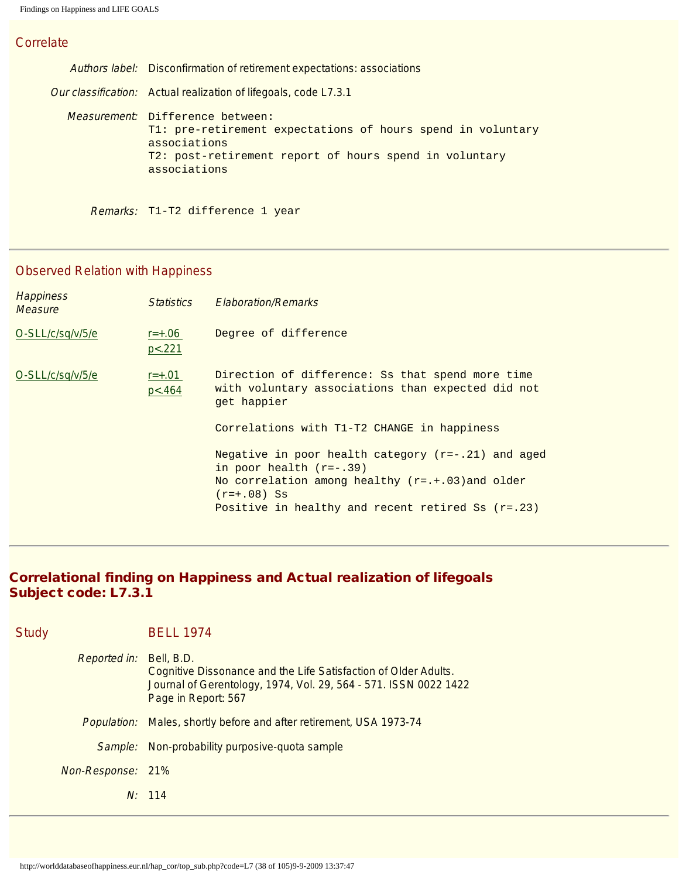Authors label: Disconfirmation of retirement expectations: associations Our classification: Actual realization of lifegoals, code L7.3.1 Measurement: Difference between: T1: pre-retirement expectations of hours spend in voluntary associations T2: post-retirement report of hours spend in voluntary associations

Remarks: T1-T2 difference 1 year

#### Observed Relation with Happiness

| <b>Happiness</b><br><b>Measure</b> | <i>Statistics</i>     | <b>Elaboration/Remarks</b>                                                                                                                                                                                     |
|------------------------------------|-----------------------|----------------------------------------------------------------------------------------------------------------------------------------------------------------------------------------------------------------|
| O-SLL/c/sq/v/5/e                   | $r = +.06$<br>p < 221 | Degree of difference                                                                                                                                                                                           |
| O-SLL/c/sq/v/5/e                   | $r = +.01$<br>p < 464 | Direction of difference: Ss that spend more time<br>with voluntary associations than expected did not<br>get happier<br>Correlations with T1-T2 CHANGE in happiness                                            |
|                                    |                       | Negative in poor health category $(r=-.21)$ and aged<br>in poor health $(r=-.39)$<br>No correlation among healthy $(r=.+03)$ and older<br>$(r=+.08)$ Ss<br>Positive in healthy and recent retired Ss $(r=.23)$ |

# Correlational finding on Happiness and Actual realization of lifegoals Subject code: L7.3.1

| Study                          | <b>BELL 1974</b>                                                                                                                                           |
|--------------------------------|------------------------------------------------------------------------------------------------------------------------------------------------------------|
| <i>Reported in:</i> Bell, B.D. | Cognitive Dissonance and the Life Satisfaction of Older Adults.<br>Journal of Gerentology, 1974, Vol. 29, 564 - 571. ISSN 0022 1422<br>Page in Report: 567 |
|                                | Population: Males, shortly before and after retirement, USA 1973-74                                                                                        |
| Sample:                        | Non-probability purposive-quota sample                                                                                                                     |
| Non-Response: 21%              |                                                                                                                                                            |
|                                | N: 114                                                                                                                                                     |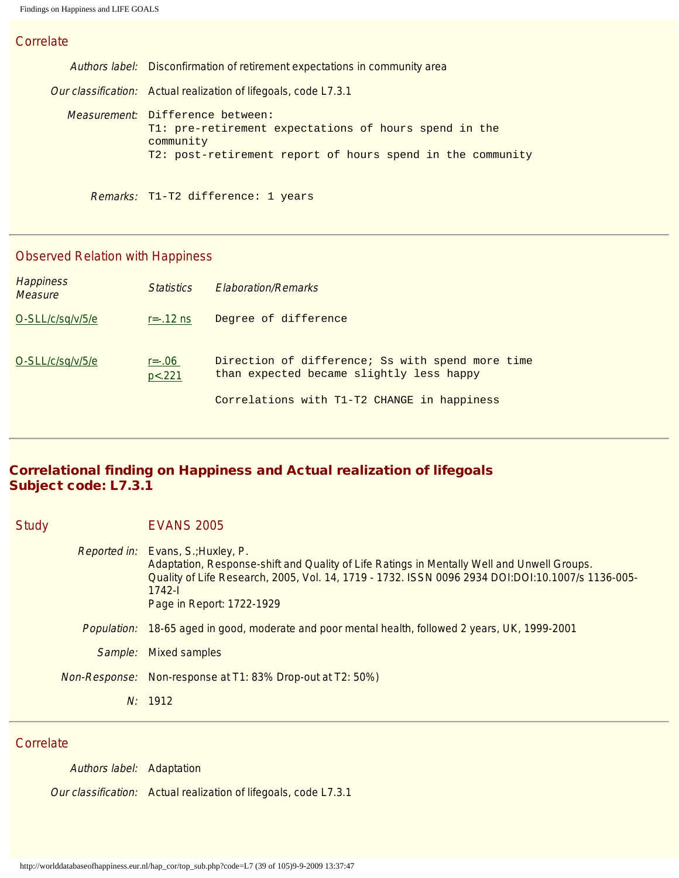Authors label: Disconfirmation of retirement expectations in community area Our classification: Actual realization of lifegoals, code L7.3.1 Measurement: Difference between: T1: pre-retirement expectations of hours spend in the community T2: post-retirement report of hours spend in the community

Remarks: T1-T2 difference: 1 years

### Observed Relation with Happiness

| <b>Happiness</b><br><b>Measure</b> | <i>Statistics</i>    | <b>Elaboration/Remarks</b>                                                                                                                  |
|------------------------------------|----------------------|---------------------------------------------------------------------------------------------------------------------------------------------|
| O-SLL/c/sq/v/5/e                   | $r = -0.12$ ns       | Degree of difference                                                                                                                        |
| O-SLL/c/sq/v/5/e                   | $r = -06$<br>p < 221 | Direction of difference; Ss with spend more time<br>than expected became slightly less happy<br>Correlations with T1-T2 CHANGE in happiness |
|                                    |                      |                                                                                                                                             |

# Correlational finding on Happiness and Actual realization of lifegoals Subject code: L7.3.1

| <b>Study</b> |                    | <b>EVANS 2005</b>                                                                                                                                                                                                                                                                    |
|--------------|--------------------|--------------------------------------------------------------------------------------------------------------------------------------------------------------------------------------------------------------------------------------------------------------------------------------|
|              |                    | <i>Reported in:</i> Evans, S.; Huxley, P.<br>Adaptation, Response-shift and Quality of Life Ratings in Mentally Well and Unwell Groups.<br>Quality of Life Research, 2005, Vol. 14, 1719 - 1732. ISSN 0096 2934 DOI:DOI:10.1007/s 1136-005-<br>$1742 -$<br>Page in Report: 1722-1929 |
|              | <i>Population:</i> | 18-65 aged in good, moderate and poor mental health, followed 2 years, UK, 1999-2001                                                                                                                                                                                                 |
|              | Sample:            | <b>Mixed samples</b>                                                                                                                                                                                                                                                                 |
|              |                    | <i>Non-Response:</i> Non-response at T1: 83% Drop-out at T2: 50%)                                                                                                                                                                                                                    |
|              |                    | N: 1912                                                                                                                                                                                                                                                                              |

#### **Correlate**

Authors label: Adaptation Our classification: Actual realization of lifegoals, code L7.3.1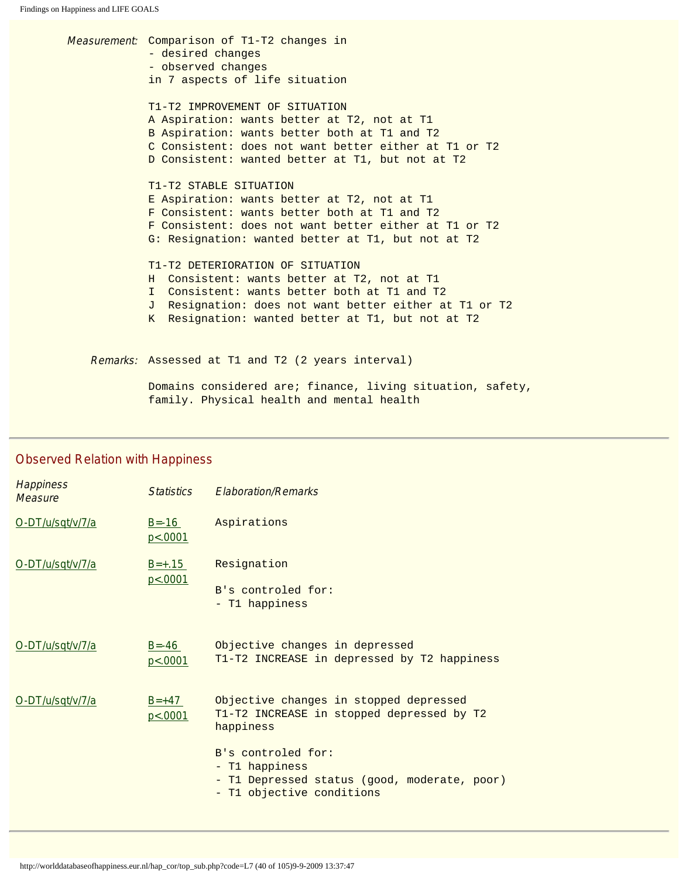Measurement: Comparison of T1-T2 changes in - desired changes - observed changes in 7 aspects of life situation T1-T2 IMPROVEMENT OF SITUATION A Aspiration: wants better at T2, not at T1 B Aspiration: wants better both at T1 and T2 C Consistent: does not want better either at T1 or T2 D Consistent: wanted better at T1, but not at T2 T1-T2 STABLE SITUATION E Aspiration: wants better at T2, not at T1 F Consistent: wants better both at T1 and T2 F Consistent: does not want better either at T1 or T2 G: Resignation: wanted better at T1, but not at T2 T1-T2 DETERIORATION OF SITUATION H Consistent: wants better at T2, not at T1 I Consistent: wants better both at T1 and T2 J Resignation: does not want better either at T1 or T2 K Resignation: wanted better at T1, but not at T2 Remarks: Assessed at T1 and T2 (2 years interval)

> Domains considered are; finance, living situation, safety, family. Physical health and mental health

#### Observed Relation with Happiness

| <b>Happiness</b><br><b>Measure</b> | <b>Statistics</b>      | <b>Elaboration/Remarks</b>                                                                                    |
|------------------------------------|------------------------|---------------------------------------------------------------------------------------------------------------|
| O-DT/u/sqt/v/7/a                   | $B = -16$<br>p < .0001 | Aspirations                                                                                                   |
| O-DT/u/sqt/v/7/a                   | $B=+.15$<br>p < .0001  | Resignation<br>B's controled for:<br>- T1 happiness                                                           |
| O-DT/u/sqt/v/7/a                   | $B = -46$<br>p<0.0001  | Objective changes in depressed<br>T1-T2 INCREASE in depressed by T2 happiness                                 |
| O-DT/u/sqt/v/7/a                   | $B=+47$<br>p<.0001     | Objective changes in stopped depressed<br>T1-T2 INCREASE in stopped depressed by T2<br>happiness              |
|                                    |                        | B's controled for:<br>- T1 happiness<br>T1 Depressed status (good, moderate, poor)<br>T1 objective conditions |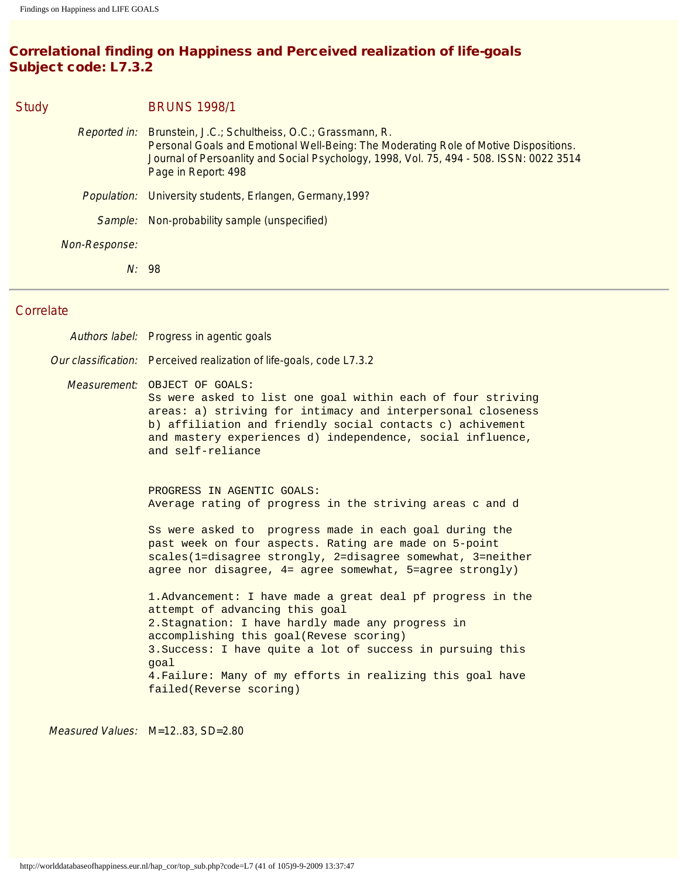# Correlational finding on Happiness and Perceived realization of life-goals Subject code: L7.3.2

| <b>Study</b> |               | <b>BRUNS 1998/1</b>                                                                                                                                                                                                                                                             |
|--------------|---------------|---------------------------------------------------------------------------------------------------------------------------------------------------------------------------------------------------------------------------------------------------------------------------------|
|              |               | <i>Reported in:</i> Brunstein, J.C.; Schultheiss, O.C.; Grassmann, R.<br>Personal Goals and Emotional Well-Being: The Moderating Role of Motive Dispositions.<br>Journal of Persoanlity and Social Psychology, 1998, Vol. 75, 494 - 508. ISSN: 0022 3514<br>Page in Report: 498 |
|              |               | Population: University students, Erlangen, Germany, 199?                                                                                                                                                                                                                        |
|              | Sample:       | Non-probability sample (unspecified)                                                                                                                                                                                                                                            |
|              | Non-Response: |                                                                                                                                                                                                                                                                                 |
|              | N:98          |                                                                                                                                                                                                                                                                                 |
|              |               |                                                                                                                                                                                                                                                                                 |

#### **Correlate**

| Authors label: Progress in agentic goals                                                                                                                                                                                                                                                                                                                     |
|--------------------------------------------------------------------------------------------------------------------------------------------------------------------------------------------------------------------------------------------------------------------------------------------------------------------------------------------------------------|
| Our classification: Perceived realization of life-goals, code L7.3.2                                                                                                                                                                                                                                                                                         |
| Measurement: OBJECT OF GOALS:<br>Ss were asked to list one goal within each of four striving<br>areas: a) striving for intimacy and interpersonal closeness<br>b) affiliation and friendly social contacts c) achivement<br>and mastery experiences d) independence, social influence,<br>and self-reliance                                                  |
| PROGRESS IN AGENTIC GOALS:<br>Average rating of progress in the striving areas c and d                                                                                                                                                                                                                                                                       |
| Ss were asked to progress made in each goal during the<br>past week on four aspects. Rating are made on 5-point<br>scales(1=disagree strongly, 2=disagree somewhat, 3=neither<br>agree nor disagree, $4=$ agree somewhat, 5=agree strongly)                                                                                                                  |
| 1. Advancement: I have made a great deal pf progress in the<br>attempt of advancing this goal<br>2. Stagnation: I have hardly made any progress in<br>accomplishing this goal(Revese scoring)<br>3. Success: I have quite a lot of success in pursuing this<br>goal<br>4. Failure: Many of my efforts in realizing this goal have<br>failed(Reverse scoring) |

Measured Values: M=12..83, SD=2.80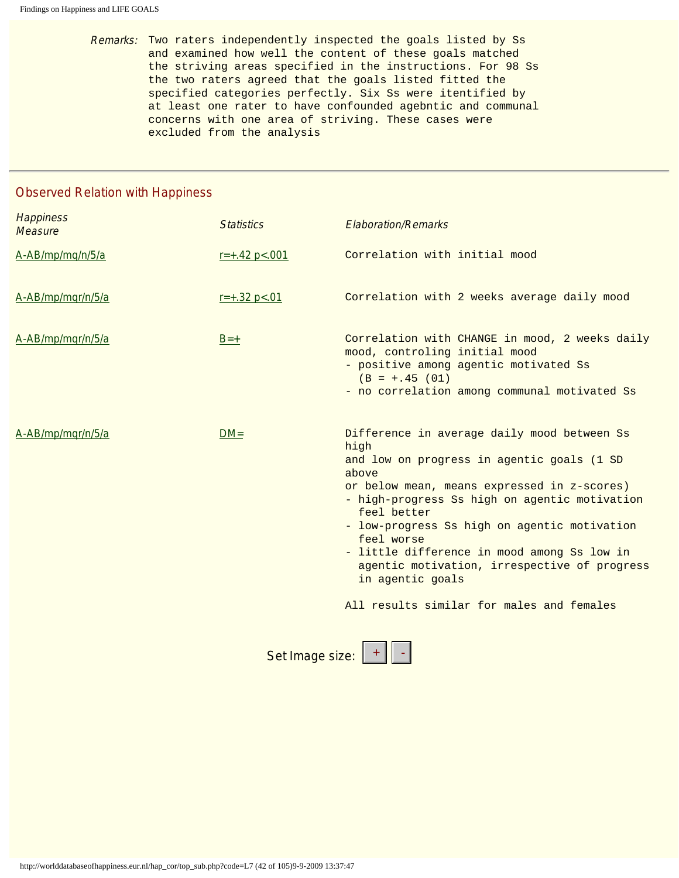Remarks: Two raters independently inspected the goals listed by Ss and examined how well the content of these goals matched the striving areas specified in the instructions. For 98 Ss the two raters agreed that the goals listed fitted the specified categories perfectly. Six Ss were itentified by at least one rater to have confounded agebntic and communal concerns with one area of striving. These cases were excluded from the analysis

#### Observed Relation with Happiness

| <b>Happiness</b><br><b>Measure</b> | <b>Statistics</b>  | <b>Elaboration/Remarks</b>                                                                                                                                                                                                                                                                                                                                                                                                                              |
|------------------------------------|--------------------|---------------------------------------------------------------------------------------------------------------------------------------------------------------------------------------------------------------------------------------------------------------------------------------------------------------------------------------------------------------------------------------------------------------------------------------------------------|
| A-AB/mp/mq/n/5/a                   | $r = +.42$ p <.001 | Correlation with initial mood                                                                                                                                                                                                                                                                                                                                                                                                                           |
| A-AB/mp/mqr/n/5/a                  | $r=+.32 p<.01$     | Correlation with 2 weeks average daily mood                                                                                                                                                                                                                                                                                                                                                                                                             |
| A-AB/mp/mqr/n/5/a                  | $B=+$              | Correlation with CHANGE in mood, 2 weeks daily<br>mood, controling initial mood<br>- positive among agentic motivated Ss<br>$(B = +.45 (01))$<br>- no correlation among communal motivated Ss                                                                                                                                                                                                                                                           |
| A-AB/mp/mqr/n/5/a                  | $DM =$             | Difference in average daily mood between Ss<br>high<br>and low on progress in agentic goals (1 SD<br>above<br>or below mean, means expressed in z-scores)<br>- high-progress Ss high on agentic motivation<br>feel better<br>- low-progress Ss high on agentic motivation<br>feel worse<br>- little difference in mood among Ss low in<br>agentic motivation, irrespective of progress<br>in agentic goals<br>All results similar for males and females |
|                                    |                    |                                                                                                                                                                                                                                                                                                                                                                                                                                                         |

Set Image size: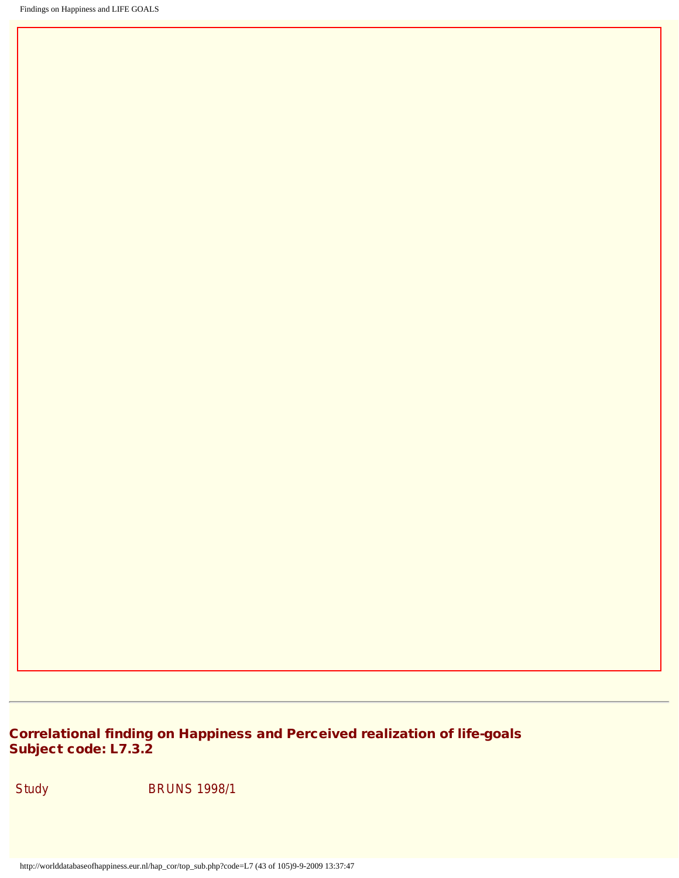# Correlational finding on Happiness and Perceived realization of life-goals Subject code: L7.3.2

Study BRUNS 1998/1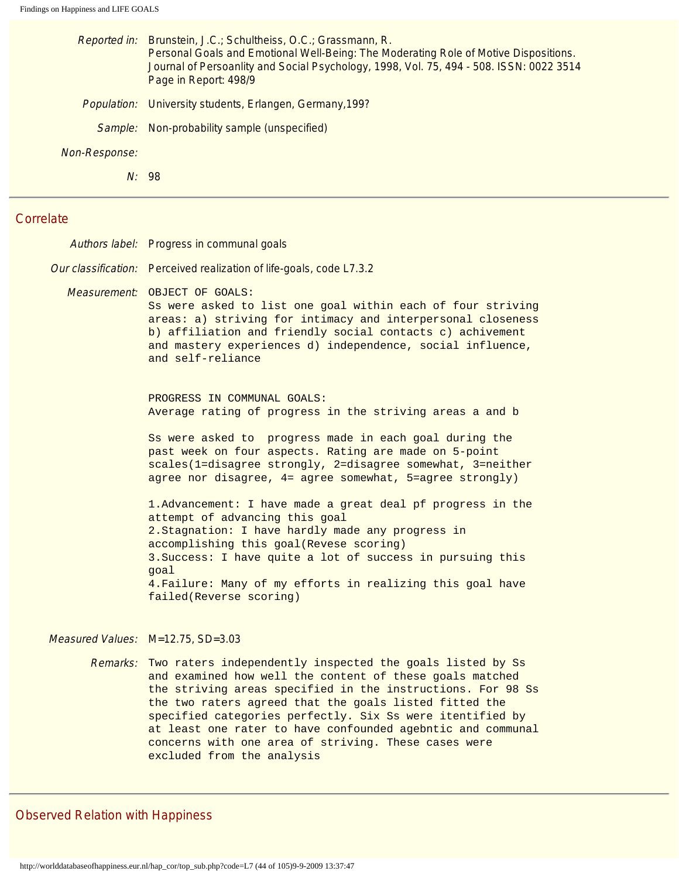| Reported in:         | Brunstein, J.C.; Schultheiss, O.C.; Grassmann, R.<br>Personal Goals and Emotional Well-Being: The Moderating Role of Motive Dispositions.<br>Journal of Persoanlity and Social Psychology, 1998, Vol. 75, 494 - 508. ISSN: 0022 3514<br>Page in Report: 498/9 |
|----------------------|---------------------------------------------------------------------------------------------------------------------------------------------------------------------------------------------------------------------------------------------------------------|
|                      | Population: University students, Erlangen, Germany, 199?                                                                                                                                                                                                      |
| Sample:              | Non-probability sample (unspecified)                                                                                                                                                                                                                          |
| <i>Non-Response:</i> |                                                                                                                                                                                                                                                               |
|                      | N: 98                                                                                                                                                                                                                                                         |
| $\mathbf{a}$         |                                                                                                                                                                                                                                                               |

Authors label: Progress in communal goals

Our classification: Perceived realization of life-goals, code L7.3.2

Measurement: OBJECT OF GOALS:

Ss were asked to list one goal within each of four striving areas: a) striving for intimacy and interpersonal closeness b) affiliation and friendly social contacts c) achivement and mastery experiences d) independence, social influence, and self-reliance

PROGRESS IN COMMUNAL GOALS: Average rating of progress in the striving areas a and b

Ss were asked to progress made in each goal during the past week on four aspects. Rating are made on 5-point scales(1=disagree strongly, 2=disagree somewhat, 3=neither agree nor disagree, 4= agree somewhat, 5=agree strongly)

1.Advancement: I have made a great deal pf progress in the attempt of advancing this goal 2.Stagnation: I have hardly made any progress in accomplishing this goal(Revese scoring) 3.Success: I have quite a lot of success in pursuing this goal 4.Failure: Many of my efforts in realizing this goal have failed(Reverse scoring)

#### Measured Values: M=12.75, SD=3.03

Remarks: Two raters independently inspected the goals listed by Ss and examined how well the content of these goals matched the striving areas specified in the instructions. For 98 Ss the two raters agreed that the goals listed fitted the specified categories perfectly. Six Ss were itentified by at least one rater to have confounded agebntic and communal concerns with one area of striving. These cases were excluded from the analysis

#### Observed Relation with Happiness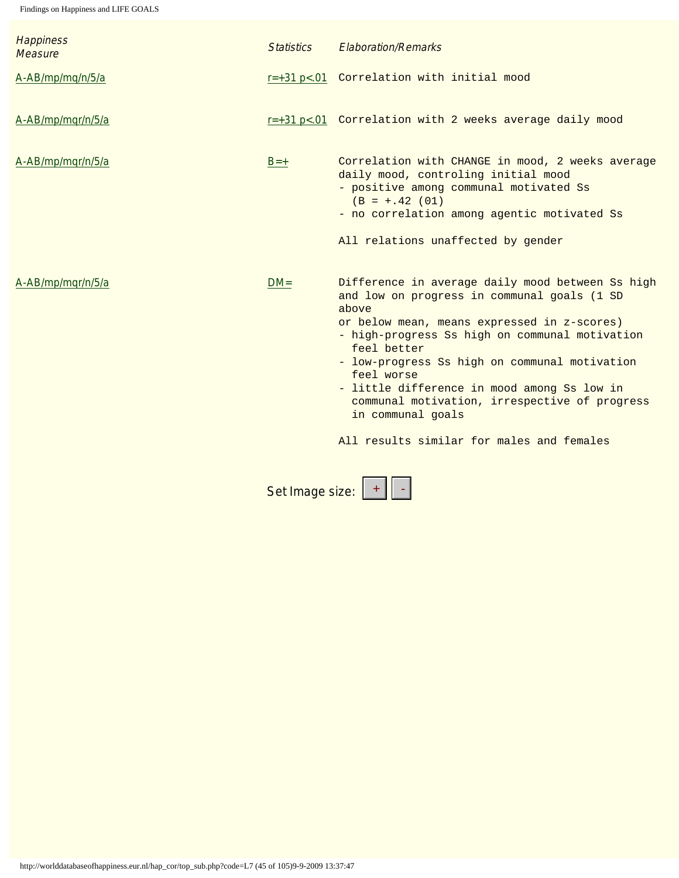| <b>Happiness</b><br><b>Measure</b> | <b>Statistics</b> | <b>Elaboration/Remarks</b>                                                                                                                                                                                                                                                                                                                                                                                                                                |
|------------------------------------|-------------------|-----------------------------------------------------------------------------------------------------------------------------------------------------------------------------------------------------------------------------------------------------------------------------------------------------------------------------------------------------------------------------------------------------------------------------------------------------------|
| A-AB/mp/mq/n/5/a                   |                   | r=+31 p<.01 Correlation with initial mood                                                                                                                                                                                                                                                                                                                                                                                                                 |
| A-AB/mp/mqr/n/5/a                  |                   | r=+31 p<.01 Correlation with 2 weeks average daily mood                                                                                                                                                                                                                                                                                                                                                                                                   |
| A-AB/mp/mqr/n/5/a                  | $B=+$             | Correlation with CHANGE in mood, 2 weeks average<br>daily mood, controling initial mood<br>- positive among communal motivated Ss<br>$(B = +.42 (01)$<br>- no correlation among agentic motivated Ss<br>All relations unaffected by gender                                                                                                                                                                                                                |
| A-AB/mp/mqr/n/5/a                  | $DM =$            | Difference in average daily mood between Ss high<br>and low on progress in communal goals (1 SD<br>above<br>or below mean, means expressed in z-scores)<br>- high-progress Ss high on communal motivation<br>feel better<br>- low-progress Ss high on communal motivation<br>feel worse<br>- little difference in mood among Ss low in<br>communal motivation, irrespective of progress<br>in communal goals<br>All results similar for males and females |

Set Image size: + -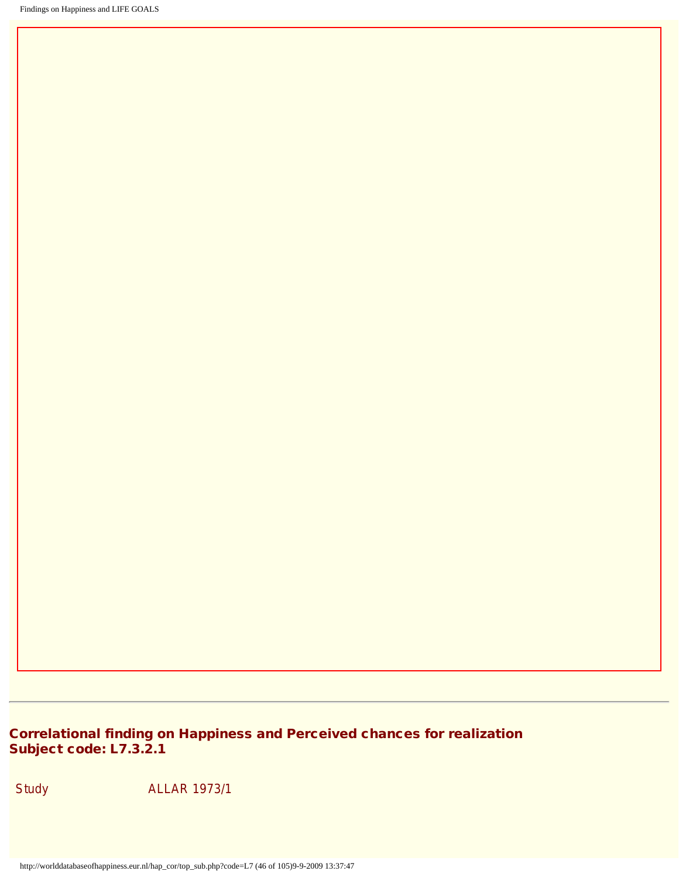# Correlational finding on Happiness and Perceived chances for realization Subject code: L7.3.2.1

Study **ALLAR 1973/1**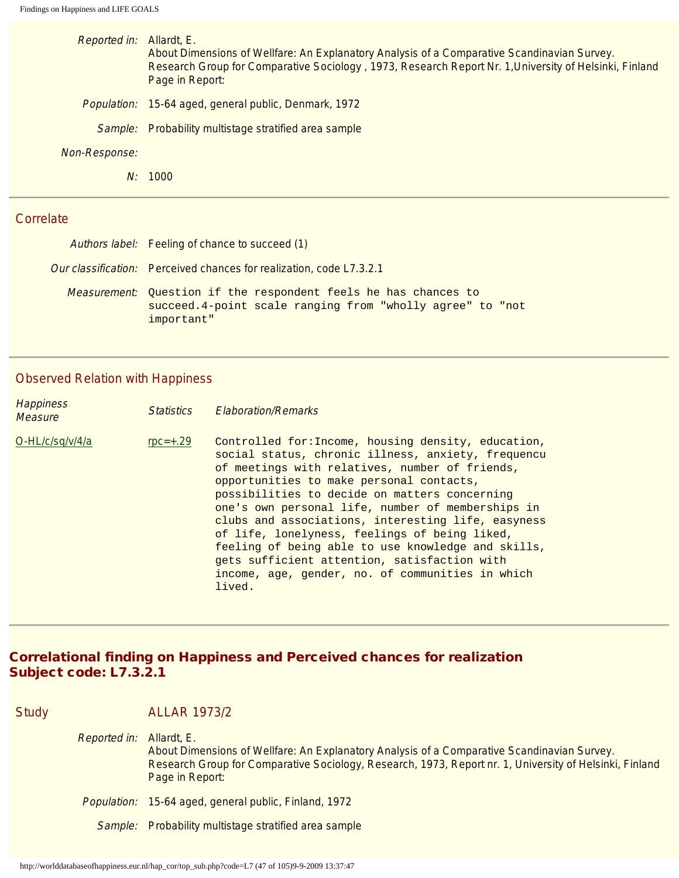| Reported in:         | Allardt, E.<br>About Dimensions of Wellfare: An Explanatory Analysis of a Comparative Scandinavian Survey.<br>Research Group for Comparative Sociology, 1973, Research Report Nr. 1, University of Helsinki, Finland<br>Page in Report: |
|----------------------|-----------------------------------------------------------------------------------------------------------------------------------------------------------------------------------------------------------------------------------------|
|                      | Population: 15-64 aged, general public, Denmark, 1972                                                                                                                                                                                   |
| Sample:              | Probability multistage stratified area sample                                                                                                                                                                                           |
| <i>Non-Response:</i> |                                                                                                                                                                                                                                         |
| N:                   | 1000                                                                                                                                                                                                                                    |
|                      |                                                                                                                                                                                                                                         |

| Authors label: Feeling of chance to succeed (1)                                                                                                   |
|---------------------------------------------------------------------------------------------------------------------------------------------------|
| Our classification: Perceived chances for realization, code L7.3.2.1                                                                              |
| <i>Measurement:</i> Ouestion if the respondent feels he has chances to<br>succeed.4-point scale ranging from "wholly agree" to "not<br>important" |

# Observed Relation with Happiness

| <b>Happiness</b><br><b>Measure</b> | <i><u>Statistics</u></i> | <b>Elaboration/Remarks</b>                                                                                                                                                                                                                                                                                                                                                                                                                                                                                                                                                               |
|------------------------------------|--------------------------|------------------------------------------------------------------------------------------------------------------------------------------------------------------------------------------------------------------------------------------------------------------------------------------------------------------------------------------------------------------------------------------------------------------------------------------------------------------------------------------------------------------------------------------------------------------------------------------|
| O-HL/c/sq/v/4/a                    | $rpc=+.29$               | Controlled for: Income, housing density, education,<br>social status, chronic illness, anxiety, frequencu<br>of meetings with relatives, number of friends,<br>opportunities to make personal contacts,<br>possibilities to decide on matters concerning<br>one's own personal life, number of memberships in<br>clubs and associations, interesting life, easyness<br>of life, lonelyness, feelings of being liked,<br>feeling of being able to use knowledge and skills,<br>gets sufficient attention, satisfaction with<br>income, age, gender, no. of communities in which<br>lived. |

#### Correlational finding on Happiness and Perceived chances for realization Subject code: L7.3.2.1

| <b>Study</b> |              | <b>ALLAR 1973/2</b>                                                                                                                                                                                                                      |
|--------------|--------------|------------------------------------------------------------------------------------------------------------------------------------------------------------------------------------------------------------------------------------------|
|              | Reported in: | Allardt, E.<br>About Dimensions of Wellfare: An Explanatory Analysis of a Comparative Scandinavian Survey.<br>Research Group for Comparative Sociology, Research, 1973, Report nr. 1, University of Helsinki, Finland<br>Page in Report: |
|              | Population:  | 15-64 aged, general public, Finland, 1972                                                                                                                                                                                                |
|              |              | Sample: Probability multistage stratified area sample                                                                                                                                                                                    |
|              |              |                                                                                                                                                                                                                                          |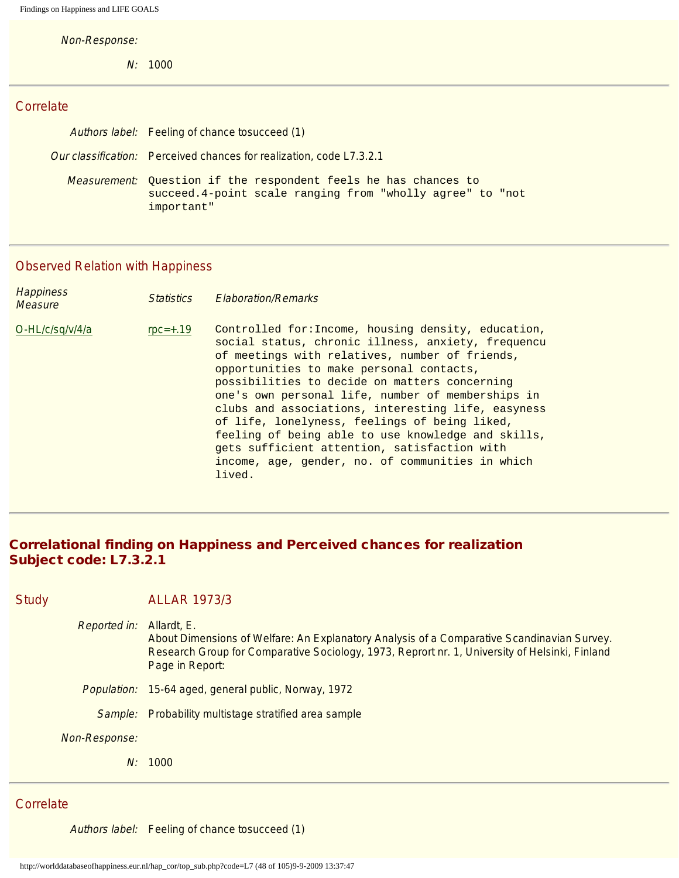Non-Response:

N: 1000

## **Correlate**

| Authors label: Feeling of chance tosucceed (1)                                                                                                    |
|---------------------------------------------------------------------------------------------------------------------------------------------------|
| Our classification: Perceived chances for realization, code L7.3.2.1                                                                              |
| <i>Measurement:</i> Ouestion if the respondent feels he has chances to<br>succeed.4-point scale ranging from "wholly agree" to "not<br>important" |

# Observed Relation with Happiness

| <b>Happiness</b><br><b>Measure</b> | <i><u>Statistics</u></i> | <b>Elaboration/Remarks</b>                                                                                                                                                                                                                                                                                                                                                                                                                                                                                                                                                               |
|------------------------------------|--------------------------|------------------------------------------------------------------------------------------------------------------------------------------------------------------------------------------------------------------------------------------------------------------------------------------------------------------------------------------------------------------------------------------------------------------------------------------------------------------------------------------------------------------------------------------------------------------------------------------|
| O-HL/c/sq/v/4/a                    | $rpc=+.19$               | Controlled for: Income, housing density, education,<br>social status, chronic illness, anxiety, frequencu<br>of meetings with relatives, number of friends,<br>opportunities to make personal contacts,<br>possibilities to decide on matters concerning<br>one's own personal life, number of memberships in<br>clubs and associations, interesting life, easyness<br>of life, lonelyness, feelings of being liked,<br>feeling of being able to use knowledge and skills,<br>gets sufficient attention, satisfaction with<br>income, age, gender, no. of communities in which<br>lived. |

# Correlational finding on Happiness and Perceived chances for realization Subject code: L7.3.2.1

| <b>Study</b>        | <b>ALLAR 1973/3</b>                                                                                                                                                                                                            |
|---------------------|--------------------------------------------------------------------------------------------------------------------------------------------------------------------------------------------------------------------------------|
| <b>Reported in:</b> | Allardt, E.<br>About Dimensions of Welfare: An Explanatory Analysis of a Comparative Scandinavian Survey.<br>Research Group for Comparative Sociology, 1973, Reprort nr. 1, University of Helsinki, Finland<br>Page in Report: |
|                     | Population: 15-64 aged, general public, Norway, 1972                                                                                                                                                                           |
|                     | Sample: Probability multistage stratified area sample                                                                                                                                                                          |
| Non-Response:       |                                                                                                                                                                                                                                |
| N:                  | 1000                                                                                                                                                                                                                           |

#### **Correlate**

Authors label: Feeling of chance tosucceed (1)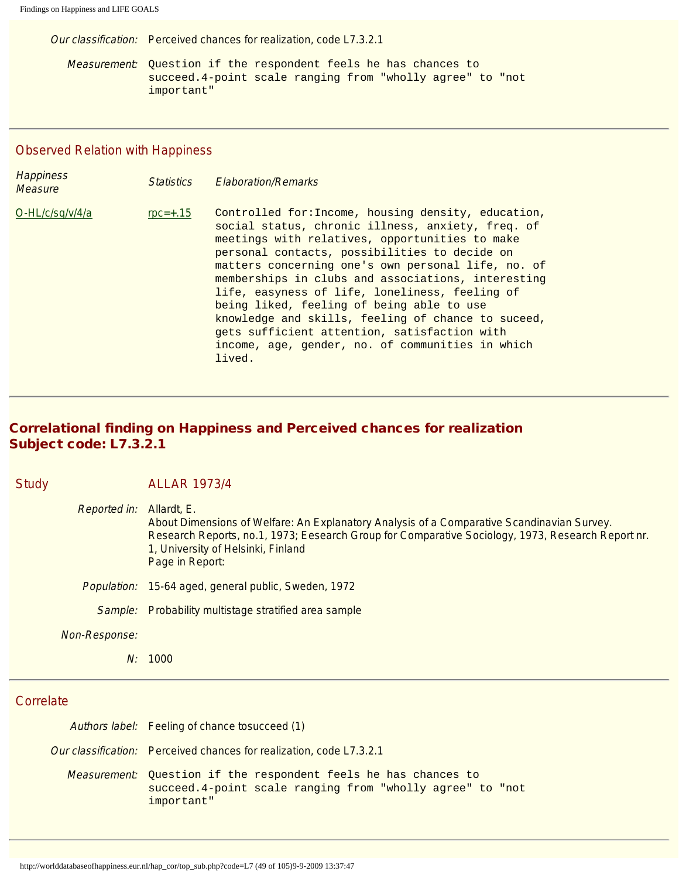Our classification: Perceived chances for realization, code L7.3.2.1

Measurement: Question if the respondent feels he has chances to succeed.4-point scale ranging from "wholly agree" to "not important"

# Observed Relation with Happiness

| <b>Happiness</b><br><b>Measure</b> | <b>Statistics</b> | <b>Elaboration/Remarks</b>                                                                                                                                                                                                                                                                                                                                                                                                                                                                                                                                                                 |
|------------------------------------|-------------------|--------------------------------------------------------------------------------------------------------------------------------------------------------------------------------------------------------------------------------------------------------------------------------------------------------------------------------------------------------------------------------------------------------------------------------------------------------------------------------------------------------------------------------------------------------------------------------------------|
| O-HL/c/sq/v/4/a                    | $rpc=+.15$        | Controlled for: Income, housing density, education,<br>social status, chronic illness, anxiety, freq. of<br>meetings with relatives, opportunities to make<br>personal contacts, possibilities to decide on<br>matters concerning one's own personal life, no. of<br>memberships in clubs and associations, interesting<br>life, easyness of life, loneliness, feeling of<br>being liked, feeling of being able to use<br>knowledge and skills, feeling of chance to suceed,<br>gets sufficient attention, satisfaction with<br>income, age, gender, no. of communities in which<br>lived. |

# Correlational finding on Happiness and Perceived chances for realization Subject code: L7.3.2.1

| <b>Study</b> |                     | <b>ALLAR 1973/4</b>                                                                                                                                                                                                                                                     |
|--------------|---------------------|-------------------------------------------------------------------------------------------------------------------------------------------------------------------------------------------------------------------------------------------------------------------------|
|              | <b>Reported in:</b> | Allardt, E.<br>About Dimensions of Welfare: An Explanatory Analysis of a Comparative Scandinavian Survey.<br>Research Reports, no.1, 1973; Eesearch Group for Comparative Sociology, 1973, Research Report nr.<br>1, University of Helsinki, Finland<br>Page in Report: |
|              | <i>Population:</i>  | 15-64 aged, general public, Sweden, 1972                                                                                                                                                                                                                                |
|              | Sample:             | Probability multistage stratified area sample                                                                                                                                                                                                                           |
|              | Non-Response:       |                                                                                                                                                                                                                                                                         |
|              | N:                  | 1000                                                                                                                                                                                                                                                                    |

### **Correlate**

| Authors label: Feeling of chance tosucceed (1)                                                                                                    |  |  |
|---------------------------------------------------------------------------------------------------------------------------------------------------|--|--|
| Our classification: Perceived chances for realization, code L7.3.2.1                                                                              |  |  |
| <i>Measurement:</i> Ouestion if the respondent feels he has chances to<br>succeed.4-point scale ranging from "wholly agree" to "not<br>important" |  |  |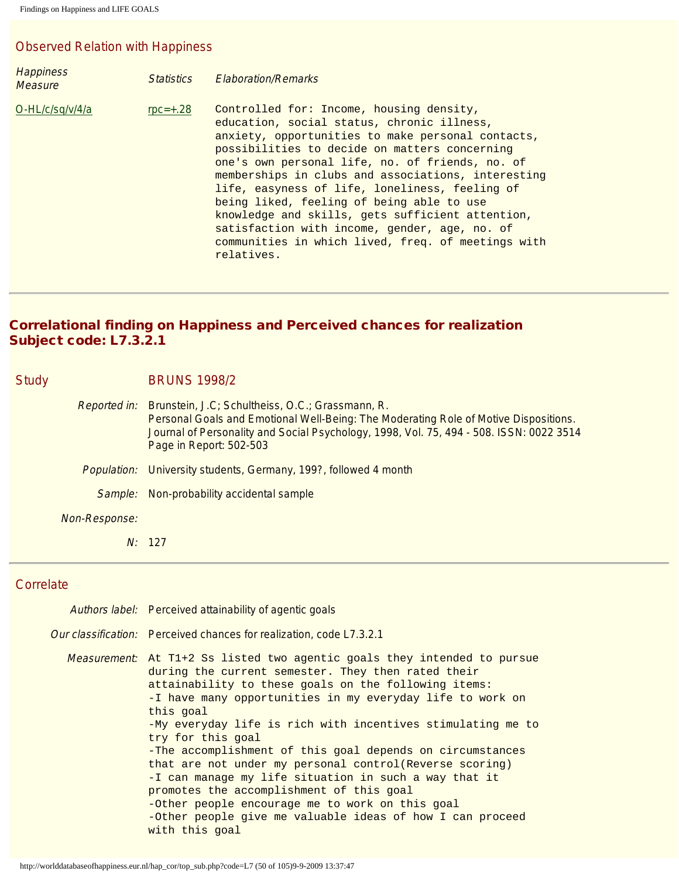# Observed Relation with Happiness

| <b>Happiness</b><br><b>Measure</b> | <i><u>Statistics</u></i> | <b>Elaboration/Remarks</b>                                                                                                                                                                                                                                                                                                                                                                                                                                                                                                                                                    |
|------------------------------------|--------------------------|-------------------------------------------------------------------------------------------------------------------------------------------------------------------------------------------------------------------------------------------------------------------------------------------------------------------------------------------------------------------------------------------------------------------------------------------------------------------------------------------------------------------------------------------------------------------------------|
| O-HL/c/sq/v/4/a                    | $\text{rpc} = +.28$      | Controlled for: Income, housing density,<br>education, social status, chronic illness,<br>anxiety, opportunities to make personal contacts,<br>possibilities to decide on matters concerning<br>one's own personal life, no. of friends, no. of<br>memberships in clubs and associations, interesting<br>life, easyness of life, loneliness, feeling of<br>being liked, feeling of being able to use<br>knowledge and skills, gets sufficient attention,<br>satisfaction with income, gender, age, no. of<br>communities in which lived, freq. of meetings with<br>relatives. |

#### Correlational finding on Happiness and Perceived chances for realization Subject code: L7.3.2.1

| <b>Study</b>        | <b>BRUNS 1998/2</b>                                                                                                                                                                                                                                            |  |  |
|---------------------|----------------------------------------------------------------------------------------------------------------------------------------------------------------------------------------------------------------------------------------------------------------|--|--|
| <b>Reported in:</b> | Brunstein, J.C; Schultheiss, O.C.; Grassmann, R.<br>Personal Goals and Emotional Well-Being: The Moderating Role of Motive Dispositions.<br>Journal of Personality and Social Psychology, 1998, Vol. 75, 494 - 508. ISSN: 0022 3514<br>Page in Report: 502-503 |  |  |
| <i>Population:</i>  | University students, Germany, 199?, followed 4 month                                                                                                                                                                                                           |  |  |
| Sample:             | Non-probability accidental sample                                                                                                                                                                                                                              |  |  |
| Non-Response:       |                                                                                                                                                                                                                                                                |  |  |
|                     | N: 127                                                                                                                                                                                                                                                         |  |  |

## **Correlate**

| Authors label: Perceived attainability of agentic goals                                                                                                                                                                                                                                                                                                                                                                                                                                                                                                                                                                                                                                                                     |
|-----------------------------------------------------------------------------------------------------------------------------------------------------------------------------------------------------------------------------------------------------------------------------------------------------------------------------------------------------------------------------------------------------------------------------------------------------------------------------------------------------------------------------------------------------------------------------------------------------------------------------------------------------------------------------------------------------------------------------|
| Our classification: Perceived chances for realization, code L7.3.2.1                                                                                                                                                                                                                                                                                                                                                                                                                                                                                                                                                                                                                                                        |
| <i>Measurement</i> : At T1+2 Ss listed two agentic goals they intended to pursue<br>during the current semester. They then rated their<br>attainability to these goals on the following items:<br>-I have many opportunities in my everyday life to work on<br>this goal<br>-My everyday life is rich with incentives stimulating me to<br>try for this goal<br>-The accomplishment of this goal depends on circumstances<br>that are not under my personal control(Reverse scoring)<br>-I can manage my life situation in such a way that it<br>promotes the accomplishment of this goal<br>-Other people encourage me to work on this goal<br>-Other people give me valuable ideas of how I can proceed<br>with this goal |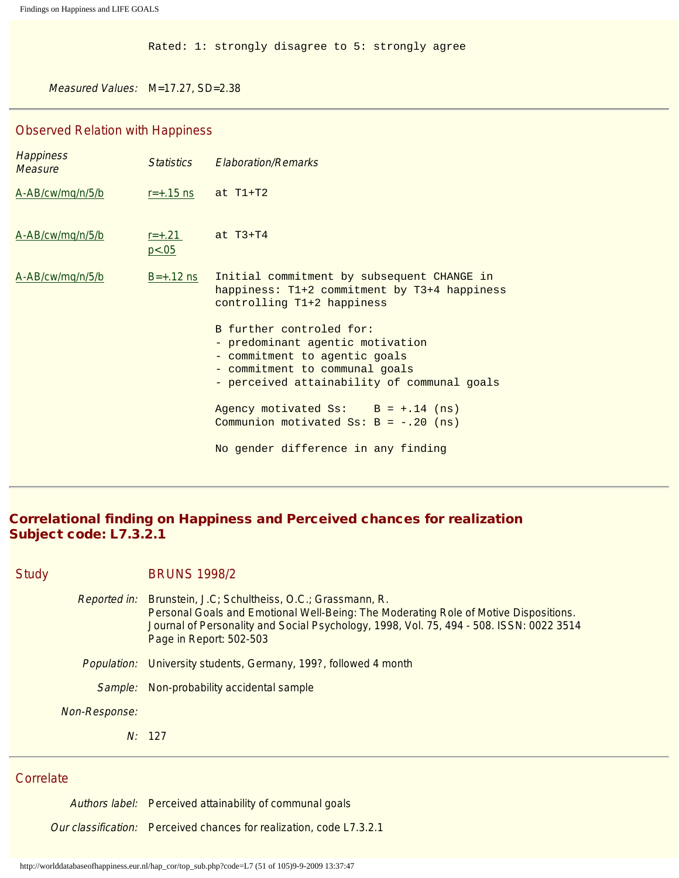Rated: 1: strongly disagree to 5: strongly agree

Measured Values: M=17.27, SD=2.38

#### Observed Relation with Happiness

| <b>Happiness</b><br><b>Measure</b> | <i>Statistics</i>      | <b>Elaboration/Remarks</b>                                                                                                                                                     |
|------------------------------------|------------------------|--------------------------------------------------------------------------------------------------------------------------------------------------------------------------------|
| A-AB/cw/mq/n/5/b                   | $r = +.15$ ns at T1+T2 |                                                                                                                                                                                |
| A-AB/cw/mg/n/5/b                   | $r = +.21$<br>p < .05  | at $T3+T4$                                                                                                                                                                     |
| A-AB/cw/mq/n/5/b                   | $B=+.12$ ns            | Initial commitment by subsequent CHANGE in<br>happiness: T1+2 commitment by T3+4 happiness<br>controlling T1+2 happiness                                                       |
|                                    |                        | B further controled for:<br>- predominant agentic motivation<br>- commitment to agentic goals<br>- commitment to communal goals<br>- perceived attainability of communal goals |
|                                    |                        | Agency motivated $S_s$ : $B = +.14$ (ns)<br>Communion motivated $S_s$ : B = -.20 (ns)                                                                                          |
|                                    |                        | No gender difference in any finding                                                                                                                                            |

## Correlational finding on Happiness and Perceived chances for realization Subject code: L7.3.2.1

Study BRUNS 1998/2

- Reported in: Brunstein, J.C; Schultheiss, O.C.; Grassmann, R. Personal Goals and Emotional Well-Being: The Moderating Role of Motive Dispositions. Journal of Personality and Social Psychology, 1998, Vol. 75, 494 - 508. ISSN: 0022 3514 Page in Report: 502-503
- Population: University students, Germany, 199?, followed 4 month
- Sample: Non-probability accidental sample

Non-Response:

N: 127

#### **Correlate**

Authors label: Perceived attainability of communal goals

Our classification: Perceived chances for realization, code L7.3.2.1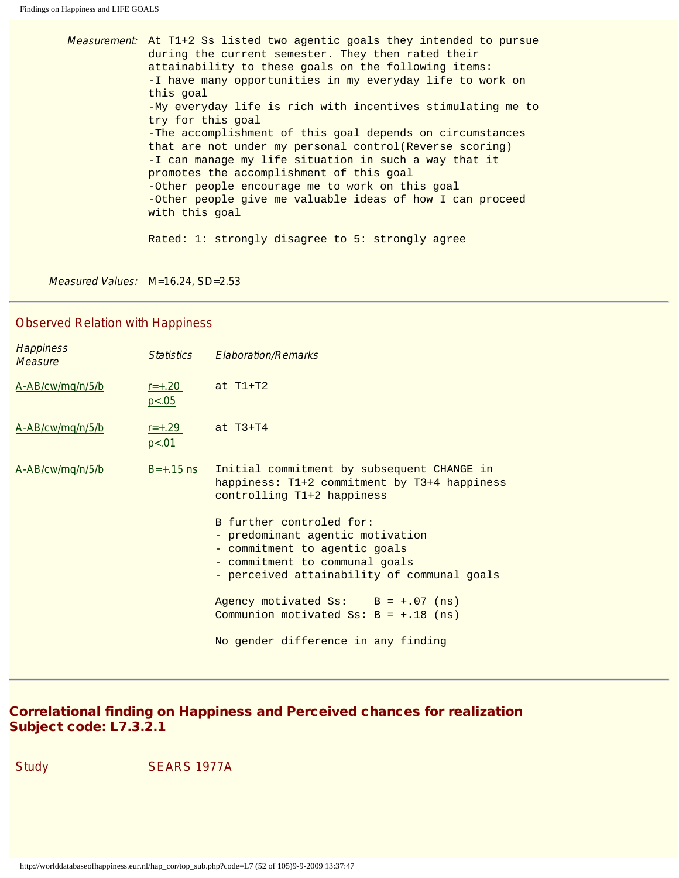Measurement: At T1+2 Ss listed two agentic goals they intended to pursue during the current semester. They then rated their attainability to these goals on the following items: -I have many opportunities in my everyday life to work on this goal -My everyday life is rich with incentives stimulating me to try for this goal -The accomplishment of this goal depends on circumstances that are not under my personal control(Reverse scoring) -I can manage my life situation in such a way that it promotes the accomplishment of this goal -Other people encourage me to work on this goal -Other people give me valuable ideas of how I can proceed with this goal Rated: 1: strongly disagree to 5: strongly agree

Measured Values: M=16.24, SD=2.53

#### Observed Relation with Happiness

| <b>Happiness</b><br>Measure | <i>Statistics</i>      | <b>Elaboration/Remarks</b>                                                                                                                                                     |  |
|-----------------------------|------------------------|--------------------------------------------------------------------------------------------------------------------------------------------------------------------------------|--|
| A-AB/cw/mq/n/5/b            | $r = +.20$<br>p < 0.05 | at $T1+T2$                                                                                                                                                                     |  |
| A-AB/cw/mq/n/5/b            | $r = +.29$<br>p < .01  | at $T3+T4$                                                                                                                                                                     |  |
| A-AB/cw/mg/n/5/b            | $B=+.15$ ns            | Initial commitment by subsequent CHANGE in<br>happiness: T1+2 commitment by T3+4 happiness<br>controlling T1+2 happiness                                                       |  |
|                             |                        | B further controled for:<br>- predominant agentic motivation<br>- commitment to agentic goals<br>- commitment to communal goals<br>- perceived attainability of communal goals |  |
|                             |                        | Agency motivated $S_s$ : $B = +.07$ (ns)<br>Communion motivated Ss: $B = +.18$ (ns)                                                                                            |  |
|                             |                        | No gender difference in any finding                                                                                                                                            |  |

## Correlational finding on Happiness and Perceived chances for realization Subject code: L7.3.2.1

Study SEARS 1977A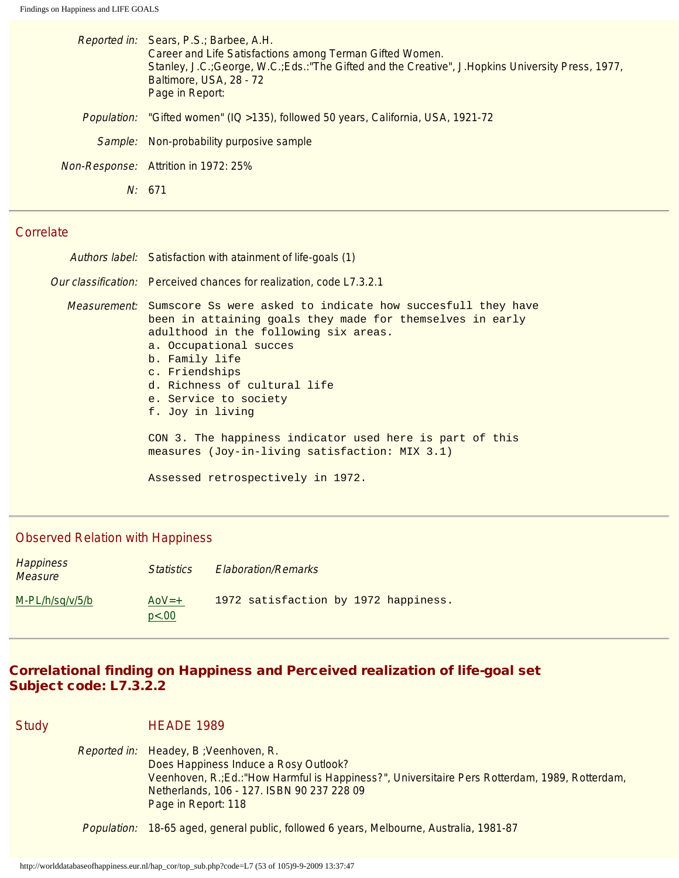|             | Reported in: Sears, P.S.; Barbee, A.H.<br>Career and Life Satisfactions among Terman Gifted Women.<br>Stanley, J.C.; George, W.C.; Eds.: "The Gifted and the Creative", J.Hopkins University Press, 1977,<br>Baltimore, USA, 28 - 72<br>Page in Report: |
|-------------|---------------------------------------------------------------------------------------------------------------------------------------------------------------------------------------------------------------------------------------------------------|
| Population: | "Gifted women" (IQ > 135), followed 50 years, California, USA, 1921-72                                                                                                                                                                                  |
|             | Sample: Non-probability purposive sample                                                                                                                                                                                                                |
|             | Non-Response: Attrition in 1972: 25%                                                                                                                                                                                                                    |
|             | N: 671                                                                                                                                                                                                                                                  |
|             |                                                                                                                                                                                                                                                         |

| Authors label: Satisfaction with atainment of life-goals (1)                                                                                                                                                                                                                                                                      |
|-----------------------------------------------------------------------------------------------------------------------------------------------------------------------------------------------------------------------------------------------------------------------------------------------------------------------------------|
| <i>Our classification:</i> Perceived chances for realization, code L7.3.2.1                                                                                                                                                                                                                                                       |
| <i>Measurement</i> : Sumscore Ss were asked to indicate how succesfull they have<br>been in attaining goals they made for themselves in early<br>adulthood in the following six areas.<br>a. Occupational succes<br>b. Family life<br>c. Friendships<br>d. Richness of cultural life<br>e. Service to society<br>f. Joy in living |
| CON 3. The happiness indicator used here is part of this<br>measures (Joy-in-living satisfaction: MIX 3.1)                                                                                                                                                                                                                        |
| Assessed retrospectively in 1972.                                                                                                                                                                                                                                                                                                 |

#### Observed Relation with Happiness

| <b>Happiness</b><br><b>Measure</b> | <i><u>Statistics</u></i> | Elaboration/Remarks                  |  |
|------------------------------------|--------------------------|--------------------------------------|--|
| $M-PL/h/sq/v/5/b$                  | $A_0V = +$<br>p<.00      | 1972 satisfaction by 1972 happiness. |  |

## Correlational finding on Happiness and Perceived realization of life-goal set Subject code: L7.3.2.2

Study HEADE 1989 Reported in: Headey, B ;Veenhoven, R. Does Happiness Induce a Rosy Outlook? Veenhoven, R.;Ed.:"How Harmful is Happiness?", Universitaire Pers Rotterdam, 1989, Rotterdam, Netherlands, 106 - 127. ISBN 90 237 228 09 Page in Report: 118 Population: 18-65 aged, general public, followed 6 years, Melbourne, Australia, 1981-87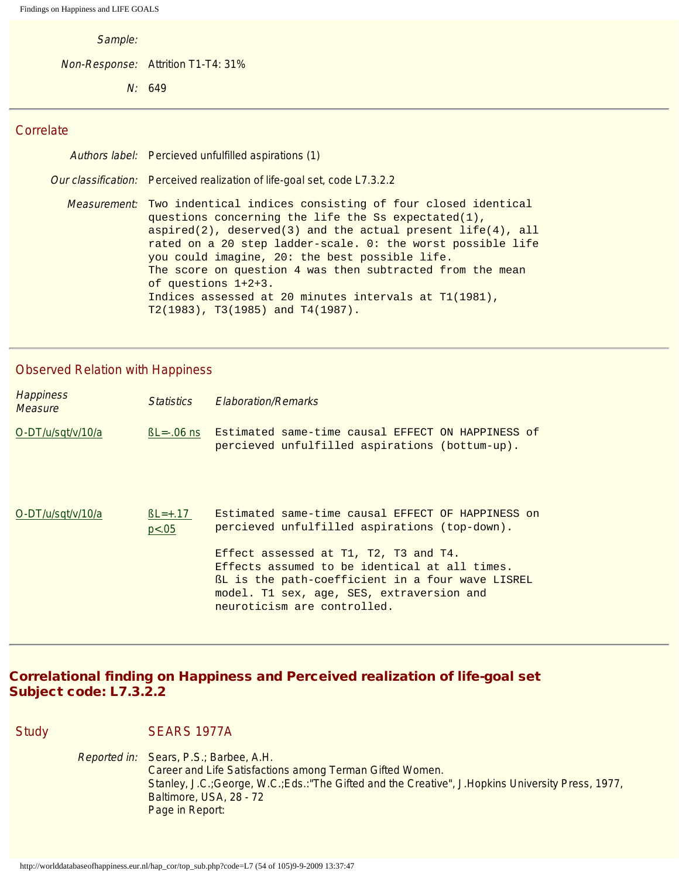Sample:

Non-Response: Attrition T1-T4: 31%

N: 649

#### **Correlate**

| Authors label: Percieved unfulfilled aspirations (1)                                                                                                                                                                                                                                                                                                                                                                                                                                                          |
|---------------------------------------------------------------------------------------------------------------------------------------------------------------------------------------------------------------------------------------------------------------------------------------------------------------------------------------------------------------------------------------------------------------------------------------------------------------------------------------------------------------|
| Our classification: Perceived realization of life-goal set, code L7.3.2.2                                                                                                                                                                                                                                                                                                                                                                                                                                     |
| <i>Measurement</i> : Two indentical indices consisting of four closed identical<br>questions concerning the life the Ss expectated(1),<br>aspired(2), deserved(3) and the actual present life(4), all<br>rated on a 20 step ladder-scale. 0: the worst possible life<br>you could imagine, 20: the best possible life.<br>The score on question 4 was then subtracted from the mean<br>of questions $1+2+3$ .<br>Indices assessed at 20 minutes intervals at T1(1981),<br>$T2(1983)$ , T3(1985) and T4(1987). |

#### Observed Relation with Happiness

| <b>Happiness</b><br>Measure | <i><u>Statistics</u></i> | <b>Flaboration/Remarks</b>                                                                                                                                                                                             |
|-----------------------------|--------------------------|------------------------------------------------------------------------------------------------------------------------------------------------------------------------------------------------------------------------|
| O-DT/u/sqt/v/10/a           | $BL = -06$ ns            | Estimated same-time causal EFFECT ON HAPPINESS of<br>percieved unfulfilled aspirations (bottum-up).                                                                                                                    |
| O-DT/u/sqt/v/10/a           | $BL = +.17$<br>p < .05   | Estimated same-time causal EFFECT OF HAPPINESS on<br>percieved unfulfilled aspirations (top-down).                                                                                                                     |
|                             |                          | Effect assessed at T1, T2, T3 and T4.<br>Effects assumed to be identical at all times.<br>BL is the path-coefficient in a four wave LISREL<br>model. T1 sex, age, SES, extraversion and<br>neuroticism are controlled. |

## Correlational finding on Happiness and Perceived realization of life-goal set Subject code: L7.3.2.2

Study SEARS 1977A

Reported in: Sears, P.S.; Barbee, A.H. Career and Life Satisfactions among Terman Gifted Women. Stanley, J.C.;George, W.C.;Eds.:"The Gifted and the Creative", J.Hopkins University Press, 1977, Baltimore, USA, 28 - 72 Page in Report: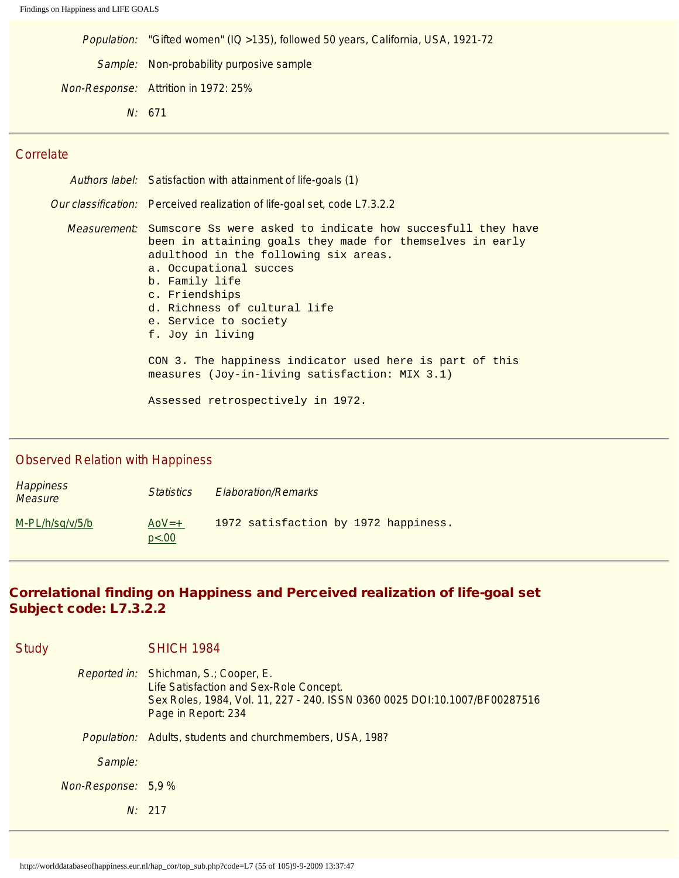Population: "Gifted women" (IQ >135), followed 50 years, California, USA, 1921-72 Sample: Non-probability purposive sample Non-Response: Attrition in 1972: 25% N: 671

#### **Correlate**

Authors label: Satisfaction with attainment of life-goals (1) Our classification: Perceived realization of life-goal set, code L7.3.2.2 Measurement: Sumscore Ss were asked to indicate how succesfull they have been in attaining goals they made for themselves in early adulthood in the following six areas. a. Occupational succes b. Family life c. Friendships d. Richness of cultural life e. Service to society f. Joy in living CON 3. The happiness indicator used here is part of this measures (Joy-in-living satisfaction: MIX 3.1) Assessed retrospectively in 1972.

#### Observed Relation with Happiness

| <b>Happiness</b><br><b>Measure</b> | <b>Statistics</b> | <b>Elaboration/Remarks</b>           |
|------------------------------------|-------------------|--------------------------------------|
| M-PL/h/sq/v/5/b                    | $A_0V=+$<br>p<.00 | 1972 satisfaction by 1972 happiness. |

## Correlational finding on Happiness and Perceived realization of life-goal set Subject code: L7.3.2.2

| <b>Study</b>        | <b>SHICH 1984</b>                                                                                                                                                                     |
|---------------------|---------------------------------------------------------------------------------------------------------------------------------------------------------------------------------------|
|                     | Reported in: Shichman, S.; Cooper, E.<br>Life Satisfaction and Sex-Role Concept.<br>Sex Roles, 1984, Vol. 11, 227 - 240. ISSN 0360 0025 DOI:10.1007/BF00287516<br>Page in Report: 234 |
| <i>Population:</i>  | Adults, students and churchmembers, USA, 198?                                                                                                                                         |
| Sample:             |                                                                                                                                                                                       |
| Non-Response: 5,9 % |                                                                                                                                                                                       |
|                     | N: 217                                                                                                                                                                                |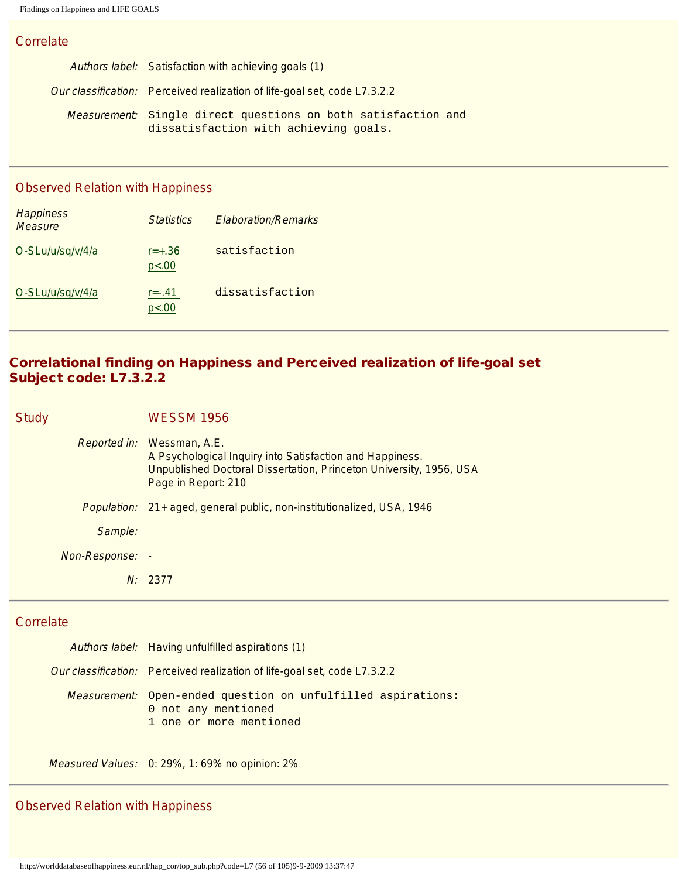| Authors label: Satisfaction with achieving goals (1)                                                   |
|--------------------------------------------------------------------------------------------------------|
| Our classification: Perceived realization of life-goal set, code L7.3.2.2                              |
| Measurement: Single direct questions on both satisfaction and<br>dissatisfaction with achieving goals. |

#### Observed Relation with Happiness

| <b>Happiness</b><br><b>Measure</b> | <i><u><b>Statistics</b></u></i> | <b>Flaboration/Remarks</b> |
|------------------------------------|---------------------------------|----------------------------|
| O-SLu/u/sq/v/4/a                   | $r = +.36$<br>p<.00             | satisfaction               |
| O-SLu/u/sq/v/4/a                   | $r = -0.41$<br>p<.00            | dissatisfaction            |

# Correlational finding on Happiness and Perceived realization of life-goal set Subject code: L7.3.2.2

| <b>Study</b>    | <b>WESSM 1956</b>                                                                                                                                                                   |
|-----------------|-------------------------------------------------------------------------------------------------------------------------------------------------------------------------------------|
|                 | Reported in: Wessman, A.E.<br>A Psychological Inquiry into Satisfaction and Happiness.<br>Unpublished Doctoral Dissertation, Princeton University, 1956, USA<br>Page in Report: 210 |
|                 | <i>Population:</i> 21+ aged, general public, non-institutionalized, USA, 1946                                                                                                       |
| Sample:         |                                                                                                                                                                                     |
| Non-Response: - |                                                                                                                                                                                     |
|                 | N: 2377                                                                                                                                                                             |

## **Correlate**

| Authors label: Having unfulfilled aspirations (1)                                                              |
|----------------------------------------------------------------------------------------------------------------|
| <i>Our classification:</i> Perceived realization of life-goal set, code L7.3.2.2                               |
| Measurement: Open-ended question on unfulfilled aspirations:<br>0 not any mentioned<br>1 one or more mentioned |

Measured Values: 0: 29%, 1: 69% no opinion: 2%

# Observed Relation with Happiness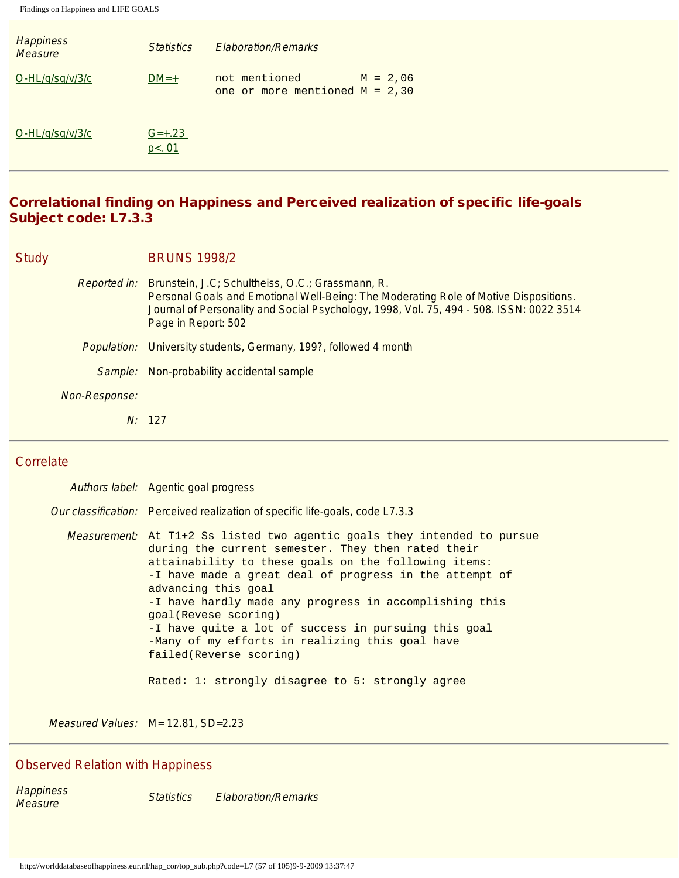| <b>Happiness</b><br><b>Measure</b> | <i><u><b>Statistics</b></u></i> | <b>Flaboration/Remarks</b>                                      |  |
|------------------------------------|---------------------------------|-----------------------------------------------------------------|--|
| $O-HL/q\sqrt{sq/v/3/c}$            | $DM=+$                          | not mentioned<br>$M = 2,06$<br>one or more mentioned $M = 2,30$ |  |
| $O-HL/q\sqrt{sq/v/3/c}$            | $G=+.23$<br>p<.01               |                                                                 |  |

# Correlational finding on Happiness and Perceived realization of specific life-goals Subject code: L7.3.3

## Study BRUNS 1998/2

|                    | <i>Reported in:</i> Brunstein, J.C; Schultheiss, O.C.; Grassmann, R.<br>Personal Goals and Emotional Well-Being: The Moderating Role of Motive Dispositions.<br>Journal of Personality and Social Psychology, 1998, Vol. 75, 494 - 508. ISSN: 0022 3514<br>Page in Report: 502 |
|--------------------|--------------------------------------------------------------------------------------------------------------------------------------------------------------------------------------------------------------------------------------------------------------------------------|
| <i>Population:</i> | University students, Germany, 199?, followed 4 month                                                                                                                                                                                                                           |
|                    | Sample: Non-probability accidental sample                                                                                                                                                                                                                                      |
| Non-Response:      |                                                                                                                                                                                                                                                                                |
|                    |                                                                                                                                                                                                                                                                                |

#### **Correlate**

| Authors label: Agentic goal progress                                                                                                                                                                                                                                                                                                                                                                                                                                                                                                                         |
|--------------------------------------------------------------------------------------------------------------------------------------------------------------------------------------------------------------------------------------------------------------------------------------------------------------------------------------------------------------------------------------------------------------------------------------------------------------------------------------------------------------------------------------------------------------|
| Our classification: Perceived realization of specific life-goals, code L7.3.3                                                                                                                                                                                                                                                                                                                                                                                                                                                                                |
| <i>Measurement</i> : At T1+2 Ss listed two agentic goals they intended to pursue<br>during the current semester. They then rated their<br>attainability to these goals on the following items:<br>-I have made a great deal of progress in the attempt of<br>advancing this goal<br>-I have hardly made any progress in accomplishing this<br>goal(Revese scoring)<br>-I have quite a lot of success in pursuing this goal<br>-Many of my efforts in realizing this goal have<br>failed(Reverse scoring)<br>Rated: 1: strongly disagree to 5: strongly agree |
|                                                                                                                                                                                                                                                                                                                                                                                                                                                                                                                                                              |

Measured Values: M= 12.81, SD=2.23

# Observed Relation with Happiness

Happiness<br>Measure Statistics Elaboration/Remarks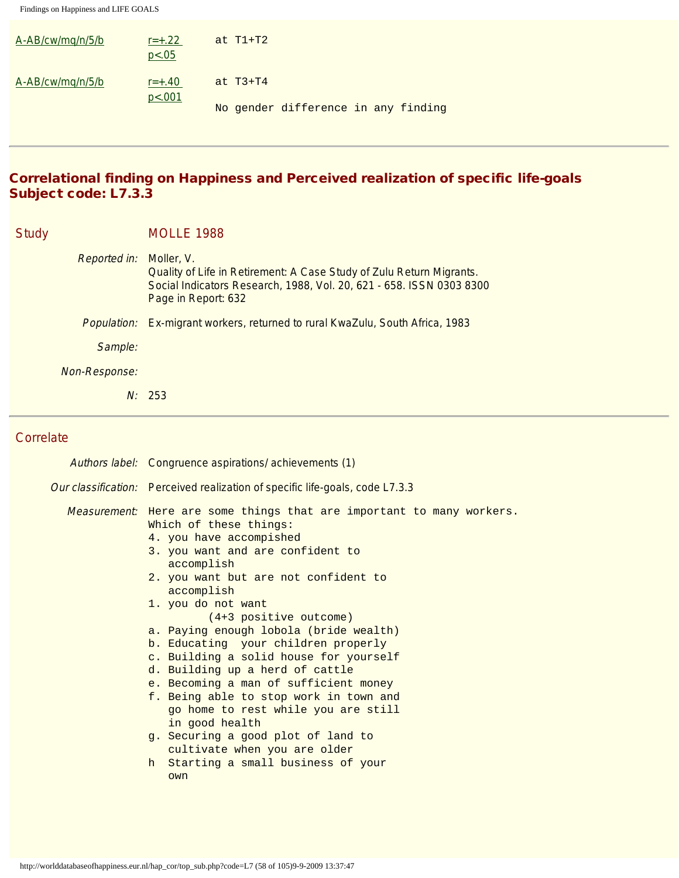| A-AB/cw/mq/n/5/b | $r = +.22$<br>p < .05 | at $T1+T2$ |                                     |  |  |
|------------------|-----------------------|------------|-------------------------------------|--|--|
| A-AB/cw/mq/n/5/b | $r = +.40$<br>p<.001  | at $T3+T4$ |                                     |  |  |
|                  |                       |            | No gender difference in any finding |  |  |

# Correlational finding on Happiness and Perceived realization of specific life-goals Subject code: L7.3.3

| <b>Study</b> |               | <b>MOLLE 1988</b>                                                                                                                                                                 |
|--------------|---------------|-----------------------------------------------------------------------------------------------------------------------------------------------------------------------------------|
|              | Reported in:  | Moller, V.<br>Quality of Life in Retirement: A Case Study of Zulu Return Migrants.<br>Social Indicators Research, 1988, Vol. 20, 621 - 658. ISSN 0303 8300<br>Page in Report: 632 |
|              |               | Population: Ex-migrant workers, returned to rural KwaZulu, South Africa, 1983                                                                                                     |
|              | Sample:       |                                                                                                                                                                                   |
|              | Non-Response: |                                                                                                                                                                                   |
|              |               | N: 253                                                                                                                                                                            |

# **Correlate**

| Authors label: Congruence aspirations/achievements (1)                                                                                                                                                                                                                                                                                                                                                                                                                                                                                                                                                                                                                                                             |
|--------------------------------------------------------------------------------------------------------------------------------------------------------------------------------------------------------------------------------------------------------------------------------------------------------------------------------------------------------------------------------------------------------------------------------------------------------------------------------------------------------------------------------------------------------------------------------------------------------------------------------------------------------------------------------------------------------------------|
| Our classification: Perceived realization of specific life-goals, code L7.3.3                                                                                                                                                                                                                                                                                                                                                                                                                                                                                                                                                                                                                                      |
| Measurement: Here are some things that are important to many workers.<br>Which of these things:<br>4. you have accompished<br>3. you want and are confident to<br>accomplish<br>2. you want but are not confident to<br>accomplish<br>1. you do not want<br>$(4+3$ positive outcome)<br>a. Paying enough lobola (bride wealth)<br>b. Educating your children properly<br>c. Building a solid house for yourself<br>d. Building up a herd of cattle<br>e. Becoming a man of sufficient money<br>f. Being able to stop work in town and<br>go home to rest while you are still<br>in good health<br>q. Securing a good plot of land to<br>cultivate when you are older<br>h Starting a small business of your<br>own |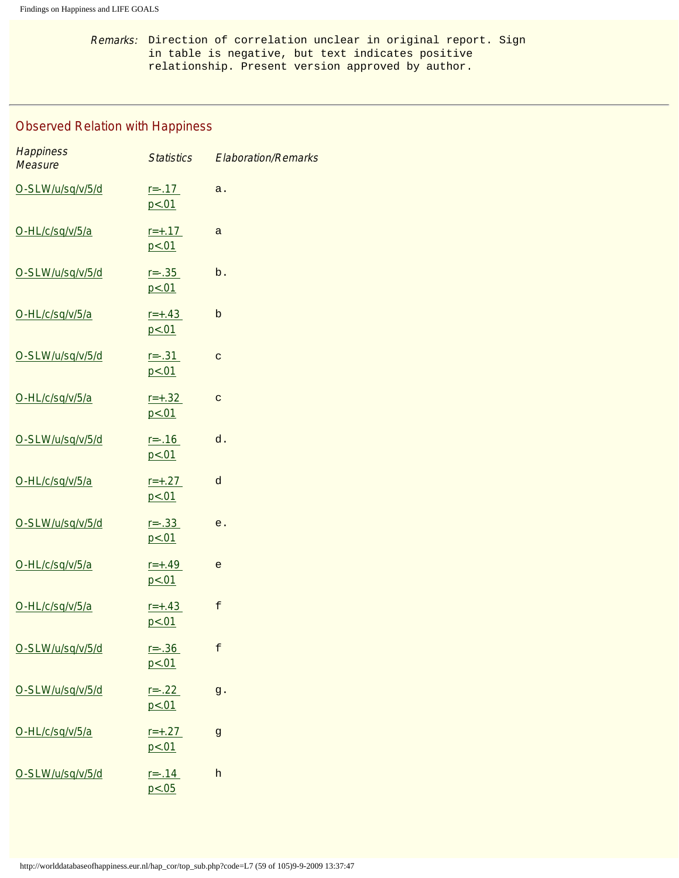Remarks: Direction of correlation unclear in original report. Sign in table is negative, but text indicates positive relationship. Present version approved by author.

# Observed Relation with Happiness

| <b>Happiness</b><br><b>Measure</b> | <b>Statistics</b>      | <b>Elaboration/Remarks</b> |
|------------------------------------|------------------------|----------------------------|
| O-SLW/u/sq/v/5/d                   | $r = -0.17$<br>p < .01 | a.                         |
| O-HL/c/sq/v/5/a                    | $r = +.17$<br>p < .01  | $\mathsf{a}$               |
| O-SLW/u/sq/v/5/d                   | $r = -.35$<br>p < .01  | b.                         |
| O-HL/c/sq/v/5/a                    | $r = +.43$<br>p < .01  | b                          |
| O-SLW/u/sq/v/5/d                   | $r = -.31$<br>p < .01  | $\mathbf C$                |
| O-HL/c/sq/v/5/a                    | $r = +.32$<br>p < .01  | $\mathbf C$                |
| O-SLW/u/sq/v/5/d                   | $r = -0.16$<br>p < .01 | d.                         |
| O-HL/c/sq/v/5/a                    | $r = +.27$<br>p < 01   | d                          |
| O-SLW/u/sq/v/5/d                   | $r = -.33$<br>p < .01  | e.                         |
| O-HL/c/sq/v/5/a                    | $r = +.49$<br>p < .01  | e                          |
| O-HL/c/sq/v/5/a                    | $r = +.43$<br>p < .01  | f                          |
| O-SLW/u/sq/v/5/d                   | $r = -0.36$<br>p < .01 | £                          |
| O-SLW/u/sq/v/5/d                   | $r = -.22$<br>p < .01  | g.                         |
| O-HL/c/sq/v/5/a                    | $r = +.27$<br>p < .01  | $\mathbf{g}$               |
| O-SLW/u/sq/v/5/d                   | $r = -0.14$<br>p < .05 | h                          |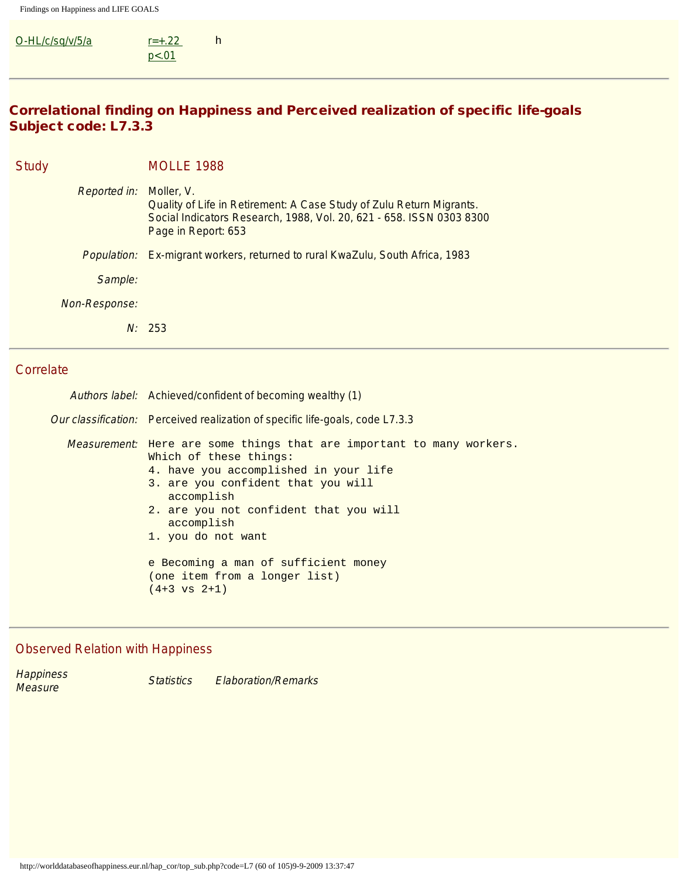| O-HL/c/sq/v/5/a | $r = +0.22$ | h |  |  |  |
|-----------------|-------------|---|--|--|--|
|                 | p < .01     |   |  |  |  |

# Correlational finding on Happiness and Perceived realization of specific life-goals Subject code: L7.3.3

| <b>Study</b>            | <b>MOLLE 1988</b>                                                                                                                                                   |
|-------------------------|---------------------------------------------------------------------------------------------------------------------------------------------------------------------|
| Reported in: Moller, V. | Quality of Life in Retirement: A Case Study of Zulu Return Migrants.<br>Social Indicators Research, 1988, Vol. 20, 621 - 658. ISSN 0303 8300<br>Page in Report: 653 |
|                         | <i>Population:</i> Ex-migrant workers, returned to rural KwaZulu, South Africa, 1983                                                                                |
| Sample:                 |                                                                                                                                                                     |
| Non-Response:           |                                                                                                                                                                     |
|                         | N: 253                                                                                                                                                              |

# **Correlate**

| Authors label: Achieved/confident of becoming wealthy (1)                                                                                                                                                                                                                                                                                                   |
|-------------------------------------------------------------------------------------------------------------------------------------------------------------------------------------------------------------------------------------------------------------------------------------------------------------------------------------------------------------|
| Our classification: Perceived realization of specific life-goals, code L7.3.3                                                                                                                                                                                                                                                                               |
| <i>Measurement</i> : Here are some things that are important to many workers.<br>Which of these things:<br>4. have you accomplished in your life<br>3. are you confident that you will<br>accomplish<br>2. are you not confident that you will<br>accomplish<br>1. you do not want<br>e Becoming a man of sufficient money<br>(one item from a longer list) |
| $(4+3 \text{ vs } 2+1)$                                                                                                                                                                                                                                                                                                                                     |

# Observed Relation with Happiness

| <b>Happiness</b> | <b>Statistics</b> | <b>Elaboration/Remarks</b> |
|------------------|-------------------|----------------------------|
| Measure          |                   |                            |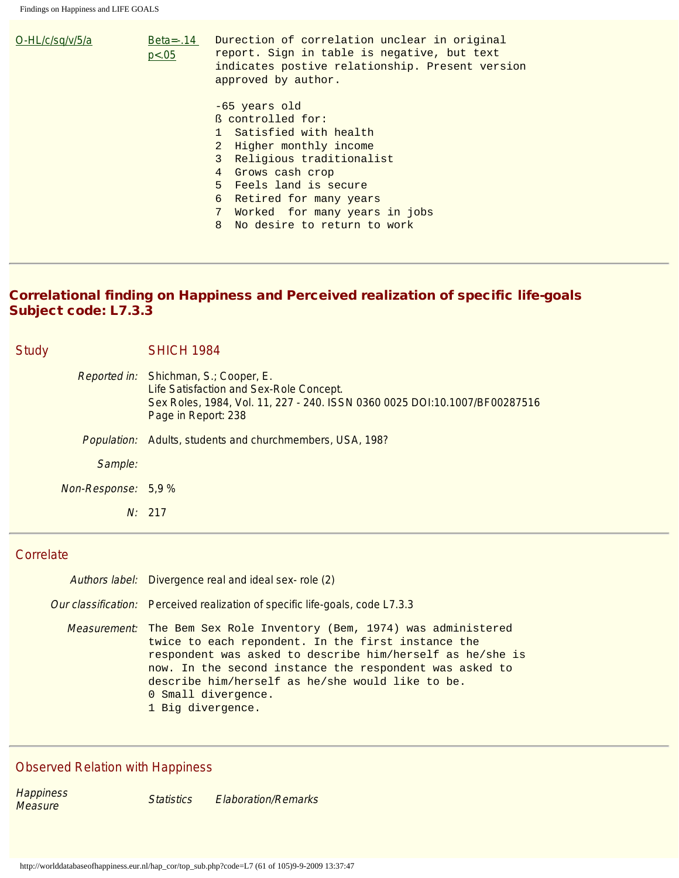| $O-HL/c$ /sa/v/5/a | Beta= $-0.14$<br>p < .05 | Durection of correlation unclear in original<br>report. Sign in table is negative, but text<br>indicates postive relationship. Present version<br>approved by author.                                                                                                 |
|--------------------|--------------------------|-----------------------------------------------------------------------------------------------------------------------------------------------------------------------------------------------------------------------------------------------------------------------|
|                    |                          | -65 years old<br>ß controlled for:<br>1 Satisfied with health<br>2 Higher monthly income<br>3 Religious traditionalist<br>4 Grows cash crop<br>5 Feels land is secure<br>6 Retired for many years<br>7 Worked for many years in jobs<br>8 No desire to return to work |

# Correlational finding on Happiness and Perceived realization of specific life-goals Subject code: L7.3.3

| <b>Study</b> |                     | <b>SHICH 1984</b>                                                                                                                                                                            |
|--------------|---------------------|----------------------------------------------------------------------------------------------------------------------------------------------------------------------------------------------|
|              |                     | <i>Reported in:</i> Shichman, S.; Cooper, E.<br>Life Satisfaction and Sex-Role Concept.<br>Sex Roles, 1984, Vol. 11, 227 - 240. ISSN 0360 0025 DOI:10.1007/BF00287516<br>Page in Report: 238 |
|              | <i>Population:</i>  | Adults, students and churchmembers, USA, 198?                                                                                                                                                |
|              | Sample:             |                                                                                                                                                                                              |
|              | Non-Response: 5,9 % |                                                                                                                                                                                              |
|              |                     | N: 217                                                                                                                                                                                       |

## **Correlate**

| Authors label: Divergence real and ideal sex-role (2)                                                                                                                                                                                                                                                                                              |
|----------------------------------------------------------------------------------------------------------------------------------------------------------------------------------------------------------------------------------------------------------------------------------------------------------------------------------------------------|
| Our classification: Perceived realization of specific life-goals, code L7.3.3                                                                                                                                                                                                                                                                      |
| Measurement: The Bem Sex Role Inventory (Bem, 1974) was administered<br>twice to each repondent. In the first instance the<br>respondent was asked to describe him/herself as he/she is<br>now. In the second instance the respondent was asked to<br>describe him/herself as he/she would like to be.<br>0 Small divergence.<br>1 Big divergence. |

# Observed Relation with Happiness

Happiness<br>Measure Statistics Elaboration/Remarks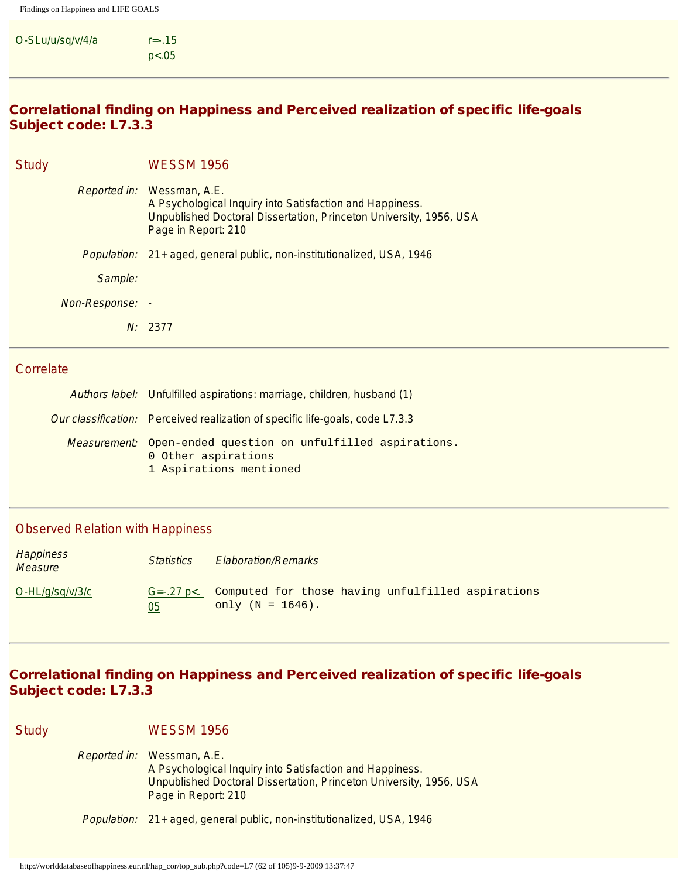| O-SLu/u/sq/v/4/a | $r=-.15$ |  |  |  |
|------------------|----------|--|--|--|
|                  | p < .05  |  |  |  |

## Correlational finding on Happiness and Perceived realization of specific life-goals Subject code: L7.3.3

| Study              | <b>WESSM 1956</b>                                                                                                                                                                   |
|--------------------|-------------------------------------------------------------------------------------------------------------------------------------------------------------------------------------|
|                    | Reported in: Wessman, A.E.<br>A Psychological Inquiry into Satisfaction and Happiness.<br>Unpublished Doctoral Dissertation, Princeton University, 1956, USA<br>Page in Report: 210 |
| <i>Population:</i> | 21+ aged, general public, non-institutionalized, USA, 1946                                                                                                                          |
| Sample:            |                                                                                                                                                                                     |
| Non-Response: -    |                                                                                                                                                                                     |
|                    | N: 2377                                                                                                                                                                             |
|                    |                                                                                                                                                                                     |

#### **Correlate**

| Authors label: Unfulfilled aspirations: marriage, children, husband (1)                                               |
|-----------------------------------------------------------------------------------------------------------------------|
| Our classification: Perceived realization of specific life-goals, code L7.3.3                                         |
| <i>Measurement:</i> Open-ended question on unfulfilled aspirations.<br>0 Other aspirations<br>1 Aspirations mentioned |

#### Observed Relation with Happiness

| Happiness<br><b>Measure</b> | <i>Statistics</i>       | <b>Elaboration/Remarks</b>                                               |
|-----------------------------|-------------------------|--------------------------------------------------------------------------|
| O-HL/g/sg/v/3/c             | $G = -27$ p $<$ .<br>05 | Computed for those having unfulfilled aspirations<br>only $(N = 1646)$ . |

# Correlational finding on Happiness and Perceived realization of specific life-goals Subject code: L7.3.3

Study WESSM 1956 Reported in: Wessman, A.E. A Psychological Inquiry into Satisfaction and Happiness. Unpublished Doctoral Dissertation, Princeton University, 1956, USA Page in Report: 210

Population: 21+ aged, general public, non-institutionalized, USA, 1946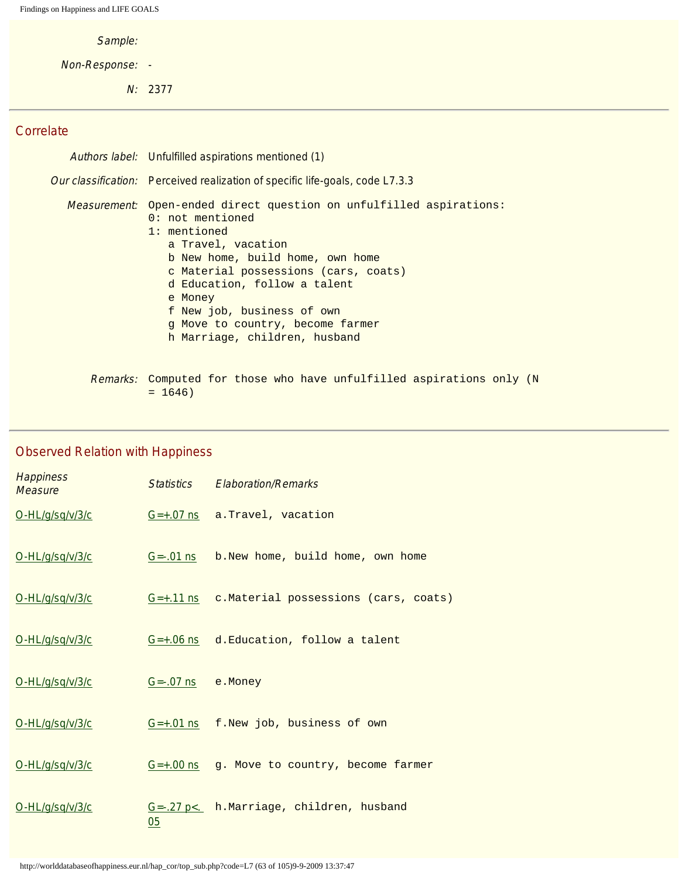Sample:

Non-Response: -

N: 2377

#### **Correlate**

| Authors label: Unfulfilled aspirations mentioned (1)                                                                                                                                                                                                                                                                                                      |
|-----------------------------------------------------------------------------------------------------------------------------------------------------------------------------------------------------------------------------------------------------------------------------------------------------------------------------------------------------------|
| Our classification: Perceived realization of specific life-goals, code L7.3.3                                                                                                                                                                                                                                                                             |
| Measurement: Open-ended direct question on unfulfilled aspirations:<br>$0:$ not mentioned<br>1: mentioned<br>a Travel, vacation<br>b New home, build home, own home<br>c Material possessions (cars, coats)<br>d Education, follow a talent<br>e Money<br>f New job, business of own<br>q Move to country, become farmer<br>h Marriage, children, husband |
| Remarks: Computed for those who have unfulfilled aspirations only                                                                                                                                                                                                                                                                                         |

Remarks: Computed for those who have unfulfilled aspirations only (N  $= 1646$ 

# **Happiness Measure Statistics Elaboration/Remarks**<br>Measure [O-HL/g/sq/v/3/c](#page-95-2) [G=+.07 ns](#page-98-3) a.Travel, vacation [O-HL/g/sq/v/3/c](#page-95-2) [G=-.01 ns](#page-98-3) b.New home, build home, own home [O-HL/g/sq/v/3/c](#page-95-2) [G=+.11 ns](#page-98-3) c.Material possessions (cars, coats) [O-HL/g/sq/v/3/c](#page-95-2) [G=+.06 ns](#page-98-3) d.Education, follow a talent [O-HL/g/sq/v/3/c](#page-95-2) [G=-.07 ns](#page-98-3) e.Money [O-HL/g/sq/v/3/c](#page-95-2) [G=+.01 ns](#page-98-3) f.New job, business of own [O-HL/g/sq/v/3/c](#page-95-2) [G=+.00 ns](#page-98-3) g. Move to country, become farmer [O-HL/g/sq/v/3/c](#page-95-2) [05](#page-98-3) G =-. 27 p <. h.Marriage, children, husband

#### Observed Relation with Happiness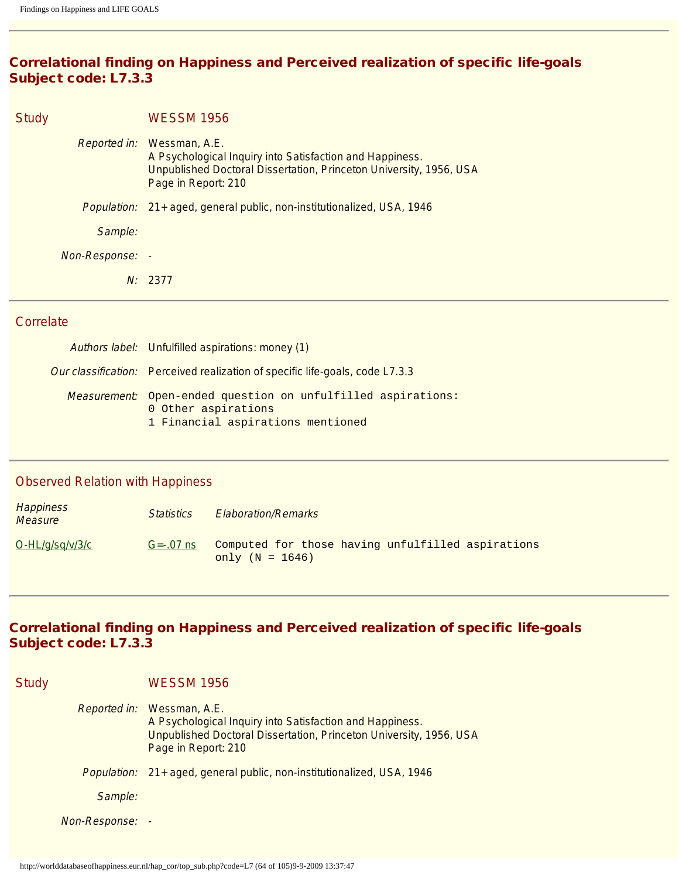# Correlational finding on Happiness and Perceived realization of specific life-goals Subject code: L7.3.3

| Study              | <b>WESSM 1956</b>                                                                                                                                                                          |
|--------------------|--------------------------------------------------------------------------------------------------------------------------------------------------------------------------------------------|
|                    | <i>Reported in:</i> Wessman, A.E.<br>A Psychological Inquiry into Satisfaction and Happiness.<br>Unpublished Doctoral Dissertation, Princeton University, 1956, USA<br>Page in Report: 210 |
| <i>Population:</i> | 21+ aged, general public, non-institutionalized, USA, 1946                                                                                                                                 |
| Sample:            |                                                                                                                                                                                            |
| Non-Response: -    |                                                                                                                                                                                            |
|                    | N: 2377                                                                                                                                                                                    |

## **Correlate**

| Authors label: Unfulfilled aspirations: money (1)                                                                        |
|--------------------------------------------------------------------------------------------------------------------------|
| Our classification: Perceived realization of specific life-goals, code L7.3.3                                            |
| Measurement: Open-ended question on unfulfilled aspirations:<br>0 Other aspirations<br>1 Financial aspirations mentioned |

## Observed Relation with Happiness

| <b>Happiness</b><br><i>Measure</i> | <b>Statistics</b> | <b>Elaboration/Remarks</b>                                             |
|------------------------------------|-------------------|------------------------------------------------------------------------|
| $O-HL/q\sqrt{sq/v/3/c}$            | $G = -07$ ns      | Computed for those having unfulfilled aspirations<br>only $(N = 1646)$ |

# Correlational finding on Happiness and Perceived realization of specific life-goals Subject code: L7.3.3

| <b>Study</b> |                    | WESSM 1956                                                                                                                                                                          |
|--------------|--------------------|-------------------------------------------------------------------------------------------------------------------------------------------------------------------------------------|
|              |                    | Reported in: Wessman, A.E.<br>A Psychological Inquiry into Satisfaction and Happiness.<br>Unpublished Doctoral Dissertation, Princeton University, 1956, USA<br>Page in Report: 210 |
|              | <i>Population:</i> | 21+ aged, general public, non-institutionalized, USA, 1946                                                                                                                          |
|              | Sample:            |                                                                                                                                                                                     |
|              | Non-Response:      |                                                                                                                                                                                     |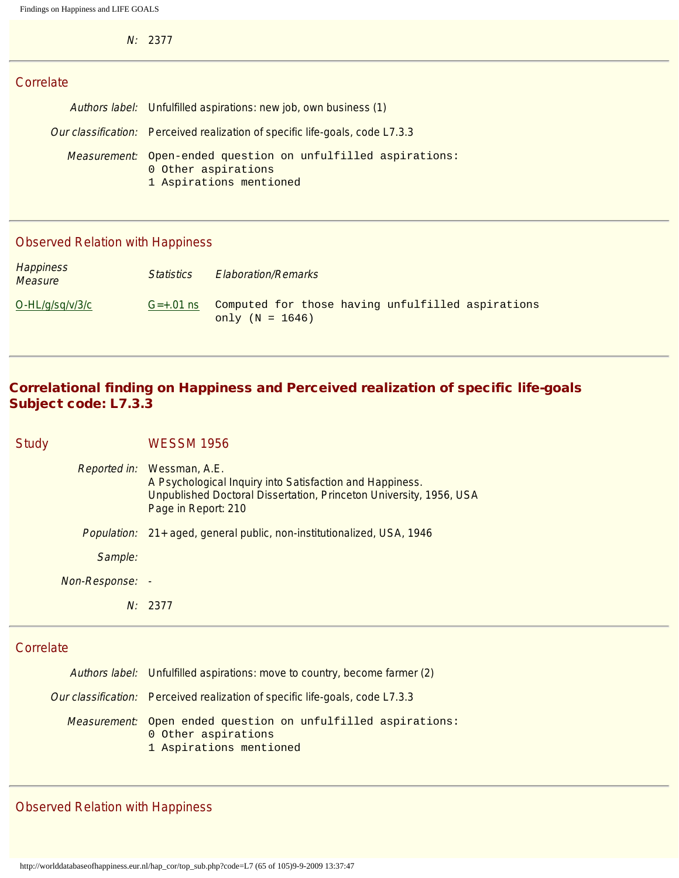N: 2377

## **Correlate**

| Authors label: Unfulfilled aspirations: new job, own business (1)                                                     |
|-----------------------------------------------------------------------------------------------------------------------|
| Our classification: Perceived realization of specific life-goals, code L7.3.3                                         |
| <i>Measurement:</i> Open-ended question on unfulfilled aspirations:<br>0 Other aspirations<br>1 Aspirations mentioned |

## Observed Relation with Happiness

| <b>Happiness</b><br><b>Measure</b> | <i>Statistics</i> | <b>Elaboration/Remarks</b>                                             |
|------------------------------------|-------------------|------------------------------------------------------------------------|
| $O-HL/g/sq/v/3/c$                  | $G=+.01$ ns       | Computed for those having unfulfilled aspirations<br>only $(N = 1646)$ |

# Correlational finding on Happiness and Perceived realization of specific life-goals Subject code: L7.3.3

## Study WESSM 1956

| Reported in:    | Wessman, A.E.<br>A Psychological Inquiry into Satisfaction and Happiness.<br>Unpublished Doctoral Dissertation, Princeton University, 1956, USA<br>Page in Report: 210 |
|-----------------|------------------------------------------------------------------------------------------------------------------------------------------------------------------------|
|                 | <i>Population:</i> 21+ aged, general public, non-institutionalized, USA, 1946                                                                                          |
| Sample:         |                                                                                                                                                                        |
| Non-Response: - |                                                                                                                                                                        |
| N:              | 2377                                                                                                                                                                   |

## **Correlate**

| Authors label: Unfulfilled aspirations: move to country, become farmer (2)                                     |
|----------------------------------------------------------------------------------------------------------------|
| Our classification: Perceived realization of specific life-goals, code L7.3.3                                  |
| Measurement: Open ended question on unfulfilled aspirations:<br>0 Other aspirations<br>1 Aspirations mentioned |

# Observed Relation with Happiness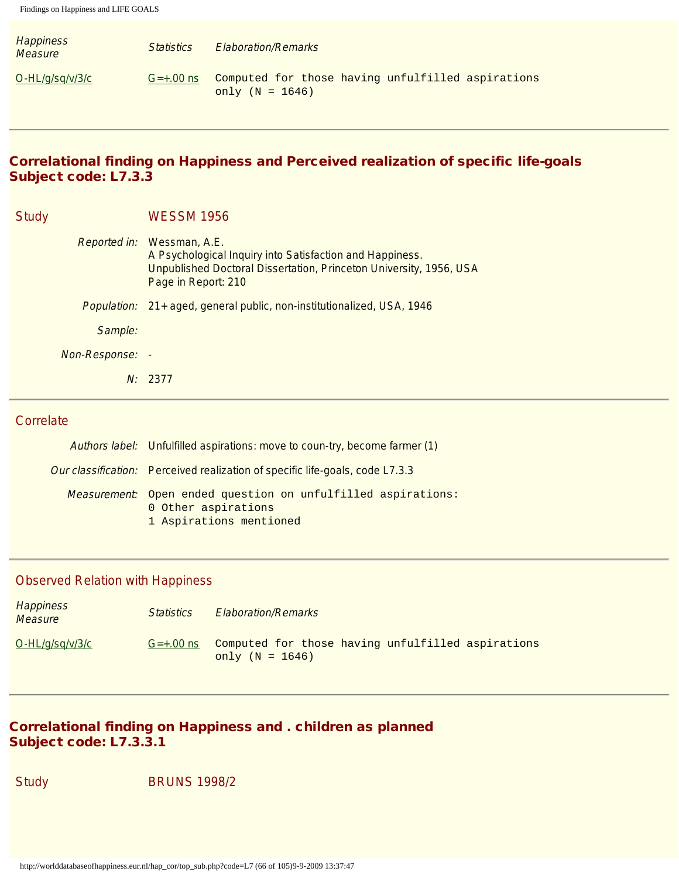| <b>Happiness</b><br>Measure | <i><u>Statistics</u></i> | <b>Elaboration/Remarks</b>                                             |
|-----------------------------|--------------------------|------------------------------------------------------------------------|
| $O-HL/g/sq/v/3/c$           | $G=+.00$ ns              | Computed for those having unfulfilled aspirations<br>only $(N = 1646)$ |

# Correlational finding on Happiness and Perceived realization of specific life-goals Subject code: L7.3.3

| <b>Study</b>    | <b>WESSM 1956</b>                                                                                                                                                                   |
|-----------------|-------------------------------------------------------------------------------------------------------------------------------------------------------------------------------------|
|                 | Reported in: Wessman, A.E.<br>A Psychological Inquiry into Satisfaction and Happiness.<br>Unpublished Doctoral Dissertation, Princeton University, 1956, USA<br>Page in Report: 210 |
|                 | Population: 21+ aged, general public, non-institutionalized, USA, 1946                                                                                                              |
| Sample:         |                                                                                                                                                                                     |
| Non-Response: - |                                                                                                                                                                                     |
|                 | N: 2377                                                                                                                                                                             |

## **Correlate**

| Authors label: Unfulfilled aspirations: move to coun-try, become farmer (1)                                    |  |  |
|----------------------------------------------------------------------------------------------------------------|--|--|
| Our classification: Perceived realization of specific life-goals, code L7.3.3                                  |  |  |
| Measurement: Open ended question on unfulfilled aspirations:<br>0 Other aspirations<br>1 Aspirations mentioned |  |  |

# Observed Relation with Happiness

| Happiness<br><b>Measure</b> | <i>Statistics</i> | <b>Elaboration/Remarks</b>                                             |
|-----------------------------|-------------------|------------------------------------------------------------------------|
| O-HL/g/sg/v/3/c             | $G=+.00$ ns       | Computed for those having unfulfilled aspirations<br>only $(N = 1646)$ |

# Correlational finding on Happiness and . children as planned Subject code: L7.3.3.1

Study BRUNS 1998/2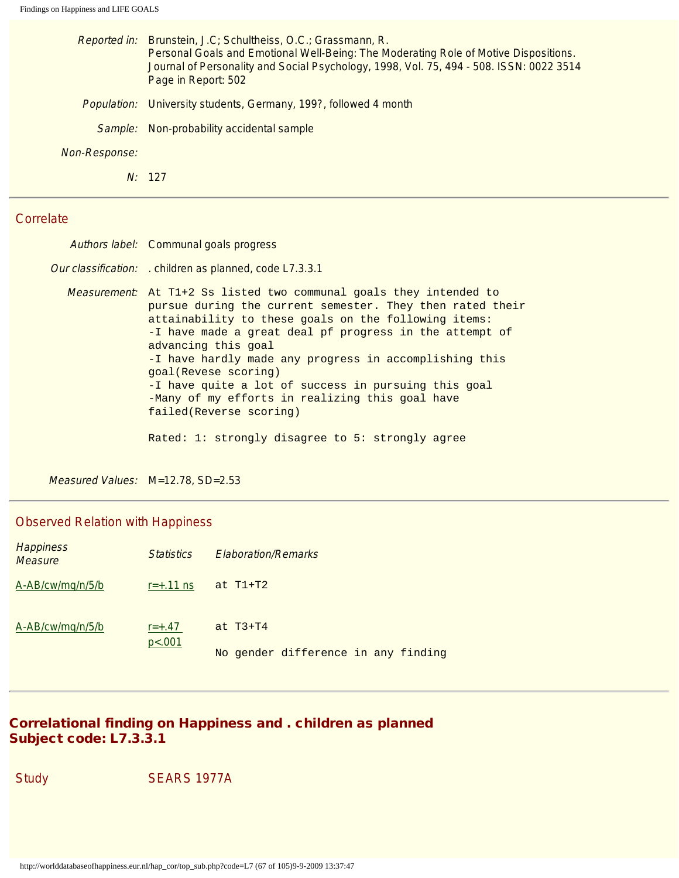|               | Reported in: Brunstein, J.C; Schultheiss, O.C.; Grassmann, R.<br>Personal Goals and Emotional Well-Being: The Moderating Role of Motive Dispositions.<br>Journal of Personality and Social Psychology, 1998, Vol. 75, 494 - 508. ISSN: 0022 3514<br>Page in Report: 502 |
|---------------|-------------------------------------------------------------------------------------------------------------------------------------------------------------------------------------------------------------------------------------------------------------------------|
|               | <i>Population:</i> University students, Germany, 199?, followed 4 month                                                                                                                                                                                                 |
| Sample:       | Non-probability accidental sample                                                                                                                                                                                                                                       |
| Non-Response: |                                                                                                                                                                                                                                                                         |
|               | N: 127                                                                                                                                                                                                                                                                  |
|               |                                                                                                                                                                                                                                                                         |

| Authors label: Communal goals progress                                                                                                                                                                                                                                                                                                                                                                                                                                                                                                                |
|-------------------------------------------------------------------------------------------------------------------------------------------------------------------------------------------------------------------------------------------------------------------------------------------------------------------------------------------------------------------------------------------------------------------------------------------------------------------------------------------------------------------------------------------------------|
| Our classification: . children as planned, code L7.3.3.1                                                                                                                                                                                                                                                                                                                                                                                                                                                                                              |
| Measurement: At T1+2 Ss listed two communal goals they intended to<br>pursue during the current semester. They then rated their<br>attainability to these goals on the following items:<br>-I have made a great deal pf progress in the attempt of<br>advancing this goal<br>-I have hardly made any progress in accomplishing this<br>goal(Revese scoring)<br>-I have quite a lot of success in pursuing this goal<br>-Many of my efforts in realizing this goal have<br>failed(Reverse scoring)<br>Rated: 1: strongly disagree to 5: strongly agree |

Measured Values: M=12.78, SD=2.53

# Observed Relation with Happiness

| <b>Happiness</b><br><b>Measure</b> | <i>Statistics</i>    | <b>Elaboration/Remarks</b>          |
|------------------------------------|----------------------|-------------------------------------|
| A-AB/cw/mg/n/5/b                   | $r = +0.11$ ns       | at $T1+T2$                          |
| A-AB/cw/mq/n/5/b                   | $r = +.47$<br>p<.001 | at $T3+T4$                          |
|                                    |                      | No gender difference in any finding |

# Correlational finding on Happiness and . children as planned Subject code: L7.3.3.1

Study SEARS 1977A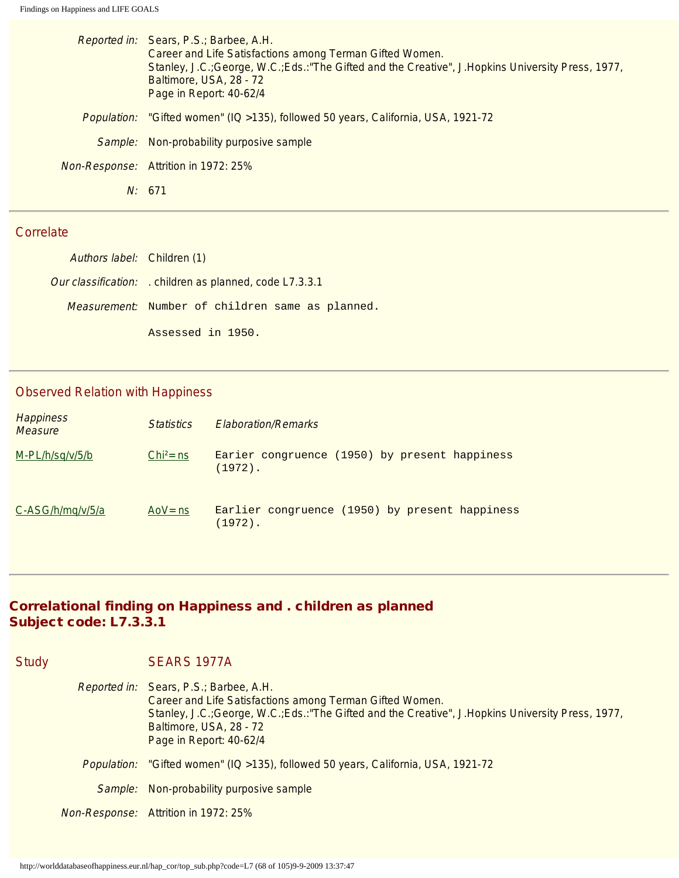| Reported in: Sears, P.S.; Barbee, A.H.<br>Career and Life Satisfactions among Terman Gifted Women.<br>Stanley, J.C.; George, W.C.; Eds.: "The Gifted and the Creative", J.Hopkins University Press, 1977,<br>Baltimore, USA, 28 - 72<br>Page in Report: 40-62/4 |
|-----------------------------------------------------------------------------------------------------------------------------------------------------------------------------------------------------------------------------------------------------------------|
| "Gifted women" (IQ > 135), followed 50 years, California, USA, 1921-72<br><i>Population:</i>                                                                                                                                                                    |
| Sample: Non-probability purposive sample                                                                                                                                                                                                                        |
| Non-Response: Attrition in 1972: 25%                                                                                                                                                                                                                            |
| N: 671                                                                                                                                                                                                                                                          |
|                                                                                                                                                                                                                                                                 |

| Authors label: Children (1) |                                                               |
|-----------------------------|---------------------------------------------------------------|
|                             | <i>Our classification:</i> children as planned, code L7.3.3.1 |
|                             | Measurement: Number of children same as planned.              |
|                             | Assessed in 1950.                                             |

# Observed Relation with Happiness

| <b>Happiness</b><br><b>Measure</b> | <i><u>Statistics</u></i> | <b>Elaboration/Remarks</b>                                   |
|------------------------------------|--------------------------|--------------------------------------------------------------|
| $M-PL/h/sq/v/5/b$                  | $Chi^2 = ns$             | Earier congruence (1950) by present happiness<br>$(1972)$ .  |
| C-ASG/h/mg/v/5/a                   | AoV $=$ ns               | Earlier congruence (1950) by present happiness<br>$(1972)$ . |

#### Correlational finding on Happiness and . children as planned Subject code: L7.3.3.1

| <b>Study</b> | SEARS 1977A                                                                                                                                                                                                                                                     |
|--------------|-----------------------------------------------------------------------------------------------------------------------------------------------------------------------------------------------------------------------------------------------------------------|
|              | Reported in: Sears, P.S.; Barbee, A.H.<br>Career and Life Satisfactions among Terman Gifted Women.<br>Stanley, J.C.; George, W.C.; Eds.: "The Gifted and the Creative", J.Hopkins University Press, 1977,<br>Baltimore, USA, 28 - 72<br>Page in Report: 40-62/4 |
|              | Population: "Gifted women" (IQ >135), followed 50 years, California, USA, 1921-72                                                                                                                                                                               |
|              | Sample: Non-probability purposive sample                                                                                                                                                                                                                        |
|              | <b>Non-Response:</b> Attrition in 1972: 25%                                                                                                                                                                                                                     |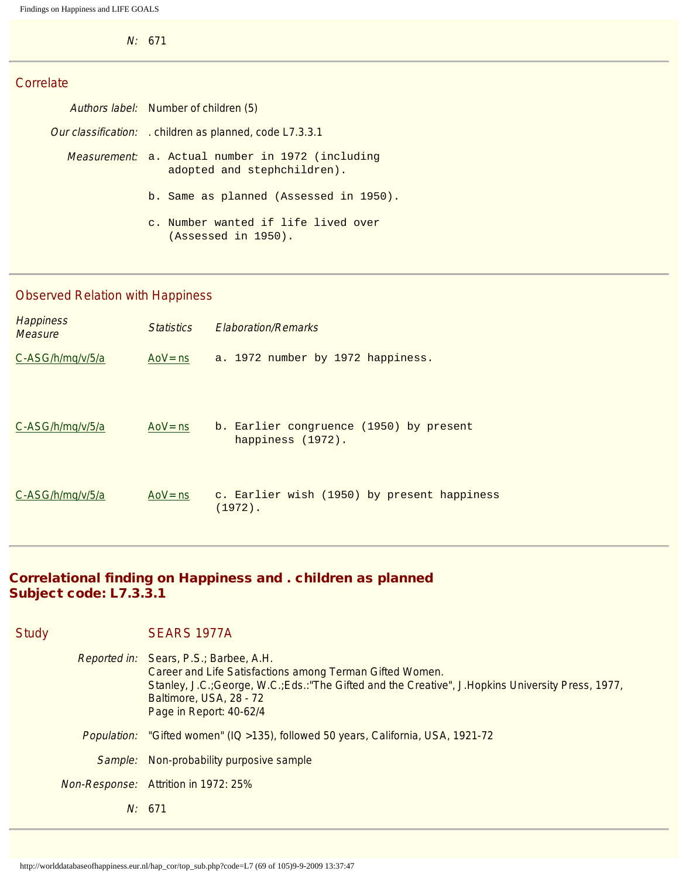N: 671

## **Correlate**

| Authors label: Number of children (5)                                                   |  |  |
|-----------------------------------------------------------------------------------------|--|--|
| <i>Our classification:</i> children as planned, code L7.3.3.1                           |  |  |
| <i>Measurement</i> : a. Actual number in 1972 (including<br>adopted and stephchildren). |  |  |
| b. Same as planned (Assessed in 1950).                                                  |  |  |
| c. Number wanted if life lived over<br>(Assessed in 1950).                              |  |  |

# Observed Relation with Happiness

| <b>Happiness</b><br><b>Measure</b> | <b>Statistics</b> | <b>Flaboration/Remarks</b>                                |
|------------------------------------|-------------------|-----------------------------------------------------------|
| C-ASG/h/mg/v/5/a                   | AoV $=$ ns        | a. 1972 number by 1972 happiness.                         |
|                                    |                   |                                                           |
| C-ASG/h/mg/v/5/a                   | Ao $V =$ ns       | b. Earlier congruence (1950) by present                   |
|                                    |                   | happiness (1972).                                         |
|                                    |                   |                                                           |
| C-ASG/h/mg/v/5/a                   | Ao $V =$ ns       | c. Earlier wish (1950) by present happiness<br>$(1972)$ . |

# Correlational finding on Happiness and . children as planned Subject code: L7.3.3.1

| <b>Study</b>       | SEARS 1977A                                                                                                                                                                                                                                                     |
|--------------------|-----------------------------------------------------------------------------------------------------------------------------------------------------------------------------------------------------------------------------------------------------------------|
|                    | Reported in: Sears, P.S.; Barbee, A.H.<br>Career and Life Satisfactions among Terman Gifted Women.<br>Stanley, J.C.; George, W.C.; Eds.: "The Gifted and the Creative", J.Hopkins University Press, 1977,<br>Baltimore, USA, 28 - 72<br>Page in Report: 40-62/4 |
| <i>Population:</i> | "Gifted women" (IQ > 135), followed 50 years, California, USA, 1921-72                                                                                                                                                                                          |
| Sample:            | Non-probability purposive sample                                                                                                                                                                                                                                |
|                    | <i>Non-Response:</i> Attrition in 1972: 25%                                                                                                                                                                                                                     |
|                    | N: 671                                                                                                                                                                                                                                                          |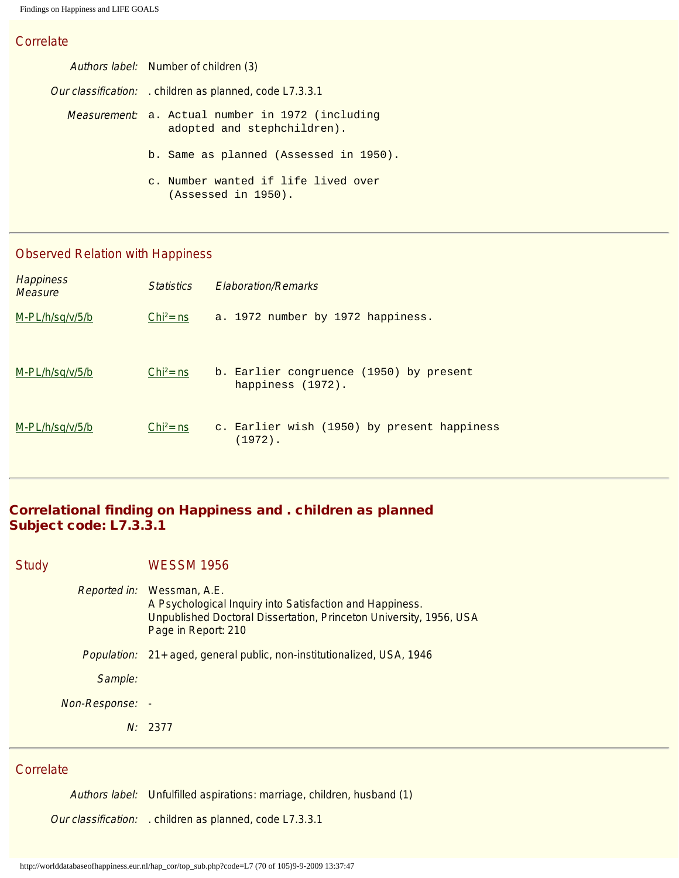| Authors label: Number of children (3)                                                   |  |  |
|-----------------------------------------------------------------------------------------|--|--|
| <i>Our classification:</i> children as planned, code L7.3.3.1                           |  |  |
| <i>Measurement</i> ; a. Actual number in 1972 (including<br>adopted and stephchildren). |  |  |
| b. Same as planned (Assessed in 1950).                                                  |  |  |
| c. Number wanted if life lived over<br>(Assessed in 1950).                              |  |  |

# Observed Relation with Happiness

| <b>Happiness</b><br><b>Measure</b> | <i><u>Statistics</u></i> | <b>Flaboration/Remarks</b>                                   |
|------------------------------------|--------------------------|--------------------------------------------------------------|
| $M-PL/h/sq/v/5/b$                  | $Chi^2 = ns$             | a. 1972 number by 1972 happiness.                            |
| $M-PL/h/sq/v/5/b$                  | $Chi^2$ = ns             | b. Earlier congruence (1950) by present<br>happiness (1972). |
| M-PL/h/sq/v/5/b                    | $Chi^2$ = ns             | c. Earlier wish (1950) by present happiness<br>$(1972)$ .    |

# Correlational finding on Happiness and . children as planned Subject code: L7.3.3.1

| <b>Study</b> |                 | <b>WESSM 1956</b>                                                                                                                                                      |
|--------------|-----------------|------------------------------------------------------------------------------------------------------------------------------------------------------------------------|
|              | Reported in:    | Wessman, A.E.<br>A Psychological Inquiry into Satisfaction and Happiness.<br>Unpublished Doctoral Dissertation, Princeton University, 1956, USA<br>Page in Report: 210 |
|              | Population:     | 21+ aged, general public, non-institutionalized, USA, 1946                                                                                                             |
|              | Sample:         |                                                                                                                                                                        |
|              | Non-Response: - |                                                                                                                                                                        |
|              |                 | N: 2377                                                                                                                                                                |
|              |                 |                                                                                                                                                                        |

#### **Correlate**

Authors label: Unfulfilled aspirations: marriage, children, husband (1)

Our classification: . children as planned, code L7.3.3.1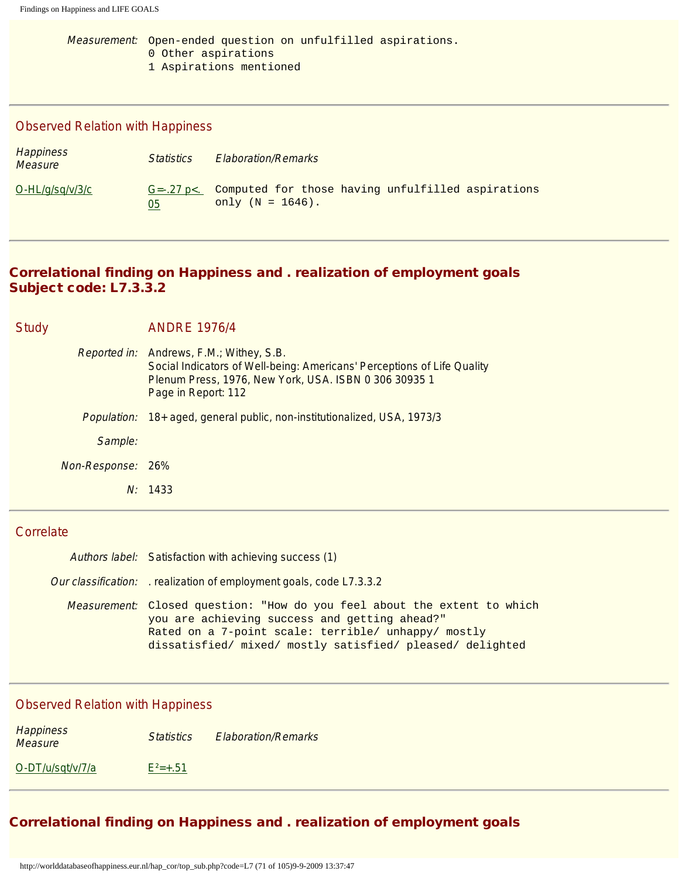Measurement: Open-ended question on unfulfilled aspirations. 0 Other aspirations 1 Aspirations mentioned

## Observed Relation with Happiness

| <b>Happiness</b><br>Measure | <i>Statistics</i>       | <b>Elaboration/Remarks</b>                                               |
|-----------------------------|-------------------------|--------------------------------------------------------------------------|
| $O-HL/q\sqrt{sq/v/3/c}$     | $G = -27$ p $<$ .<br>05 | Computed for those having unfulfilled aspirations<br>only $(N = 1646)$ . |

## Correlational finding on Happiness and . realization of employment goals Subject code: L7.3.3.2

|                   | N: 1433                                                                                                                                                                                                    |
|-------------------|------------------------------------------------------------------------------------------------------------------------------------------------------------------------------------------------------------|
| Non-Response: 26% |                                                                                                                                                                                                            |
| Sample:           |                                                                                                                                                                                                            |
|                   | Population: 18+ aged, general public, non-institutionalized, USA, 1973/3                                                                                                                                   |
|                   | <i>Reported in:</i> Andrews, F.M.; Withey, S.B.<br>Social Indicators of Well-being: Americans' Perceptions of Life Quality<br>Plenum Press, 1976, New York, USA. ISBN 0 306 30935 1<br>Page in Report: 112 |
| <b>Study</b>      | <b>ANDRE 1976/4</b>                                                                                                                                                                                        |

#### **Correlate**

| Authors label: Satisfaction with achieving success (1)                                                                                                                                                                                                |
|-------------------------------------------------------------------------------------------------------------------------------------------------------------------------------------------------------------------------------------------------------|
| <i>Our classification:</i> realization of employment goals, code L7.3.3.2                                                                                                                                                                             |
| <i>Measurement</i> : Closed question: "How do you feel about the extent to which<br>you are achieving success and getting ahead?"<br>Rated on a 7-point scale: terrible/ unhappy/ mostly<br>dissatisfied/ mixed/ mostly satisfied/ pleased/ delighted |

## Observed Relation with Happiness

| <b>Happiness</b><br>Measure | <b>Statistics</b> | <b>Elaboration/Remarks</b> |
|-----------------------------|-------------------|----------------------------|
| O-DT/u/sqt/v/7/a            | $E^2 = +.51$      |                            |

# Correlational finding on Happiness and . realization of employment goals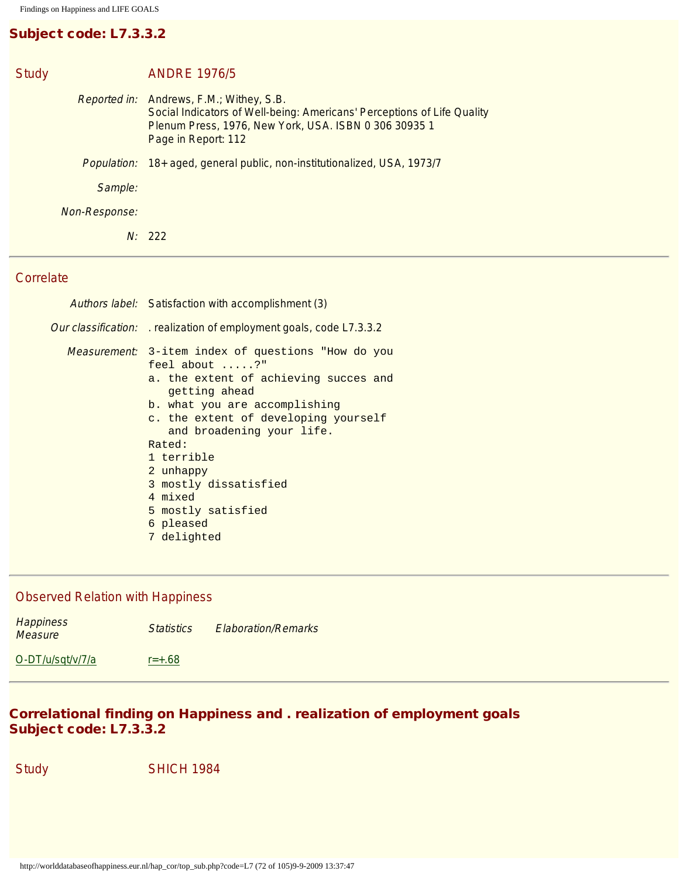# Subject code: L7.3.3.2

| <b>Study</b>  | <b>ANDRE 1976/5</b>                                                                                                                                                                                        |
|---------------|------------------------------------------------------------------------------------------------------------------------------------------------------------------------------------------------------------|
|               | <i>Reported in:</i> Andrews, F.M.; Withey, S.B.<br>Social Indicators of Well-being: Americans' Perceptions of Life Quality<br>Plenum Press, 1976, New York, USA. ISBN 0 306 30935 1<br>Page in Report: 112 |
|               | Population: 18+ aged, general public, non-institutionalized, USA, 1973/7                                                                                                                                   |
| Sample:       |                                                                                                                                                                                                            |
| Non-Response: |                                                                                                                                                                                                            |
|               | N: 222                                                                                                                                                                                                     |

## **Correlate**

| Authors label: Satisfaction with accomplishment (3)                                                                                                                                                                                                                                                                                                            |
|----------------------------------------------------------------------------------------------------------------------------------------------------------------------------------------------------------------------------------------------------------------------------------------------------------------------------------------------------------------|
| <i>Our classification:</i> realization of employment goals, code L7.3.3.2                                                                                                                                                                                                                                                                                      |
| Measurement: 3-item index of questions "How do you<br>feel about ?"<br>a. the extent of achieving succes and<br>getting ahead<br>b. what you are accomplishing<br>c. the extent of developing yourself<br>and broadening your life.<br>Rated:<br>1 terrible<br>2 unhappy<br>3 mostly dissatisfied<br>4 mixed<br>5 mostly satisfied<br>6 pleased<br>7 delighted |

## Observed Relation with Happiness

| <b>Happiness</b><br>Measure | <b>Statistics</b> | <b>Elaboration/Remarks</b> |
|-----------------------------|-------------------|----------------------------|
| O-DT/u/sqt/v/7/a            | $r = +.68$        |                            |

# Correlational finding on Happiness and . realization of employment goals Subject code: L7.3.3.2

Study SHICH 1984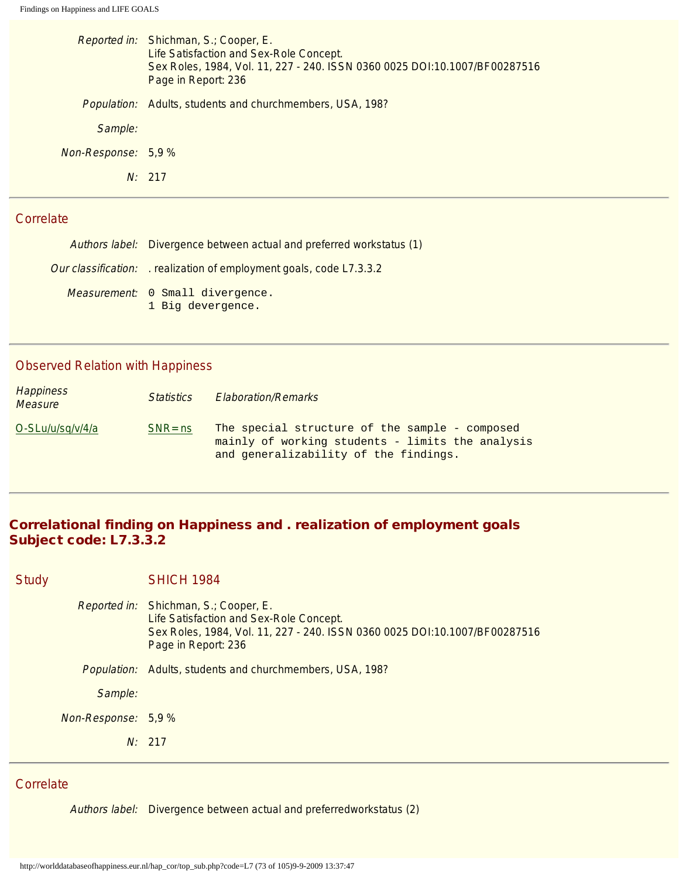|                     | Reported in: Shichman, S.; Cooper, E.<br>Life Satisfaction and Sex-Role Concept.<br>Sex Roles, 1984, Vol. 11, 227 - 240. ISSN 0360 0025 DOI:10.1007/BF00287516<br>Page in Report: 236 |
|---------------------|---------------------------------------------------------------------------------------------------------------------------------------------------------------------------------------|
| Population:         | Adults, students and churchmembers, USA, 198?                                                                                                                                         |
| Sample:             |                                                                                                                                                                                       |
| Non-Response: 5,9 % |                                                                                                                                                                                       |
|                     | N: 217                                                                                                                                                                                |
|                     |                                                                                                                                                                                       |

#### **Correlate**

| Authors label: Divergence between actual and preferred workstatus (1) |
|-----------------------------------------------------------------------|
| Our classification: realization of employment goals, code L7.3.3.2    |
| Measurement: 0 Small divergence.<br>1 Big devergence.                 |

## Observed Relation with Happiness

| Happiness<br><b>Measure</b> | <b>Statistics</b> | <b>Elaboration/Remarks</b>                                                                                                                  |
|-----------------------------|-------------------|---------------------------------------------------------------------------------------------------------------------------------------------|
| O-SLu/u/sq/v/4/a            | $SNR = ns$        | The special structure of the sample - composed<br>mainly of working students - limits the analysis<br>and generalizability of the findings. |

## Correlational finding on Happiness and . realization of employment goals Subject code: L7.3.3.2

Study **SHICH 1984** Reported in: Shichman, S.; Cooper, E. Life Satisfaction and Sex-Role Concept.

N: 217

Sex Roles, 1984, Vol. 11, 227 - 240. ISSN 0360 0025 DOI:10.1007/BF00287516 Page in Report: 236 Population: Adults, students and churchmembers, USA, 198? Sample: Non-Response: 5,9 %

# **Correlate**

Authors label: Divergence between actual and preferredworkstatus (2)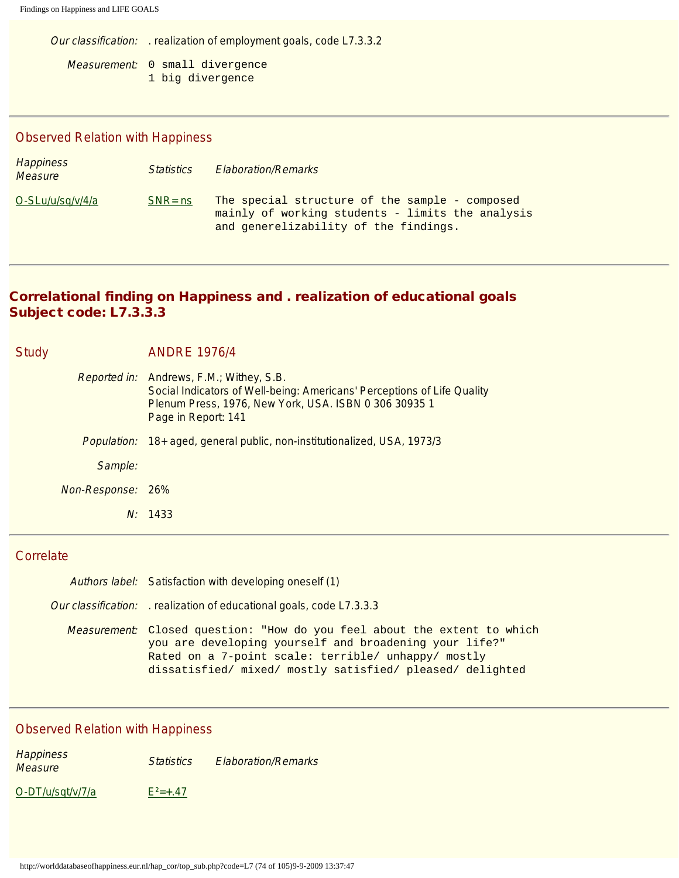Our classification: . realization of employment goals, code L7.3.3.2

Measurement: 0 small divergence 1 big divergence

# Observed Relation with Happiness

| <b>Happiness</b><br><b>Measure</b> | <i>Statistics</i> | <b>Elaboration/Remarks</b>                                                                                                                  |
|------------------------------------|-------------------|---------------------------------------------------------------------------------------------------------------------------------------------|
| O-SLu/u/sq/v/4/a                   | $SNR = ns$        | The special structure of the sample - composed<br>mainly of working students - limits the analysis<br>and generelizability of the findings. |

# Correlational finding on Happiness and . realization of educational goals Subject code: L7.3.3.3

| <b>Study</b> |                   | <b>ANDRE 1976/4</b>                                                                                                                                                                                 |
|--------------|-------------------|-----------------------------------------------------------------------------------------------------------------------------------------------------------------------------------------------------|
|              |                   | Reported in: Andrews, F.M.; Withey, S.B.<br>Social Indicators of Well-being: Americans' Perceptions of Life Quality<br>Plenum Press, 1976, New York, USA. ISBN 0 306 30935 1<br>Page in Report: 141 |
|              |                   | Population: 18+ aged, general public, non-institutionalized, USA, 1973/3                                                                                                                            |
|              | Sample:           |                                                                                                                                                                                                     |
|              | Non-Response: 26% |                                                                                                                                                                                                     |
|              |                   | N: 1433                                                                                                                                                                                             |

## **Correlate**

| Authors label: Satisfaction with developing oneself (1)                                                                                                                                                                                                |
|--------------------------------------------------------------------------------------------------------------------------------------------------------------------------------------------------------------------------------------------------------|
| Our classification: realization of educational goals, code L7.3.3.3                                                                                                                                                                                    |
| Measurement: Closed question: "How do you feel about the extent to which<br>you are developing yourself and broadening your life?"<br>Rated on a 7-point scale: terrible/ unhappy/ mostly<br>dissatisfied/ mixed/ mostly satisfied/ pleased/ delighted |

| <b>Happiness</b><br><i>Measure</i> | <b>Statistics</b> | <b>Elaboration/Remarks</b> |
|------------------------------------|-------------------|----------------------------|
| O-DT/u/sqt/v/7/a                   | $F^2 = +.47$      |                            |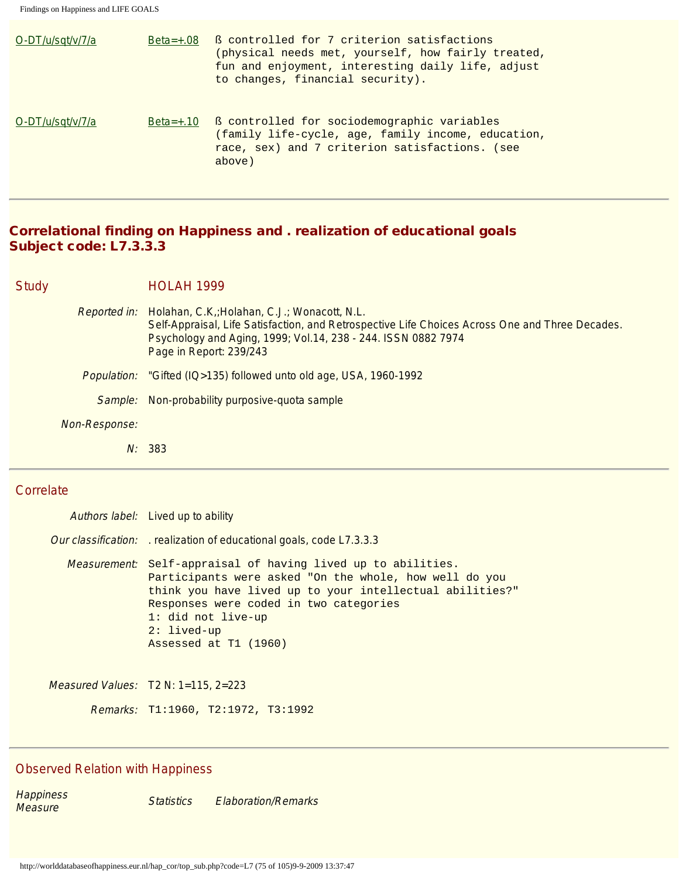| O-DT/u/sqt/v/7/a | $Beta=+.08$ | B controlled for 7 criterion satisfactions<br>(physical needs met, yourself, how fairly treated,<br>fun and enjoyment, interesting daily life, adjust<br>to changes, financial security). |
|------------------|-------------|-------------------------------------------------------------------------------------------------------------------------------------------------------------------------------------------|
| O-DT/u/sqt/v/7/a | $Beta=+.10$ | ß controlled for sociodemographic variables<br>(family life-cycle, age, family income, education,<br>race, sex) and 7 criterion satisfactions. (see<br>above)                             |

### Correlational finding on Happiness and . realization of educational goals Subject code: L7.3.3.3

Study **HOLAH 1999** 

- Reported in: Holahan, C.K,;Holahan, C.J.; Wonacott, N.L. Self-Appraisal, Life Satisfaction, and Retrospective Life Choices Across One and Three Decades. Psychology and Aging, 1999; Vol.14, 238 - 244. ISSN 0882 7974 Page in Report: 239/243
- Population: "Gifted (IQ>135) followed unto old age, USA, 1960-1992
	- Sample: Non-probability purposive-quota sample
- Non-Response:
	- N: 383

#### Correlate

Authors label: Lived up to ability Our classification: . realization of educational goals, code L7.3.3.3 Measurement: Self-appraisal of having lived up to abilities. Participants were asked "On the whole, how well do you think you have lived up to your intellectual abilities?" Responses were coded in two categories 1: did not live-up 2: lived-up Assessed at T1 (1960)

Measured Values: T2 N: 1=115, 2=223

Remarks: T1:1960, T2:1972, T3:1992

#### Observed Relation with Happiness

**Happiness** nappiriess<br>Measure Statistics Elaboration/Remarks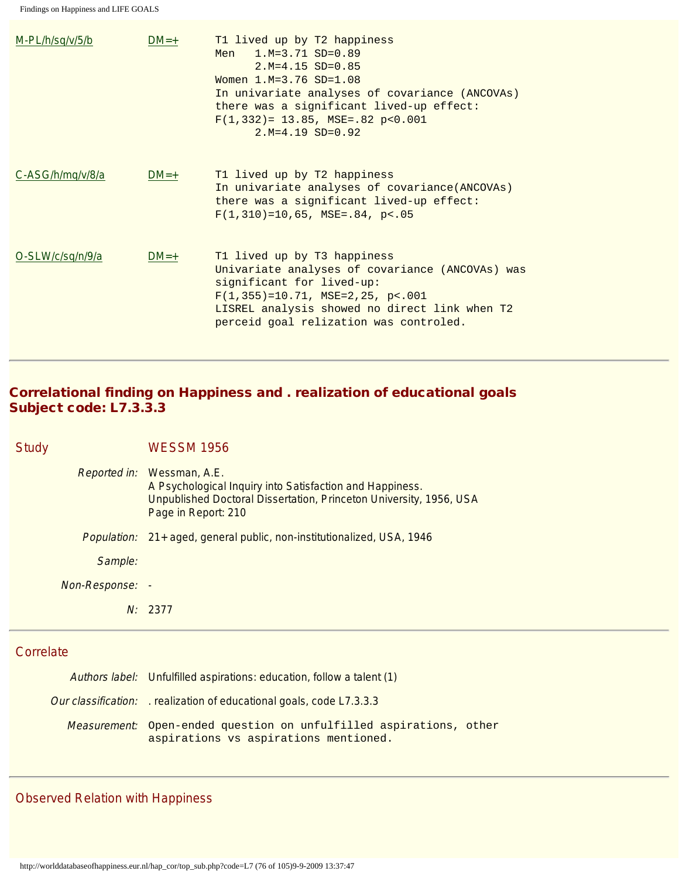| $M-PL/h/sq/v/5/b$ | $DM=+$ | T1 lived up by T2 happiness<br>$1.M=3.71$ SD=0.89<br>Men<br>$2.M=4.15 SD=0.85$<br>Women $1.M=3.76 SD=1.08$<br>In univariate analyses of covariance (ANCOVAs)<br>there was a significant lived-up effect:<br>$F(1, 332) = 13.85$ , MSE=.82 p<0.001<br>$2.M=4.19 SD=0.92$ |
|-------------------|--------|-------------------------------------------------------------------------------------------------------------------------------------------------------------------------------------------------------------------------------------------------------------------------|
| C-ASG/h/mq/v/8/a  | $DM=+$ | T1 lived up by T2 happiness<br>In univariate analyses of covariance (ANCOVAs)<br>there was a significant lived-up effect:<br>$F(1,310) = 10,65$ , MSE=.84, p<.05                                                                                                        |
| O-SLW/c/sq/n/9/a  | $DM=+$ | T1 lived up by T3 happiness<br>Univariate analyses of covariance (ANCOVAs) was<br>significant for lived-up:<br>$F(1, 355) = 10.71$ , MSE=2,25, p<.001<br>LISREL analysis showed no direct link when T2<br>perceid goal relization was controled.                        |

# Correlational finding on Happiness and . realization of educational goals Subject code: L7.3.3.3

Study WESSM 1956

|                 | <i>Reported in:</i> Wessman, A.E.<br>A Psychological Inquiry into Satisfaction and Happiness.<br>Unpublished Doctoral Dissertation, Princeton University, 1956, USA<br>Page in Report: 210 |
|-----------------|--------------------------------------------------------------------------------------------------------------------------------------------------------------------------------------------|
|                 | <i>Population:</i> 21+ aged, general public, non-institutionalized, USA, 1946                                                                                                              |
| Sample:         |                                                                                                                                                                                            |
| Non-Response: - |                                                                                                                                                                                            |
|                 | $N'$ 2377                                                                                                                                                                                  |

# **Correlate**

| Authors label: Unfulfilled aspirations: education, follow a talent (1)                                      |
|-------------------------------------------------------------------------------------------------------------|
| Our classification: realization of educational goals, code L7.3.3.3                                         |
| Measurement: Open-ended question on unfulfilled aspirations, other<br>aspirations vs aspirations mentioned. |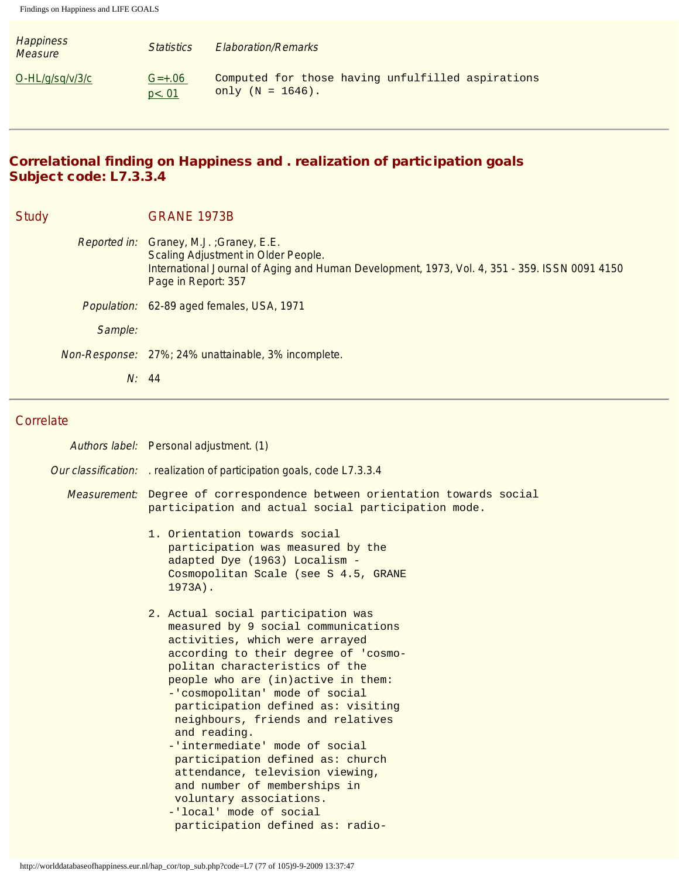| <b>Happiness</b><br><b>Measure</b> | <i>Statistics</i>             | <b>Elaboration/Remarks</b>                                               |
|------------------------------------|-------------------------------|--------------------------------------------------------------------------|
| $O-HL/g/sq/v/3/c$                  | $G=+.06$<br>p <sub>0</sub> 01 | Computed for those having unfulfilled aspirations<br>only $(N = 1646)$ . |

# Correlational finding on Happiness and . realization of participation goals Subject code: L7.3.3.4

| <b>Study</b> |         | <b>GRANE 1973B</b>                                                                                                                                                                                            |
|--------------|---------|---------------------------------------------------------------------------------------------------------------------------------------------------------------------------------------------------------------|
|              |         | Reported in: Graney, M.J.; Graney, E.E.<br><b>Scaling Adjustment in Older People.</b><br>International Journal of Aging and Human Development, 1973, Vol. 4, 351 - 359. ISSN 0091 4150<br>Page in Report: 357 |
|              |         | Population: 62-89 aged females, USA, 1971                                                                                                                                                                     |
|              | Sample: |                                                                                                                                                                                                               |
|              |         | Non-Response: 27%; 24% unattainable, 3% incomplete.                                                                                                                                                           |
|              |         | N: 44                                                                                                                                                                                                         |

#### **Correlate**

| Authors label: Personal adjustment. (1)                                                                                                                                                                                                                                                                                                                                                                                                                                                                                                                                                     |  |  |
|---------------------------------------------------------------------------------------------------------------------------------------------------------------------------------------------------------------------------------------------------------------------------------------------------------------------------------------------------------------------------------------------------------------------------------------------------------------------------------------------------------------------------------------------------------------------------------------------|--|--|
| Our classification: realization of participation goals, code L7.3.3.4                                                                                                                                                                                                                                                                                                                                                                                                                                                                                                                       |  |  |
| <i>Measurement</i> : Degree of correspondence between orientation towards social<br>participation and actual social participation mode.                                                                                                                                                                                                                                                                                                                                                                                                                                                     |  |  |
| 1. Orientation towards social<br>participation was measured by the<br>adapted Dye (1963) Localism -<br>Cosmopolitan Scale (see S 4.5, GRANE<br>$1973A$ ).                                                                                                                                                                                                                                                                                                                                                                                                                                   |  |  |
| 2. Actual social participation was<br>measured by 9 social communications<br>activities, which were arrayed<br>according to their degree of 'cosmo-<br>politan characteristics of the<br>people who are (in)active in them:<br>-'cosmopolitan' mode of social<br>participation defined as: visiting<br>neighbours, friends and relatives<br>and reading.<br>-'intermediate' mode of social<br>participation defined as: church<br>attendance, television viewing,<br>and number of memberships in<br>voluntary associations.<br>-'local' mode of social<br>participation defined as: radio- |  |  |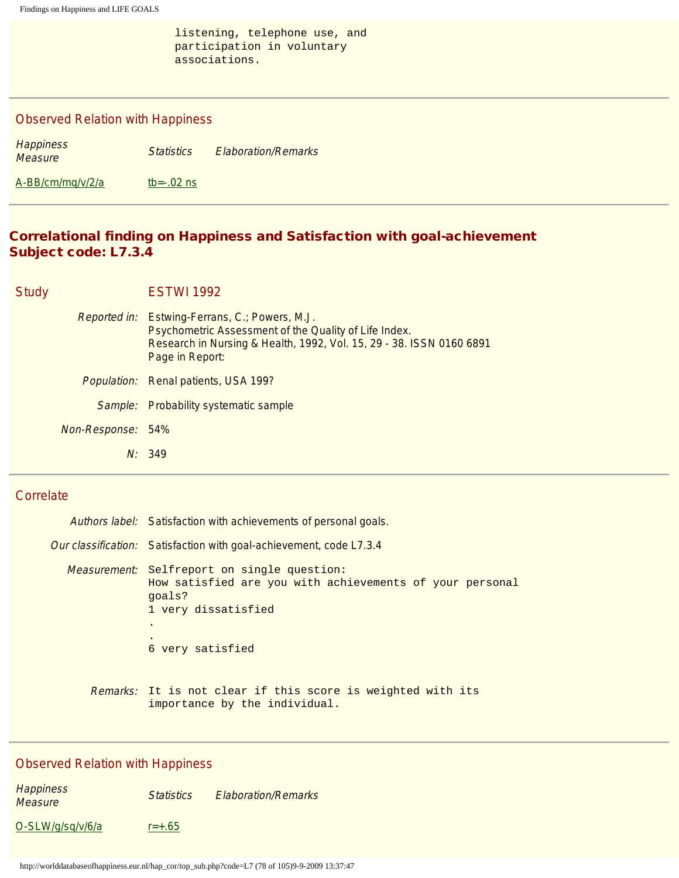listening, telephone use, and participation in voluntary associations.

#### Observed Relation with Happiness

| <b>Happiness</b><br>Measure | <b>Statistics</b> | <b>Elaboration/Remarks</b> |  |
|-----------------------------|-------------------|----------------------------|--|
| A-BB/cm/mg/v/2/a            | tb= $-0.02$ ns    |                            |  |

#### Correlational finding on Happiness and Satisfaction with goal-achievement Subject code: L7.3.4

Study **ESTWI 1992** 

Reported in: Estwing-Ferrans, C.; Powers, M.J. Psychometric Assessment of the Quality of Life Index. Research in Nursing & Health, 1992, Vol. 15, 29 - 38. ISSN 0160 6891 Page in Report: Population: Renal patients, USA 199? Sample: Probability systematic sample Non-Response: 54% N: 349

#### **Correlate**

| Authors label: Satisfaction with achievements of personal goals.                                                                                                    |  |  |
|---------------------------------------------------------------------------------------------------------------------------------------------------------------------|--|--|
| <i>Our classification:</i> Satisfaction with goal-achievement, code L7.3.4                                                                                          |  |  |
| <i>Measurement:</i> Selfreport on single question:<br>How satisfied are you with achievements of your personal<br>qoals?<br>1 very dissatisfied<br>6 very satisfied |  |  |
| <i>Remarks:</i> It is not clear if this score is weighted with its<br>importance by the individual.                                                                 |  |  |

#### Observed Relation with Happiness

**Happiness Measure Statistics Elaboration/Remarks**<br>Measure  $O-SLW/g/sq/v/6/a$  [r=+.65](#page-98-3)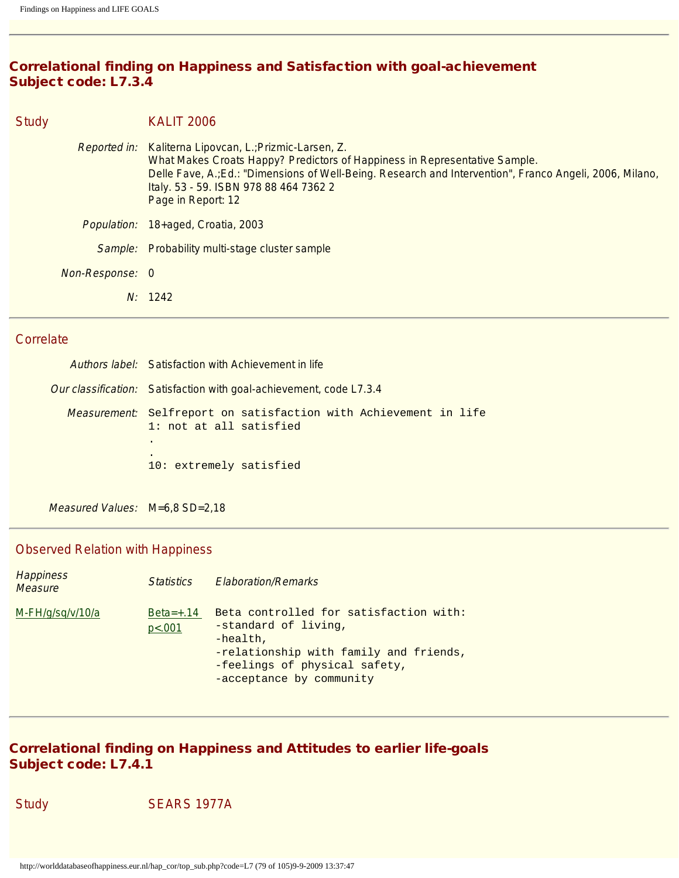# Correlational finding on Happiness and Satisfaction with goal-achievement Subject code: L7.3.4

| <b>Study</b> |                 | <b>KALIT 2006</b>                                                                                                                                                                                                                                                                                                 |
|--------------|-----------------|-------------------------------------------------------------------------------------------------------------------------------------------------------------------------------------------------------------------------------------------------------------------------------------------------------------------|
|              |                 | Reported in: Kaliterna Lipovcan, L.; Prizmic-Larsen, Z.<br>What Makes Croats Happy? Predictors of Happiness in Representative Sample.<br>Delle Fave, A.; Ed.: "Dimensions of Well-Being. Research and Intervention", Franco Angeli, 2006, Milano,<br>Italy. 53 - 59. ISBN 978 88 464 7362 2<br>Page in Report: 12 |
|              |                 | Population: 18+aged, Croatia, 2003                                                                                                                                                                                                                                                                                |
|              | Sample:         | Probability multi-stage cluster sample                                                                                                                                                                                                                                                                            |
|              | Non-Response: 0 |                                                                                                                                                                                                                                                                                                                   |
|              |                 | N: 1242                                                                                                                                                                                                                                                                                                           |

# **Correlate**

| Authors label: Satisfaction with Achievement in life                                                |
|-----------------------------------------------------------------------------------------------------|
| Our classification: Satisfaction with goal-achievement, code L7.3.4                                 |
| <i>Measurement</i> : Selfreport on satisfaction with Achievement in life<br>1: not at all satisfied |
| $\bullet$<br>٠<br>10: extremely satisfied                                                           |
|                                                                                                     |

Measured Values: M=6,8 SD=2,18

# Observed Relation with Happiness

| <b>Happiness</b><br>Measure | <i><u>Statistics</u></i> | <b>Flaboration/Remarks</b>                                                                                                                                                           |
|-----------------------------|--------------------------|--------------------------------------------------------------------------------------------------------------------------------------------------------------------------------------|
| M-FH/g/sg/v/10/a            | $Beta=+.14$<br>p<.001    | Beta controlled for satisfaction with:<br>-standard of living,<br>$-health$ ,<br>-relationship with family and friends,<br>-feelings of physical safety,<br>-acceptance by community |

# Correlational finding on Happiness and Attitudes to earlier life-goals Subject code: L7.4.1

Study SEARS 1977A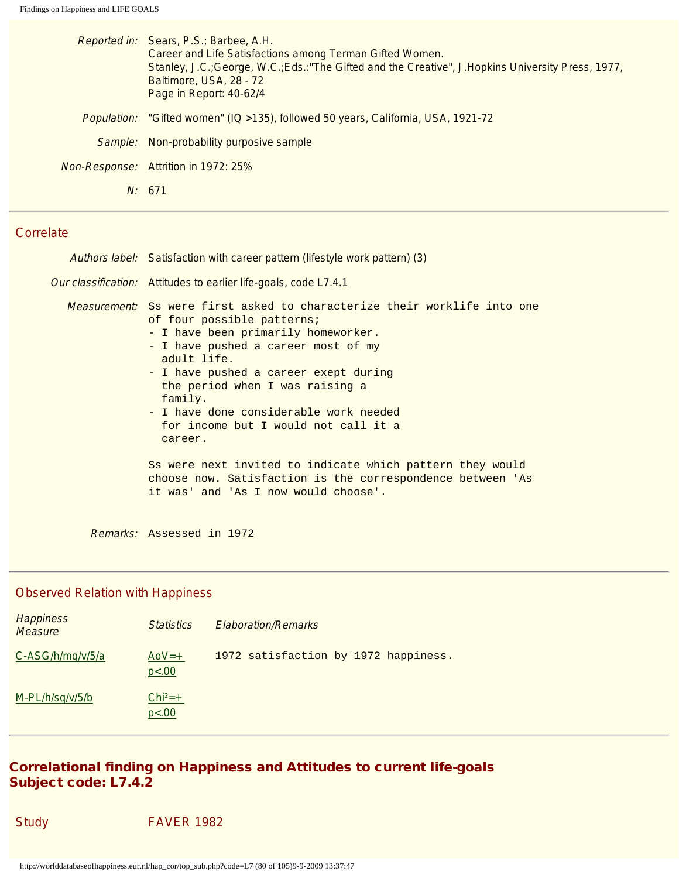|             | Reported in: Sears, P.S.; Barbee, A.H.<br>Career and Life Satisfactions among Terman Gifted Women.<br>Stanley, J.C.; George, W.C.; Eds.: "The Gifted and the Creative", J.Hopkins University Press, 1977,<br>Baltimore, USA, 28 - 72<br>Page in Report: 40-62/4 |
|-------------|-----------------------------------------------------------------------------------------------------------------------------------------------------------------------------------------------------------------------------------------------------------------|
| Population: | "Gifted women" (IQ > 135), followed 50 years, California, USA, 1921-72                                                                                                                                                                                          |
|             | Sample: Non-probability purposive sample                                                                                                                                                                                                                        |
|             | Non-Response: Attrition in 1972: 25%                                                                                                                                                                                                                            |
|             | N: 671                                                                                                                                                                                                                                                          |
|             |                                                                                                                                                                                                                                                                 |

### **Correlate**

| Authors label: Satisfaction with career pattern (lifestyle work pattern) (3)                                                                                                                                                                                                                                                                                                                   |  |
|------------------------------------------------------------------------------------------------------------------------------------------------------------------------------------------------------------------------------------------------------------------------------------------------------------------------------------------------------------------------------------------------|--|
| Our classification: Attitudes to earlier life-goals, code L7.4.1                                                                                                                                                                                                                                                                                                                               |  |
| <i>Measurement:</i> Ss were first asked to characterize their worklife into one<br>of four possible patterns;<br>- I have been primarily homeworker.<br>- I have pushed a career most of my<br>adult life.<br>- I have pushed a career exept during<br>the period when I was raising a<br>family.<br>- I have done considerable work needed<br>for income but I would not call it a<br>career. |  |
| Ss were next invited to indicate which pattern they would<br>choose now. Satisfaction is the correspondence between 'As<br>it was' and 'As I now would choose'.                                                                                                                                                                                                                                |  |
| Remarks: Assessed in 1972                                                                                                                                                                                                                                                                                                                                                                      |  |

# Observed Relation with Happiness

| <b>Happiness</b><br><b>Measure</b> | <b>Statistics</b>    | <b>Elaboration/Remarks</b>           |
|------------------------------------|----------------------|--------------------------------------|
| C-ASG/h/mg/v/5/a                   | $A_0V=+$<br>p<.00    | 1972 satisfaction by 1972 happiness. |
| M-PL/h/sq/v/5/b                    | $Chi^{2}=+$<br>p<.00 |                                      |

# Correlational finding on Happiness and Attitudes to current life-goals Subject code: L7.4.2

| Study | <b>FAVER 1982</b> |
|-------|-------------------|
|-------|-------------------|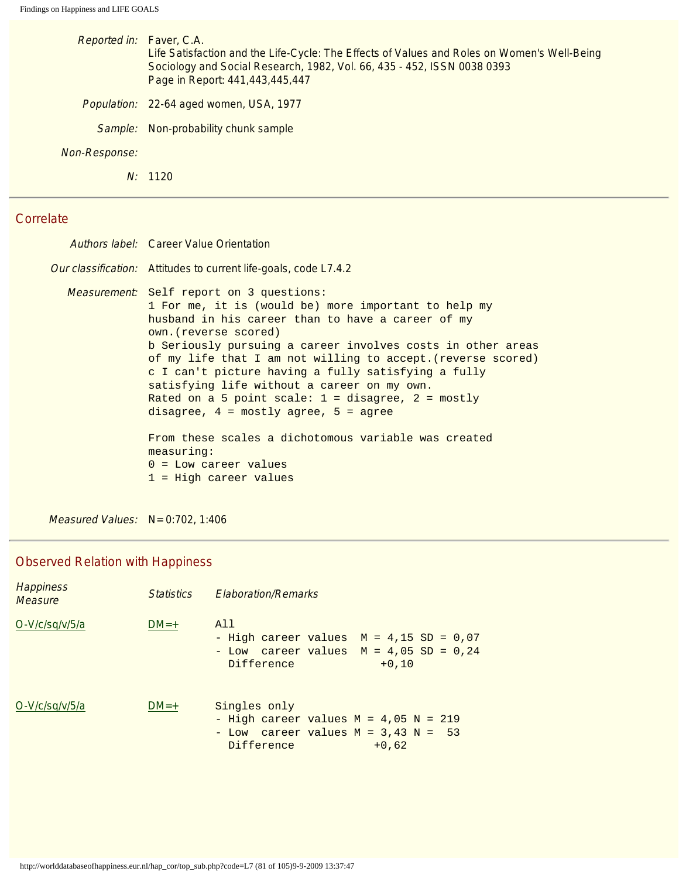| Reported in: Faver, C.A. | Life Satisfaction and the Life-Cycle: The Effects of Values and Roles on Women's Well-Being<br>Sociology and Social Research, 1982, Vol. 66, 435 - 452, ISSN 0038 0393<br>Page in Report: 441,443,445,447 |
|--------------------------|-----------------------------------------------------------------------------------------------------------------------------------------------------------------------------------------------------------|
|                          | Population: 22-64 aged women, USA, 1977                                                                                                                                                                   |
|                          | Sample: Non-probability chunk sample                                                                                                                                                                      |
| Non-Response:            |                                                                                                                                                                                                           |
|                          | N: 1120                                                                                                                                                                                                   |
|                          |                                                                                                                                                                                                           |

# **Correlate**

|  | Authors label: Career Value Orientation                                                                                                                                                                                                                                                                                                                                                                                                                                                                                                                                                                                                                                         |
|--|---------------------------------------------------------------------------------------------------------------------------------------------------------------------------------------------------------------------------------------------------------------------------------------------------------------------------------------------------------------------------------------------------------------------------------------------------------------------------------------------------------------------------------------------------------------------------------------------------------------------------------------------------------------------------------|
|  | <i>Our classification:</i> Attitudes to current life-goals, code L7.4.2                                                                                                                                                                                                                                                                                                                                                                                                                                                                                                                                                                                                         |
|  | <i>Measurement</i> : Self report on 3 questions:<br>1 For me, it is (would be) more important to help my<br>husband in his career than to have a career of my<br>own. (reverse scored)<br>b Seriously pursuing a career involves costs in other areas<br>of my life that I am not willing to accept. (reverse scored)<br>c I can't picture having a fully satisfying a fully<br>satisfying life without a career on my own.<br>Rated on a 5 point scale: $1 =$ disagree, $2 =$ mostly<br>disagree, $4 = \text{mostly agree}$ , $5 = \text{agree}$<br>From these scales a dichotomous variable was created<br>measureing:<br>$0 =$ Low career values<br>$1$ = High career values |
|  |                                                                                                                                                                                                                                                                                                                                                                                                                                                                                                                                                                                                                                                                                 |

Measured Values: N= 0:702, 1:406

| <b>Happiness</b><br>Measure | <b>Statistics</b> | <b>Elaboration/Remarks</b>                                                                                                  |
|-----------------------------|-------------------|-----------------------------------------------------------------------------------------------------------------------------|
| O-V/c/sq/v/5/a              | $DM=+$            | All<br>- High career values $M = 4,15$ SD = 0,07<br>- Low career values $M = 4,05$ SD = 0,24<br>Difference<br>$+0.10$       |
| O-V/c/sq/v/5/a              | $DM=+$            | Singles only<br>- High career values $M = 4,05$ $N = 219$<br>- Low career values $M = 3,43$ N = 53<br>Difference<br>$+0.62$ |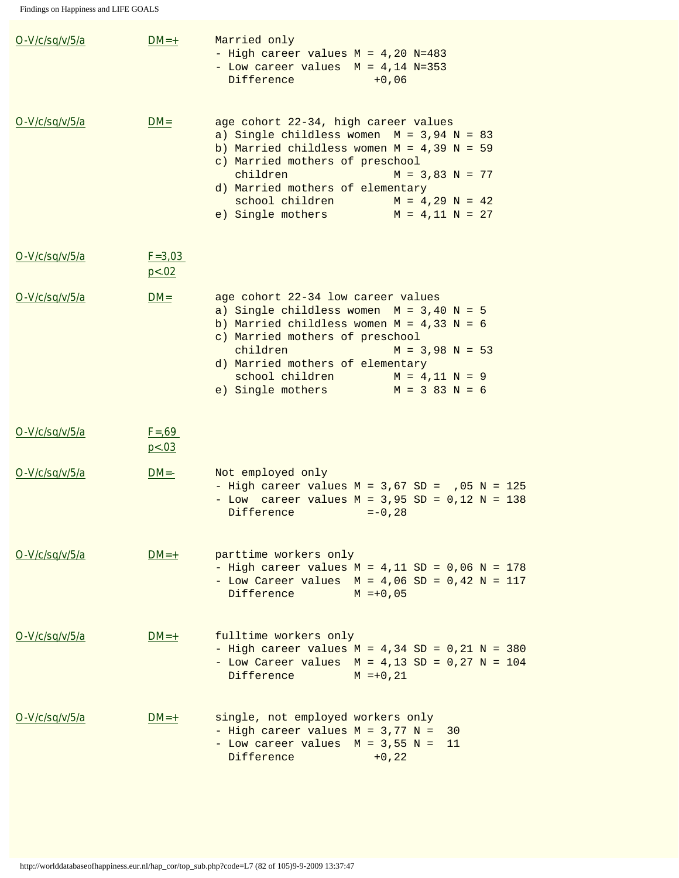| O-V/c/sq/v/5/a | $DM=+$                | Married only<br>- High career values $M = 4,20$ N=483<br>- Low career values $M = 4,14 N=353$<br>Difference<br>$+0,06$                                                                                                                                                                                                          |
|----------------|-----------------------|---------------------------------------------------------------------------------------------------------------------------------------------------------------------------------------------------------------------------------------------------------------------------------------------------------------------------------|
| O-V/c/sq/v/5/a | $DM =$                | age cohort 22-34, high career values<br>a) Single childless women $M = 3,94$ N = 83<br>b) Married childless women $M = 4,39$ N = 59<br>c) Married mothers of preschool<br>children<br>$M = 3,83$ $N = 77$<br>d) Married mothers of elementary<br>school children<br>$M = 4,29 N = 42$<br>e) Single mothers<br>$M = 4,11 N = 27$ |
| O-V/c/sq/v/5/a | $F = 3,03$<br>p < .02 |                                                                                                                                                                                                                                                                                                                                 |
| O-V/c/sq/v/5/a | $DM =$                | age cohort 22-34 low career values<br>a) Single childless women $M = 3,40$ N = 5<br>b) Married childless women $M = 4,33$ N = 6<br>c) Married mothers of preschool<br>children<br>$M = 3,98$ N = 53<br>d) Married mothers of elementary<br>school children<br>$M = 4,11 N = 9$<br>$M = 383 N = 6$<br>e) Single mothers          |
| O-V/c/sq/v/5/a | $F = 69$<br>p < .03   |                                                                                                                                                                                                                                                                                                                                 |
| O-V/c/sq/v/5/a | $DM = -$              | Not employed only<br>- High career values $M = 3,67$ SD = $,05$ N = 125<br>- Low career values $M = 3,95$ SD = 0,12 N = 138<br>Difference<br>$=-0,28$                                                                                                                                                                           |
| O-V/c/sq/v/5/a | $DM=+$                | parttime workers only<br>- High career values $M = 4,11$ SD = 0,06 N = 178<br>- Low Career values $M = 4,06$ SD = 0,42 N = 117<br>Difference<br>$M = +0,05$                                                                                                                                                                     |
| O-V/c/sq/v/5/a | $DM=+$                | fulltime workers only<br>- High career values $M = 4,34$ SD = 0,21 N = 380<br>- Low Career values $M = 4,13 SD = 0,27 N = 104$<br>Difference<br>$M = +0, 21$                                                                                                                                                                    |
| O-V/c/sq/v/5/a | $DM=+$                | single, not employed workers only<br>- High career values $M = 3,77$ N =<br>30<br>- Low career values $M = 3,55$ N =<br>- 11<br>Difference<br>$+0, 22$                                                                                                                                                                          |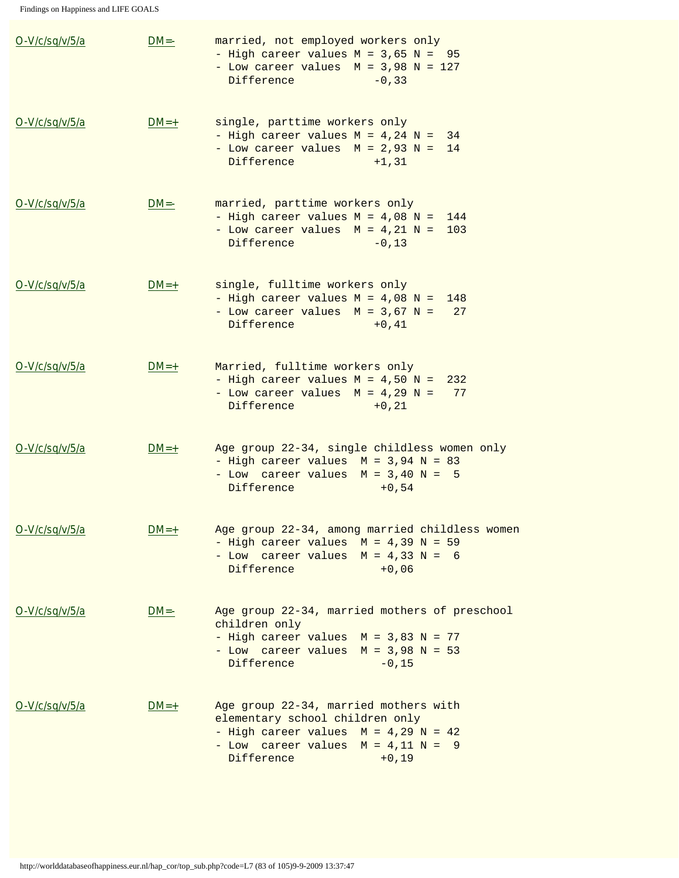Findings on Happiness and LIFE GOALS

| O-V/c/sq/v/5/a | $DM = -$ | married, not employed workers only<br>- High career values $M = 3,65$ $N = 95$<br>- Low career values $M = 3,98$ N = 127<br>Difference<br>$-0, 33$                                   |
|----------------|----------|--------------------------------------------------------------------------------------------------------------------------------------------------------------------------------------|
| O-V/c/sq/v/5/a | $DM=+$   | single, parttime workers only<br>- High career values $M = 4,24$ N =<br>34<br>- Low career values $M = 2,93$ N =<br>14<br>Difference<br>$+1, 31$                                     |
| O-V/c/sq/v/5/a | $DM = -$ | married, parttime workers only<br>- High career values $M = 4,08$ N =<br>144<br>- Low career values $M = 4,21$ N =<br>103<br>Difference<br>$-0, 13$                                  |
| O-V/c/sq/v/5/a | $DM=+$   | single, fulltime workers only<br>- High career values $M = 4,08$ N =<br>148<br>- Low career values $M = 3,67$ N =<br>27<br>Difference<br>$+0, 41$                                    |
| O-V/c/sq/v/5/a | $DM=+$   | Married, fulltime workers only<br>- High career values $M = 4,50$ N =<br>232<br>- Low career values $M = 4,29$ N =<br>77<br>Difference<br>$+0, 21$                                   |
| O-V/c/sq/v/5/a | $DM=+$   | Age group 22-34, single childless women only<br>- High career values $M = 3,94$ N = 83<br>- Low career values $M = 3,40$ N = 5<br>Difference<br>$+0,54$                              |
| O-V/c/sq/v/5/a | $DM=+$   | Age group 22-34, among married childless women<br>- High career values $M = 4,39$ N = 59<br>- Low career values $M = 4,33$ $N = 6$<br>Difference<br>$+0,06$                          |
| O-V/c/sq/v/5/a | $DM = -$ | Age group 22-34, married mothers of preschool<br>children only<br>- High career values $M = 3,83$ N = 77<br>- Low career values $M = 3,98$ N = 53<br>Difference<br>$-0, 15$          |
| O-V/c/sq/v/5/a | $DM=+$   | Age group 22-34, married mothers with<br>elementary school children only<br>- High career values $M = 4,29$ N = 42<br>- Low career values $M = 4, 11 N = 9$<br>Difference<br>$+0,19$ |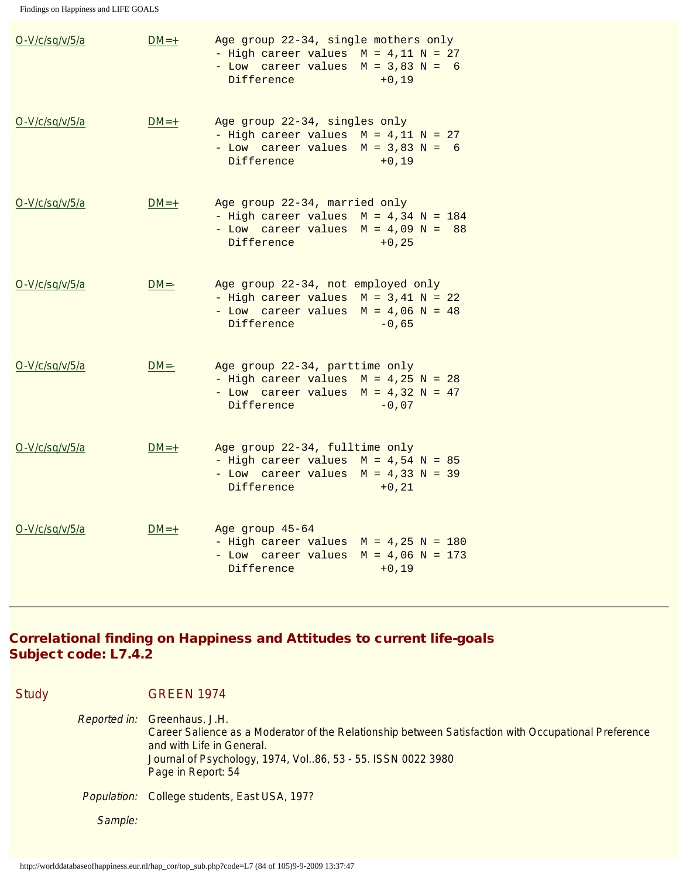| O-V/c/sq/v/5/a | $DM=+$   | Age group 22-34, single mothers only<br>- High career values $M = 4,11$ $N = 27$<br>- Low career values $M = 3,83$ N = 6<br>$+0,19$<br>Difference |
|----------------|----------|---------------------------------------------------------------------------------------------------------------------------------------------------|
| O-V/c/sq/v/5/a | $DM=+$   | Age group 22-34, singles only<br>- High career values $M = 4,11$ $N = 27$<br>- Low career values $M = 3,83$ N = 6<br>Difference<br>$+0,19$        |
| O-V/c/sq/v/5/a | $DM=+$   | Age group 22-34, married only<br>- High career values $M = 4,34$ N = 184<br>- Low career values $M = 4,09$ N =<br>88<br>Difference<br>$+0, 25$    |
| O-V/c/sq/v/5/a | $DM = -$ | Age group 22-34, not employed only<br>- High career values $M = 3,41$ $N = 22$<br>- Low career values $M = 4,06$ N = 48<br>$-0,65$<br>Difference  |
| O-V/c/sq/v/5/a | $DM = -$ | Age group 22-34, parttime only<br>- High career values $M = 4,25$ N = 28<br>- Low career values $M = 4,32$ N = 47<br>Difference<br>$-0,07$        |
| O-V/c/sq/v/5/a | $DM=+$   | Age group 22-34, fulltime only<br>- High career values $M = 4,54$ N = 85<br>- Low career values $M = 4,33$ $N = 39$<br>Difference<br>$+0, 21$     |
| O-V/c/sq/v/5/a | $DM=+$   | Age group 45-64<br>- High career values $M = 4,25$ N = 180<br>- Low career values $M = 4,06$ N = 173<br>Difference<br>$+0, 19$                    |

# Correlational finding on Happiness and Attitudes to current life-goals Subject code: L7.4.2

Study **GREEN 1974** 

Reported in: Greenhaus, J.H. Career Salience as a Moderator of the Relationship between Satisfaction with Occupational Preference and with Life in General. Journal of Psychology, 1974, Vol..86, 53 - 55. ISSN 0022 3980 Page in Report: 54 Population: College students, East USA, 197? Sample: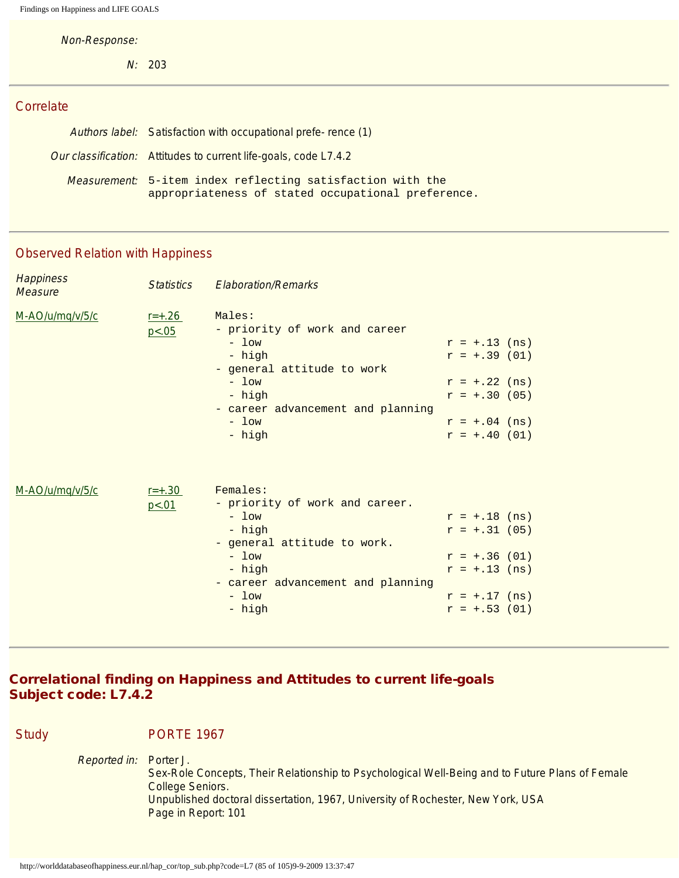Non-Response:

N: 203

#### **Correlate**

| Authors label: Satisfaction with occupational prefe-rence (1)                                                           |  |
|-------------------------------------------------------------------------------------------------------------------------|--|
| Our classification: Attitudes to current life-goals, code L7.4.2                                                        |  |
| <i>Measurement:</i> 5-item index reflecting satisfaction with the<br>appropriateness of stated occupational preference. |  |

# Observed Relation with Happiness

| <b>Happiness</b><br><b>Measure</b> | <b>Statistics</b>     | <b>Elaboration/Remarks</b>                                                                                                                                                    |                                                                                                               |
|------------------------------------|-----------------------|-------------------------------------------------------------------------------------------------------------------------------------------------------------------------------|---------------------------------------------------------------------------------------------------------------|
| M-AO/u/mq/v/5/c                    | $r = +.26$<br>p < .05 | Males:<br>- priority of work and career<br>$-$ low<br>- high<br>- general attitude to work<br>$-$ low<br>- high<br>- career advancement and planning<br>$-$ low<br>- high     | $r = +.13$ (ns)<br>$r = +0.39$ (01)<br>$r = +.22$ (ns)<br>$r = +.30(05)$<br>$r = +.04$ (ns)<br>$r = +.40(01)$ |
| M-AO/u/mq/v/5/c                    | $r = +.30$<br>p < 01  | Females:<br>- priority of work and career.<br>$-$ low<br>- high<br>- general attitude to work.<br>$-$ low<br>- high<br>- career advancement and planning<br>$-$ low<br>- high | $r = +.18$ (ns)<br>$r = +.31(05)$<br>$r = +0.36$ (01)<br>$r = +.13$ (ns)<br>$r = +.17$ (ns)<br>$r = +.53(01)$ |

# Correlational finding on Happiness and Attitudes to current life-goals Subject code: L7.4.2

Study PORTE 1967

| <i>Reported in:</i> Porter J. |                                                                                                 |
|-------------------------------|-------------------------------------------------------------------------------------------------|
|                               | Sex-Role Concepts, Their Relationship to Psychological Well-Being and to Future Plans of Female |
|                               | College Seniors.                                                                                |
|                               | Unpublished doctoral dissertation, 1967, University of Rochester, New York, USA                 |
|                               | Page in Report: 101                                                                             |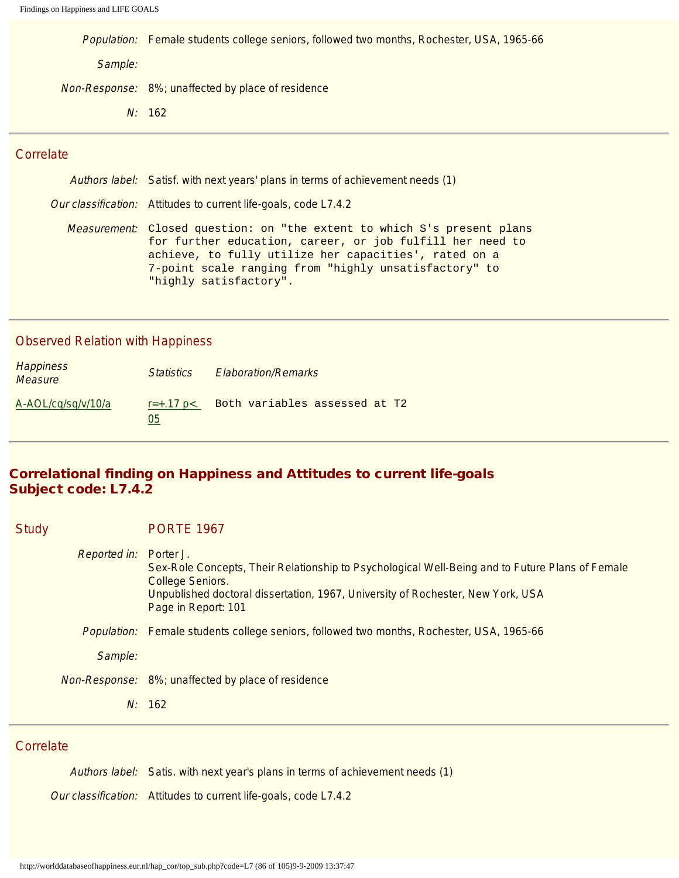|         | Population: Female students college seniors, followed two months, Rochester, USA, 1965-66 |
|---------|-------------------------------------------------------------------------------------------|
| Sample: |                                                                                           |
|         | Non-Response: 8%; unaffected by place of residence                                        |

N: 162

#### **Correlate**

Authors label: Satisf. with next years' plans in terms of achievement needs (1)

Our classification: Attitudes to current life-goals, code L7.4.2

Measurement: Closed question: on "the extent to which S's present plans for further education, career, or job fulfill her need to achieve, to fully utilize her capacities', rated on a 7-point scale ranging from "highly unsatisfactory" to "highly satisfactory".

#### Observed Relation with Happiness

| Happiness<br><b>Measure</b> | <i>Statistics</i> | <b>Elaboration/Remarks</b>                 |
|-----------------------------|-------------------|--------------------------------------------|
| A-AOL/cq/sq/v/10/a          | 05                | $r=+.17 p<.$ Both variables assessed at T2 |

#### Correlational finding on Happiness and Attitudes to current life-goals Subject code: L7.4.2

| <b>Study</b> | <b>PORTE 1967</b>                                                                                                                                                                                                                                 |
|--------------|---------------------------------------------------------------------------------------------------------------------------------------------------------------------------------------------------------------------------------------------------|
| Reported in: | Porter J.<br>Sex-Role Concepts, Their Relationship to Psychological Well-Being and to Future Plans of Female<br><b>College Seniors.</b><br>Unpublished doctoral dissertation, 1967, University of Rochester, New York, USA<br>Page in Report: 101 |
|              | Population: Female students college seniors, followed two months, Rochester, USA, 1965-66                                                                                                                                                         |
| Sample:      |                                                                                                                                                                                                                                                   |
|              | Non-Response: 8%; unaffected by place of residence                                                                                                                                                                                                |
|              | N: 162                                                                                                                                                                                                                                            |
|              |                                                                                                                                                                                                                                                   |

#### Correlate

| Authors label: Satis, with next year's plans in terms of achievement needs (1) |
|--------------------------------------------------------------------------------|
| Our classification: Attitudes to current life-goals, code L7.4.2               |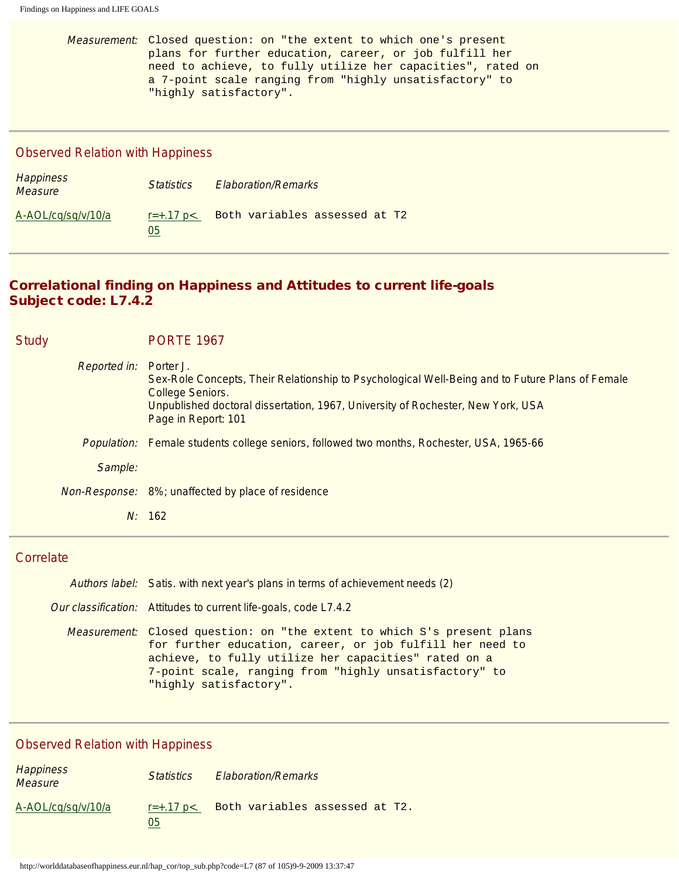Measurement: Closed question: on "the extent to which one's present plans for further education, career, or job fulfill her need to achieve, to fully utilize her capacities", rated on a 7-point scale ranging from "highly unsatisfactory" to "highly satisfactory".

#### Observed Relation with Happiness

| <b>Happiness</b><br><b>Measure</b> | <i><u>Statistics</u></i>  | <b>Elaboration/Remarks</b>    |
|------------------------------------|---------------------------|-------------------------------|
| A-AOL/cg/sg/v/10/a                 | $r = +0.17$ p $<$ .<br>05 | Both variables assessed at T2 |

#### Correlational finding on Happiness and Attitudes to current life-goals Subject code: L7.4.2

| <b>Study</b> |                     | <b>PORTE 1967</b>                                                                                                                                                                                                                                 |
|--------------|---------------------|---------------------------------------------------------------------------------------------------------------------------------------------------------------------------------------------------------------------------------------------------|
|              | <b>Reported in:</b> | Porter J.<br>Sex-Role Concepts, Their Relationship to Psychological Well-Being and to Future Plans of Female<br><b>College Seniors.</b><br>Unpublished doctoral dissertation, 1967, University of Rochester, New York, USA<br>Page in Report: 101 |
|              |                     | <i>Population:</i> Female students college seniors, followed two months, Rochester, USA, 1965-66                                                                                                                                                  |
|              | Sample:             |                                                                                                                                                                                                                                                   |
|              |                     | Non-Response: 8%; unaffected by place of residence                                                                                                                                                                                                |
|              |                     | N: 162                                                                                                                                                                                                                                            |

# **Correlate**

| Authors label: Satis. with next year's plans in terms of achievement needs (2)                                                                                                                                                                                                          |
|-----------------------------------------------------------------------------------------------------------------------------------------------------------------------------------------------------------------------------------------------------------------------------------------|
| Our classification: Attitudes to current life-goals, code L7.4.2                                                                                                                                                                                                                        |
| <i>Measurement:</i> Closed question: on "the extent to which S's present plans<br>for further education, career, or job fulfill her need to<br>achieve, to fully utilize her capacities" rated on a<br>7-point scale, ranging from "highly unsatisfactory" to<br>"highly satisfactory". |

| Happiness<br>Measure | <i><u>Statistics</u></i>  | <b>Elaboration/Remarks</b>     |
|----------------------|---------------------------|--------------------------------|
| A-AOL/cq/sq/v/10/a   | $r = +0.17$ p $<$ .<br>05 | Both variables assessed at T2. |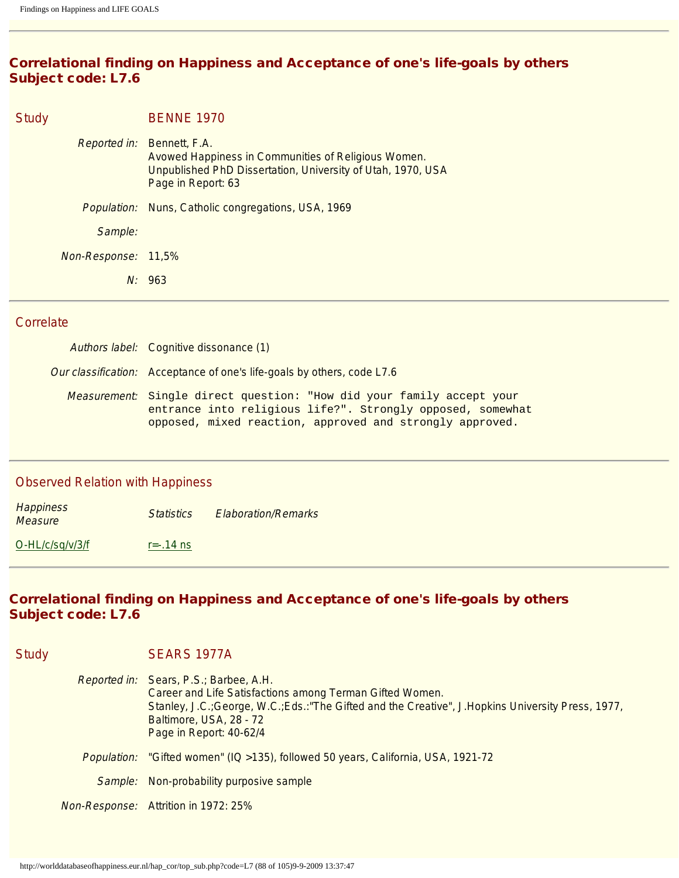# Correlational finding on Happiness and Acceptance of one's life-goals by others Subject code: L7.6

| <b>Study</b>        | <b>BENNE 1970</b>                                                                                                                                         |
|---------------------|-----------------------------------------------------------------------------------------------------------------------------------------------------------|
| Reported in:        | Bennett, F.A.<br>Avowed Happiness in Communities of Religious Women.<br>Unpublished PhD Dissertation, University of Utah, 1970, USA<br>Page in Report: 63 |
| <i>Population:</i>  | Nuns, Catholic congregations, USA, 1969                                                                                                                   |
| Sample:             |                                                                                                                                                           |
| Non-Response: 11,5% |                                                                                                                                                           |
|                     | N: 963                                                                                                                                                    |

#### **Correlate**

Authors label: Cognitive dissonance (1) Our classification: Acceptance of one's life-goals by others, code L7.6 Measurement: Single direct question: "How did your family accept your entrance into religious life?". Strongly opposed, somewhat opposed, mixed reaction, approved and strongly approved.

#### Observed Relation with Happiness

| <b>Happiness</b><br><b>Measure</b> | <b>Statistics</b> | <b>Elaboration/Remarks</b> |
|------------------------------------|-------------------|----------------------------|
| $O-HL/c$ /sq/v/3/f                 | $r = -0.14$ ns    |                            |

# Correlational finding on Happiness and Acceptance of one's life-goals by others Subject code: L7.6

| <b>Study</b> | SEARS 1977A                                                                                                                                                                                                                                                     |
|--------------|-----------------------------------------------------------------------------------------------------------------------------------------------------------------------------------------------------------------------------------------------------------------|
|              | Reported in: Sears, P.S.; Barbee, A.H.<br>Career and Life Satisfactions among Terman Gifted Women.<br>Stanley, J.C.; George, W.C.; Eds.: "The Gifted and the Creative", J.Hopkins University Press, 1977,<br>Baltimore, USA, 28 - 72<br>Page in Report: 40-62/4 |
|              | Population: "Gifted women" (IQ >135), followed 50 years, California, USA, 1921-72                                                                                                                                                                               |
|              | Sample: Non-probability purposive sample                                                                                                                                                                                                                        |
|              | Non-Response: Attrition in 1972: 25%                                                                                                                                                                                                                            |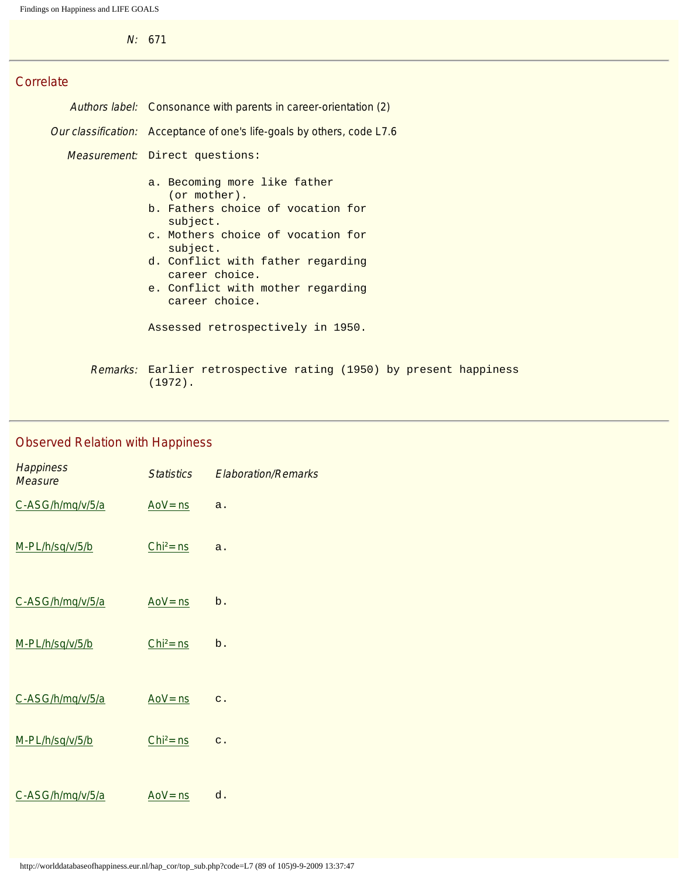N: 671

# **Correlate**

| Authors label: Consonance with parents in career-orientation (2)                                                                                                                                                                                                                                  |  |  |
|---------------------------------------------------------------------------------------------------------------------------------------------------------------------------------------------------------------------------------------------------------------------------------------------------|--|--|
| <i>Our classification:</i> Acceptance of one's life-goals by others, code L7.6                                                                                                                                                                                                                    |  |  |
| <i>Measurement:</i> Direct questions:                                                                                                                                                                                                                                                             |  |  |
| a. Becoming more like father<br>(or mother).<br>b. Fathers choice of vocation for<br>subject.<br>c. Mothers choice of vocation for<br>subject.<br>d. Conflict with father regarding<br>career choice.<br>e. Conflict with mother regarding<br>career choice.<br>Assessed retrospectively in 1950. |  |  |
| <i>Remarks</i> : Earlier retrospective rating (1950) by present happiness<br>$(1972)$ .                                                                                                                                                                                                           |  |  |

| <b>Happiness</b><br>Measure | <b>Statistics</b> | <b>Elaboration/Remarks</b> |
|-----------------------------|-------------------|----------------------------|
| C-ASG/h/mq/v/5/a            | $Aov = ns$        | a.                         |
| M-PL/h/sq/v/5/b             | $Chi2 = ns$       | a.                         |
| C-ASG/h/mq/v/5/a            | $Aov = ns$        | b.                         |
| M-PL/h/sq/v/5/b             | $Chi2 = ns$       | b.                         |
| C-ASG/h/mq/v/5/a            | $Aov = ns$        | $\mathsf{C}$ .             |
| M-PL/h/sq/v/5/b             | $Chi2 = ns$       | $C$ .                      |
| C-ASG/h/mq/v/5/a            | $Aov = ns$        | d.                         |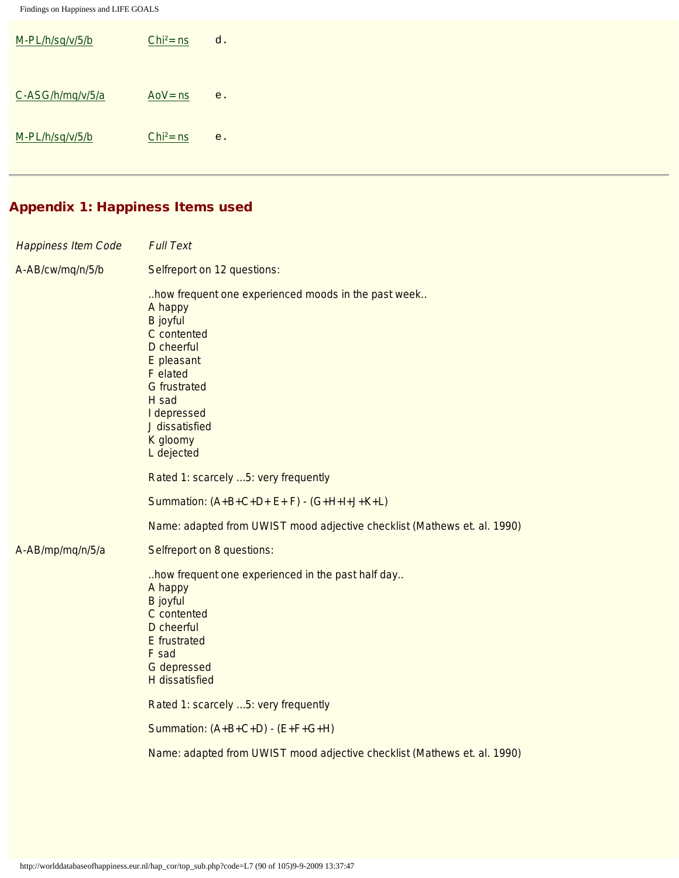| M-PL/h/sq/v/5/b  | $Chi2 = ns$ | d. |
|------------------|-------------|----|
|                  |             |    |
| C-ASG/h/mq/v/5/a | $Aov = ns$  | e. |
| M-PL/h/sq/v/5/b  | $Chi2 = ns$ | e. |
|                  |             |    |

# Appendix 1: Happiness Items used

| <b>Happiness Item Code</b> | <b>Full Text</b>                                                                                                                                                                                                                    |
|----------------------------|-------------------------------------------------------------------------------------------------------------------------------------------------------------------------------------------------------------------------------------|
| A-AB/cw/mq/n/5/b           | Selfreport on 12 questions:                                                                                                                                                                                                         |
|                            | how frequent one experienced moods in the past week<br>A happy<br><b>B</b> joyful<br>C contented<br>D cheerful<br>E pleasant<br>F elated<br><b>G</b> frustrated<br>H sad<br>I depressed<br>J dissatisfied<br>K gloomy<br>L dejected |
|                            | Rated 1: scarcely  5: very frequently                                                                                                                                                                                               |
|                            | Summation: $(A+B+C+D+E+F) - (G+H+I+J+K+L)$                                                                                                                                                                                          |
|                            | Name: adapted from UWIST mood adjective checklist (Mathews et. al. 1990)                                                                                                                                                            |
| A-AB/mp/mq/n/5/a           | Selfreport on 8 questions:                                                                                                                                                                                                          |
|                            | how frequent one experienced in the past half day<br>A happy<br><b>B</b> joyful<br>C contented<br>D cheerful<br><b>E</b> frustrated<br>F sad<br>G depressed<br><b>H</b> dissatisfied                                                |
|                            | Rated 1: scarcely  5: very frequently                                                                                                                                                                                               |
|                            | Summation: $(A+B+C+D) - (E+F+G+H)$                                                                                                                                                                                                  |
|                            | Name: adapted from UWIST mood adjective checklist (Mathews et. al. 1990)                                                                                                                                                            |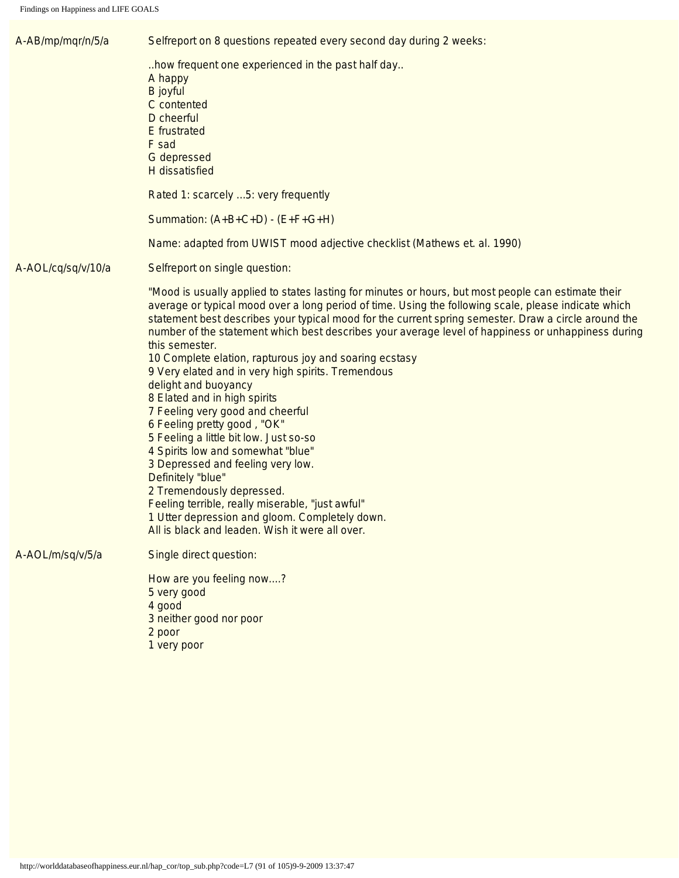<span id="page-90-1"></span><span id="page-90-0"></span>

| A-AB/mp/mqr/n/5/a  | Selfreport on 8 questions repeated every second day during 2 weeks:                                                                                                                                                                                                                                                                                                                                                                                                                                                                                                                                                                                                                                                                                                                                                                                                                                                                                                                                                   |
|--------------------|-----------------------------------------------------------------------------------------------------------------------------------------------------------------------------------------------------------------------------------------------------------------------------------------------------------------------------------------------------------------------------------------------------------------------------------------------------------------------------------------------------------------------------------------------------------------------------------------------------------------------------------------------------------------------------------------------------------------------------------------------------------------------------------------------------------------------------------------------------------------------------------------------------------------------------------------------------------------------------------------------------------------------|
|                    | how frequent one experienced in the past half day<br>A happy<br><b>B</b> joyful<br>C contented<br>D cheerful<br><b>E</b> frustrated<br>F sad<br>G depressed<br>H dissatisfied                                                                                                                                                                                                                                                                                                                                                                                                                                                                                                                                                                                                                                                                                                                                                                                                                                         |
|                    | Rated 1: scarcely  5: very frequently                                                                                                                                                                                                                                                                                                                                                                                                                                                                                                                                                                                                                                                                                                                                                                                                                                                                                                                                                                                 |
|                    | Summation: $(A+B+C+D) - (E+F+G+H)$                                                                                                                                                                                                                                                                                                                                                                                                                                                                                                                                                                                                                                                                                                                                                                                                                                                                                                                                                                                    |
|                    | Name: adapted from UWIST mood adjective checklist (Mathews et. al. 1990)                                                                                                                                                                                                                                                                                                                                                                                                                                                                                                                                                                                                                                                                                                                                                                                                                                                                                                                                              |
| A-AOL/cq/sq/v/10/a | Selfreport on single question:                                                                                                                                                                                                                                                                                                                                                                                                                                                                                                                                                                                                                                                                                                                                                                                                                                                                                                                                                                                        |
|                    | "Mood is usually applied to states lasting for minutes or hours, but most people can estimate their<br>average or typical mood over a long period of time. Using the following scale, please indicate which<br>statement best describes your typical mood for the current spring semester. Draw a circle around the<br>number of the statement which best describes your average level of happiness or unhappiness during<br>this semester.<br>10 Complete elation, rapturous joy and soaring ecstasy<br>9 Very elated and in very high spirits. Tremendous<br>delight and buoyancy<br>8 Elated and in high spirits<br>7 Feeling very good and cheerful<br>6 Feeling pretty good, "OK"<br>5 Feeling a little bit low. Just so-so<br>4 Spirits low and somewhat "blue"<br>3 Depressed and feeling very low.<br>Definitely "blue"<br>2 Tremendously depressed.<br>Feeling terrible, really miserable, "just awful"<br>1 Utter depression and gloom. Completely down.<br>All is black and leaden. Wish it were all over. |
| A-AOL/m/sq/v/5/a   | Single direct question:                                                                                                                                                                                                                                                                                                                                                                                                                                                                                                                                                                                                                                                                                                                                                                                                                                                                                                                                                                                               |
|                    | How are you feeling now?<br>5 very good<br>4 good<br>3 neither good nor poor<br>2 poor<br>1 very poor                                                                                                                                                                                                                                                                                                                                                                                                                                                                                                                                                                                                                                                                                                                                                                                                                                                                                                                 |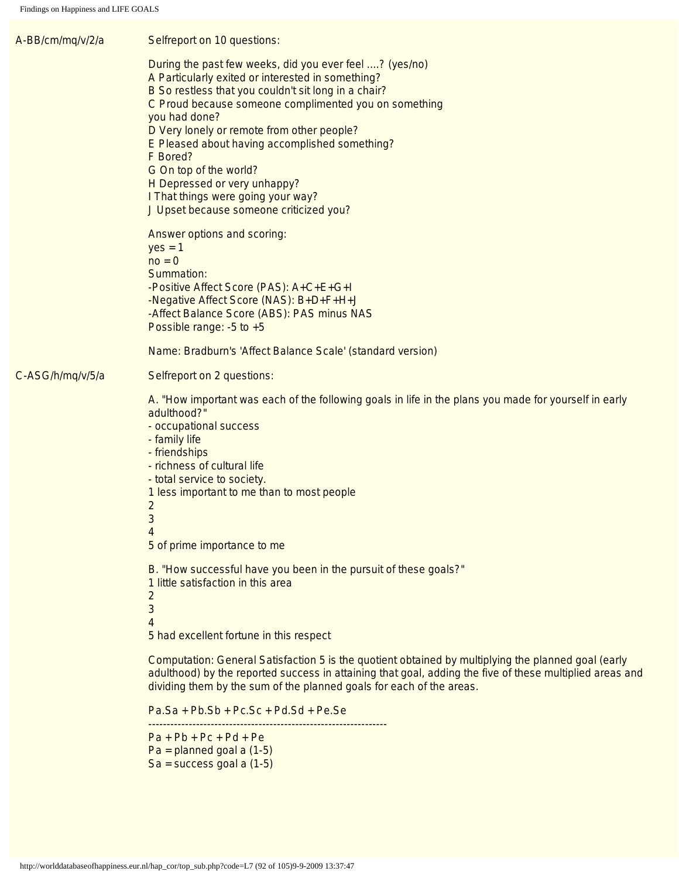<span id="page-91-1"></span><span id="page-91-0"></span>

| A-BB/cm/mq/v/2/a | Selfreport on 10 questions:                                                                                                                                                                                                                                                                                                                                                                                                                                                                                                                                                                                                                                                                                                                     |
|------------------|-------------------------------------------------------------------------------------------------------------------------------------------------------------------------------------------------------------------------------------------------------------------------------------------------------------------------------------------------------------------------------------------------------------------------------------------------------------------------------------------------------------------------------------------------------------------------------------------------------------------------------------------------------------------------------------------------------------------------------------------------|
|                  | During the past few weeks, did you ever feel ? (yes/no)<br>A Particularly exited or interested in something?<br>B So restless that you couldn't sit long in a chair?<br>C Proud because someone complimented you on something<br>you had done?<br>D Very lonely or remote from other people?<br>E Pleased about having accomplished something?<br>F Bored?<br>G On top of the world?<br>H Depressed or very unhappy?<br>I That things were going your way?<br>J Upset because someone criticized you?<br>Answer options and scoring:<br>$yes = 1$<br>$no = 0$<br>Summation:<br>-Positive Affect Score (PAS): A+C+E+G+I<br>-Negative Affect Score (NAS): B+D+F+H+J<br>-Affect Balance Score (ABS): PAS minus NAS<br>Possible range: $-5$ to $+5$ |
|                  | Name: Bradburn's 'Affect Balance Scale' (standard version)                                                                                                                                                                                                                                                                                                                                                                                                                                                                                                                                                                                                                                                                                      |
| C-ASG/h/mq/v/5/a | Selfreport on 2 questions:                                                                                                                                                                                                                                                                                                                                                                                                                                                                                                                                                                                                                                                                                                                      |
|                  | A. "How important was each of the following goals in life in the plans you made for yourself in early<br>adulthood?"<br>- occupational success<br>- family life<br>- friendships<br>- richness of cultural life<br>- total service to society.<br>1 less important to me than to most people<br>$\overline{\mathbf{c}}$<br>3<br>4<br>5 of prime importance to me                                                                                                                                                                                                                                                                                                                                                                                |
|                  | B. "How successful have you been in the pursuit of these goals?"<br>1 little satisfaction in this area<br>$\overline{c}$<br>3<br>4<br>5 had excellent fortune in this respect                                                                                                                                                                                                                                                                                                                                                                                                                                                                                                                                                                   |
|                  | Computation: General Satisfaction 5 is the quotient obtained by multiplying the planned goal (early<br>adulthood) by the reported success in attaining that goal, adding the five of these multiplied areas and<br>dividing them by the sum of the planned goals for each of the areas.                                                                                                                                                                                                                                                                                                                                                                                                                                                         |
|                  | $Pa.Sa + Pb.Sb + Pc.Sc + Pd.Sd + Pe.Se$                                                                                                                                                                                                                                                                                                                                                                                                                                                                                                                                                                                                                                                                                                         |
|                  | $Pa + Pb + Pc + Pd + Pe$<br>$Pa = planned goal a (1-5)$<br>$Sa = success goal a (1-5)$                                                                                                                                                                                                                                                                                                                                                                                                                                                                                                                                                                                                                                                          |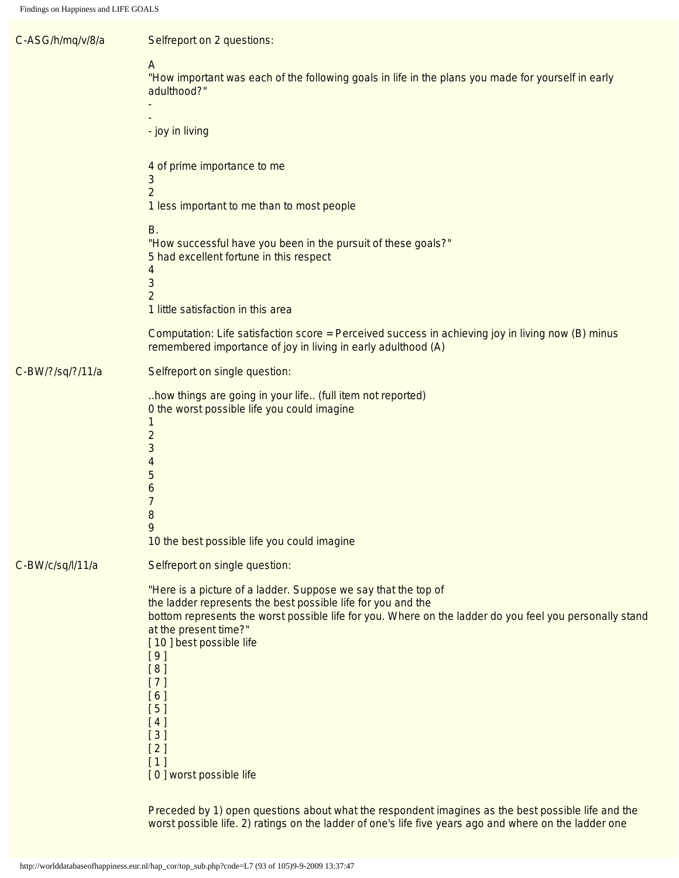| C-ASG/h/mq/v/8/a | Selfreport on 2 questions:                                                                                                                                                                                                                                                                                                                                                                    |
|------------------|-----------------------------------------------------------------------------------------------------------------------------------------------------------------------------------------------------------------------------------------------------------------------------------------------------------------------------------------------------------------------------------------------|
|                  | A<br>"How important was each of the following goals in life in the plans you made for yourself in early<br>adulthood?"                                                                                                                                                                                                                                                                        |
|                  | - joy in living                                                                                                                                                                                                                                                                                                                                                                               |
|                  | 4 of prime importance to me<br>3<br>$\overline{2}$                                                                                                                                                                                                                                                                                                                                            |
|                  | 1 less important to me than to most people<br><b>B.</b><br>"How successful have you been in the pursuit of these goals?"<br>5 had excellent fortune in this respect<br>4<br>3<br>2<br>1 little satisfaction in this area                                                                                                                                                                      |
|                  | Computation: Life satisfaction score = Perceived success in achieving joy in living now (B) minus<br>remembered importance of joy in living in early adulthood (A)                                                                                                                                                                                                                            |
| C-BW/?/sq/?/11/a | Selfreport on single question:                                                                                                                                                                                                                                                                                                                                                                |
|                  | how things are going in your life (full item not reported)<br>0 the worst possible life you could imagine<br>$\overline{2}$<br>3<br>4<br>5<br>6<br>7<br>8<br>10 the best possible life you could imagine                                                                                                                                                                                      |
| C-BW/c/sq/l/11/a | Selfreport on single question:                                                                                                                                                                                                                                                                                                                                                                |
|                  | "Here is a picture of a ladder. Suppose we say that the top of<br>the ladder represents the best possible life for you and the<br>bottom represents the worst possible life for you. Where on the ladder do you feel you personally stand<br>at the present time?"<br>[10] best possible life<br>[9]<br>[8]<br>$[7]$<br>[6]<br>[5]<br>[4]<br>$[3]$<br>[2]<br>$[1]$<br>[0] worst possible life |
|                  | Preceded by 1) open questions about what the respondent imagines as the best possible life and the                                                                                                                                                                                                                                                                                            |

worst possible life. 2) ratings on the ladder of one's life five years ago and where on the ladder one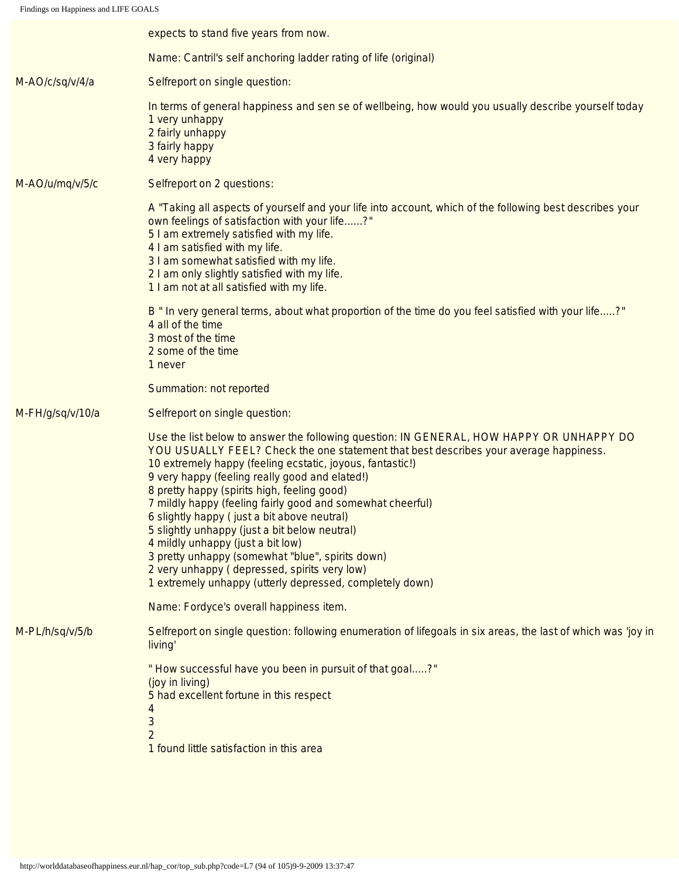<span id="page-93-2"></span><span id="page-93-1"></span><span id="page-93-0"></span>

|                  | expects to stand five years from now.                                                                                                                                                                                                                                                                                                                                                                                                                                                                                                                                                                                                                                                                              |
|------------------|--------------------------------------------------------------------------------------------------------------------------------------------------------------------------------------------------------------------------------------------------------------------------------------------------------------------------------------------------------------------------------------------------------------------------------------------------------------------------------------------------------------------------------------------------------------------------------------------------------------------------------------------------------------------------------------------------------------------|
|                  | Name: Cantril's self anchoring ladder rating of life (original)                                                                                                                                                                                                                                                                                                                                                                                                                                                                                                                                                                                                                                                    |
| M-AO/c/sq/v/4/a  | Selfreport on single question:                                                                                                                                                                                                                                                                                                                                                                                                                                                                                                                                                                                                                                                                                     |
|                  | In terms of general happiness and sen se of wellbeing, how would you usually describe yourself today<br>1 very unhappy<br>2 fairly unhappy<br>3 fairly happy<br>4 very happy                                                                                                                                                                                                                                                                                                                                                                                                                                                                                                                                       |
| M-AO/u/mq/v/5/c  | Selfreport on 2 questions:                                                                                                                                                                                                                                                                                                                                                                                                                                                                                                                                                                                                                                                                                         |
|                  | A "Taking all aspects of yourself and your life into account, which of the following best describes your<br>own feelings of satisfaction with your life?"<br>5 I am extremely satisfied with my life.<br>4 I am satisfied with my life.<br>3 I am somewhat satisfied with my life.<br>2 I am only slightly satisfied with my life.<br>1 I am not at all satisfied with my life.                                                                                                                                                                                                                                                                                                                                    |
|                  | B " In very general terms, about what proportion of the time do you feel satisfied with your life?"<br>4 all of the time<br>3 most of the time<br>2 some of the time<br>1 never                                                                                                                                                                                                                                                                                                                                                                                                                                                                                                                                    |
|                  | Summation: not reported                                                                                                                                                                                                                                                                                                                                                                                                                                                                                                                                                                                                                                                                                            |
| M-FH/g/sq/v/10/a | Selfreport on single question:                                                                                                                                                                                                                                                                                                                                                                                                                                                                                                                                                                                                                                                                                     |
|                  | Use the list below to answer the following question: IN GENERAL, HOW HAPPY OR UNHAPPY DO<br>YOU USUALLY FEEL? Check the one statement that best describes your average happiness.<br>10 extremely happy (feeling ecstatic, joyous, fantastic!)<br>9 very happy (feeling really good and elated!)<br>8 pretty happy (spirits high, feeling good)<br>7 mildly happy (feeling fairly good and somewhat cheerful)<br>6 slightly happy (just a bit above neutral)<br>5 slightly unhappy (just a bit below neutral)<br>4 mildly unhappy (just a bit low)<br>3 pretty unhappy (somewhat "blue", spirits down)<br>2 very unhappy (depressed, spirits very low)<br>1 extremely unhappy (utterly depressed, completely down) |
|                  | Name: Fordyce's overall happiness item.                                                                                                                                                                                                                                                                                                                                                                                                                                                                                                                                                                                                                                                                            |
| M-PL/h/sq/v/5/b  | Selfreport on single question: following enumeration of lifegoals in six areas, the last of which was 'joy in<br>living'                                                                                                                                                                                                                                                                                                                                                                                                                                                                                                                                                                                           |
|                  | "How successful have you been in pursuit of that goal?"<br>(joy in living)<br>5 had excellent fortune in this respect<br>3<br>$\overline{2}$<br>1 found little satisfaction in this area                                                                                                                                                                                                                                                                                                                                                                                                                                                                                                                           |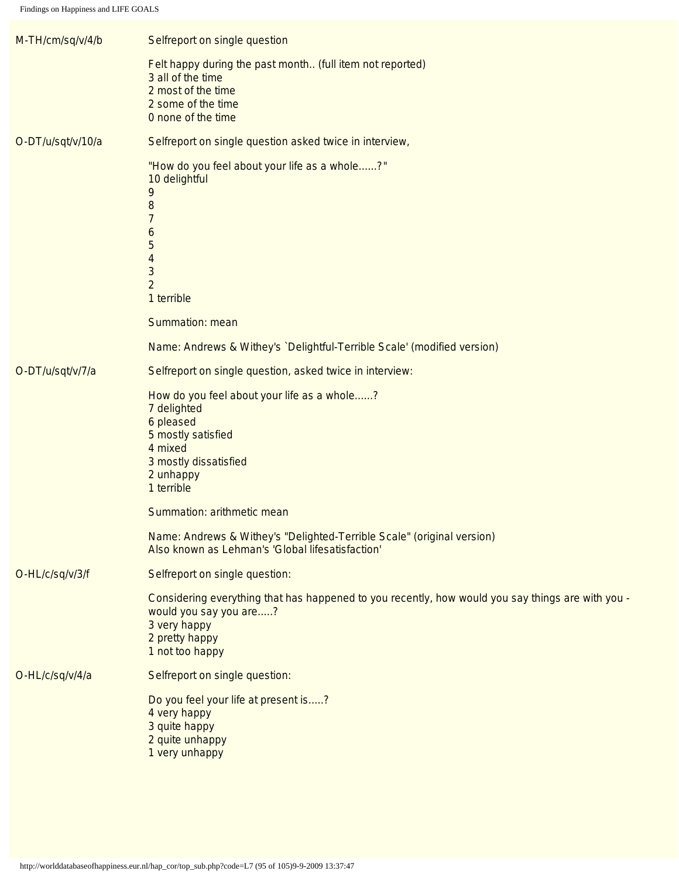<span id="page-94-1"></span><span id="page-94-0"></span>

| M-TH/cm/sq/v/4/b  | Selfreport on single question                                                                                                                                                    |
|-------------------|----------------------------------------------------------------------------------------------------------------------------------------------------------------------------------|
|                   | Felt happy during the past month (full item not reported)<br>3 all of the time<br>2 most of the time<br>2 some of the time<br>0 none of the time                                 |
| O-DT/u/sqt/v/10/a | Selfreport on single question asked twice in interview,                                                                                                                          |
|                   | "How do you feel about your life as a whole?"<br>10 delightful<br>9<br>8<br>7<br>6<br>5<br>4<br>3<br>$\overline{2}$<br>1 terrible                                                |
|                   | Summation: mean                                                                                                                                                                  |
|                   | Name: Andrews & Withey's `Delightful-Terrible Scale' (modified version)                                                                                                          |
| O-DT/u/sqt/v/7/a  | Selfreport on single question, asked twice in interview:                                                                                                                         |
|                   | How do you feel about your life as a whole?<br>7 delighted<br>6 pleased<br>5 mostly satisfied<br>4 mixed<br>3 mostly dissatisfied<br>2 unhappy<br>1 terrible                     |
|                   | Summation: arithmetic mean                                                                                                                                                       |
|                   | Name: Andrews & Withey's "Delighted-Terrible Scale" (original version)<br>Also known as Lehman's 'Global lifesatisfaction'                                                       |
| O-HL/c/sq/v/3/f   | Selfreport on single question:                                                                                                                                                   |
|                   | Considering everything that has happened to you recently, how would you say things are with you -<br>would you say you are?<br>3 very happy<br>2 pretty happy<br>1 not too happy |
| O-HL/c/sq/v/4/a   | Selfreport on single question:                                                                                                                                                   |
|                   | Do you feel your life at present is?<br>4 very happy<br>3 quite happy<br>2 quite unhappy<br>1 very unhappy                                                                       |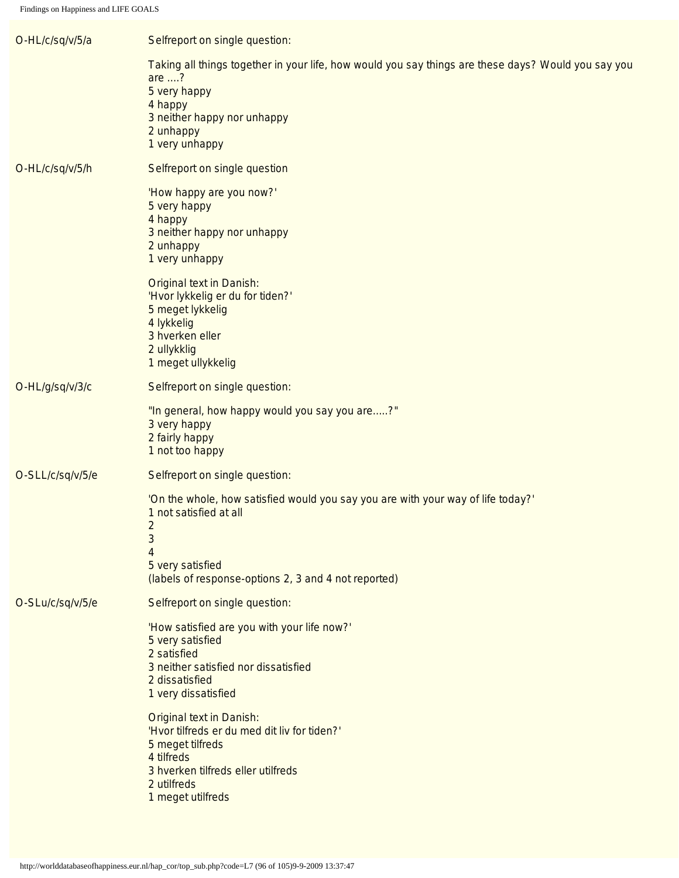<span id="page-95-1"></span><span id="page-95-0"></span>

| O-HL/c/sq/v/5/a  | Selfreport on single question:                                                                                                                                                                        |
|------------------|-------------------------------------------------------------------------------------------------------------------------------------------------------------------------------------------------------|
|                  | Taking all things together in your life, how would you say things are these days? Would you say you<br>are ?<br>5 very happy<br>4 happy<br>3 neither happy nor unhappy<br>2 unhappy<br>1 very unhappy |
| O-HL/c/sq/v/5/h  | Selfreport on single question                                                                                                                                                                         |
|                  | 'How happy are you now?'<br>5 very happy<br>4 happy<br>3 neither happy nor unhappy<br>2 unhappy<br>1 very unhappy                                                                                     |
|                  | <b>Original text in Danish:</b><br>'Hvor lykkelig er du for tiden?'<br>5 meget lykkelig<br>4 lykkelig<br>3 hverken eller<br>2 ullykklig<br>1 meget ullykkelig                                         |
| O-HL/g/sq/v/3/c  | Selfreport on single question:                                                                                                                                                                        |
|                  | "In general, how happy would you say you are?"<br>3 very happy<br>2 fairly happy<br>1 not too happy                                                                                                   |
| O-SLL/c/sq/v/5/e | Selfreport on single question:                                                                                                                                                                        |
|                  | 'On the whole, how satisfied would you say you are with your way of life today?'<br>1 not satisfied at all<br>2<br>3<br>4<br>5 very satisfied<br>(labels of response-options 2, 3 and 4 not reported) |
| O-SLu/c/sq/v/5/e | Selfreport on single question:                                                                                                                                                                        |
|                  | 'How satisfied are you with your life now?'<br>5 very satisfied<br>2 satisfied<br>3 neither satisfied nor dissatisfied<br>2 dissatisfied<br>1 very dissatisfied                                       |
|                  | <b>Original text in Danish:</b><br>'Hvor tilfreds er du med dit liv for tiden?'<br>5 meget tilfreds<br>4 tilfreds<br>3 hverken tilfreds eller utilfreds<br>2 utilfreds<br>1 meget utilfreds           |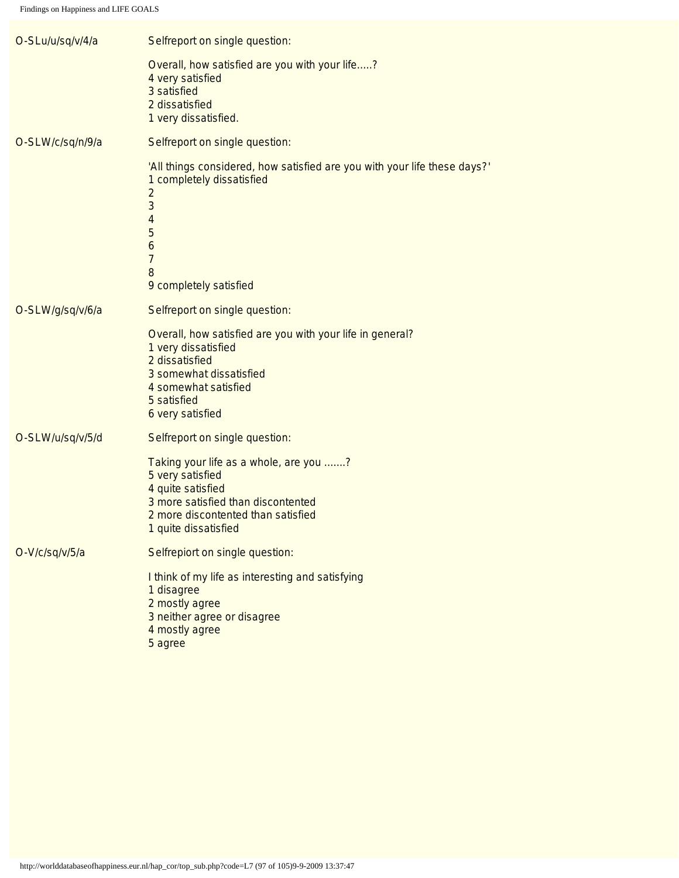<span id="page-96-2"></span><span id="page-96-1"></span><span id="page-96-0"></span>

| O-SLu/u/sq/v/4/a | Selfreport on single question:                                                                                                                                                                |
|------------------|-----------------------------------------------------------------------------------------------------------------------------------------------------------------------------------------------|
|                  | Overall, how satisfied are you with your life?<br>4 very satisfied<br>3 satisfied<br>2 dissatisfied<br>1 very dissatisfied.                                                                   |
| O-SLW/c/sq/n/9/a | Selfreport on single question:                                                                                                                                                                |
|                  | 'All things considered, how satisfied are you with your life these days?'<br>1 completely dissatisfied<br>$\overline{2}$<br>3<br>4<br>5<br>6<br>$\overline{7}$<br>8<br>9 completely satisfied |
| O-SLW/g/sq/v/6/a | Selfreport on single question:                                                                                                                                                                |
|                  | Overall, how satisfied are you with your life in general?<br>1 very dissatisfied<br>2 dissatisfied<br>3 somewhat dissatisfied<br>4 somewhat satisfied<br>5 satisfied<br>6 very satisfied      |
| O-SLW/u/sq/v/5/d | Selfreport on single question:                                                                                                                                                                |
|                  | Taking your life as a whole, are you ?<br>5 very satisfied<br>4 quite satisfied<br>3 more satisfied than discontented<br>2 more discontented than satisfied<br>1 quite dissatisfied           |
| O-V/c/sq/v/5/a   | Selfrepiort on single question:                                                                                                                                                               |
|                  | I think of my life as interesting and satisfying<br>1 disagree<br>2 mostly agree<br>3 neither agree or disagree<br>4 mostly agree<br>5 agree                                                  |
|                  |                                                                                                                                                                                               |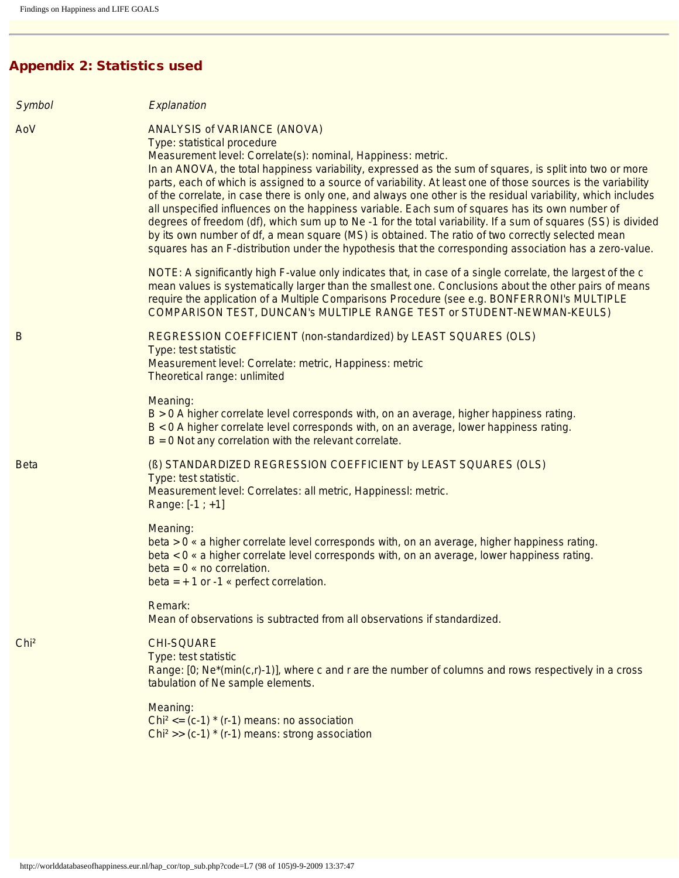# Appendix 2: Statistics used

<span id="page-97-2"></span><span id="page-97-1"></span><span id="page-97-0"></span>

| Symbol           | Explanation                                                                                                                                                                                                                                                                                                                                                                                                                                                                                                                                                                                                                                                                                                                                                                                                                                                                                                          |
|------------------|----------------------------------------------------------------------------------------------------------------------------------------------------------------------------------------------------------------------------------------------------------------------------------------------------------------------------------------------------------------------------------------------------------------------------------------------------------------------------------------------------------------------------------------------------------------------------------------------------------------------------------------------------------------------------------------------------------------------------------------------------------------------------------------------------------------------------------------------------------------------------------------------------------------------|
| AoV              | <b>ANALYSIS of VARIANCE (ANOVA)</b><br>Type: statistical procedure<br>Measurement level: Correlate(s): nominal, Happiness: metric.<br>In an ANOVA, the total happiness variability, expressed as the sum of squares, is split into two or more<br>parts, each of which is assigned to a source of variability. At least one of those sources is the variability<br>of the correlate, in case there is only one, and always one other is the residual variability, which includes<br>all unspecified influences on the happiness variable. Each sum of squares has its own number of<br>degrees of freedom (df), which sum up to Ne -1 for the total variability. If a sum of squares (SS) is divided<br>by its own number of df, a mean square (MS) is obtained. The ratio of two correctly selected mean<br>squares has an F-distribution under the hypothesis that the corresponding association has a zero-value. |
|                  | NOTE: A significantly high F-value only indicates that, in case of a single correlate, the largest of the c<br>mean values is systematically larger than the smallest one. Conclusions about the other pairs of means<br>require the application of a Multiple Comparisons Procedure (see e.g. BONFERRONI's MULTIPLE<br>COMPARISON TEST, DUNCAN's MULTIPLE RANGE TEST or STUDENT-NEWMAN-KEULS)                                                                                                                                                                                                                                                                                                                                                                                                                                                                                                                       |
| B                | REGRESSION COEFFICIENT (non-standardized) by LEAST SQUARES (OLS)<br>Type: test statistic<br>Measurement level: Correlate: metric, Happiness: metric<br>Theoretical range: unlimited                                                                                                                                                                                                                                                                                                                                                                                                                                                                                                                                                                                                                                                                                                                                  |
|                  | Meaning:<br>B > 0 A higher correlate level corresponds with, on an average, higher happiness rating.<br>B < 0 A higher correlate level corresponds with, on an average, lower happiness rating.<br>$B = 0$ Not any correlation with the relevant correlate.                                                                                                                                                                                                                                                                                                                                                                                                                                                                                                                                                                                                                                                          |
| <b>Beta</b>      | (B) STANDARDIZED REGRESSION COEFFICIENT by LEAST SQUARES (OLS)<br>Type: test statistic.<br>Measurement level: Correlates: all metric, Happinessl: metric.<br>Range: $[-1; +1]$                                                                                                                                                                                                                                                                                                                                                                                                                                                                                                                                                                                                                                                                                                                                       |
|                  | Meaning:<br>beta > 0 « a higher correlate level corresponds with, on an average, higher happiness rating.<br>beta < 0 « a higher correlate level corresponds with, on an average, lower happiness rating.<br>$beta = 0$ « no correlation.<br>beta = $+1$ or -1 « perfect correlation.                                                                                                                                                                                                                                                                                                                                                                                                                                                                                                                                                                                                                                |
|                  | Remark:<br>Mean of observations is subtracted from all observations if standardized.                                                                                                                                                                                                                                                                                                                                                                                                                                                                                                                                                                                                                                                                                                                                                                                                                                 |
| Chi <sup>2</sup> | <b>CHI-SQUARE</b><br>Type: test statistic<br>Range: $[0; Ne^*(min(c,r)-1)]$ , where c and r are the number of columns and rows respectively in a cross<br>tabulation of Ne sample elements.                                                                                                                                                                                                                                                                                                                                                                                                                                                                                                                                                                                                                                                                                                                          |
|                  | Meaning:<br>Chi <sup>2</sup> <= $(c-1)$ * $(r-1)$ means: no association<br>Chi <sup>2</sup> >> (c-1) $*(r-1)$ means: strong association                                                                                                                                                                                                                                                                                                                                                                                                                                                                                                                                                                                                                                                                                                                                                                              |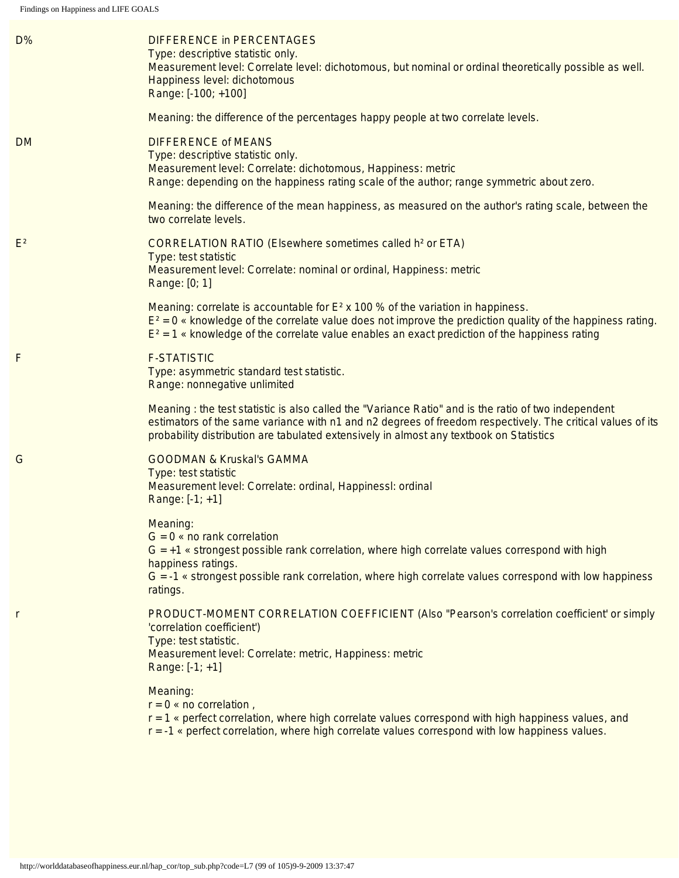<span id="page-98-4"></span><span id="page-98-3"></span><span id="page-98-2"></span><span id="page-98-1"></span><span id="page-98-0"></span>

| D%             | <b>DIFFERENCE in PERCENTAGES</b><br>Type: descriptive statistic only.<br>Measurement level: Correlate level: dichotomous, but nominal or ordinal theoretically possible as well.<br>Happiness level: dichotomous<br>Range: [-100; +100]                                                                       |
|----------------|---------------------------------------------------------------------------------------------------------------------------------------------------------------------------------------------------------------------------------------------------------------------------------------------------------------|
|                | Meaning: the difference of the percentages happy people at two correlate levels.                                                                                                                                                                                                                              |
| <b>DM</b>      | <b>DIFFERENCE of MEANS</b><br>Type: descriptive statistic only.<br>Measurement level: Correlate: dichotomous, Happiness: metric<br>Range: depending on the happiness rating scale of the author; range symmetric about zero.                                                                                  |
|                | Meaning: the difference of the mean happiness, as measured on the author's rating scale, between the<br>two correlate levels.                                                                                                                                                                                 |
| E <sup>2</sup> | <b>CORRELATION RATIO (Elsewhere sometimes called h<sup>2</sup> or ETA)</b><br>Type: test statistic<br>Measurement level: Correlate: nominal or ordinal, Happiness: metric<br>Range: [0; 1]                                                                                                                    |
|                | Meaning: correlate is accountable for $E^2$ x 100 % of the variation in happiness.<br>$E^2 = 0$ « knowledge of the correlate value does not improve the prediction quality of the happiness rating.<br>$E^2 = 1$ « knowledge of the correlate value enables an exact prediction of the happiness rating       |
| F              | <b>F-STATISTIC</b><br>Type: asymmetric standard test statistic.<br>Range: nonnegative unlimited                                                                                                                                                                                                               |
|                | Meaning : the test statistic is also called the "Variance Ratio" and is the ratio of two independent<br>estimators of the same variance with n1 and n2 degrees of freedom respectively. The critical values of its<br>probability distribution are tabulated extensively in almost any textbook on Statistics |
| G              | <b>GOODMAN &amp; Kruskal's GAMMA</b><br>Type: test statistic<br>Measurement level: Correlate: ordinal, Happinessl: ordinal<br>Range: $[-1; +1]$                                                                                                                                                               |
|                | Meaning:<br>$G = 0$ « no rank correlation<br>$G = +1$ « strongest possible rank correlation, where high correlate values correspond with high<br>happiness ratings.<br>G = -1 « strongest possible rank correlation, where high correlate values correspond with low happiness<br>ratings.                    |
| r              | PRODUCT-MOMENT CORRELATION COEFFICIENT (Also "Pearson's correlation coefficient' or simply<br>'correlation coefficient')<br>Type: test statistic.<br>Measurement level: Correlate: metric, Happiness: metric<br>Range: $[-1; +1]$                                                                             |
|                | Meaning:<br>$r = 0$ « no correlation,<br>$r = 1$ « perfect correlation, where high correlate values correspond with high happiness values, and<br>$r = -1$ « perfect correlation, where high correlate values correspond with low happiness values.                                                           |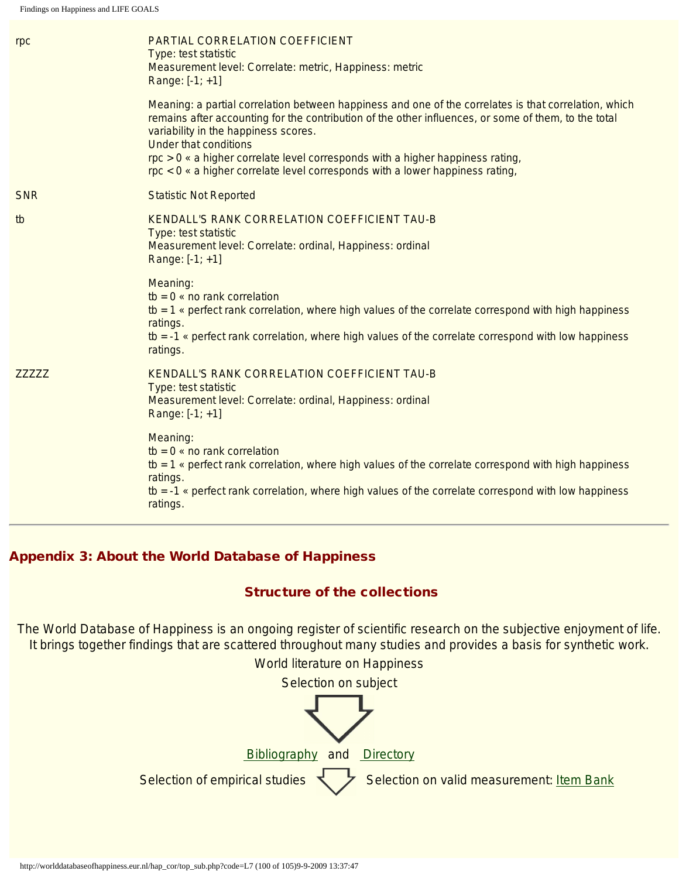<span id="page-99-0"></span>

| rpc           | PARTIAL CORRELATION COEFFICIENT<br>Type: test statistic<br>Measurement level: Correlate: metric, Happiness: metric<br>Range: $[-1; +1]$                                                                                                                                                                                                                                                                                                                                      |
|---------------|------------------------------------------------------------------------------------------------------------------------------------------------------------------------------------------------------------------------------------------------------------------------------------------------------------------------------------------------------------------------------------------------------------------------------------------------------------------------------|
|               | Meaning: a partial correlation between happiness and one of the correlates is that correlation, which<br>remains after accounting for the contribution of the other influences, or some of them, to the total<br>variability in the happiness scores.<br><b>Under that conditions</b><br>$\mathsf{rpc} > 0$ « a higher correlate level corresponds with a higher happiness rating,<br>$\text{rpc} < 0$ « a higher correlate level corresponds with a lower happiness rating, |
| <b>SNR</b>    | <b>Statistic Not Reported</b>                                                                                                                                                                                                                                                                                                                                                                                                                                                |
| tb            | KENDALL'S RANK CORRELATION COEFFICIENT TAU-B<br>Type: test statistic<br>Measurement level: Correlate: ordinal, Happiness: ordinal<br>Range: $[-1; +1]$                                                                                                                                                                                                                                                                                                                       |
|               | Meaning:<br>$tb = 0$ « no rank correlation<br>tb = $1$ « perfect rank correlation, where high values of the correlate correspond with high happiness<br>ratings.<br>$tb = -1$ « perfect rank correlation, where high values of the correlate correspond with low happiness<br>ratings.                                                                                                                                                                                       |
| <b>ZZZZZZ</b> | KENDALL'S RANK CORRELATION COEFFICIENT TAU-B<br>Type: test statistic<br>Measurement level: Correlate: ordinal, Happiness: ordinal<br>Range: $[-1; +1]$                                                                                                                                                                                                                                                                                                                       |
|               | Meaning:<br>$tb = 0$ « no rank correlation<br>tb = $1$ « perfect rank correlation, where high values of the correlate correspond with high happiness<br>ratings.<br>$tb = -1$ « perfect rank correlation, where high values of the correlate correspond with low happiness<br>ratings.                                                                                                                                                                                       |

# <span id="page-99-1"></span>Appendix 3: About the World Database of Happiness

#### Structure of the collections

The World Database of Happiness is an ongoing register of scientific research on the subjective enjoyment of life. It brings together findings that are scattered throughout many studies and provides a basis for synthetic work.

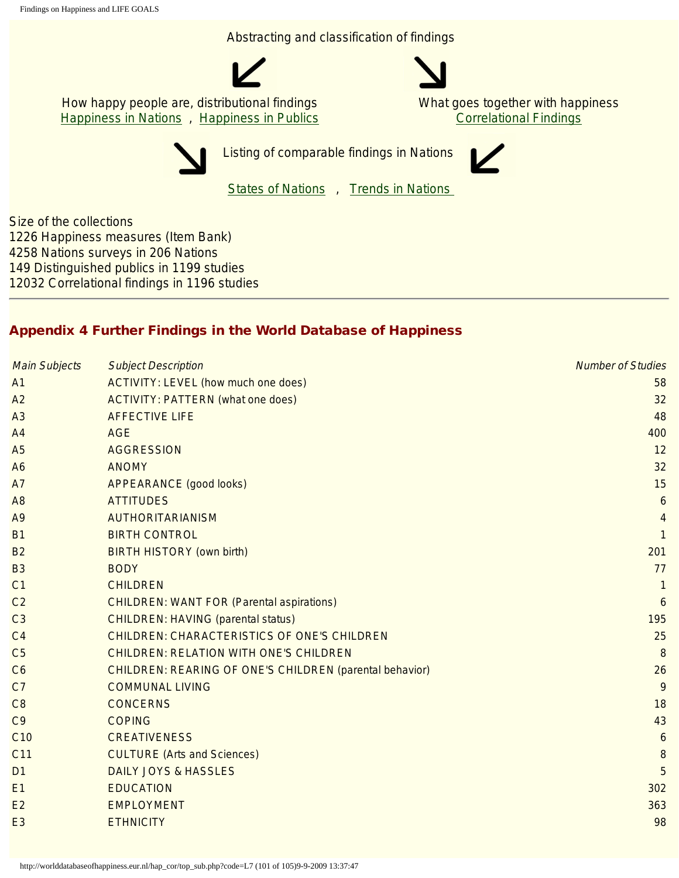Abstracting and classification of findings



How happy people are, distributional findings **[Happiness in Nations](http://worlddatabaseofhappiness.eur.nl/hap_nat/nat_fp.php)**, [Happiness in Publics](http://worlddatabaseofhappiness.eur.nl/hap_pub/pub_fp.php) What goes together with happiness [Correlational Findings](http://worlddatabaseofhappiness.eur.nl/hap_cor/cor_fp.htm)



Listing of comparable findings in Nations

[States of Nations](http://worlddatabaseofhappiness.eur.nl/statnat/datafile_nations.htm) , [Trends in Nations](http://worlddatabaseofhappiness.eur.nl/trendnat/framepage.htm)

Size of the collections 1226 Happiness measures (Item Bank) 4258 Nations surveys in 206 Nations 149 Distinguished publics in 1199 studies 12032 Correlational findings in 1196 studies

# Appendix 4 Further Findings in the World Database of Happiness

| <b>Main Subjects</b> | <b>Subject Description</b>                              | <b>Number of Studies</b> |
|----------------------|---------------------------------------------------------|--------------------------|
| A <sub>1</sub>       | <b>ACTIVITY: LEVEL (how much one does)</b>              | 58                       |
| A2                   | <b>ACTIVITY: PATTERN (what one does)</b>                | 32                       |
| A <sub>3</sub>       | <b>AFFECTIVE LIFE</b>                                   | 48                       |
| A <sub>4</sub>       | <b>AGE</b>                                              | 400                      |
| A <sub>5</sub>       | <b>AGGRESSION</b>                                       | 12                       |
| A <sub>6</sub>       | <b>ANOMY</b>                                            | 32                       |
| A7                   | <b>APPEARANCE (good looks)</b>                          | 15                       |
| A <sub>8</sub>       | <b>ATTITUDES</b>                                        | 6                        |
| A <sub>9</sub>       | <b>AUTHORITARIANISM</b>                                 | 4                        |
| <b>B1</b>            | <b>BIRTH CONTROL</b>                                    | $\mathbf{1}$             |
| <b>B2</b>            | <b>BIRTH HISTORY (own birth)</b>                        | 201                      |
| <b>B3</b>            | <b>BODY</b>                                             | 77                       |
| C <sub>1</sub>       | <b>CHILDREN</b>                                         | $\mathbf{1}$             |
| C <sub>2</sub>       | <b>CHILDREN: WANT FOR (Parental aspirations)</b>        | 6                        |
| C <sub>3</sub>       | <b>CHILDREN: HAVING (parental status)</b>               | 195                      |
| C <sub>4</sub>       | <b>CHILDREN: CHARACTERISTICS OF ONE'S CHILDREN</b>      | 25                       |
| C <sub>5</sub>       | <b>CHILDREN: RELATION WITH ONE'S CHILDREN</b>           | 8                        |
| C6                   | CHILDREN: REARING OF ONE'S CHILDREN (parental behavior) | 26                       |
| C <sub>7</sub>       | <b>COMMUNAL LIVING</b>                                  | 9                        |
| C8                   | <b>CONCERNS</b>                                         | 18                       |
| C <sub>9</sub>       | <b>COPING</b>                                           | 43                       |
| C <sub>10</sub>      | <b>CREATIVENESS</b>                                     | $\boldsymbol{6}$         |
| C11                  | <b>CULTURE (Arts and Sciences)</b>                      | $\,8\,$                  |
| D <sub>1</sub>       | <b>DAILY JOYS &amp; HASSLES</b>                         | 5                        |
| E1                   | <b>EDUCATION</b>                                        | 302                      |
| E2                   | <b>EMPLOYMENT</b>                                       | 363                      |
| E <sub>3</sub>       | <b>ETHNICITY</b>                                        | 98                       |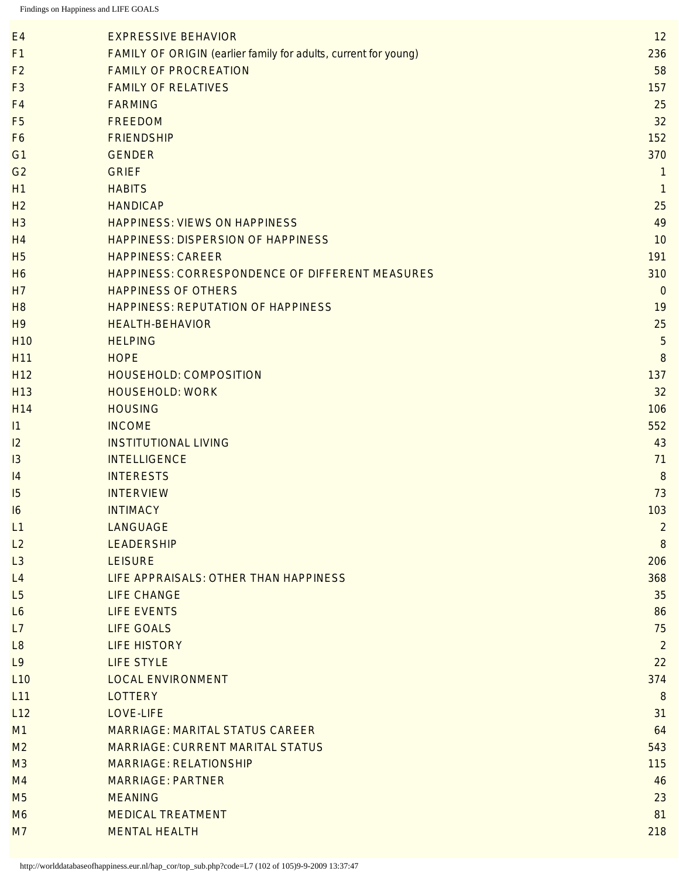| E4              | <b>EXPRESSIVE BEHAVIOR</b>                                      | 12               |
|-----------------|-----------------------------------------------------------------|------------------|
| F1              | FAMILY OF ORIGIN (earlier family for adults, current for young) | 236              |
| F <sub>2</sub>  | <b>FAMILY OF PROCREATION</b>                                    | 58               |
| F <sub>3</sub>  | <b>FAMILY OF RELATIVES</b>                                      | 157              |
| F <sub>4</sub>  | <b>FARMING</b>                                                  | 25               |
| F <sub>5</sub>  | <b>FREEDOM</b>                                                  | 32               |
| F <sub>6</sub>  | <b>FRIENDSHIP</b>                                               | 152              |
| G <sub>1</sub>  | <b>GENDER</b>                                                   | 370              |
| G <sub>2</sub>  | <b>GRIEF</b>                                                    | $\overline{1}$   |
| H1              | <b>HABITS</b>                                                   | 1                |
| H <sub>2</sub>  | <b>HANDICAP</b>                                                 | 25               |
| H <sub>3</sub>  | <b>HAPPINESS: VIEWS ON HAPPINESS</b>                            | 49               |
| H <sub>4</sub>  | <b>HAPPINESS: DISPERSION OF HAPPINESS</b>                       | 10               |
| H <sub>5</sub>  | <b>HAPPINESS: CAREER</b>                                        | 191              |
| <b>H6</b>       | HAPPINESS: CORRESPONDENCE OF DIFFERENT MEASURES                 | 310              |
| H7              | <b>HAPPINESS OF OTHERS</b>                                      | $\overline{0}$   |
| H <sub>8</sub>  | <b>HAPPINESS: REPUTATION OF HAPPINESS</b>                       | 19               |
| H <sub>9</sub>  | <b>HEALTH-BEHAVIOR</b>                                          | 25               |
| <b>H10</b>      | <b>HELPING</b>                                                  | 5                |
| H11             | <b>HOPE</b>                                                     | 8                |
| H <sub>12</sub> | <b>HOUSEHOLD: COMPOSITION</b>                                   | 137              |
| H <sub>13</sub> | <b>HOUSEHOLD: WORK</b>                                          | 32               |
| H14             | <b>HOUSING</b>                                                  | 106              |
| 1               | <b>INCOME</b>                                                   | 552              |
| 2               | <b>INSTITUTIONAL LIVING</b>                                     | 43               |
| 13              | <b>INTELLIGENCE</b>                                             | 71               |
| 4               | <b>INTERESTS</b>                                                | 8                |
| 15              | <b>INTERVIEW</b>                                                | 73               |
| 16              | <b>INTIMACY</b>                                                 | 103              |
| L1              | <b>LANGUAGE</b>                                                 | $\overline{2}$   |
| L2              | <b>LEADERSHIP</b>                                               | $\boldsymbol{8}$ |
| L3              | <b>LEISURE</b>                                                  | 206              |
| L4              | LIFE APPRAISALS: OTHER THAN HAPPINESS                           | 368              |
| L5              | <b>LIFE CHANGE</b>                                              | 35               |
| L6              | <b>LIFE EVENTS</b>                                              | 86               |
| L7              | <b>LIFE GOALS</b>                                               | 75               |
| L8              | <b>LIFE HISTORY</b>                                             | $\overline{2}$   |
| L9              | <b>LIFE STYLE</b>                                               | 22               |
| L <sub>10</sub> | <b>LOCAL ENVIRONMENT</b>                                        | 374              |
| L11             | <b>LOTTERY</b>                                                  | 8                |
| L12             | LOVE-LIFE                                                       | 31               |
| M1              | <b>MARRIAGE: MARITAL STATUS CAREER</b>                          | 64               |
| M <sub>2</sub>  | <b>MARRIAGE: CURRENT MARITAL STATUS</b>                         | 543              |
| M3              | <b>MARRIAGE: RELATIONSHIP</b>                                   | 115              |
| M <sub>4</sub>  | <b>MARRIAGE: PARTNER</b>                                        | 46               |
| M <sub>5</sub>  | <b>MEANING</b>                                                  | 23               |
| M <sub>6</sub>  | <b>MEDICAL TREATMENT</b>                                        | 81               |
| M <sub>7</sub>  | <b>MENTAL HEALTH</b>                                            | 218              |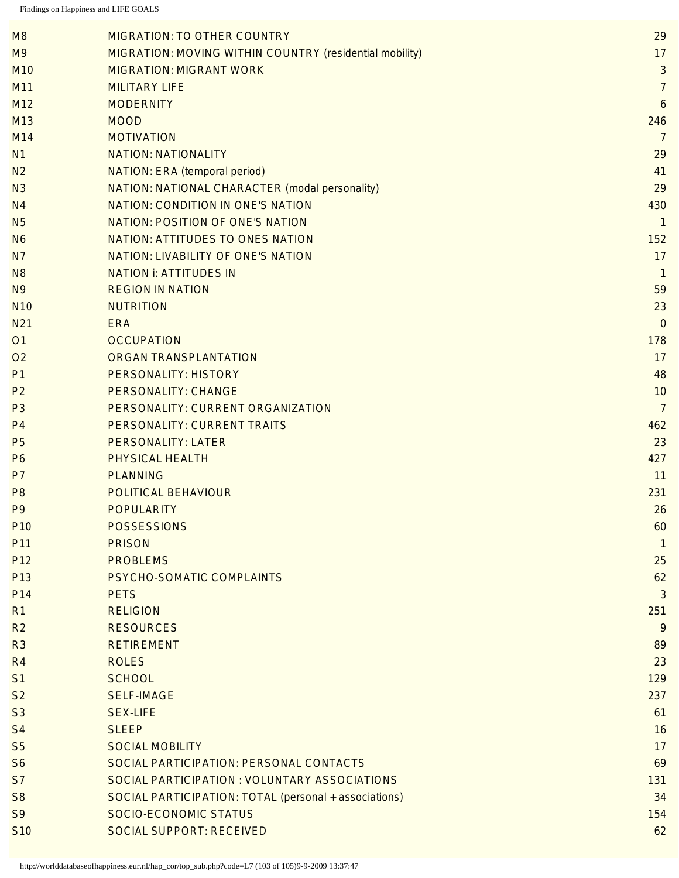| M <sub>8</sub>  | <b>MIGRATION: TO OTHER COUNTRY</b>                      | 29             |
|-----------------|---------------------------------------------------------|----------------|
| M <sub>9</sub>  | MIGRATION: MOVING WITHIN COUNTRY (residential mobility) | 17             |
| M <sub>10</sub> | <b>MIGRATION: MIGRANT WORK</b>                          | $\mathfrak{S}$ |
| M11             | <b>MILITARY LIFE</b>                                    | $\overline{7}$ |
| M12             | <b>MODERNITY</b>                                        | 6              |
| M13             | <b>MOOD</b>                                             | 246            |
| M14             | <b>MOTIVATION</b>                                       | $\overline{7}$ |
| N <sub>1</sub>  | <b>NATION: NATIONALITY</b>                              | 29             |
| N <sub>2</sub>  | <b>NATION: ERA (temporal period)</b>                    | 41             |
| N <sub>3</sub>  | NATION: NATIONAL CHARACTER (modal personality)          | 29             |
| N <sub>4</sub>  | <b>NATION: CONDITION IN ONE'S NATION</b>                | 430            |
| N <sub>5</sub>  | <b>NATION: POSITION OF ONE'S NATION</b>                 | $\mathbf{1}$   |
| N <sub>6</sub>  | NATION: ATTITUDES TO ONES NATION                        | 152            |
| N <sub>7</sub>  | <b>NATION: LIVABILITY OF ONE'S NATION</b>               | 17             |
| N <sub>8</sub>  | <b>NATION i: ATTITUDES IN</b>                           | $\mathbf{1}$   |
| N <sub>9</sub>  | <b>REGION IN NATION</b>                                 | 59             |
| <b>N10</b>      | <b>NUTRITION</b>                                        | 23             |
| N <sub>21</sub> | <b>ERA</b>                                              | $\overline{0}$ |
| <b>O1</b>       | <b>OCCUPATION</b>                                       | 178            |
| O <sub>2</sub>  | ORGAN TRANSPLANTATION                                   | 17             |
| P <sub>1</sub>  | <b>PERSONALITY: HISTORY</b>                             | 48             |
| P <sub>2</sub>  | <b>PERSONALITY: CHANGE</b>                              | 10             |
| P <sub>3</sub>  | PERSONALITY: CURRENT ORGANIZATION                       | $\overline{7}$ |
| P <sub>4</sub>  | PERSONALITY: CURRENT TRAITS                             | 462            |
| P <sub>5</sub>  | <b>PERSONALITY: LATER</b>                               | 23             |
| P <sub>6</sub>  | PHYSICAL HEALTH                                         | 427            |
| P <sub>7</sub>  | <b>PLANNING</b>                                         | 11             |
| P <sub>8</sub>  | POLITICAL BEHAVIOUR                                     | 231            |
| P <sub>9</sub>  | <b>POPULARITY</b>                                       | 26             |
| P <sub>10</sub> | <b>POSSESSIONS</b>                                      | 60             |
| P11             | <b>PRISON</b>                                           | 1              |
| P <sub>12</sub> | <b>PROBLEMS</b>                                         | 25             |
| P <sub>13</sub> | PSYCHO-SOMATIC COMPLAINTS                               | 62             |
| P <sub>14</sub> | <b>PETS</b>                                             | 3              |
| R <sub>1</sub>  | <b>RELIGION</b>                                         | 251            |
| R <sub>2</sub>  | <b>RESOURCES</b>                                        | 9              |
| R <sub>3</sub>  | <b>RETIREMENT</b>                                       | 89             |
| R <sub>4</sub>  | <b>ROLES</b>                                            | 23             |
| S <sub>1</sub>  | <b>SCHOOL</b>                                           | 129            |
| S <sub>2</sub>  | <b>SELF-IMAGE</b>                                       | 237            |
| S <sub>3</sub>  | <b>SEX-LIFE</b>                                         | 61             |
| S <sub>4</sub>  | <b>SLEEP</b>                                            | 16             |
| S <sub>5</sub>  | <b>SOCIAL MOBILITY</b>                                  | 17             |
| S <sub>6</sub>  | SOCIAL PARTICIPATION: PERSONAL CONTACTS                 | 69             |
| S <sub>7</sub>  | SOCIAL PARTICIPATION : VOLUNTARY ASSOCIATIONS           | 131            |
| S <sub>8</sub>  | SOCIAL PARTICIPATION: TOTAL (personal + associations)   | 34             |
| S <sub>9</sub>  | <b>SOCIO-ECONOMIC STATUS</b>                            | 154            |
| <b>S10</b>      | <b>SOCIAL SUPPORT: RECEIVED</b>                         | 62             |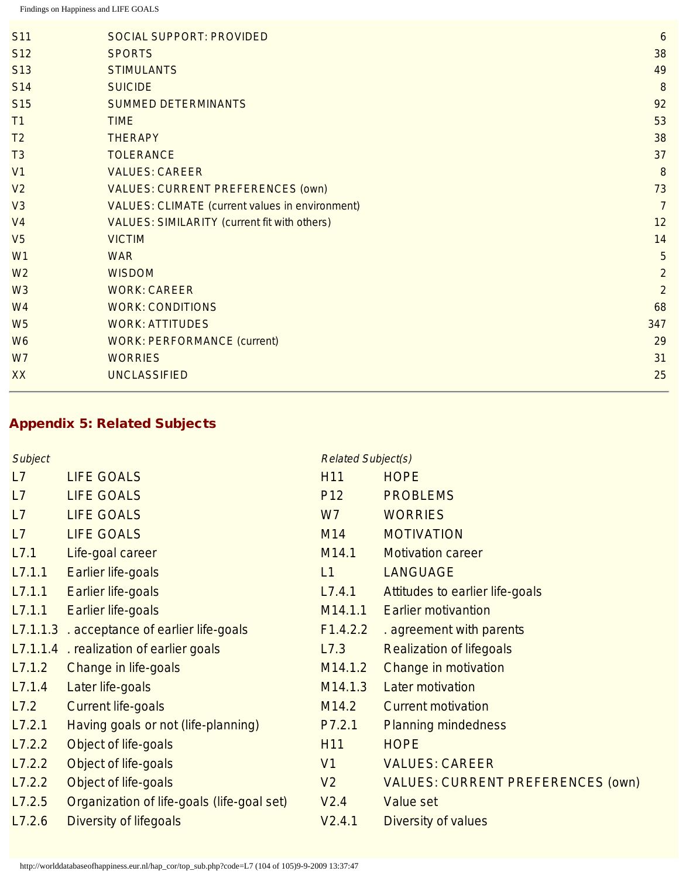| <b>S11</b>      | <b>SOCIAL SUPPORT: PROVIDED</b>                        | $\boldsymbol{6}$ |
|-----------------|--------------------------------------------------------|------------------|
|                 |                                                        |                  |
| S <sub>12</sub> | <b>SPORTS</b>                                          | 38               |
| S <sub>13</sub> | <b>STIMULANTS</b>                                      | 49               |
| <b>S14</b>      | <b>SUICIDE</b>                                         | $\boldsymbol{8}$ |
| S <sub>15</sub> | <b>SUMMED DETERMINANTS</b>                             | 92               |
| T1              | <b>TIME</b>                                            | 53               |
| T <sub>2</sub>  | <b>THERAPY</b>                                         | 38               |
| T <sub>3</sub>  | <b>TOLERANCE</b>                                       | 37               |
| V <sub>1</sub>  | <b>VALUES: CAREER</b>                                  | 8                |
| V <sub>2</sub>  | <b>VALUES: CURRENT PREFERENCES (own)</b>               | 73               |
| V3              | <b>VALUES: CLIMATE (current values in environment)</b> | $\overline{7}$   |
| V <sub>4</sub>  | <b>VALUES: SIMILARITY (current fit with others)</b>    | 12               |
| V <sub>5</sub>  | <b>VICTIM</b>                                          | 14               |
| W <sub>1</sub>  | <b>WAR</b>                                             | 5                |
| W <sub>2</sub>  | <b>WISDOM</b>                                          | $\overline{2}$   |
| W <sub>3</sub>  | <b>WORK: CAREER</b>                                    | $\overline{2}$   |
| W <sub>4</sub>  | <b>WORK: CONDITIONS</b>                                | 68               |
| W <sub>5</sub>  | <b>WORK: ATTITUDES</b>                                 | 347              |
| W <sub>6</sub>  | <b>WORK: PERFORMANCE (current)</b>                     | 29               |
| W7              | <b>WORRIES</b>                                         | 31               |
| XX              | <b>UNCLASSIFIED</b>                                    | 25               |
|                 |                                                        |                  |

# Appendix 5: Related Subjects

| Subject |                                             | <b>Related Subject(s)</b> |                                          |
|---------|---------------------------------------------|---------------------------|------------------------------------------|
| L7      | <b>LIFE GOALS</b>                           | H <sub>11</sub>           | <b>HOPE</b>                              |
| L7      | <b>LIFE GOALS</b>                           | P <sub>12</sub>           | <b>PROBLEMS</b>                          |
| L7      | <b>LIFE GOALS</b>                           | W <sub>7</sub>            | <b>WORRIES</b>                           |
| L7      | <b>LIFE GOALS</b>                           | M14                       | <b>MOTIVATION</b>                        |
| L7.1    | Life-goal career                            | M <sub>14.1</sub>         | <b>Motivation career</b>                 |
| L7.1.1  | Earlier life-goals                          | L1                        | <b>LANGUAGE</b>                          |
| L7.1.1  | Earlier life-goals                          | L7.4.1                    | Attitudes to earlier life-goals          |
| L7.1.1  | Earlier life-goals                          | M14.1.1                   | <b>Earlier motivantion</b>               |
|         | L7.1.1.3 . acceptance of earlier life-goals | F1.4.2.2                  | . agreement with parents                 |
|         | L7.1.1.4 . realization of earlier goals     | L7.3                      | <b>Realization of lifegoals</b>          |
| L7.1.2  | Change in life-goals                        | M14.1.2                   | Change in motivation                     |
| L7.1.4  | Later life-goals                            | M14.1.3                   | <b>Later motivation</b>                  |
| L7.2    | <b>Current life-goals</b>                   | M14.2                     | <b>Current motivation</b>                |
| L7.2.1  | Having goals or not (life-planning)         | P7.2.1                    | <b>Planning mindedness</b>               |
| L7.2.2  | Object of life-goals                        | H <sub>11</sub>           | <b>HOPE</b>                              |
| L7.2.2  | Object of life-goals                        | V <sub>1</sub>            | <b>VALUES: CAREER</b>                    |
| L7.2.2  | Object of life-goals                        | V <sub>2</sub>            | <b>VALUES: CURRENT PREFERENCES (OWN)</b> |
| L7.2.5  | Organization of life-goals (life-goal set)  | V2.4                      | Value set                                |
| L7.2.6  | <b>Diversity of lifegoals</b>               | V2.4.1                    | Diversity of values                      |
|         |                                             |                           |                                          |